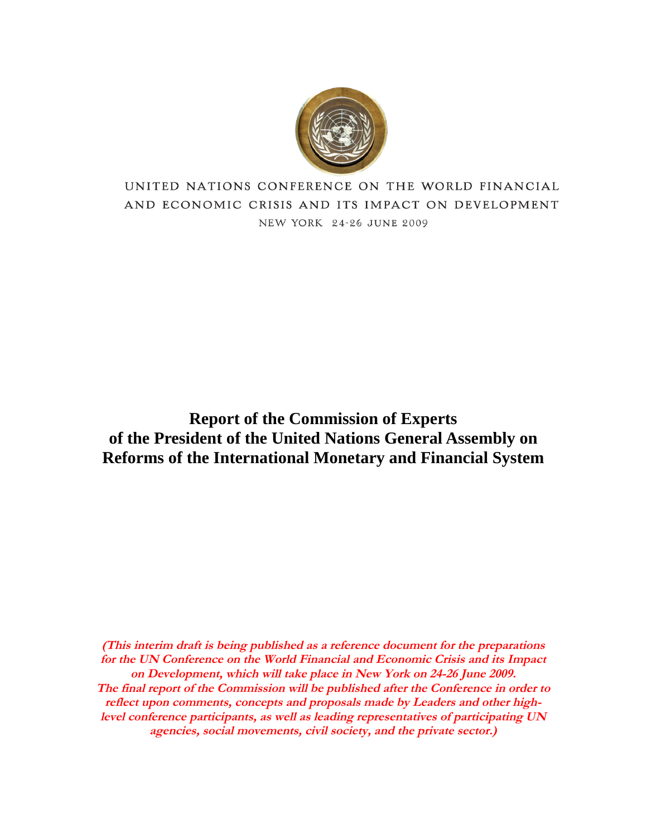

## UNITED NATIONS CONFERENCE ON THE WORLD FINANCIAL AND ECONOMIC CRISIS AND ITS IMPACT ON DEVELOPMENT NEW YORK 24-26 JUNE 2009

## **Report of the Commission of Experts of the President of the United Nations General Assembly on Reforms of the International Monetary and Financial System**

(This interim draft is being published as a reference document for the preparations for the UN Conference on the World Financial and Economic Crisis and its Impact on Development, which will take place in New York on 24-26 June 2009. The final report of the Commission will be published after the Conference in order to reflect upon comments, concepts and proposals made by Leaders and other highlevel conference participants, as well as leading representatives of participating UN **agencies, social movements, civil society, and the private sector.)**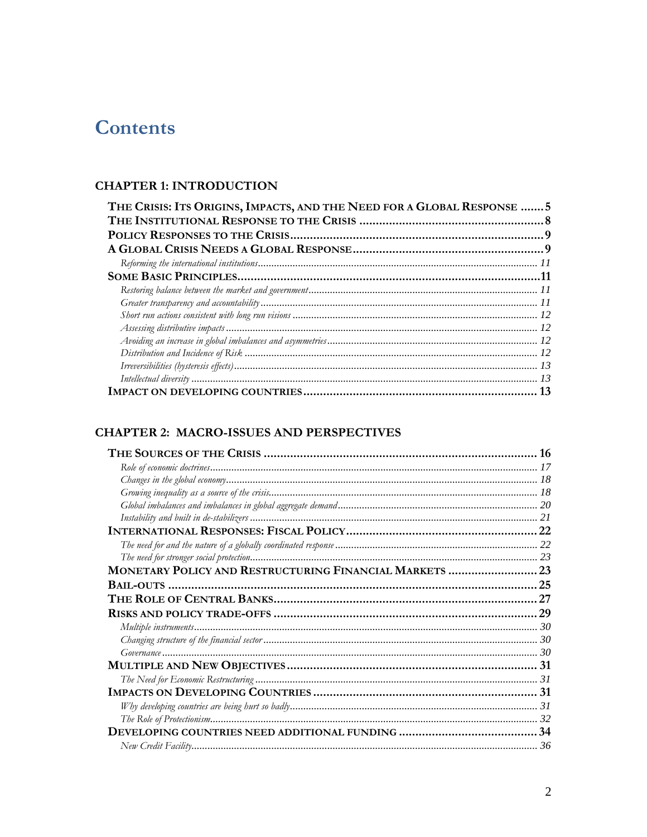# **Contents**

## **CHAPTER 1: INTRODUCTION**

| THE CRISIS: ITS ORIGINS, IMPACTS, AND THE NEED FOR A GLOBAL RESPONSE  5 |  |
|-------------------------------------------------------------------------|--|
|                                                                         |  |
|                                                                         |  |
|                                                                         |  |
|                                                                         |  |
|                                                                         |  |
|                                                                         |  |
|                                                                         |  |
|                                                                         |  |
|                                                                         |  |
|                                                                         |  |
|                                                                         |  |
|                                                                         |  |
| $\it Intellectual\ diversity\ (3.13)$                                   |  |
|                                                                         |  |

## **CHAPTER 2: MACRO-ISSUES AND PERSPECTIVES**

| <b>MONETARY POLICY AND RESTRUCTURING FINANCIAL MARKETS  23</b> |
|----------------------------------------------------------------|
|                                                                |
|                                                                |
|                                                                |
|                                                                |
|                                                                |
|                                                                |
|                                                                |
|                                                                |
|                                                                |
|                                                                |
|                                                                |
|                                                                |
|                                                                |
|                                                                |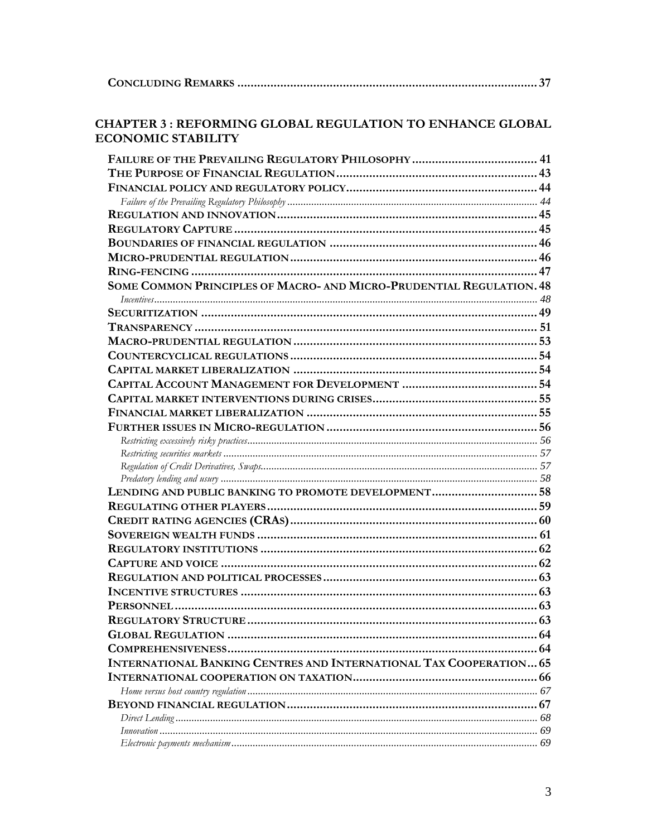### **CHAPTER 3 : REFORMING GLOBAL REGULATION TO ENHANCE GLOBAL ECONOMIC STABILITY**

| SOME COMMON PRINCIPLES OF MACRO- AND MICRO-PRUDENTIAL REGULATION. 48      |    |
|---------------------------------------------------------------------------|----|
| $Incentives \dots 1, 48$                                                  |    |
|                                                                           |    |
|                                                                           |    |
|                                                                           |    |
|                                                                           |    |
|                                                                           |    |
|                                                                           |    |
|                                                                           |    |
|                                                                           |    |
|                                                                           |    |
|                                                                           |    |
|                                                                           |    |
|                                                                           |    |
| LENDING AND PUBLIC BANKING TO PROMOTE DEVELOPMENT 58                      |    |
|                                                                           |    |
|                                                                           |    |
|                                                                           |    |
|                                                                           |    |
|                                                                           |    |
|                                                                           |    |
|                                                                           |    |
|                                                                           |    |
|                                                                           |    |
|                                                                           | 64 |
|                                                                           |    |
| <b>INTERNATIONAL BANKING CENTRES AND INTERNATIONAL TAX COOPERATION 65</b> |    |
|                                                                           |    |
|                                                                           |    |
|                                                                           |    |
|                                                                           |    |
|                                                                           |    |
|                                                                           |    |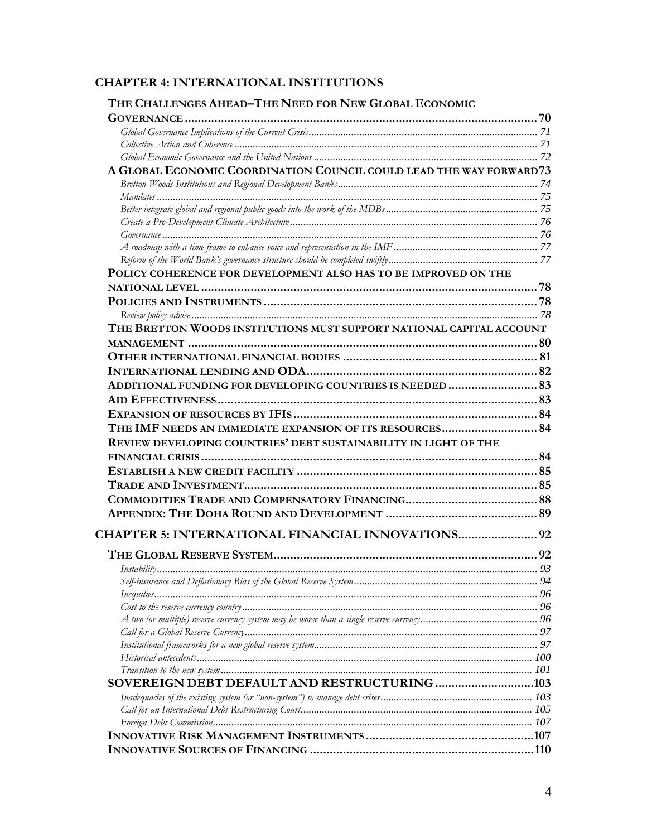## **CHAPTER 4: INTERNATIONAL INSTITUTIONS**

| THE CHALLENGES AHEAD-THE NEED FOR NEW GLOBAL ECONOMIC                |     |
|----------------------------------------------------------------------|-----|
|                                                                      |     |
|                                                                      |     |
|                                                                      |     |
|                                                                      |     |
| A GLOBAL ECONOMIC COORDINATION COUNCIL COULD LEAD THE WAY FORWARD73  |     |
|                                                                      |     |
|                                                                      |     |
|                                                                      |     |
|                                                                      |     |
|                                                                      |     |
|                                                                      |     |
|                                                                      |     |
| POLICY COHERENCE FOR DEVELOPMENT ALSO HAS TO BE IMPROVED ON THE      |     |
|                                                                      |     |
|                                                                      |     |
|                                                                      |     |
| THE BRETTON WOODS INSTITUTIONS MUST SUPPORT NATIONAL CAPITAL ACCOUNT |     |
|                                                                      |     |
|                                                                      |     |
|                                                                      |     |
| ADDITIONAL FUNDING FOR DEVELOPING COUNTRIES IS NEEDED  83            |     |
|                                                                      |     |
|                                                                      |     |
| THE IMF NEEDS AN IMMEDIATE EXPANSION OF ITS RESOURCES 84             |     |
| REVIEW DEVELOPING COUNTRIES' DEBT SUSTAINABILITY IN LIGHT OF THE     |     |
|                                                                      |     |
|                                                                      |     |
|                                                                      |     |
|                                                                      |     |
|                                                                      |     |
|                                                                      |     |
| <b>CHAPTER 5: INTERNATIONAL FINANCIAL INNOVATIONS</b> 92             |     |
|                                                                      |     |
| Instability                                                          | .93 |
|                                                                      |     |
|                                                                      |     |
|                                                                      |     |
|                                                                      |     |
|                                                                      |     |
|                                                                      |     |
|                                                                      |     |
|                                                                      |     |
|                                                                      |     |
|                                                                      |     |
|                                                                      |     |
|                                                                      |     |
|                                                                      |     |
|                                                                      |     |
|                                                                      |     |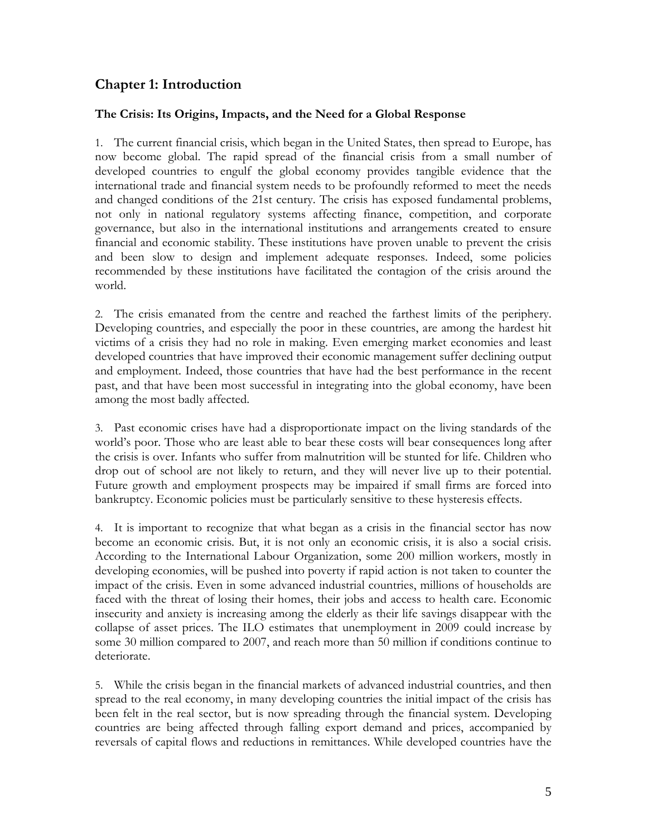## **Chapter 1: Introduction**

#### **The Crisis: Its Origins, Impacts, and the Need for a Global Response**

1. The current financial crisis, which began in the United States, then spread to Europe, has now become global. The rapid spread of the financial crisis from a small number of developed countries to engulf the global economy provides tangible evidence that the international trade and financial system needs to be profoundly reformed to meet the needs and changed conditions of the 21st century. The crisis has exposed fundamental problems, not only in national regulatory systems affecting finance, competition, and corporate governance, but also in the international institutions and arrangements created to ensure financial and economic stability. These institutions have proven unable to prevent the crisis and been slow to design and implement adequate responses. Indeed, some policies recommended by these institutions have facilitated the contagion of the crisis around the world.

2. The crisis emanated from the centre and reached the farthest limits of the periphery. Developing countries, and especially the poor in these countries, are among the hardest hit victims of a crisis they had no role in making. Even emerging market economies and least developed countries that have improved their economic management suffer declining output and employment. Indeed, those countries that have had the best performance in the recent past, and that have been most successful in integrating into the global economy, have been among the most badly affected.

3. Past economic crises have had a disproportionate impact on the living standards of the world's poor. Those who are least able to bear these costs will bear consequences long after the crisis is over. Infants who suffer from malnutrition will be stunted for life. Children who drop out of school are not likely to return, and they will never live up to their potential. Future growth and employment prospects may be impaired if small firms are forced into bankruptcy. Economic policies must be particularly sensitive to these hysteresis effects.

4. It is important to recognize that what began as a crisis in the financial sector has now become an economic crisis. But, it is not only an economic crisis, it is also a social crisis. According to the International Labour Organization, some 200 million workers, mostly in developing economies, will be pushed into poverty if rapid action is not taken to counter the impact of the crisis. Even in some advanced industrial countries, millions of households are faced with the threat of losing their homes, their jobs and access to health care. Economic insecurity and anxiety is increasing among the elderly as their life savings disappear with the collapse of asset prices. The ILO estimates that unemployment in 2009 could increase by some 30 million compared to 2007, and reach more than 50 million if conditions continue to deteriorate.

5. While the crisis began in the financial markets of advanced industrial countries, and then spread to the real economy, in many developing countries the initial impact of the crisis has been felt in the real sector, but is now spreading through the financial system. Developing countries are being affected through falling export demand and prices, accompanied by reversals of capital flows and reductions in remittances. While developed countries have the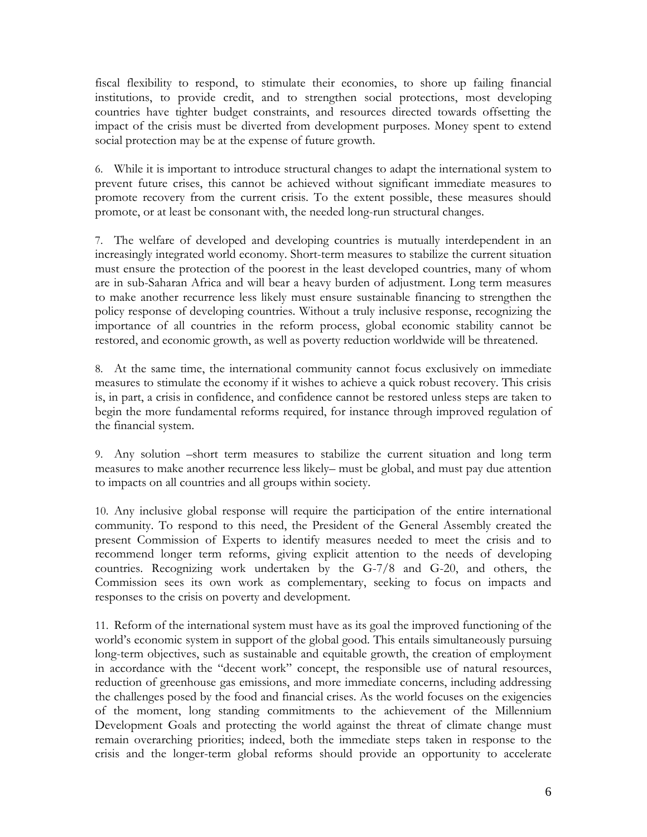fiscal flexibility to respond, to stimulate their economies, to shore up failing financial institutions, to provide credit, and to strengthen social protections, most developing countries have tighter budget constraints, and resources directed towards offsetting the impact of the crisis must be diverted from development purposes. Money spent to extend social protection may be at the expense of future growth.

6. While it is important to introduce structural changes to adapt the international system to prevent future crises, this cannot be achieved without significant immediate measures to promote recovery from the current crisis. To the extent possible, these measures should promote, or at least be consonant with, the needed long-run structural changes.

7. The welfare of developed and developing countries is mutually interdependent in an increasingly integrated world economy. Short-term measures to stabilize the current situation must ensure the protection of the poorest in the least developed countries, many of whom are in sub-Saharan Africa and will bear a heavy burden of adjustment. Long term measures to make another recurrence less likely must ensure sustainable financing to strengthen the policy response of developing countries. Without a truly inclusive response, recognizing the importance of all countries in the reform process, global economic stability cannot be restored, and economic growth, as well as poverty reduction worldwide will be threatened.

8. At the same time, the international community cannot focus exclusively on immediate measures to stimulate the economy if it wishes to achieve a quick robust recovery. This crisis is, in part, a crisis in confidence, and confidence cannot be restored unless steps are taken to begin the more fundamental reforms required, for instance through improved regulation of the financial system.

9. Any solution –short term measures to stabilize the current situation and long term measures to make another recurrence less likely– must be global, and must pay due attention to impacts on all countries and all groups within society.

10. Any inclusive global response will require the participation of the entire international community. To respond to this need, the President of the General Assembly created the present Commission of Experts to identify measures needed to meet the crisis and to recommend longer term reforms, giving explicit attention to the needs of developing countries. Recognizing work undertaken by the G-7/8 and G-20, and others, the Commission sees its own work as complementary, seeking to focus on impacts and responses to the crisis on poverty and development.

11. Reform of the international system must have as its goal the improved functioning of the world's economic system in support of the global good. This entails simultaneously pursuing long-term objectives, such as sustainable and equitable growth, the creation of employment in accordance with the "decent work" concept, the responsible use of natural resources, reduction of greenhouse gas emissions, and more immediate concerns, including addressing the challenges posed by the food and financial crises. As the world focuses on the exigencies of the moment, long standing commitments to the achievement of the Millennium Development Goals and protecting the world against the threat of climate change must remain overarching priorities; indeed, both the immediate steps taken in response to the crisis and the longer-term global reforms should provide an opportunity to accelerate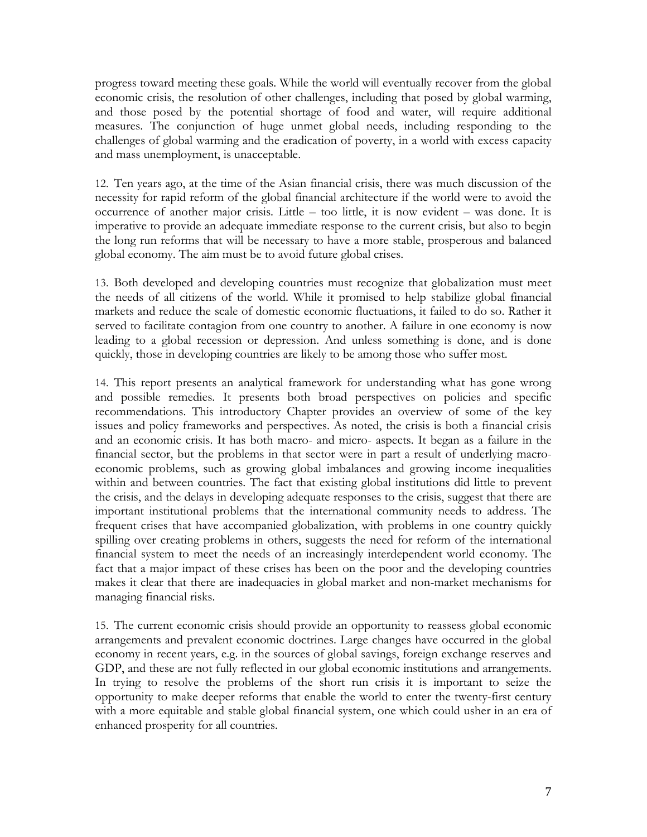progress toward meeting these goals. While the world will eventually recover from the global economic crisis, the resolution of other challenges, including that posed by global warming, and those posed by the potential shortage of food and water, will require additional measures. The conjunction of huge unmet global needs, including responding to the challenges of global warming and the eradication of poverty, in a world with excess capacity and mass unemployment, is unacceptable.

12. Ten years ago, at the time of the Asian financial crisis, there was much discussion of the necessity for rapid reform of the global financial architecture if the world were to avoid the occurrence of another major crisis. Little – too little, it is now evident – was done. It is imperative to provide an adequate immediate response to the current crisis, but also to begin the long run reforms that will be necessary to have a more stable, prosperous and balanced global economy. The aim must be to avoid future global crises.

13. Both developed and developing countries must recognize that globalization must meet the needs of all citizens of the world. While it promised to help stabilize global financial markets and reduce the scale of domestic economic fluctuations, it failed to do so. Rather it served to facilitate contagion from one country to another. A failure in one economy is now leading to a global recession or depression. And unless something is done, and is done quickly, those in developing countries are likely to be among those who suffer most.

14. This report presents an analytical framework for understanding what has gone wrong and possible remedies. It presents both broad perspectives on policies and specific recommendations. This introductory Chapter provides an overview of some of the key issues and policy frameworks and perspectives. As noted, the crisis is both a financial crisis and an economic crisis. It has both macro- and micro- aspects. It began as a failure in the financial sector, but the problems in that sector were in part a result of underlying macroeconomic problems, such as growing global imbalances and growing income inequalities within and between countries. The fact that existing global institutions did little to prevent the crisis, and the delays in developing adequate responses to the crisis, suggest that there are important institutional problems that the international community needs to address. The frequent crises that have accompanied globalization, with problems in one country quickly spilling over creating problems in others, suggests the need for reform of the international financial system to meet the needs of an increasingly interdependent world economy. The fact that a major impact of these crises has been on the poor and the developing countries makes it clear that there are inadequacies in global market and non-market mechanisms for managing financial risks.

15. The current economic crisis should provide an opportunity to reassess global economic arrangements and prevalent economic doctrines. Large changes have occurred in the global economy in recent years, e.g. in the sources of global savings, foreign exchange reserves and GDP, and these are not fully reflected in our global economic institutions and arrangements. In trying to resolve the problems of the short run crisis it is important to seize the opportunity to make deeper reforms that enable the world to enter the twenty-first century with a more equitable and stable global financial system, one which could usher in an era of enhanced prosperity for all countries.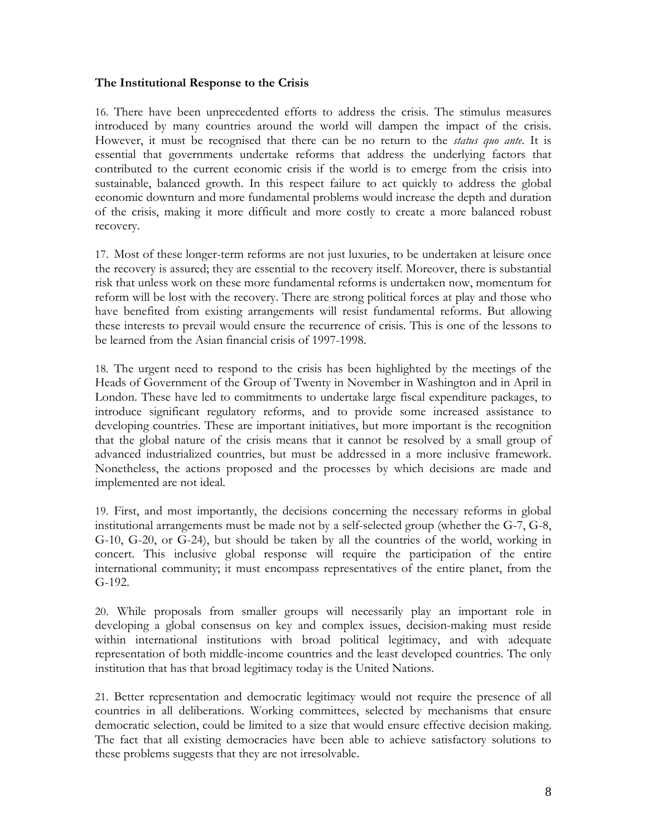#### **The Institutional Response to the Crisis**

16. There have been unprecedented efforts to address the crisis. The stimulus measures introduced by many countries around the world will dampen the impact of the crisis. However, it must be recognised that there can be no return to the *status quo ante*. It is essential that governments undertake reforms that address the underlying factors that contributed to the current economic crisis if the world is to emerge from the crisis into sustainable, balanced growth. In this respect failure to act quickly to address the global economic downturn and more fundamental problems would increase the depth and duration of the crisis, making it more difficult and more costly to create a more balanced robust recovery.

17. Most of these longer-term reforms are not just luxuries, to be undertaken at leisure once the recovery is assured; they are essential to the recovery itself. Moreover, there is substantial risk that unless work on these more fundamental reforms is undertaken now, momentum for reform will be lost with the recovery. There are strong political forces at play and those who have benefited from existing arrangements will resist fundamental reforms. But allowing these interests to prevail would ensure the recurrence of crisis. This is one of the lessons to be learned from the Asian financial crisis of 1997-1998.

18. The urgent need to respond to the crisis has been highlighted by the meetings of the Heads of Government of the Group of Twenty in November in Washington and in April in London. These have led to commitments to undertake large fiscal expenditure packages, to introduce significant regulatory reforms, and to provide some increased assistance to developing countries. These are important initiatives, but more important is the recognition that the global nature of the crisis means that it cannot be resolved by a small group of advanced industrialized countries, but must be addressed in a more inclusive framework. Nonetheless, the actions proposed and the processes by which decisions are made and implemented are not ideal.

19. First, and most importantly, the decisions concerning the necessary reforms in global institutional arrangements must be made not by a self-selected group (whether the G-7, G-8, G-10, G-20, or G-24), but should be taken by all the countries of the world, working in concert. This inclusive global response will require the participation of the entire international community; it must encompass representatives of the entire planet, from the G-192.

20. While proposals from smaller groups will necessarily play an important role in developing a global consensus on key and complex issues, decision-making must reside within international institutions with broad political legitimacy, and with adequate representation of both middle-income countries and the least developed countries. The only institution that has that broad legitimacy today is the United Nations.

21. Better representation and democratic legitimacy would not require the presence of all countries in all deliberations. Working committees, selected by mechanisms that ensure democratic selection, could be limited to a size that would ensure effective decision making. The fact that all existing democracies have been able to achieve satisfactory solutions to these problems suggests that they are not irresolvable.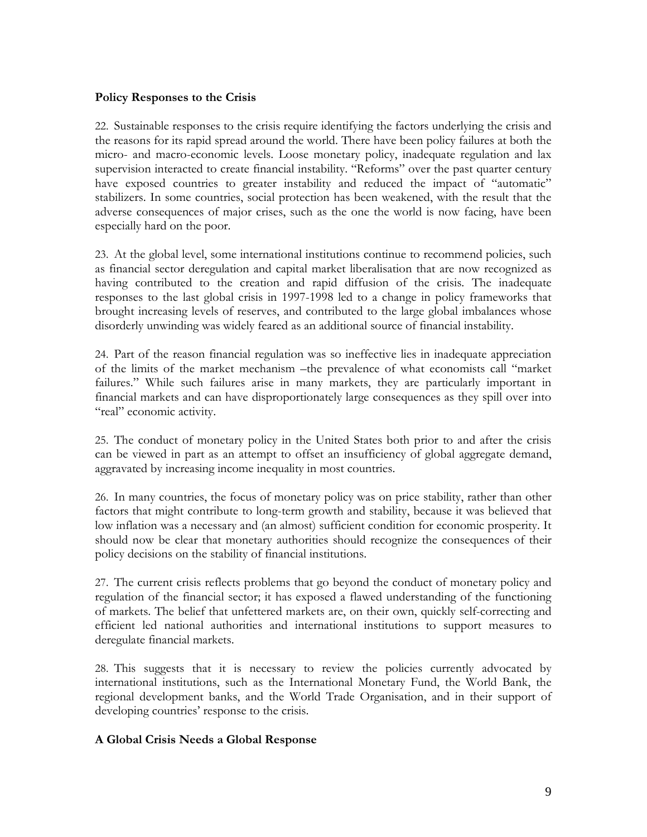#### **Policy Responses to the Crisis**

22. Sustainable responses to the crisis require identifying the factors underlying the crisis and the reasons for its rapid spread around the world. There have been policy failures at both the micro- and macro-economic levels. Loose monetary policy, inadequate regulation and lax supervision interacted to create financial instability. "Reforms" over the past quarter century have exposed countries to greater instability and reduced the impact of "automatic" stabilizers. In some countries, social protection has been weakened, with the result that the adverse consequences of major crises, such as the one the world is now facing, have been especially hard on the poor.

23. At the global level, some international institutions continue to recommend policies, such as financial sector deregulation and capital market liberalisation that are now recognized as having contributed to the creation and rapid diffusion of the crisis. The inadequate responses to the last global crisis in 1997-1998 led to a change in policy frameworks that brought increasing levels of reserves, and contributed to the large global imbalances whose disorderly unwinding was widely feared as an additional source of financial instability.

24. Part of the reason financial regulation was so ineffective lies in inadequate appreciation of the limits of the market mechanism –the prevalence of what economists call "market failures." While such failures arise in many markets, they are particularly important in financial markets and can have disproportionately large consequences as they spill over into "real" economic activity.

25. The conduct of monetary policy in the United States both prior to and after the crisis can be viewed in part as an attempt to offset an insufficiency of global aggregate demand, aggravated by increasing income inequality in most countries.

26. In many countries, the focus of monetary policy was on price stability, rather than other factors that might contribute to long-term growth and stability, because it was believed that low inflation was a necessary and (an almost) sufficient condition for economic prosperity. It should now be clear that monetary authorities should recognize the consequences of their policy decisions on the stability of financial institutions.

27. The current crisis reflects problems that go beyond the conduct of monetary policy and regulation of the financial sector; it has exposed a flawed understanding of the functioning of markets. The belief that unfettered markets are, on their own, quickly self-correcting and efficient led national authorities and international institutions to support measures to deregulate financial markets.

28. This suggests that it is necessary to review the policies currently advocated by international institutions, such as the International Monetary Fund, the World Bank, the regional development banks, and the World Trade Organisation, and in their support of developing countries' response to the crisis.

#### **A Global Crisis Needs a Global Response**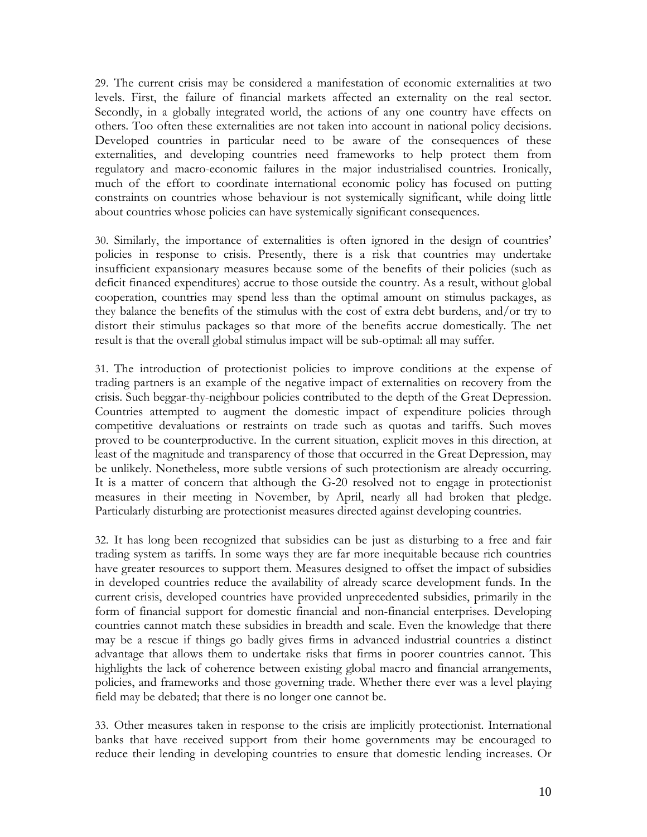29. The current crisis may be considered a manifestation of economic externalities at two levels. First, the failure of financial markets affected an externality on the real sector. Secondly, in a globally integrated world, the actions of any one country have effects on others. Too often these externalities are not taken into account in national policy decisions. Developed countries in particular need to be aware of the consequences of these externalities, and developing countries need frameworks to help protect them from regulatory and macro-economic failures in the major industrialised countries. Ironically, much of the effort to coordinate international economic policy has focused on putting constraints on countries whose behaviour is not systemically significant, while doing little about countries whose policies can have systemically significant consequences.

30. Similarly, the importance of externalities is often ignored in the design of countries' policies in response to crisis. Presently, there is a risk that countries may undertake insufficient expansionary measures because some of the benefits of their policies (such as deficit financed expenditures) accrue to those outside the country. As a result, without global cooperation, countries may spend less than the optimal amount on stimulus packages, as they balance the benefits of the stimulus with the cost of extra debt burdens, and/or try to distort their stimulus packages so that more of the benefits accrue domestically. The net result is that the overall global stimulus impact will be sub-optimal: all may suffer.

31. The introduction of protectionist policies to improve conditions at the expense of trading partners is an example of the negative impact of externalities on recovery from the crisis. Such beggar-thy-neighbour policies contributed to the depth of the Great Depression. Countries attempted to augment the domestic impact of expenditure policies through competitive devaluations or restraints on trade such as quotas and tariffs. Such moves proved to be counterproductive. In the current situation, explicit moves in this direction, at least of the magnitude and transparency of those that occurred in the Great Depression, may be unlikely. Nonetheless, more subtle versions of such protectionism are already occurring. It is a matter of concern that although the G-20 resolved not to engage in protectionist measures in their meeting in November, by April, nearly all had broken that pledge. Particularly disturbing are protectionist measures directed against developing countries.

32. It has long been recognized that subsidies can be just as disturbing to a free and fair trading system as tariffs. In some ways they are far more inequitable because rich countries have greater resources to support them. Measures designed to offset the impact of subsidies in developed countries reduce the availability of already scarce development funds. In the current crisis, developed countries have provided unprecedented subsidies, primarily in the form of financial support for domestic financial and non-financial enterprises. Developing countries cannot match these subsidies in breadth and scale. Even the knowledge that there may be a rescue if things go badly gives firms in advanced industrial countries a distinct advantage that allows them to undertake risks that firms in poorer countries cannot. This highlights the lack of coherence between existing global macro and financial arrangements, policies, and frameworks and those governing trade. Whether there ever was a level playing field may be debated; that there is no longer one cannot be.

33. Other measures taken in response to the crisis are implicitly protectionist. International banks that have received support from their home governments may be encouraged to reduce their lending in developing countries to ensure that domestic lending increases. Or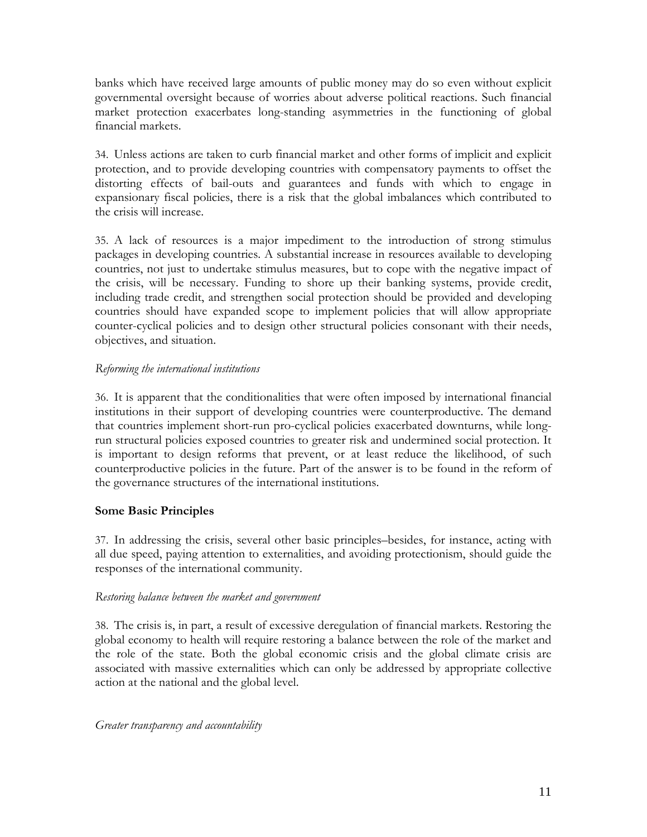banks which have received large amounts of public money may do so even without explicit governmental oversight because of worries about adverse political reactions. Such financial market protection exacerbates long-standing asymmetries in the functioning of global financial markets.

34. Unless actions are taken to curb financial market and other forms of implicit and explicit protection, and to provide developing countries with compensatory payments to offset the distorting effects of bail-outs and guarantees and funds with which to engage in expansionary fiscal policies, there is a risk that the global imbalances which contributed to the crisis will increase.

35. A lack of resources is a major impediment to the introduction of strong stimulus packages in developing countries. A substantial increase in resources available to developing countries, not just to undertake stimulus measures, but to cope with the negative impact of the crisis, will be necessary. Funding to shore up their banking systems, provide credit, including trade credit, and strengthen social protection should be provided and developing countries should have expanded scope to implement policies that will allow appropriate counter-cyclical policies and to design other structural policies consonant with their needs, objectives, and situation.

#### *Reforming the international institutions*

36. It is apparent that the conditionalities that were often imposed by international financial institutions in their support of developing countries were counterproductive. The demand that countries implement short-run pro-cyclical policies exacerbated downturns, while longrun structural policies exposed countries to greater risk and undermined social protection. It is important to design reforms that prevent, or at least reduce the likelihood, of such counterproductive policies in the future. Part of the answer is to be found in the reform of the governance structures of the international institutions.

#### **Some Basic Principles**

37. In addressing the crisis, several other basic principles–besides, for instance, acting with all due speed, paying attention to externalities, and avoiding protectionism, should guide the responses of the international community.

#### *Restoring balance between the market and government*

38. The crisis is, in part, a result of excessive deregulation of financial markets. Restoring the global economy to health will require restoring a balance between the role of the market and the role of the state. Both the global economic crisis and the global climate crisis are associated with massive externalities which can only be addressed by appropriate collective action at the national and the global level.

#### *Greater transparency and accountability*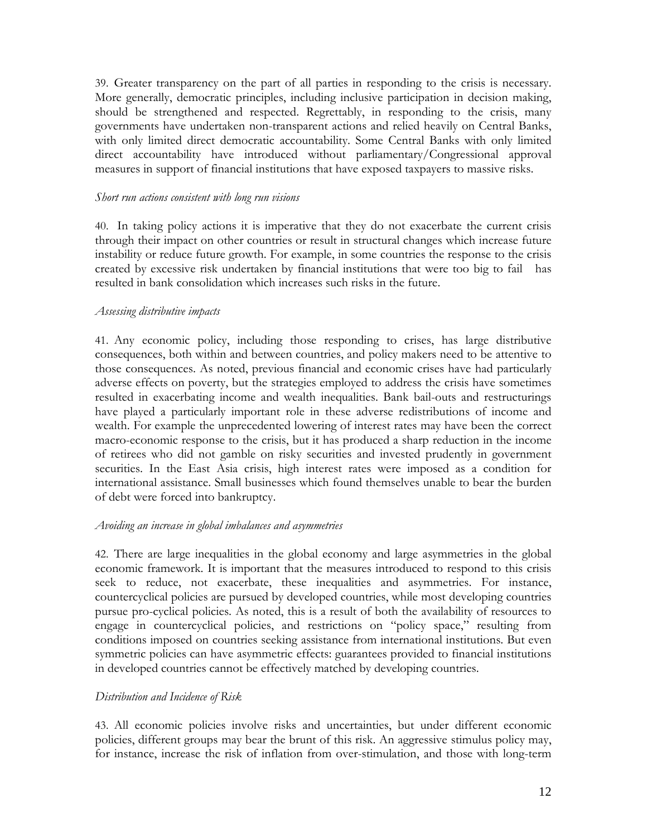39. Greater transparency on the part of all parties in responding to the crisis is necessary. More generally, democratic principles, including inclusive participation in decision making, should be strengthened and respected. Regrettably, in responding to the crisis, many governments have undertaken non-transparent actions and relied heavily on Central Banks, with only limited direct democratic accountability. Some Central Banks with only limited direct accountability have introduced without parliamentary/Congressional approval measures in support of financial institutions that have exposed taxpayers to massive risks.

#### *Short run actions consistent with long run visions*

40. In taking policy actions it is imperative that they do not exacerbate the current crisis through their impact on other countries or result in structural changes which increase future instability or reduce future growth. For example, in some countries the response to the crisis created by excessive risk undertaken by financial institutions that were too big to fail has resulted in bank consolidation which increases such risks in the future.

#### *Assessing distributive impacts*

41. Any economic policy, including those responding to crises, has large distributive consequences, both within and between countries, and policy makers need to be attentive to those consequences. As noted, previous financial and economic crises have had particularly adverse effects on poverty, but the strategies employed to address the crisis have sometimes resulted in exacerbating income and wealth inequalities. Bank bail-outs and restructurings have played a particularly important role in these adverse redistributions of income and wealth. For example the unprecedented lowering of interest rates may have been the correct macro-economic response to the crisis, but it has produced a sharp reduction in the income of retirees who did not gamble on risky securities and invested prudently in government securities. In the East Asia crisis, high interest rates were imposed as a condition for international assistance. Small businesses which found themselves unable to bear the burden of debt were forced into bankruptcy.

#### *Avoiding an increase in global imbalances and asymmetries*

42. There are large inequalities in the global economy and large asymmetries in the global economic framework. It is important that the measures introduced to respond to this crisis seek to reduce, not exacerbate, these inequalities and asymmetries. For instance, countercyclical policies are pursued by developed countries, while most developing countries pursue pro-cyclical policies. As noted, this is a result of both the availability of resources to engage in countercyclical policies, and restrictions on "policy space," resulting from conditions imposed on countries seeking assistance from international institutions. But even symmetric policies can have asymmetric effects: guarantees provided to financial institutions in developed countries cannot be effectively matched by developing countries.

#### *Distribution and Incidence of Risk*

43. All economic policies involve risks and uncertainties, but under different economic policies, different groups may bear the brunt of this risk. An aggressive stimulus policy may, for instance, increase the risk of inflation from over-stimulation, and those with long-term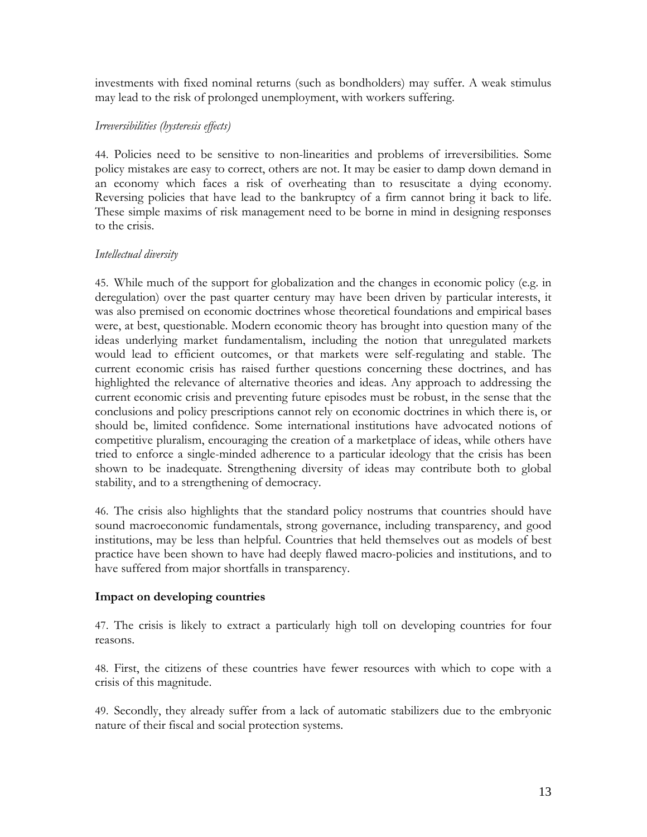investments with fixed nominal returns (such as bondholders) may suffer. A weak stimulus may lead to the risk of prolonged unemployment, with workers suffering.

#### *Irreversibilities (hysteresis effects)*

44. Policies need to be sensitive to non-linearities and problems of irreversibilities. Some policy mistakes are easy to correct, others are not. It may be easier to damp down demand in an economy which faces a risk of overheating than to resuscitate a dying economy. Reversing policies that have lead to the bankruptcy of a firm cannot bring it back to life. These simple maxims of risk management need to be borne in mind in designing responses to the crisis.

#### *Intellectual diversity*

45. While much of the support for globalization and the changes in economic policy (e.g. in deregulation) over the past quarter century may have been driven by particular interests, it was also premised on economic doctrines whose theoretical foundations and empirical bases were, at best, questionable. Modern economic theory has brought into question many of the ideas underlying market fundamentalism, including the notion that unregulated markets would lead to efficient outcomes, or that markets were self-regulating and stable. The current economic crisis has raised further questions concerning these doctrines, and has highlighted the relevance of alternative theories and ideas. Any approach to addressing the current economic crisis and preventing future episodes must be robust, in the sense that the conclusions and policy prescriptions cannot rely on economic doctrines in which there is, or should be, limited confidence. Some international institutions have advocated notions of competitive pluralism, encouraging the creation of a marketplace of ideas, while others have tried to enforce a single-minded adherence to a particular ideology that the crisis has been shown to be inadequate. Strengthening diversity of ideas may contribute both to global stability, and to a strengthening of democracy.

46. The crisis also highlights that the standard policy nostrums that countries should have sound macroeconomic fundamentals, strong governance, including transparency, and good institutions, may be less than helpful. Countries that held themselves out as models of best practice have been shown to have had deeply flawed macro-policies and institutions, and to have suffered from major shortfalls in transparency.

#### **Impact on developing countries**

47. The crisis is likely to extract a particularly high toll on developing countries for four reasons.

48. First, the citizens of these countries have fewer resources with which to cope with a crisis of this magnitude.

49. Secondly, they already suffer from a lack of automatic stabilizers due to the embryonic nature of their fiscal and social protection systems.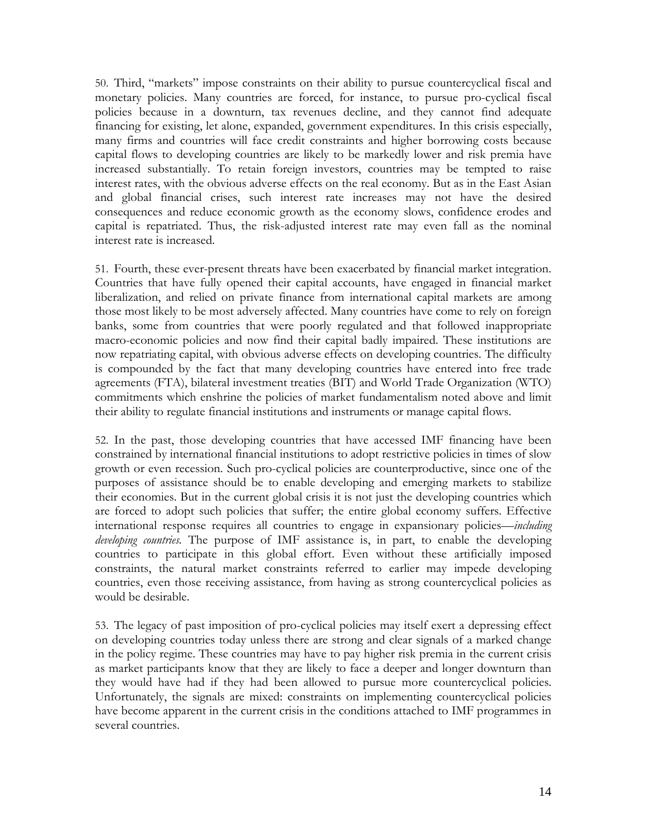50. Third, "markets" impose constraints on their ability to pursue countercyclical fiscal and monetary policies. Many countries are forced, for instance, to pursue pro-cyclical fiscal policies because in a downturn, tax revenues decline, and they cannot find adequate financing for existing, let alone, expanded, government expenditures. In this crisis especially, many firms and countries will face credit constraints and higher borrowing costs because capital flows to developing countries are likely to be markedly lower and risk premia have increased substantially. To retain foreign investors, countries may be tempted to raise interest rates, with the obvious adverse effects on the real economy. But as in the East Asian and global financial crises, such interest rate increases may not have the desired consequences and reduce economic growth as the economy slows, confidence erodes and capital is repatriated. Thus, the risk-adjusted interest rate may even fall as the nominal interest rate is increased.

51. Fourth, these ever-present threats have been exacerbated by financial market integration. Countries that have fully opened their capital accounts, have engaged in financial market liberalization, and relied on private finance from international capital markets are among those most likely to be most adversely affected. Many countries have come to rely on foreign banks, some from countries that were poorly regulated and that followed inappropriate macro-economic policies and now find their capital badly impaired. These institutions are now repatriating capital, with obvious adverse effects on developing countries. The difficulty is compounded by the fact that many developing countries have entered into free trade agreements (FTA), bilateral investment treaties (BIT) and World Trade Organization (WTO) commitments which enshrine the policies of market fundamentalism noted above and limit their ability to regulate financial institutions and instruments or manage capital flows.

52. In the past, those developing countries that have accessed IMF financing have been constrained by international financial institutions to adopt restrictive policies in times of slow growth or even recession. Such pro-cyclical policies are counterproductive, since one of the purposes of assistance should be to enable developing and emerging markets to stabilize their economies. But in the current global crisis it is not just the developing countries which are forced to adopt such policies that suffer; the entire global economy suffers. Effective international response requires all countries to engage in expansionary policies—*including developing countries.* The purpose of IMF assistance is, in part, to enable the developing countries to participate in this global effort. Even without these artificially imposed constraints, the natural market constraints referred to earlier may impede developing countries, even those receiving assistance, from having as strong countercyclical policies as would be desirable.

53. The legacy of past imposition of pro-cyclical policies may itself exert a depressing effect on developing countries today unless there are strong and clear signals of a marked change in the policy regime. These countries may have to pay higher risk premia in the current crisis as market participants know that they are likely to face a deeper and longer downturn than they would have had if they had been allowed to pursue more countercyclical policies. Unfortunately, the signals are mixed: constraints on implementing countercyclical policies have become apparent in the current crisis in the conditions attached to IMF programmes in several countries.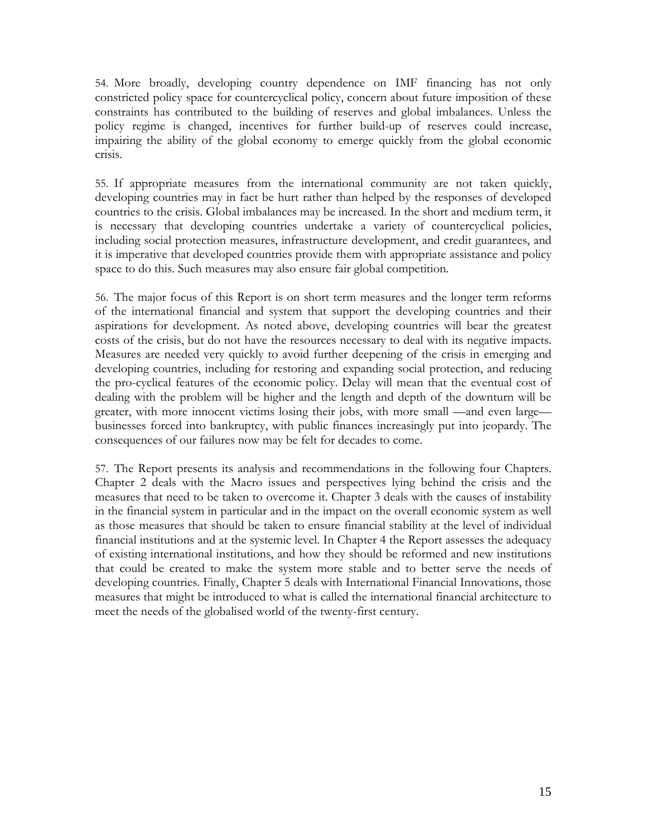54. More broadly, developing country dependence on IMF financing has not only constricted policy space for countercyclical policy, concern about future imposition of these constraints has contributed to the building of reserves and global imbalances. Unless the policy regime is changed, incentives for further build-up of reserves could increase, impairing the ability of the global economy to emerge quickly from the global economic crisis.

55. If appropriate measures from the international community are not taken quickly, developing countries may in fact be hurt rather than helped by the responses of developed countries to the crisis. Global imbalances may be increased. In the short and medium term, it is necessary that developing countries undertake a variety of countercyclical policies, including social protection measures, infrastructure development, and credit guarantees, and it is imperative that developed countries provide them with appropriate assistance and policy space to do this. Such measures may also ensure fair global competition.

56. The major focus of this Report is on short term measures and the longer term reforms of the international financial and system that support the developing countries and their aspirations for development. As noted above, developing countries will bear the greatest costs of the crisis, but do not have the resources necessary to deal with its negative impacts. Measures are needed very quickly to avoid further deepening of the crisis in emerging and developing countries, including for restoring and expanding social protection, and reducing the pro-cyclical features of the economic policy. Delay will mean that the eventual cost of dealing with the problem will be higher and the length and depth of the downturn will be greater, with more innocent victims losing their jobs, with more small —and even large businesses forced into bankruptcy, with public finances increasingly put into jeopardy. The consequences of our failures now may be felt for decades to come.

57. The Report presents its analysis and recommendations in the following four Chapters. Chapter 2 deals with the Macro issues and perspectives lying behind the crisis and the measures that need to be taken to overcome it. Chapter 3 deals with the causes of instability in the financial system in particular and in the impact on the overall economic system as well as those measures that should be taken to ensure financial stability at the level of individual financial institutions and at the systemic level. In Chapter 4 the Report assesses the adequacy of existing international institutions, and how they should be reformed and new institutions that could be created to make the system more stable and to better serve the needs of developing countries. Finally, Chapter 5 deals with International Financial Innovations, those measures that might be introduced to what is called the international financial architecture to meet the needs of the globalised world of the twenty-first century.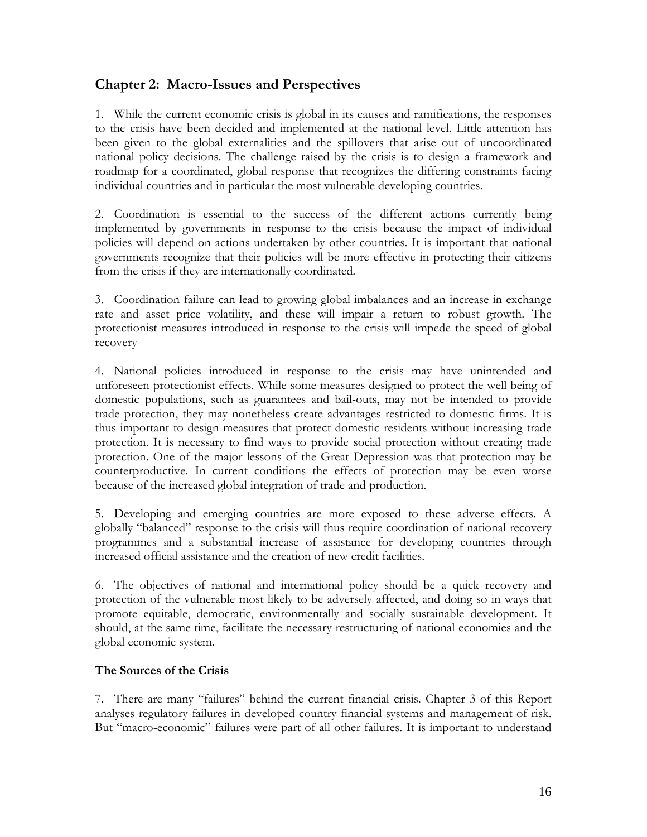## **Chapter 2: Macro-Issues and Perspectives**

1. While the current economic crisis is global in its causes and ramifications, the responses to the crisis have been decided and implemented at the national level. Little attention has been given to the global externalities and the spillovers that arise out of uncoordinated national policy decisions. The challenge raised by the crisis is to design a framework and roadmap for a coordinated, global response that recognizes the differing constraints facing individual countries and in particular the most vulnerable developing countries.

2. Coordination is essential to the success of the different actions currently being implemented by governments in response to the crisis because the impact of individual policies will depend on actions undertaken by other countries. It is important that national governments recognize that their policies will be more effective in protecting their citizens from the crisis if they are internationally coordinated.

3. Coordination failure can lead to growing global imbalances and an increase in exchange rate and asset price volatility, and these will impair a return to robust growth. The protectionist measures introduced in response to the crisis will impede the speed of global recovery

4. National policies introduced in response to the crisis may have unintended and unforeseen protectionist effects. While some measures designed to protect the well being of domestic populations, such as guarantees and bail-outs, may not be intended to provide trade protection, they may nonetheless create advantages restricted to domestic firms. It is thus important to design measures that protect domestic residents without increasing trade protection. It is necessary to find ways to provide social protection without creating trade protection. One of the major lessons of the Great Depression was that protection may be counterproductive. In current conditions the effects of protection may be even worse because of the increased global integration of trade and production.

5. Developing and emerging countries are more exposed to these adverse effects. A globally "balanced" response to the crisis will thus require coordination of national recovery programmes and a substantial increase of assistance for developing countries through increased official assistance and the creation of new credit facilities.

6. The objectives of national and international policy should be a quick recovery and protection of the vulnerable most likely to be adversely affected, and doing so in ways that promote equitable, democratic, environmentally and socially sustainable development. It should, at the same time, facilitate the necessary restructuring of national economies and the global economic system.

#### **The Sources of the Crisis**

7. There are many "failures" behind the current financial crisis. Chapter 3 of this Report analyses regulatory failures in developed country financial systems and management of risk. But "macro-economic" failures were part of all other failures. It is important to understand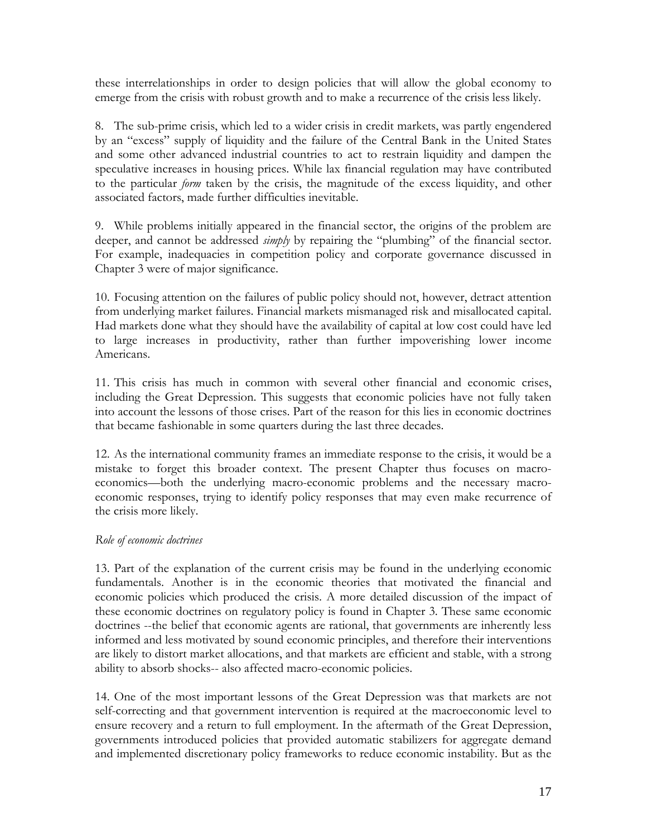these interrelationships in order to design policies that will allow the global economy to emerge from the crisis with robust growth and to make a recurrence of the crisis less likely.

8. The sub-prime crisis, which led to a wider crisis in credit markets, was partly engendered by an "excess" supply of liquidity and the failure of the Central Bank in the United States and some other advanced industrial countries to act to restrain liquidity and dampen the speculative increases in housing prices. While lax financial regulation may have contributed to the particular *form* taken by the crisis, the magnitude of the excess liquidity, and other associated factors, made further difficulties inevitable.

9. While problems initially appeared in the financial sector, the origins of the problem are deeper, and cannot be addressed *simply* by repairing the "plumbing" of the financial sector. For example, inadequacies in competition policy and corporate governance discussed in Chapter 3 were of major significance.

10. Focusing attention on the failures of public policy should not, however, detract attention from underlying market failures. Financial markets mismanaged risk and misallocated capital. Had markets done what they should have the availability of capital at low cost could have led to large increases in productivity, rather than further impoverishing lower income Americans.

11. This crisis has much in common with several other financial and economic crises, including the Great Depression. This suggests that economic policies have not fully taken into account the lessons of those crises. Part of the reason for this lies in economic doctrines that became fashionable in some quarters during the last three decades.

12. As the international community frames an immediate response to the crisis, it would be a mistake to forget this broader context. The present Chapter thus focuses on macroeconomics—both the underlying macro-economic problems and the necessary macroeconomic responses, trying to identify policy responses that may even make recurrence of the crisis more likely.

#### *Role of economic doctrines*

13. Part of the explanation of the current crisis may be found in the underlying economic fundamentals. Another is in the economic theories that motivated the financial and economic policies which produced the crisis. A more detailed discussion of the impact of these economic doctrines on regulatory policy is found in Chapter 3. These same economic doctrines --the belief that economic agents are rational, that governments are inherently less informed and less motivated by sound economic principles, and therefore their interventions are likely to distort market allocations, and that markets are efficient and stable, with a strong ability to absorb shocks-- also affected macro-economic policies.

14. One of the most important lessons of the Great Depression was that markets are not self-correcting and that government intervention is required at the macroeconomic level to ensure recovery and a return to full employment. In the aftermath of the Great Depression, governments introduced policies that provided automatic stabilizers for aggregate demand and implemented discretionary policy frameworks to reduce economic instability. But as the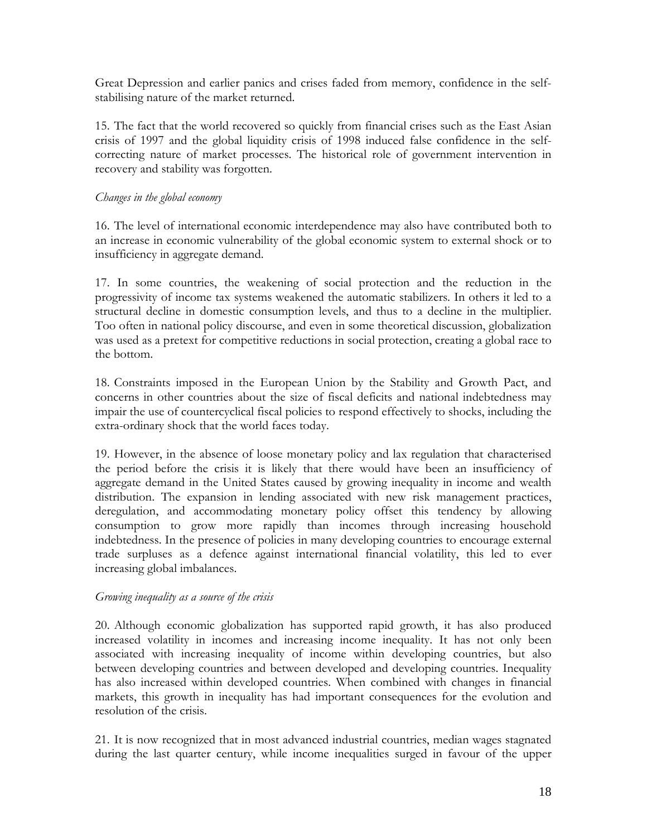Great Depression and earlier panics and crises faded from memory, confidence in the selfstabilising nature of the market returned.

15. The fact that the world recovered so quickly from financial crises such as the East Asian crisis of 1997 and the global liquidity crisis of 1998 induced false confidence in the selfcorrecting nature of market processes. The historical role of government intervention in recovery and stability was forgotten.

#### *Changes in the global economy*

16. The level of international economic interdependence may also have contributed both to an increase in economic vulnerability of the global economic system to external shock or to insufficiency in aggregate demand.

17. In some countries, the weakening of social protection and the reduction in the progressivity of income tax systems weakened the automatic stabilizers. In others it led to a structural decline in domestic consumption levels, and thus to a decline in the multiplier. Too often in national policy discourse, and even in some theoretical discussion, globalization was used as a pretext for competitive reductions in social protection, creating a global race to the bottom.

18. Constraints imposed in the European Union by the Stability and Growth Pact, and concerns in other countries about the size of fiscal deficits and national indebtedness may impair the use of countercyclical fiscal policies to respond effectively to shocks, including the extra-ordinary shock that the world faces today.

19. However, in the absence of loose monetary policy and lax regulation that characterised the period before the crisis it is likely that there would have been an insufficiency of aggregate demand in the United States caused by growing inequality in income and wealth distribution. The expansion in lending associated with new risk management practices, deregulation, and accommodating monetary policy offset this tendency by allowing consumption to grow more rapidly than incomes through increasing household indebtedness. In the presence of policies in many developing countries to encourage external trade surpluses as a defence against international financial volatility, this led to ever increasing global imbalances.

#### *Growing inequality as a source of the crisis*

20. Although economic globalization has supported rapid growth, it has also produced increased volatility in incomes and increasing income inequality. It has not only been associated with increasing inequality of income within developing countries, but also between developing countries and between developed and developing countries. Inequality has also increased within developed countries. When combined with changes in financial markets, this growth in inequality has had important consequences for the evolution and resolution of the crisis.

21. It is now recognized that in most advanced industrial countries, median wages stagnated during the last quarter century, while income inequalities surged in favour of the upper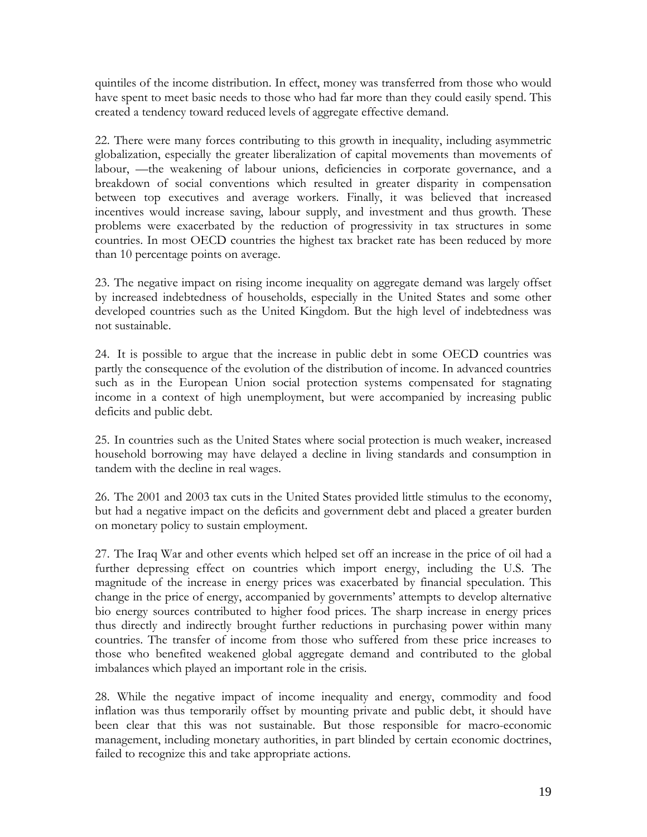quintiles of the income distribution. In effect, money was transferred from those who would have spent to meet basic needs to those who had far more than they could easily spend. This created a tendency toward reduced levels of aggregate effective demand.

22. There were many forces contributing to this growth in inequality, including asymmetric globalization, especially the greater liberalization of capital movements than movements of labour, —the weakening of labour unions, deficiencies in corporate governance, and a breakdown of social conventions which resulted in greater disparity in compensation between top executives and average workers. Finally, it was believed that increased incentives would increase saving, labour supply, and investment and thus growth. These problems were exacerbated by the reduction of progressivity in tax structures in some countries. In most OECD countries the highest tax bracket rate has been reduced by more than 10 percentage points on average.

23. The negative impact on rising income inequality on aggregate demand was largely offset by increased indebtedness of households, especially in the United States and some other developed countries such as the United Kingdom. But the high level of indebtedness was not sustainable.

24. It is possible to argue that the increase in public debt in some OECD countries was partly the consequence of the evolution of the distribution of income. In advanced countries such as in the European Union social protection systems compensated for stagnating income in a context of high unemployment, but were accompanied by increasing public deficits and public debt.

25. In countries such as the United States where social protection is much weaker, increased household borrowing may have delayed a decline in living standards and consumption in tandem with the decline in real wages.

26. The 2001 and 2003 tax cuts in the United States provided little stimulus to the economy, but had a negative impact on the deficits and government debt and placed a greater burden on monetary policy to sustain employment.

27. The Iraq War and other events which helped set off an increase in the price of oil had a further depressing effect on countries which import energy, including the U.S. The magnitude of the increase in energy prices was exacerbated by financial speculation. This change in the price of energy, accompanied by governments' attempts to develop alternative bio energy sources contributed to higher food prices. The sharp increase in energy prices thus directly and indirectly brought further reductions in purchasing power within many countries. The transfer of income from those who suffered from these price increases to those who benefited weakened global aggregate demand and contributed to the global imbalances which played an important role in the crisis.

28. While the negative impact of income inequality and energy, commodity and food inflation was thus temporarily offset by mounting private and public debt, it should have been clear that this was not sustainable. But those responsible for macro-economic management, including monetary authorities, in part blinded by certain economic doctrines, failed to recognize this and take appropriate actions.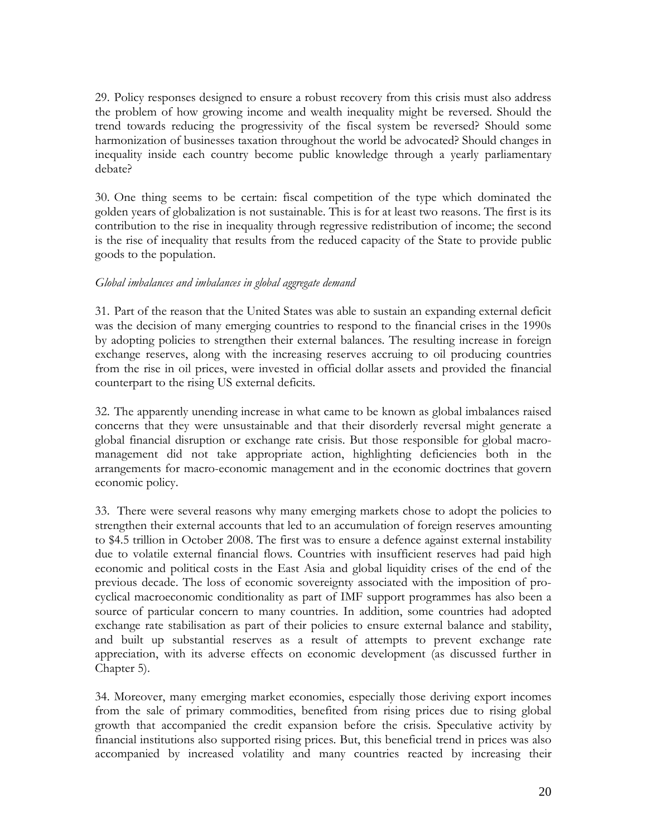29. Policy responses designed to ensure a robust recovery from this crisis must also address the problem of how growing income and wealth inequality might be reversed. Should the trend towards reducing the progressivity of the fiscal system be reversed? Should some harmonization of businesses taxation throughout the world be advocated? Should changes in inequality inside each country become public knowledge through a yearly parliamentary debate?

30. One thing seems to be certain: fiscal competition of the type which dominated the golden years of globalization is not sustainable. This is for at least two reasons. The first is its contribution to the rise in inequality through regressive redistribution of income; the second is the rise of inequality that results from the reduced capacity of the State to provide public goods to the population.

#### *Global imbalances and imbalances in global aggregate demand*

31. Part of the reason that the United States was able to sustain an expanding external deficit was the decision of many emerging countries to respond to the financial crises in the 1990s by adopting policies to strengthen their external balances. The resulting increase in foreign exchange reserves, along with the increasing reserves accruing to oil producing countries from the rise in oil prices, were invested in official dollar assets and provided the financial counterpart to the rising US external deficits.

32. The apparently unending increase in what came to be known as global imbalances raised concerns that they were unsustainable and that their disorderly reversal might generate a global financial disruption or exchange rate crisis. But those responsible for global macromanagement did not take appropriate action, highlighting deficiencies both in the arrangements for macro-economic management and in the economic doctrines that govern economic policy.

33. There were several reasons why many emerging markets chose to adopt the policies to strengthen their external accounts that led to an accumulation of foreign reserves amounting to \$4.5 trillion in October 2008. The first was to ensure a defence against external instability due to volatile external financial flows. Countries with insufficient reserves had paid high economic and political costs in the East Asia and global liquidity crises of the end of the previous decade. The loss of economic sovereignty associated with the imposition of procyclical macroeconomic conditionality as part of IMF support programmes has also been a source of particular concern to many countries. In addition, some countries had adopted exchange rate stabilisation as part of their policies to ensure external balance and stability, and built up substantial reserves as a result of attempts to prevent exchange rate appreciation, with its adverse effects on economic development (as discussed further in Chapter 5).

34. Moreover, many emerging market economies, especially those deriving export incomes from the sale of primary commodities, benefited from rising prices due to rising global growth that accompanied the credit expansion before the crisis. Speculative activity by financial institutions also supported rising prices. But, this beneficial trend in prices was also accompanied by increased volatility and many countries reacted by increasing their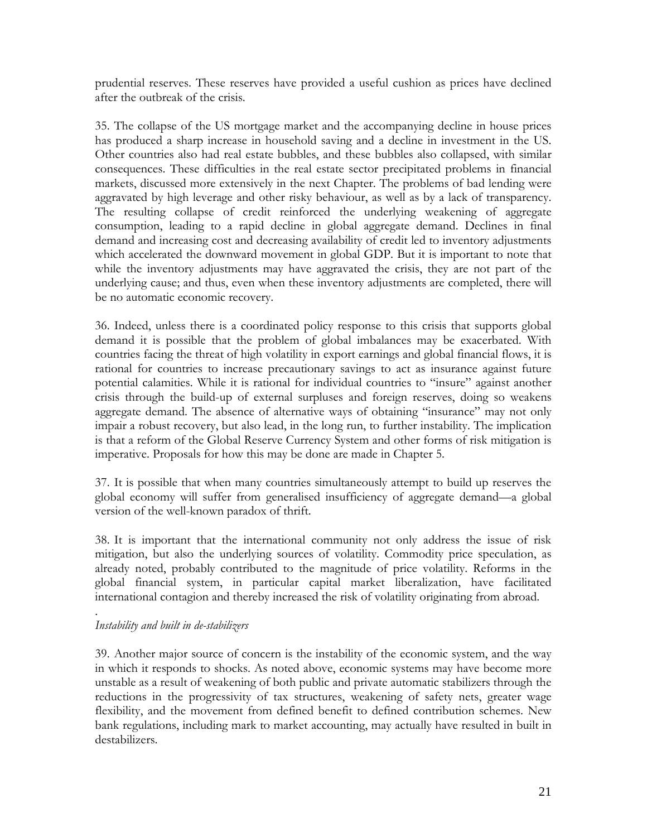prudential reserves. These reserves have provided a useful cushion as prices have declined after the outbreak of the crisis.

35. The collapse of the US mortgage market and the accompanying decline in house prices has produced a sharp increase in household saving and a decline in investment in the US. Other countries also had real estate bubbles, and these bubbles also collapsed, with similar consequences. These difficulties in the real estate sector precipitated problems in financial markets, discussed more extensively in the next Chapter. The problems of bad lending were aggravated by high leverage and other risky behaviour, as well as by a lack of transparency. The resulting collapse of credit reinforced the underlying weakening of aggregate consumption, leading to a rapid decline in global aggregate demand. Declines in final demand and increasing cost and decreasing availability of credit led to inventory adjustments which accelerated the downward movement in global GDP. But it is important to note that while the inventory adjustments may have aggravated the crisis, they are not part of the underlying cause; and thus, even when these inventory adjustments are completed, there will be no automatic economic recovery.

36. Indeed, unless there is a coordinated policy response to this crisis that supports global demand it is possible that the problem of global imbalances may be exacerbated. With countries facing the threat of high volatility in export earnings and global financial flows, it is rational for countries to increase precautionary savings to act as insurance against future potential calamities. While it is rational for individual countries to "insure" against another crisis through the build-up of external surpluses and foreign reserves, doing so weakens aggregate demand. The absence of alternative ways of obtaining "insurance" may not only impair a robust recovery, but also lead, in the long run, to further instability. The implication is that a reform of the Global Reserve Currency System and other forms of risk mitigation is imperative. Proposals for how this may be done are made in Chapter 5.

37. It is possible that when many countries simultaneously attempt to build up reserves the global economy will suffer from generalised insufficiency of aggregate demand—a global version of the well-known paradox of thrift.

38. It is important that the international community not only address the issue of risk mitigation, but also the underlying sources of volatility. Commodity price speculation, as already noted, probably contributed to the magnitude of price volatility. Reforms in the global financial system, in particular capital market liberalization, have facilitated international contagion and thereby increased the risk of volatility originating from abroad.

#### . *Instability and built in de-stabilizers*

39. Another major source of concern is the instability of the economic system, and the way in which it responds to shocks. As noted above, economic systems may have become more unstable as a result of weakening of both public and private automatic stabilizers through the reductions in the progressivity of tax structures, weakening of safety nets, greater wage flexibility, and the movement from defined benefit to defined contribution schemes. New bank regulations, including mark to market accounting, may actually have resulted in built in destabilizers.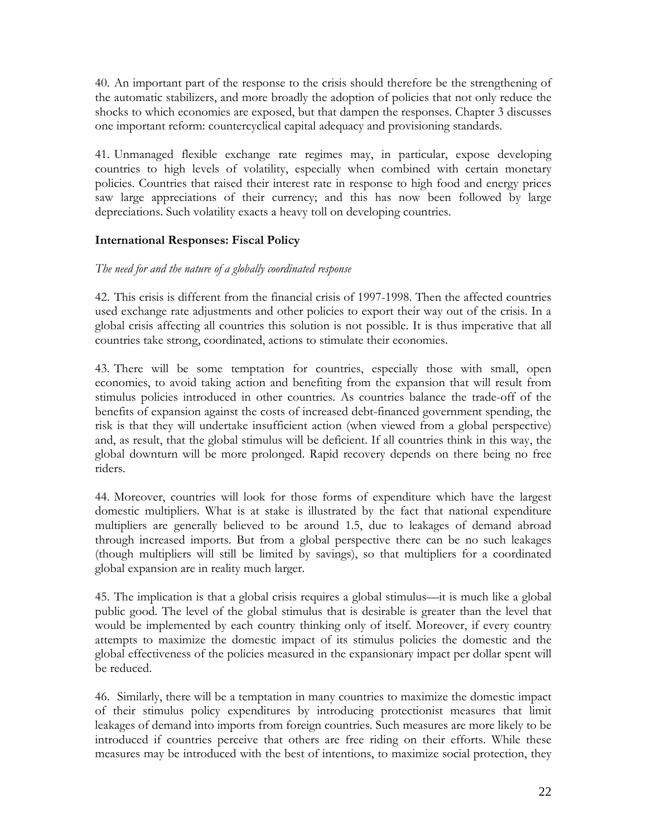40. An important part of the response to the crisis should therefore be the strengthening of the automatic stabilizers, and more broadly the adoption of policies that not only reduce the shocks to which economies are exposed, but that dampen the responses. Chapter 3 discusses one important reform: countercyclical capital adequacy and provisioning standards.

41. Unmanaged flexible exchange rate regimes may, in particular, expose developing countries to high levels of volatility, especially when combined with certain monetary policies. Countries that raised their interest rate in response to high food and energy prices saw large appreciations of their currency; and this has now been followed by large depreciations. Such volatility exacts a heavy toll on developing countries.

#### **International Responses: Fiscal Policy**

#### *The need for and the nature of a globally coordinated response*

42. This crisis is different from the financial crisis of 1997-1998. Then the affected countries used exchange rate adjustments and other policies to export their way out of the crisis. In a global crisis affecting all countries this solution is not possible. It is thus imperative that all countries take strong, coordinated, actions to stimulate their economies.

43. There will be some temptation for countries, especially those with small, open economies, to avoid taking action and benefiting from the expansion that will result from stimulus policies introduced in other countries. As countries balance the trade-off of the benefits of expansion against the costs of increased debt-financed government spending, the risk is that they will undertake insufficient action (when viewed from a global perspective) and, as result, that the global stimulus will be deficient. If all countries think in this way, the global downturn will be more prolonged. Rapid recovery depends on there being no free riders.

44. Moreover, countries will look for those forms of expenditure which have the largest domestic multipliers. What is at stake is illustrated by the fact that national expenditure multipliers are generally believed to be around 1.5, due to leakages of demand abroad through increased imports. But from a global perspective there can be no such leakages (though multipliers will still be limited by savings), so that multipliers for a coordinated global expansion are in reality much larger.

45. The implication is that a global crisis requires a global stimulus—it is much like a global public good. The level of the global stimulus that is desirable is greater than the level that would be implemented by each country thinking only of itself. Moreover, if every country attempts to maximize the domestic impact of its stimulus policies the domestic and the global effectiveness of the policies measured in the expansionary impact per dollar spent will be reduced.

46. Similarly, there will be a temptation in many countries to maximize the domestic impact of their stimulus policy expenditures by introducing protectionist measures that limit leakages of demand into imports from foreign countries. Such measures are more likely to be introduced if countries perceive that others are free riding on their efforts. While these measures may be introduced with the best of intentions, to maximize social protection, they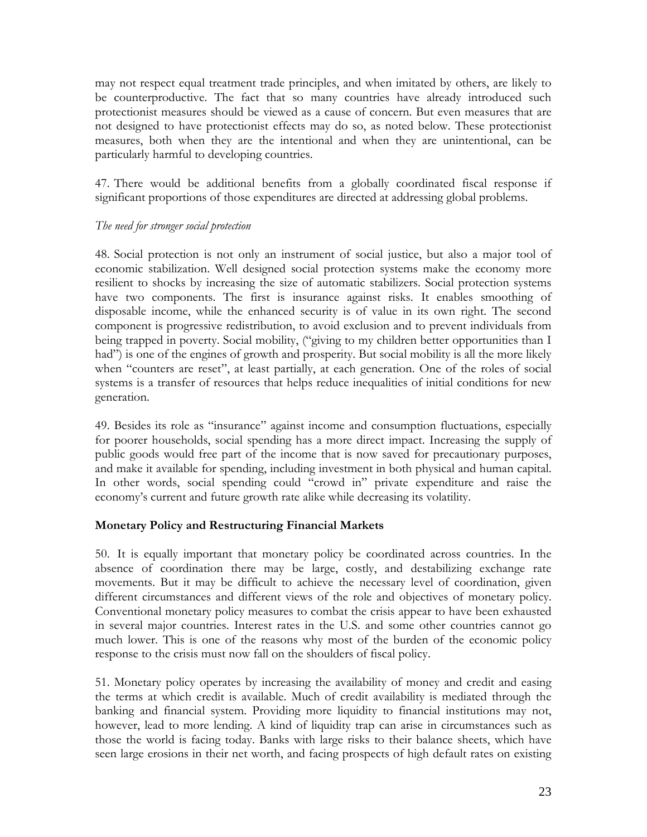may not respect equal treatment trade principles, and when imitated by others, are likely to be counterproductive. The fact that so many countries have already introduced such protectionist measures should be viewed as a cause of concern. But even measures that are not designed to have protectionist effects may do so, as noted below. These protectionist measures, both when they are the intentional and when they are unintentional, can be particularly harmful to developing countries.

47. There would be additional benefits from a globally coordinated fiscal response if significant proportions of those expenditures are directed at addressing global problems.

#### *The need for stronger social protection*

48. Social protection is not only an instrument of social justice, but also a major tool of economic stabilization. Well designed social protection systems make the economy more resilient to shocks by increasing the size of automatic stabilizers. Social protection systems have two components. The first is insurance against risks. It enables smoothing of disposable income, while the enhanced security is of value in its own right. The second component is progressive redistribution, to avoid exclusion and to prevent individuals from being trapped in poverty. Social mobility, ("giving to my children better opportunities than I had") is one of the engines of growth and prosperity. But social mobility is all the more likely when "counters are reset", at least partially, at each generation. One of the roles of social systems is a transfer of resources that helps reduce inequalities of initial conditions for new generation.

49. Besides its role as "insurance" against income and consumption fluctuations, especially for poorer households, social spending has a more direct impact. Increasing the supply of public goods would free part of the income that is now saved for precautionary purposes, and make it available for spending, including investment in both physical and human capital. In other words, social spending could "crowd in" private expenditure and raise the economy's current and future growth rate alike while decreasing its volatility.

#### **Monetary Policy and Restructuring Financial Markets**

50. It is equally important that monetary policy be coordinated across countries. In the absence of coordination there may be large, costly, and destabilizing exchange rate movements. But it may be difficult to achieve the necessary level of coordination, given different circumstances and different views of the role and objectives of monetary policy. Conventional monetary policy measures to combat the crisis appear to have been exhausted in several major countries. Interest rates in the U.S. and some other countries cannot go much lower. This is one of the reasons why most of the burden of the economic policy response to the crisis must now fall on the shoulders of fiscal policy.

51. Monetary policy operates by increasing the availability of money and credit and easing the terms at which credit is available. Much of credit availability is mediated through the banking and financial system. Providing more liquidity to financial institutions may not, however, lead to more lending. A kind of liquidity trap can arise in circumstances such as those the world is facing today. Banks with large risks to their balance sheets, which have seen large erosions in their net worth, and facing prospects of high default rates on existing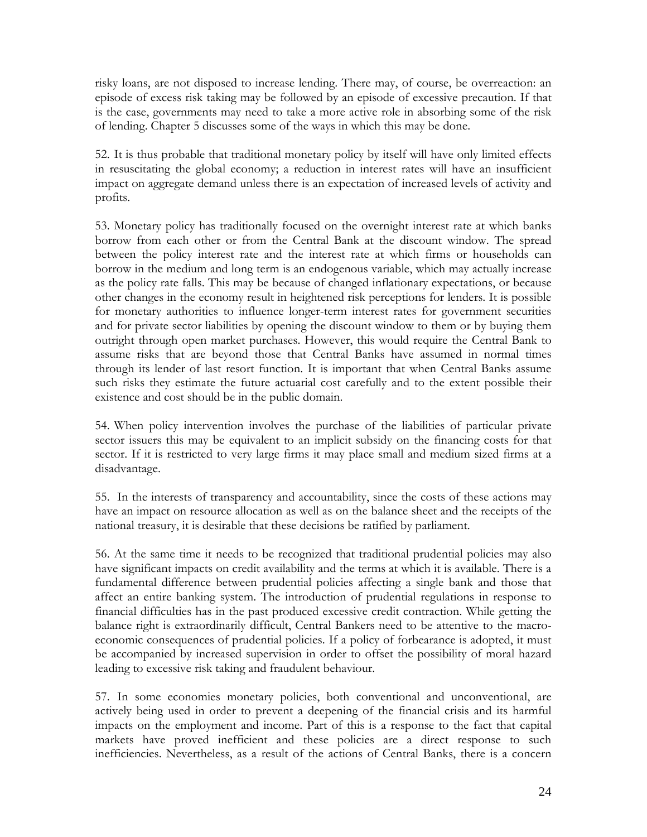risky loans, are not disposed to increase lending. There may, of course, be overreaction: an episode of excess risk taking may be followed by an episode of excessive precaution. If that is the case, governments may need to take a more active role in absorbing some of the risk of lending. Chapter 5 discusses some of the ways in which this may be done.

52. It is thus probable that traditional monetary policy by itself will have only limited effects in resuscitating the global economy; a reduction in interest rates will have an insufficient impact on aggregate demand unless there is an expectation of increased levels of activity and profits.

53. Monetary policy has traditionally focused on the overnight interest rate at which banks borrow from each other or from the Central Bank at the discount window. The spread between the policy interest rate and the interest rate at which firms or households can borrow in the medium and long term is an endogenous variable, which may actually increase as the policy rate falls. This may be because of changed inflationary expectations, or because other changes in the economy result in heightened risk perceptions for lenders. It is possible for monetary authorities to influence longer-term interest rates for government securities and for private sector liabilities by opening the discount window to them or by buying them outright through open market purchases. However, this would require the Central Bank to assume risks that are beyond those that Central Banks have assumed in normal times through its lender of last resort function. It is important that when Central Banks assume such risks they estimate the future actuarial cost carefully and to the extent possible their existence and cost should be in the public domain.

54. When policy intervention involves the purchase of the liabilities of particular private sector issuers this may be equivalent to an implicit subsidy on the financing costs for that sector. If it is restricted to very large firms it may place small and medium sized firms at a disadvantage.

55. In the interests of transparency and accountability, since the costs of these actions may have an impact on resource allocation as well as on the balance sheet and the receipts of the national treasury, it is desirable that these decisions be ratified by parliament.

56. At the same time it needs to be recognized that traditional prudential policies may also have significant impacts on credit availability and the terms at which it is available. There is a fundamental difference between prudential policies affecting a single bank and those that affect an entire banking system. The introduction of prudential regulations in response to financial difficulties has in the past produced excessive credit contraction. While getting the balance right is extraordinarily difficult, Central Bankers need to be attentive to the macroeconomic consequences of prudential policies. If a policy of forbearance is adopted, it must be accompanied by increased supervision in order to offset the possibility of moral hazard leading to excessive risk taking and fraudulent behaviour.

57. In some economies monetary policies, both conventional and unconventional, are actively being used in order to prevent a deepening of the financial crisis and its harmful impacts on the employment and income. Part of this is a response to the fact that capital markets have proved inefficient and these policies are a direct response to such inefficiencies. Nevertheless, as a result of the actions of Central Banks, there is a concern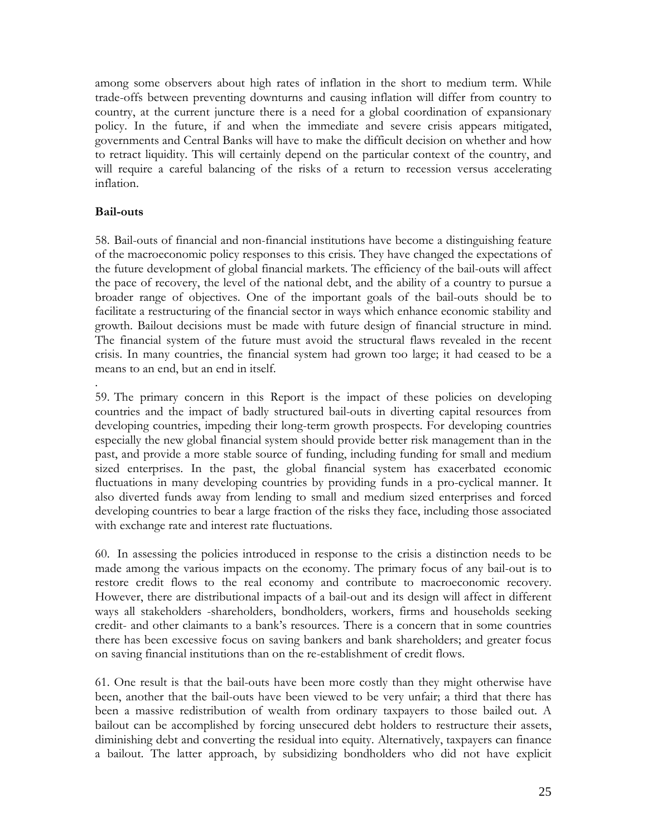among some observers about high rates of inflation in the short to medium term. While trade-offs between preventing downturns and causing inflation will differ from country to country, at the current juncture there is a need for a global coordination of expansionary policy. In the future, if and when the immediate and severe crisis appears mitigated, governments and Central Banks will have to make the difficult decision on whether and how to retract liquidity. This will certainly depend on the particular context of the country, and will require a careful balancing of the risks of a return to recession versus accelerating inflation.

#### **Bail-outs**

.

58. Bail-outs of financial and non-financial institutions have become a distinguishing feature of the macroeconomic policy responses to this crisis. They have changed the expectations of the future development of global financial markets. The efficiency of the bail-outs will affect the pace of recovery, the level of the national debt, and the ability of a country to pursue a broader range of objectives. One of the important goals of the bail-outs should be to facilitate a restructuring of the financial sector in ways which enhance economic stability and growth. Bailout decisions must be made with future design of financial structure in mind. The financial system of the future must avoid the structural flaws revealed in the recent crisis. In many countries, the financial system had grown too large; it had ceased to be a means to an end, but an end in itself.

59. The primary concern in this Report is the impact of these policies on developing countries and the impact of badly structured bail-outs in diverting capital resources from developing countries, impeding their long-term growth prospects. For developing countries especially the new global financial system should provide better risk management than in the past, and provide a more stable source of funding, including funding for small and medium sized enterprises. In the past, the global financial system has exacerbated economic fluctuations in many developing countries by providing funds in a pro-cyclical manner. It also diverted funds away from lending to small and medium sized enterprises and forced developing countries to bear a large fraction of the risks they face, including those associated with exchange rate and interest rate fluctuations.

60. In assessing the policies introduced in response to the crisis a distinction needs to be made among the various impacts on the economy. The primary focus of any bail-out is to restore credit flows to the real economy and contribute to macroeconomic recovery. However, there are distributional impacts of a bail-out and its design will affect in different ways all stakeholders -shareholders, bondholders, workers, firms and households seeking credit- and other claimants to a bank's resources. There is a concern that in some countries there has been excessive focus on saving bankers and bank shareholders; and greater focus on saving financial institutions than on the re-establishment of credit flows.

61. One result is that the bail-outs have been more costly than they might otherwise have been, another that the bail-outs have been viewed to be very unfair; a third that there has been a massive redistribution of wealth from ordinary taxpayers to those bailed out. A bailout can be accomplished by forcing unsecured debt holders to restructure their assets, diminishing debt and converting the residual into equity. Alternatively, taxpayers can finance a bailout. The latter approach, by subsidizing bondholders who did not have explicit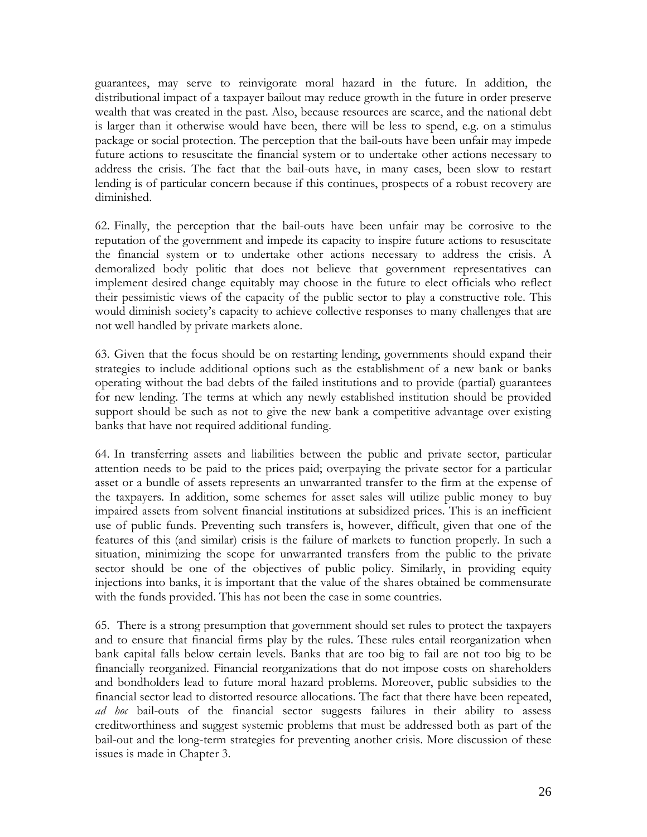guarantees, may serve to reinvigorate moral hazard in the future. In addition, the distributional impact of a taxpayer bailout may reduce growth in the future in order preserve wealth that was created in the past. Also, because resources are scarce, and the national debt is larger than it otherwise would have been, there will be less to spend, e.g. on a stimulus package or social protection. The perception that the bail-outs have been unfair may impede future actions to resuscitate the financial system or to undertake other actions necessary to address the crisis. The fact that the bail-outs have, in many cases, been slow to restart lending is of particular concern because if this continues, prospects of a robust recovery are diminished.

62. Finally, the perception that the bail-outs have been unfair may be corrosive to the reputation of the government and impede its capacity to inspire future actions to resuscitate the financial system or to undertake other actions necessary to address the crisis. A demoralized body politic that does not believe that government representatives can implement desired change equitably may choose in the future to elect officials who reflect their pessimistic views of the capacity of the public sector to play a constructive role. This would diminish society's capacity to achieve collective responses to many challenges that are not well handled by private markets alone.

63. Given that the focus should be on restarting lending, governments should expand their strategies to include additional options such as the establishment of a new bank or banks operating without the bad debts of the failed institutions and to provide (partial) guarantees for new lending. The terms at which any newly established institution should be provided support should be such as not to give the new bank a competitive advantage over existing banks that have not required additional funding.

64. In transferring assets and liabilities between the public and private sector, particular attention needs to be paid to the prices paid; overpaying the private sector for a particular asset or a bundle of assets represents an unwarranted transfer to the firm at the expense of the taxpayers. In addition, some schemes for asset sales will utilize public money to buy impaired assets from solvent financial institutions at subsidized prices. This is an inefficient use of public funds. Preventing such transfers is, however, difficult, given that one of the features of this (and similar) crisis is the failure of markets to function properly. In such a situation, minimizing the scope for unwarranted transfers from the public to the private sector should be one of the objectives of public policy. Similarly, in providing equity injections into banks, it is important that the value of the shares obtained be commensurate with the funds provided. This has not been the case in some countries.

65. There is a strong presumption that government should set rules to protect the taxpayers and to ensure that financial firms play by the rules. These rules entail reorganization when bank capital falls below certain levels. Banks that are too big to fail are not too big to be financially reorganized. Financial reorganizations that do not impose costs on shareholders and bondholders lead to future moral hazard problems. Moreover, public subsidies to the financial sector lead to distorted resource allocations. The fact that there have been repeated, *ad hoc* bail-outs of the financial sector suggests failures in their ability to assess creditworthiness and suggest systemic problems that must be addressed both as part of the bail-out and the long-term strategies for preventing another crisis. More discussion of these issues is made in Chapter 3.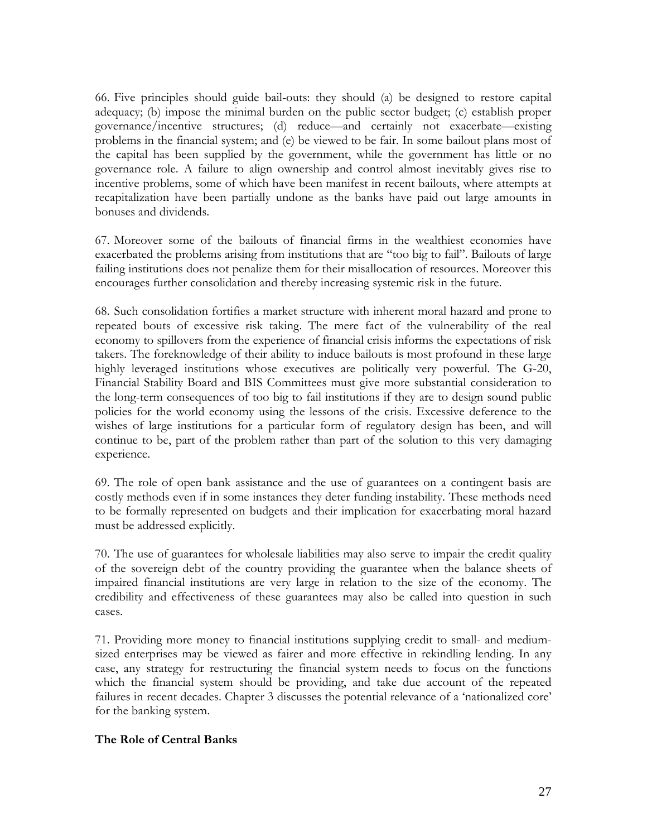66. Five principles should guide bail-outs: they should (a) be designed to restore capital adequacy; (b) impose the minimal burden on the public sector budget; (c) establish proper governance/incentive structures; (d) reduce—and certainly not exacerbate—existing problems in the financial system; and (e) be viewed to be fair. In some bailout plans most of the capital has been supplied by the government, while the government has little or no governance role. A failure to align ownership and control almost inevitably gives rise to incentive problems, some of which have been manifest in recent bailouts, where attempts at recapitalization have been partially undone as the banks have paid out large amounts in bonuses and dividends.

67. Moreover some of the bailouts of financial firms in the wealthiest economies have exacerbated the problems arising from institutions that are "too big to fail". Bailouts of large failing institutions does not penalize them for their misallocation of resources. Moreover this encourages further consolidation and thereby increasing systemic risk in the future.

68. Such consolidation fortifies a market structure with inherent moral hazard and prone to repeated bouts of excessive risk taking. The mere fact of the vulnerability of the real economy to spillovers from the experience of financial crisis informs the expectations of risk takers. The foreknowledge of their ability to induce bailouts is most profound in these large highly leveraged institutions whose executives are politically very powerful. The G-20, Financial Stability Board and BIS Committees must give more substantial consideration to the long-term consequences of too big to fail institutions if they are to design sound public policies for the world economy using the lessons of the crisis. Excessive deference to the wishes of large institutions for a particular form of regulatory design has been, and will continue to be, part of the problem rather than part of the solution to this very damaging experience.

69. The role of open bank assistance and the use of guarantees on a contingent basis are costly methods even if in some instances they deter funding instability. These methods need to be formally represented on budgets and their implication for exacerbating moral hazard must be addressed explicitly.

70. The use of guarantees for wholesale liabilities may also serve to impair the credit quality of the sovereign debt of the country providing the guarantee when the balance sheets of impaired financial institutions are very large in relation to the size of the economy. The credibility and effectiveness of these guarantees may also be called into question in such cases.

71. Providing more money to financial institutions supplying credit to small- and mediumsized enterprises may be viewed as fairer and more effective in rekindling lending. In any case, any strategy for restructuring the financial system needs to focus on the functions which the financial system should be providing, and take due account of the repeated failures in recent decades. Chapter 3 discusses the potential relevance of a 'nationalized core' for the banking system.

#### **The Role of Central Banks**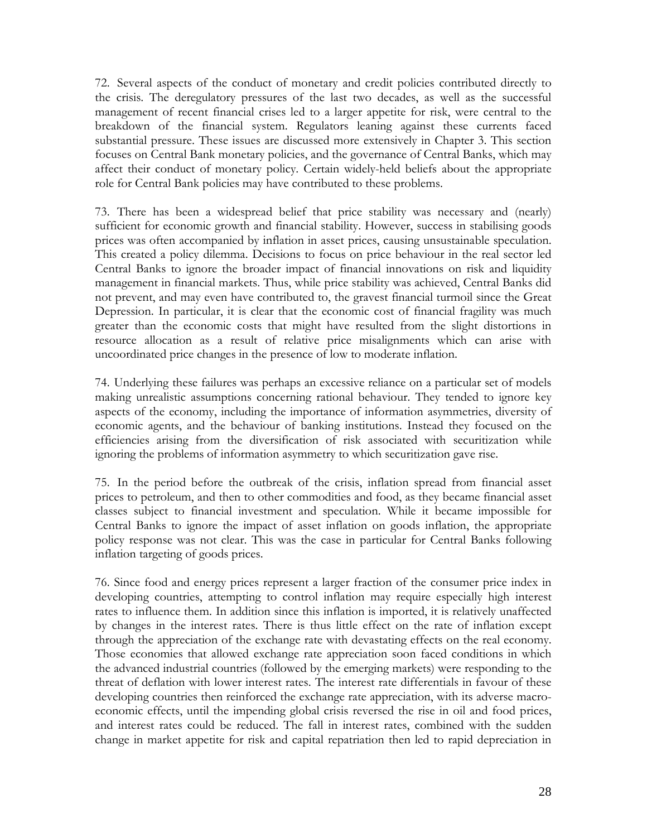72. Several aspects of the conduct of monetary and credit policies contributed directly to the crisis. The deregulatory pressures of the last two decades, as well as the successful management of recent financial crises led to a larger appetite for risk, were central to the breakdown of the financial system. Regulators leaning against these currents faced substantial pressure. These issues are discussed more extensively in Chapter 3. This section focuses on Central Bank monetary policies, and the governance of Central Banks, which may affect their conduct of monetary policy. Certain widely-held beliefs about the appropriate role for Central Bank policies may have contributed to these problems.

73. There has been a widespread belief that price stability was necessary and (nearly) sufficient for economic growth and financial stability. However, success in stabilising goods prices was often accompanied by inflation in asset prices, causing unsustainable speculation. This created a policy dilemma. Decisions to focus on price behaviour in the real sector led Central Banks to ignore the broader impact of financial innovations on risk and liquidity management in financial markets. Thus, while price stability was achieved, Central Banks did not prevent, and may even have contributed to, the gravest financial turmoil since the Great Depression. In particular, it is clear that the economic cost of financial fragility was much greater than the economic costs that might have resulted from the slight distortions in resource allocation as a result of relative price misalignments which can arise with uncoordinated price changes in the presence of low to moderate inflation.

74. Underlying these failures was perhaps an excessive reliance on a particular set of models making unrealistic assumptions concerning rational behaviour. They tended to ignore key aspects of the economy, including the importance of information asymmetries, diversity of economic agents, and the behaviour of banking institutions. Instead they focused on the efficiencies arising from the diversification of risk associated with securitization while ignoring the problems of information asymmetry to which securitization gave rise.

75. In the period before the outbreak of the crisis, inflation spread from financial asset prices to petroleum, and then to other commodities and food, as they became financial asset classes subject to financial investment and speculation. While it became impossible for Central Banks to ignore the impact of asset inflation on goods inflation, the appropriate policy response was not clear. This was the case in particular for Central Banks following inflation targeting of goods prices.

76. Since food and energy prices represent a larger fraction of the consumer price index in developing countries, attempting to control inflation may require especially high interest rates to influence them. In addition since this inflation is imported, it is relatively unaffected by changes in the interest rates. There is thus little effect on the rate of inflation except through the appreciation of the exchange rate with devastating effects on the real economy. Those economies that allowed exchange rate appreciation soon faced conditions in which the advanced industrial countries (followed by the emerging markets) were responding to the threat of deflation with lower interest rates. The interest rate differentials in favour of these developing countries then reinforced the exchange rate appreciation, with its adverse macroeconomic effects, until the impending global crisis reversed the rise in oil and food prices, and interest rates could be reduced. The fall in interest rates, combined with the sudden change in market appetite for risk and capital repatriation then led to rapid depreciation in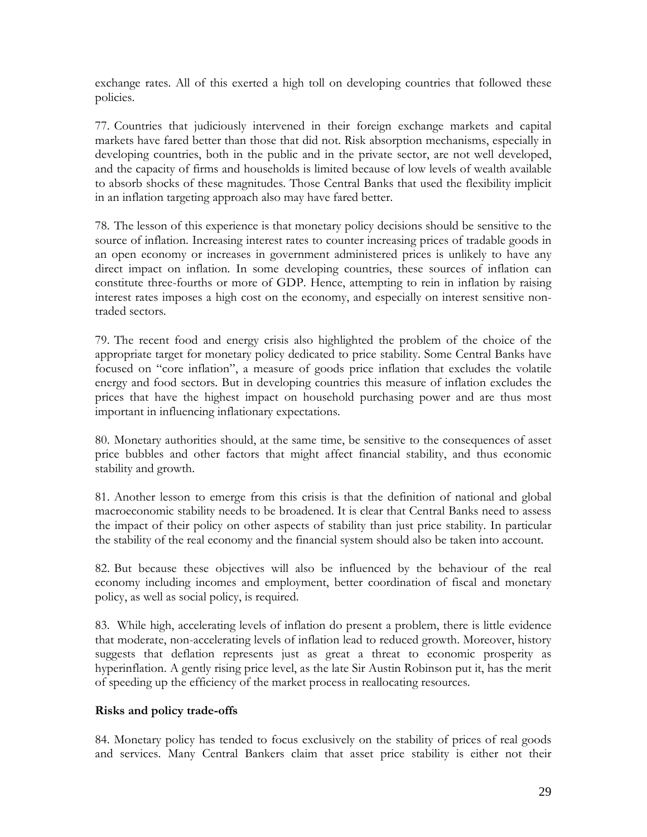exchange rates. All of this exerted a high toll on developing countries that followed these policies.

77. Countries that judiciously intervened in their foreign exchange markets and capital markets have fared better than those that did not. Risk absorption mechanisms, especially in developing countries, both in the public and in the private sector, are not well developed, and the capacity of firms and households is limited because of low levels of wealth available to absorb shocks of these magnitudes. Those Central Banks that used the flexibility implicit in an inflation targeting approach also may have fared better.

78. The lesson of this experience is that monetary policy decisions should be sensitive to the source of inflation. Increasing interest rates to counter increasing prices of tradable goods in an open economy or increases in government administered prices is unlikely to have any direct impact on inflation. In some developing countries, these sources of inflation can constitute three-fourths or more of GDP. Hence, attempting to rein in inflation by raising interest rates imposes a high cost on the economy, and especially on interest sensitive nontraded sectors.

79. The recent food and energy crisis also highlighted the problem of the choice of the appropriate target for monetary policy dedicated to price stability. Some Central Banks have focused on "core inflation", a measure of goods price inflation that excludes the volatile energy and food sectors. But in developing countries this measure of inflation excludes the prices that have the highest impact on household purchasing power and are thus most important in influencing inflationary expectations.

80. Monetary authorities should, at the same time, be sensitive to the consequences of asset price bubbles and other factors that might affect financial stability, and thus economic stability and growth.

81. Another lesson to emerge from this crisis is that the definition of national and global macroeconomic stability needs to be broadened. It is clear that Central Banks need to assess the impact of their policy on other aspects of stability than just price stability. In particular the stability of the real economy and the financial system should also be taken into account.

82. But because these objectives will also be influenced by the behaviour of the real economy including incomes and employment, better coordination of fiscal and monetary policy, as well as social policy, is required.

83. While high, accelerating levels of inflation do present a problem, there is little evidence that moderate, non-accelerating levels of inflation lead to reduced growth. Moreover, history suggests that deflation represents just as great a threat to economic prosperity as hyperinflation. A gently rising price level, as the late Sir Austin Robinson put it, has the merit of speeding up the efficiency of the market process in reallocating resources.

#### **Risks and policy trade-offs**

84. Monetary policy has tended to focus exclusively on the stability of prices of real goods and services. Many Central Bankers claim that asset price stability is either not their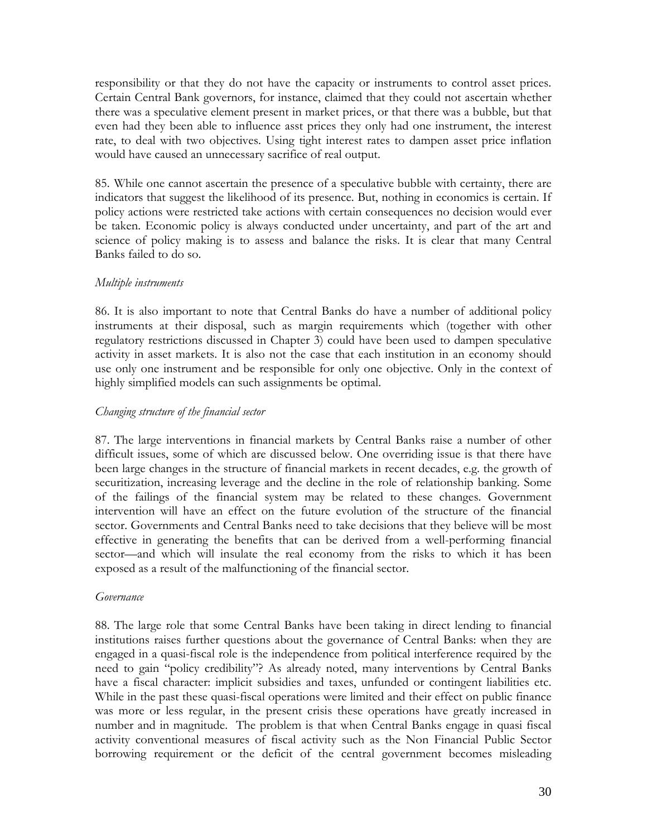responsibility or that they do not have the capacity or instruments to control asset prices. Certain Central Bank governors, for instance, claimed that they could not ascertain whether there was a speculative element present in market prices, or that there was a bubble, but that even had they been able to influence asst prices they only had one instrument, the interest rate, to deal with two objectives. Using tight interest rates to dampen asset price inflation would have caused an unnecessary sacrifice of real output.

85. While one cannot ascertain the presence of a speculative bubble with certainty, there are indicators that suggest the likelihood of its presence. But, nothing in economics is certain. If policy actions were restricted take actions with certain consequences no decision would ever be taken. Economic policy is always conducted under uncertainty, and part of the art and science of policy making is to assess and balance the risks. It is clear that many Central Banks failed to do so.

#### *Multiple instruments*

86. It is also important to note that Central Banks do have a number of additional policy instruments at their disposal, such as margin requirements which (together with other regulatory restrictions discussed in Chapter 3) could have been used to dampen speculative activity in asset markets. It is also not the case that each institution in an economy should use only one instrument and be responsible for only one objective. Only in the context of highly simplified models can such assignments be optimal.

#### *Changing structure of the financial sector*

87. The large interventions in financial markets by Central Banks raise a number of other difficult issues, some of which are discussed below. One overriding issue is that there have been large changes in the structure of financial markets in recent decades, e.g. the growth of securitization, increasing leverage and the decline in the role of relationship banking. Some of the failings of the financial system may be related to these changes. Government intervention will have an effect on the future evolution of the structure of the financial sector. Governments and Central Banks need to take decisions that they believe will be most effective in generating the benefits that can be derived from a well-performing financial sector—and which will insulate the real economy from the risks to which it has been exposed as a result of the malfunctioning of the financial sector.

#### *Governance*

88. The large role that some Central Banks have been taking in direct lending to financial institutions raises further questions about the governance of Central Banks: when they are engaged in a quasi-fiscal role is the independence from political interference required by the need to gain "policy credibility"? As already noted, many interventions by Central Banks have a fiscal character: implicit subsidies and taxes, unfunded or contingent liabilities etc. While in the past these quasi-fiscal operations were limited and their effect on public finance was more or less regular, in the present crisis these operations have greatly increased in number and in magnitude. The problem is that when Central Banks engage in quasi fiscal activity conventional measures of fiscal activity such as the Non Financial Public Sector borrowing requirement or the deficit of the central government becomes misleading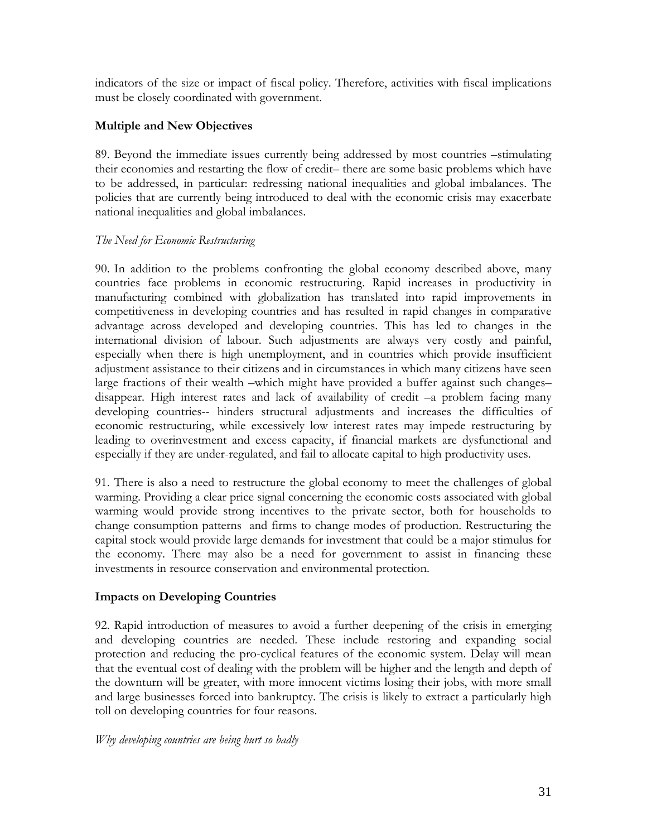indicators of the size or impact of fiscal policy. Therefore, activities with fiscal implications must be closely coordinated with government.

#### **Multiple and New Objectives**

89. Beyond the immediate issues currently being addressed by most countries –stimulating their economies and restarting the flow of credit– there are some basic problems which have to be addressed, in particular: redressing national inequalities and global imbalances. The policies that are currently being introduced to deal with the economic crisis may exacerbate national inequalities and global imbalances.

#### *The Need for Economic Restructuring*

90. In addition to the problems confronting the global economy described above, many countries face problems in economic restructuring. Rapid increases in productivity in manufacturing combined with globalization has translated into rapid improvements in competitiveness in developing countries and has resulted in rapid changes in comparative advantage across developed and developing countries. This has led to changes in the international division of labour. Such adjustments are always very costly and painful, especially when there is high unemployment, and in countries which provide insufficient adjustment assistance to their citizens and in circumstances in which many citizens have seen large fractions of their wealth –which might have provided a buffer against such changes– disappear. High interest rates and lack of availability of credit –a problem facing many developing countries-- hinders structural adjustments and increases the difficulties of economic restructuring, while excessively low interest rates may impede restructuring by leading to overinvestment and excess capacity, if financial markets are dysfunctional and especially if they are under-regulated, and fail to allocate capital to high productivity uses.

91. There is also a need to restructure the global economy to meet the challenges of global warming. Providing a clear price signal concerning the economic costs associated with global warming would provide strong incentives to the private sector, both for households to change consumption patterns and firms to change modes of production. Restructuring the capital stock would provide large demands for investment that could be a major stimulus for the economy. There may also be a need for government to assist in financing these investments in resource conservation and environmental protection.

#### **Impacts on Developing Countries**

92. Rapid introduction of measures to avoid a further deepening of the crisis in emerging and developing countries are needed. These include restoring and expanding social protection and reducing the pro-cyclical features of the economic system. Delay will mean that the eventual cost of dealing with the problem will be higher and the length and depth of the downturn will be greater, with more innocent victims losing their jobs, with more small and large businesses forced into bankruptcy. The crisis is likely to extract a particularly high toll on developing countries for four reasons.

#### *Why developing countries are being hurt so badly*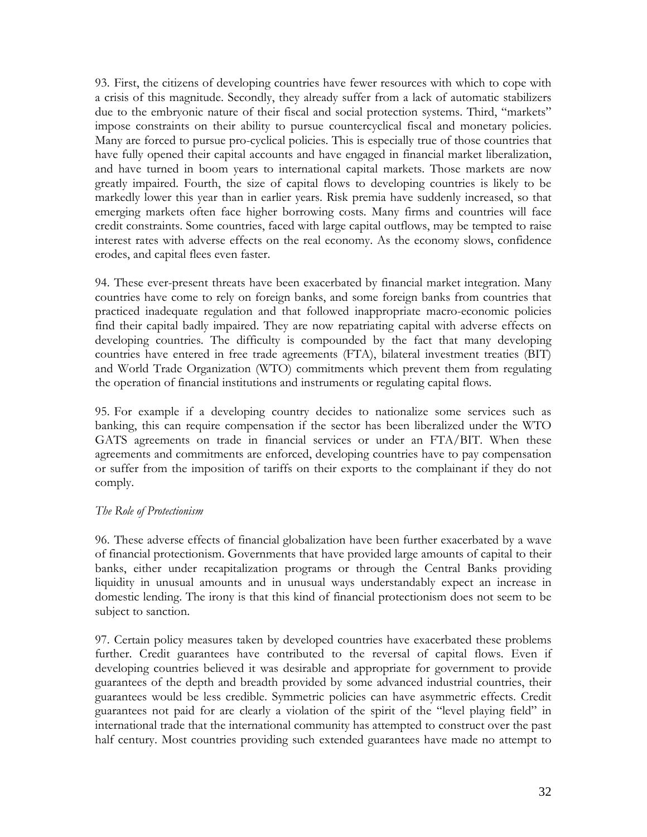93. First, the citizens of developing countries have fewer resources with which to cope with a crisis of this magnitude. Secondly, they already suffer from a lack of automatic stabilizers due to the embryonic nature of their fiscal and social protection systems. Third, "markets" impose constraints on their ability to pursue countercyclical fiscal and monetary policies. Many are forced to pursue pro-cyclical policies. This is especially true of those countries that have fully opened their capital accounts and have engaged in financial market liberalization, and have turned in boom years to international capital markets. Those markets are now greatly impaired. Fourth, the size of capital flows to developing countries is likely to be markedly lower this year than in earlier years. Risk premia have suddenly increased, so that emerging markets often face higher borrowing costs. Many firms and countries will face credit constraints. Some countries, faced with large capital outflows, may be tempted to raise interest rates with adverse effects on the real economy. As the economy slows, confidence erodes, and capital flees even faster.

94. These ever-present threats have been exacerbated by financial market integration. Many countries have come to rely on foreign banks, and some foreign banks from countries that practiced inadequate regulation and that followed inappropriate macro-economic policies find their capital badly impaired. They are now repatriating capital with adverse effects on developing countries. The difficulty is compounded by the fact that many developing countries have entered in free trade agreements (FTA), bilateral investment treaties (BIT) and World Trade Organization (WTO) commitments which prevent them from regulating the operation of financial institutions and instruments or regulating capital flows.

95. For example if a developing country decides to nationalize some services such as banking, this can require compensation if the sector has been liberalized under the WTO GATS agreements on trade in financial services or under an FTA/BIT. When these agreements and commitments are enforced, developing countries have to pay compensation or suffer from the imposition of tariffs on their exports to the complainant if they do not comply.

#### *The Role of Protectionism*

96. These adverse effects of financial globalization have been further exacerbated by a wave of financial protectionism. Governments that have provided large amounts of capital to their banks, either under recapitalization programs or through the Central Banks providing liquidity in unusual amounts and in unusual ways understandably expect an increase in domestic lending. The irony is that this kind of financial protectionism does not seem to be subject to sanction.

97. Certain policy measures taken by developed countries have exacerbated these problems further. Credit guarantees have contributed to the reversal of capital flows. Even if developing countries believed it was desirable and appropriate for government to provide guarantees of the depth and breadth provided by some advanced industrial countries, their guarantees would be less credible. Symmetric policies can have asymmetric effects. Credit guarantees not paid for are clearly a violation of the spirit of the "level playing field" in international trade that the international community has attempted to construct over the past half century. Most countries providing such extended guarantees have made no attempt to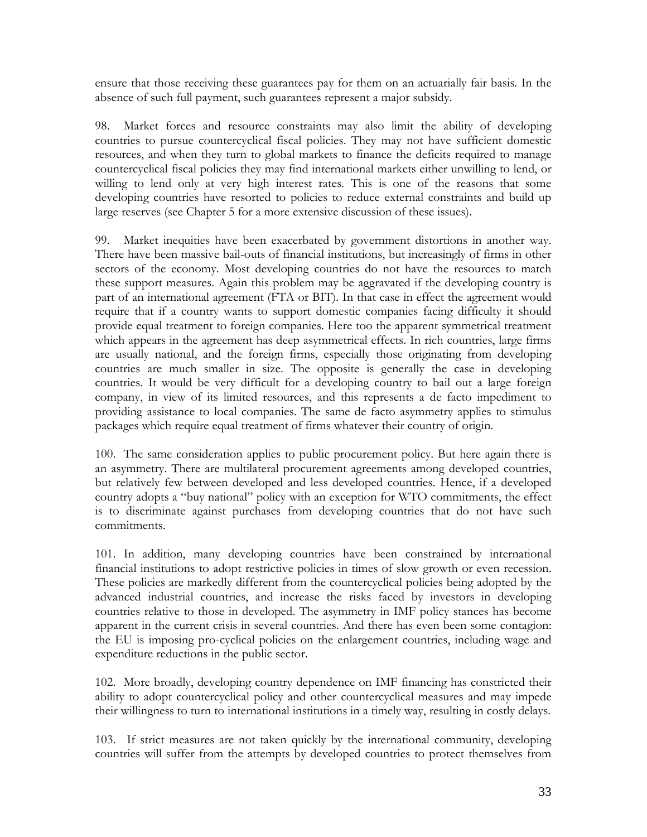ensure that those receiving these guarantees pay for them on an actuarially fair basis. In the absence of such full payment, such guarantees represent a major subsidy.

98. Market forces and resource constraints may also limit the ability of developing countries to pursue countercyclical fiscal policies. They may not have sufficient domestic resources, and when they turn to global markets to finance the deficits required to manage countercyclical fiscal policies they may find international markets either unwilling to lend, or willing to lend only at very high interest rates. This is one of the reasons that some developing countries have resorted to policies to reduce external constraints and build up large reserves (see Chapter 5 for a more extensive discussion of these issues).

99. Market inequities have been exacerbated by government distortions in another way. There have been massive bail-outs of financial institutions, but increasingly of firms in other sectors of the economy. Most developing countries do not have the resources to match these support measures. Again this problem may be aggravated if the developing country is part of an international agreement (FTA or BIT). In that case in effect the agreement would require that if a country wants to support domestic companies facing difficulty it should provide equal treatment to foreign companies. Here too the apparent symmetrical treatment which appears in the agreement has deep asymmetrical effects. In rich countries, large firms are usually national, and the foreign firms, especially those originating from developing countries are much smaller in size. The opposite is generally the case in developing countries. It would be very difficult for a developing country to bail out a large foreign company, in view of its limited resources, and this represents a de facto impediment to providing assistance to local companies. The same de facto asymmetry applies to stimulus packages which require equal treatment of firms whatever their country of origin.

100. The same consideration applies to public procurement policy. But here again there is an asymmetry. There are multilateral procurement agreements among developed countries, but relatively few between developed and less developed countries. Hence, if a developed country adopts a "buy national" policy with an exception for WTO commitments, the effect is to discriminate against purchases from developing countries that do not have such commitments.

101. In addition, many developing countries have been constrained by international financial institutions to adopt restrictive policies in times of slow growth or even recession. These policies are markedly different from the countercyclical policies being adopted by the advanced industrial countries, and increase the risks faced by investors in developing countries relative to those in developed. The asymmetry in IMF policy stances has become apparent in the current crisis in several countries. And there has even been some contagion: the EU is imposing pro-cyclical policies on the enlargement countries, including wage and expenditure reductions in the public sector.

102. More broadly, developing country dependence on IMF financing has constricted their ability to adopt countercyclical policy and other countercyclical measures and may impede their willingness to turn to international institutions in a timely way, resulting in costly delays.

103. If strict measures are not taken quickly by the international community, developing countries will suffer from the attempts by developed countries to protect themselves from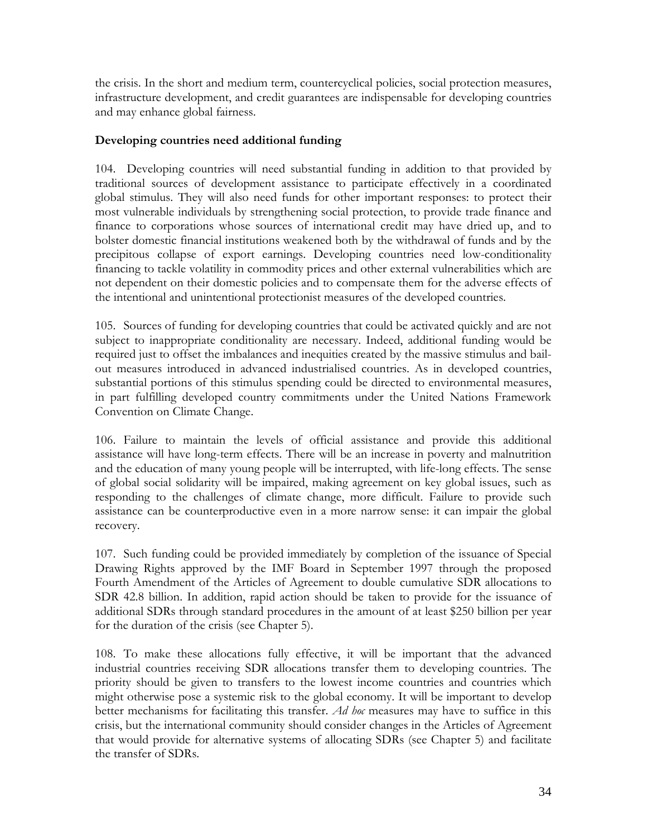the crisis. In the short and medium term, countercyclical policies, social protection measures, infrastructure development, and credit guarantees are indispensable for developing countries and may enhance global fairness.

#### **Developing countries need additional funding**

104. Developing countries will need substantial funding in addition to that provided by traditional sources of development assistance to participate effectively in a coordinated global stimulus. They will also need funds for other important responses: to protect their most vulnerable individuals by strengthening social protection, to provide trade finance and finance to corporations whose sources of international credit may have dried up, and to bolster domestic financial institutions weakened both by the withdrawal of funds and by the precipitous collapse of export earnings. Developing countries need low-conditionality financing to tackle volatility in commodity prices and other external vulnerabilities which are not dependent on their domestic policies and to compensate them for the adverse effects of the intentional and unintentional protectionist measures of the developed countries.

105. Sources of funding for developing countries that could be activated quickly and are not subject to inappropriate conditionality are necessary. Indeed, additional funding would be required just to offset the imbalances and inequities created by the massive stimulus and bailout measures introduced in advanced industrialised countries. As in developed countries, substantial portions of this stimulus spending could be directed to environmental measures, in part fulfilling developed country commitments under the United Nations Framework Convention on Climate Change.

106. Failure to maintain the levels of official assistance and provide this additional assistance will have long-term effects. There will be an increase in poverty and malnutrition and the education of many young people will be interrupted, with life-long effects. The sense of global social solidarity will be impaired, making agreement on key global issues, such as responding to the challenges of climate change, more difficult. Failure to provide such assistance can be counterproductive even in a more narrow sense: it can impair the global recovery.

107. Such funding could be provided immediately by completion of the issuance of Special Drawing Rights approved by the IMF Board in September 1997 through the proposed Fourth Amendment of the Articles of Agreement to double cumulative SDR allocations to SDR 42.8 billion. In addition, rapid action should be taken to provide for the issuance of additional SDRs through standard procedures in the amount of at least \$250 billion per year for the duration of the crisis (see Chapter 5).

108. To make these allocations fully effective, it will be important that the advanced industrial countries receiving SDR allocations transfer them to developing countries. The priority should be given to transfers to the lowest income countries and countries which might otherwise pose a systemic risk to the global economy. It will be important to develop better mechanisms for facilitating this transfer. *Ad hoc* measures may have to suffice in this crisis, but the international community should consider changes in the Articles of Agreement that would provide for alternative systems of allocating SDRs (see Chapter 5) and facilitate the transfer of SDRs.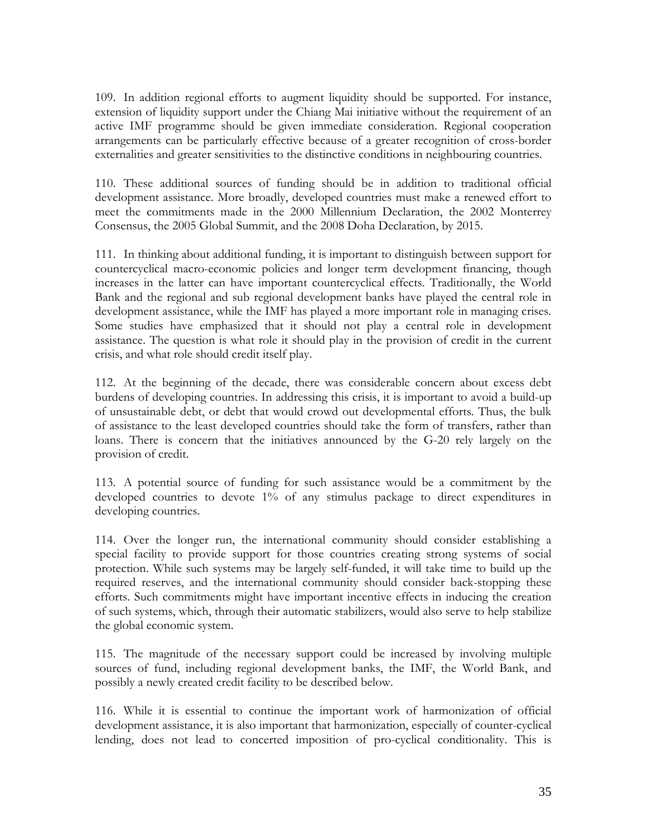109. In addition regional efforts to augment liquidity should be supported. For instance, extension of liquidity support under the Chiang Mai initiative without the requirement of an active IMF programme should be given immediate consideration. Regional cooperation arrangements can be particularly effective because of a greater recognition of cross-border externalities and greater sensitivities to the distinctive conditions in neighbouring countries.

110. These additional sources of funding should be in addition to traditional official development assistance. More broadly, developed countries must make a renewed effort to meet the commitments made in the 2000 Millennium Declaration, the 2002 Monterrey Consensus, the 2005 Global Summit, and the 2008 Doha Declaration, by 2015.

111. In thinking about additional funding, it is important to distinguish between support for countercyclical macro-economic policies and longer term development financing, though increases in the latter can have important countercyclical effects. Traditionally, the World Bank and the regional and sub regional development banks have played the central role in development assistance, while the IMF has played a more important role in managing crises. Some studies have emphasized that it should not play a central role in development assistance. The question is what role it should play in the provision of credit in the current crisis, and what role should credit itself play.

112. At the beginning of the decade, there was considerable concern about excess debt burdens of developing countries. In addressing this crisis, it is important to avoid a build-up of unsustainable debt, or debt that would crowd out developmental efforts. Thus, the bulk of assistance to the least developed countries should take the form of transfers, rather than loans. There is concern that the initiatives announced by the G-20 rely largely on the provision of credit.

113. A potential source of funding for such assistance would be a commitment by the developed countries to devote 1% of any stimulus package to direct expenditures in developing countries.

114. Over the longer run, the international community should consider establishing a special facility to provide support for those countries creating strong systems of social protection. While such systems may be largely self-funded, it will take time to build up the required reserves, and the international community should consider back-stopping these efforts. Such commitments might have important incentive effects in inducing the creation of such systems, which, through their automatic stabilizers, would also serve to help stabilize the global economic system.

115. The magnitude of the necessary support could be increased by involving multiple sources of fund, including regional development banks, the IMF, the World Bank, and possibly a newly created credit facility to be described below.

116. While it is essential to continue the important work of harmonization of official development assistance, it is also important that harmonization, especially of counter-cyclical lending, does not lead to concerted imposition of pro-cyclical conditionality. This is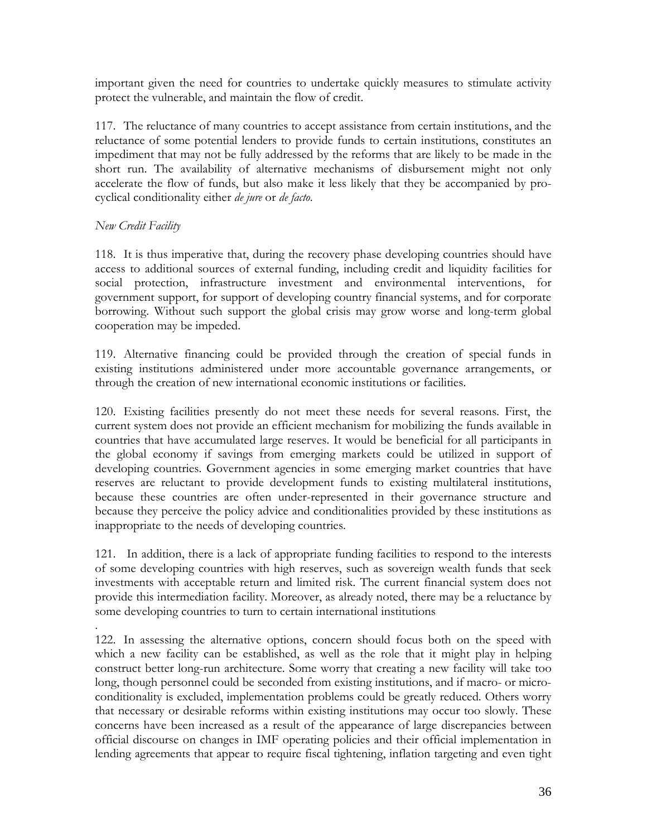important given the need for countries to undertake quickly measures to stimulate activity protect the vulnerable, and maintain the flow of credit.

117. The reluctance of many countries to accept assistance from certain institutions, and the reluctance of some potential lenders to provide funds to certain institutions, constitutes an impediment that may not be fully addressed by the reforms that are likely to be made in the short run. The availability of alternative mechanisms of disbursement might not only accelerate the flow of funds, but also make it less likely that they be accompanied by procyclical conditionality either *de jure* or *de facto*.

#### *New Credit Facility*

.

118. It is thus imperative that, during the recovery phase developing countries should have access to additional sources of external funding, including credit and liquidity facilities for social protection, infrastructure investment and environmental interventions, for government support, for support of developing country financial systems, and for corporate borrowing. Without such support the global crisis may grow worse and long-term global cooperation may be impeded.

119. Alternative financing could be provided through the creation of special funds in existing institutions administered under more accountable governance arrangements, or through the creation of new international economic institutions or facilities.

120. Existing facilities presently do not meet these needs for several reasons. First, the current system does not provide an efficient mechanism for mobilizing the funds available in countries that have accumulated large reserves. It would be beneficial for all participants in the global economy if savings from emerging markets could be utilized in support of developing countries. Government agencies in some emerging market countries that have reserves are reluctant to provide development funds to existing multilateral institutions, because these countries are often under-represented in their governance structure and because they perceive the policy advice and conditionalities provided by these institutions as inappropriate to the needs of developing countries.

121. In addition, there is a lack of appropriate funding facilities to respond to the interests of some developing countries with high reserves, such as sovereign wealth funds that seek investments with acceptable return and limited risk. The current financial system does not provide this intermediation facility. Moreover, as already noted, there may be a reluctance by some developing countries to turn to certain international institutions

122. In assessing the alternative options, concern should focus both on the speed with which a new facility can be established, as well as the role that it might play in helping construct better long-run architecture. Some worry that creating a new facility will take too long, though personnel could be seconded from existing institutions, and if macro- or microconditionality is excluded, implementation problems could be greatly reduced. Others worry that necessary or desirable reforms within existing institutions may occur too slowly. These concerns have been increased as a result of the appearance of large discrepancies between official discourse on changes in IMF operating policies and their official implementation in lending agreements that appear to require fiscal tightening, inflation targeting and even tight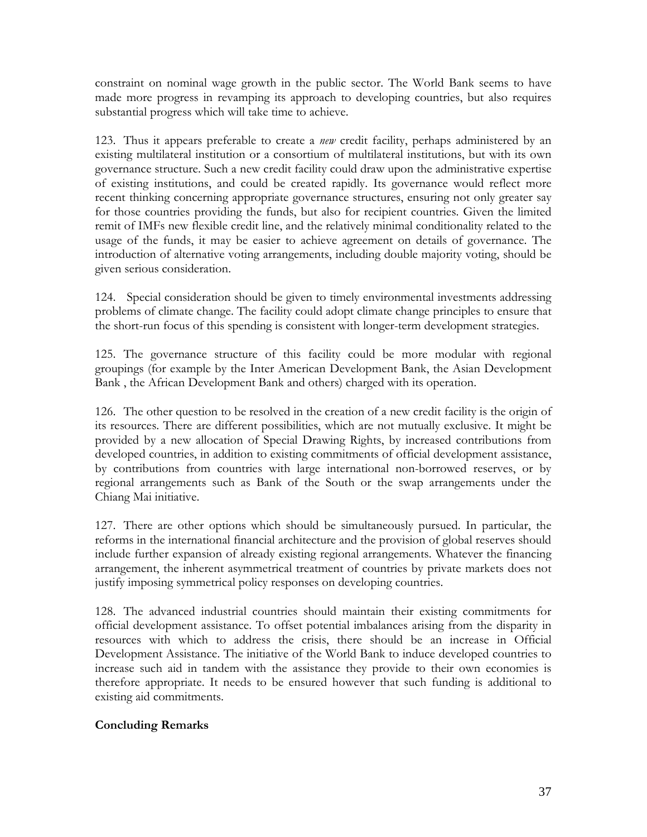constraint on nominal wage growth in the public sector. The World Bank seems to have made more progress in revamping its approach to developing countries, but also requires substantial progress which will take time to achieve.

123. Thus it appears preferable to create a *new* credit facility, perhaps administered by an existing multilateral institution or a consortium of multilateral institutions, but with its own governance structure. Such a new credit facility could draw upon the administrative expertise of existing institutions, and could be created rapidly. Its governance would reflect more recent thinking concerning appropriate governance structures, ensuring not only greater say for those countries providing the funds, but also for recipient countries. Given the limited remit of IMFs new flexible credit line, and the relatively minimal conditionality related to the usage of the funds, it may be easier to achieve agreement on details of governance. The introduction of alternative voting arrangements, including double majority voting, should be given serious consideration.

124. Special consideration should be given to timely environmental investments addressing problems of climate change. The facility could adopt climate change principles to ensure that the short-run focus of this spending is consistent with longer-term development strategies.

125. The governance structure of this facility could be more modular with regional groupings (for example by the Inter American Development Bank, the Asian Development Bank , the African Development Bank and others) charged with its operation.

126. The other question to be resolved in the creation of a new credit facility is the origin of its resources. There are different possibilities, which are not mutually exclusive. It might be provided by a new allocation of Special Drawing Rights, by increased contributions from developed countries, in addition to existing commitments of official development assistance, by contributions from countries with large international non-borrowed reserves, or by regional arrangements such as Bank of the South or the swap arrangements under the Chiang Mai initiative.

127. There are other options which should be simultaneously pursued. In particular, the reforms in the international financial architecture and the provision of global reserves should include further expansion of already existing regional arrangements. Whatever the financing arrangement, the inherent asymmetrical treatment of countries by private markets does not justify imposing symmetrical policy responses on developing countries.

128. The advanced industrial countries should maintain their existing commitments for official development assistance. To offset potential imbalances arising from the disparity in resources with which to address the crisis, there should be an increase in Official Development Assistance. The initiative of the World Bank to induce developed countries to increase such aid in tandem with the assistance they provide to their own economies is therefore appropriate. It needs to be ensured however that such funding is additional to existing aid commitments.

## **Concluding Remarks**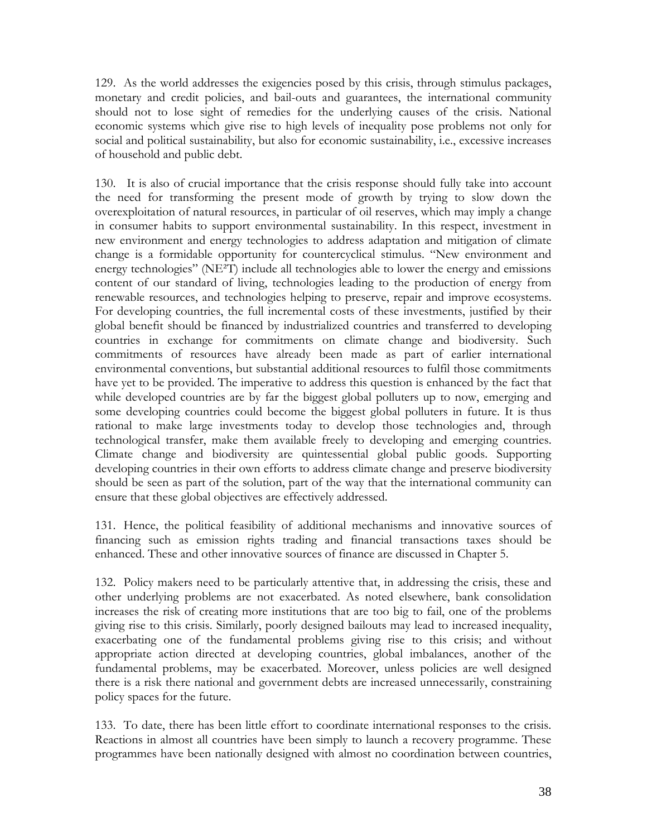129. As the world addresses the exigencies posed by this crisis, through stimulus packages, monetary and credit policies, and bail-outs and guarantees, the international community should not to lose sight of remedies for the underlying causes of the crisis. National economic systems which give rise to high levels of inequality pose problems not only for social and political sustainability, but also for economic sustainability, i.e., excessive increases of household and public debt.

130. It is also of crucial importance that the crisis response should fully take into account the need for transforming the present mode of growth by trying to slow down the overexploitation of natural resources, in particular of oil reserves, which may imply a change in consumer habits to support environmental sustainability. In this respect, investment in new environment and energy technologies to address adaptation and mitigation of climate change is a formidable opportunity for countercyclical stimulus. "New environment and energy technologies" (NE²T) include all technologies able to lower the energy and emissions content of our standard of living, technologies leading to the production of energy from renewable resources, and technologies helping to preserve, repair and improve ecosystems. For developing countries, the full incremental costs of these investments, justified by their global benefit should be financed by industrialized countries and transferred to developing countries in exchange for commitments on climate change and biodiversity. Such commitments of resources have already been made as part of earlier international environmental conventions, but substantial additional resources to fulfil those commitments have yet to be provided. The imperative to address this question is enhanced by the fact that while developed countries are by far the biggest global polluters up to now, emerging and some developing countries could become the biggest global polluters in future. It is thus rational to make large investments today to develop those technologies and, through technological transfer, make them available freely to developing and emerging countries. Climate change and biodiversity are quintessential global public goods. Supporting developing countries in their own efforts to address climate change and preserve biodiversity should be seen as part of the solution, part of the way that the international community can ensure that these global objectives are effectively addressed.

131. Hence, the political feasibility of additional mechanisms and innovative sources of financing such as emission rights trading and financial transactions taxes should be enhanced. These and other innovative sources of finance are discussed in Chapter 5.

132. Policy makers need to be particularly attentive that, in addressing the crisis, these and other underlying problems are not exacerbated. As noted elsewhere, bank consolidation increases the risk of creating more institutions that are too big to fail, one of the problems giving rise to this crisis. Similarly, poorly designed bailouts may lead to increased inequality, exacerbating one of the fundamental problems giving rise to this crisis; and without appropriate action directed at developing countries, global imbalances, another of the fundamental problems, may be exacerbated. Moreover, unless policies are well designed there is a risk there national and government debts are increased unnecessarily, constraining policy spaces for the future.

133. To date, there has been little effort to coordinate international responses to the crisis. Reactions in almost all countries have been simply to launch a recovery programme. These programmes have been nationally designed with almost no coordination between countries,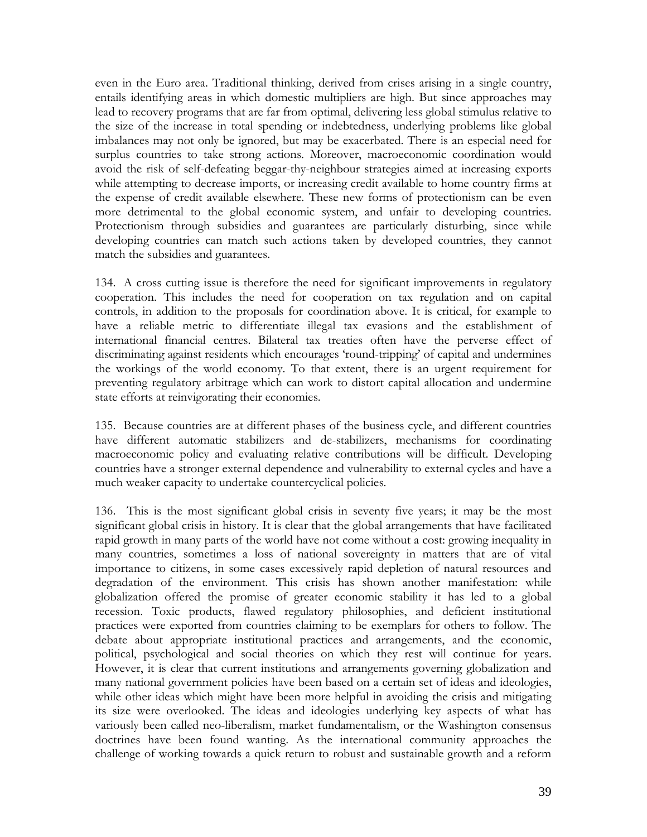even in the Euro area. Traditional thinking, derived from crises arising in a single country, entails identifying areas in which domestic multipliers are high. But since approaches may lead to recovery programs that are far from optimal, delivering less global stimulus relative to the size of the increase in total spending or indebtedness, underlying problems like global imbalances may not only be ignored, but may be exacerbated. There is an especial need for surplus countries to take strong actions. Moreover, macroeconomic coordination would avoid the risk of self-defeating beggar-thy-neighbour strategies aimed at increasing exports while attempting to decrease imports, or increasing credit available to home country firms at the expense of credit available elsewhere. These new forms of protectionism can be even more detrimental to the global economic system, and unfair to developing countries. Protectionism through subsidies and guarantees are particularly disturbing, since while developing countries can match such actions taken by developed countries, they cannot match the subsidies and guarantees.

134. A cross cutting issue is therefore the need for significant improvements in regulatory cooperation. This includes the need for cooperation on tax regulation and on capital controls, in addition to the proposals for coordination above. It is critical, for example to have a reliable metric to differentiate illegal tax evasions and the establishment of international financial centres. Bilateral tax treaties often have the perverse effect of discriminating against residents which encourages 'round-tripping' of capital and undermines the workings of the world economy. To that extent, there is an urgent requirement for preventing regulatory arbitrage which can work to distort capital allocation and undermine state efforts at reinvigorating their economies.

135. Because countries are at different phases of the business cycle, and different countries have different automatic stabilizers and de-stabilizers, mechanisms for coordinating macroeconomic policy and evaluating relative contributions will be difficult. Developing countries have a stronger external dependence and vulnerability to external cycles and have a much weaker capacity to undertake countercyclical policies.

136. This is the most significant global crisis in seventy five years; it may be the most significant global crisis in history. It is clear that the global arrangements that have facilitated rapid growth in many parts of the world have not come without a cost: growing inequality in many countries, sometimes a loss of national sovereignty in matters that are of vital importance to citizens, in some cases excessively rapid depletion of natural resources and degradation of the environment. This crisis has shown another manifestation: while globalization offered the promise of greater economic stability it has led to a global recession. Toxic products, flawed regulatory philosophies, and deficient institutional practices were exported from countries claiming to be exemplars for others to follow. The debate about appropriate institutional practices and arrangements, and the economic, political, psychological and social theories on which they rest will continue for years. However, it is clear that current institutions and arrangements governing globalization and many national government policies have been based on a certain set of ideas and ideologies, while other ideas which might have been more helpful in avoiding the crisis and mitigating its size were overlooked. The ideas and ideologies underlying key aspects of what has variously been called neo-liberalism, market fundamentalism, or the Washington consensus doctrines have been found wanting. As the international community approaches the challenge of working towards a quick return to robust and sustainable growth and a reform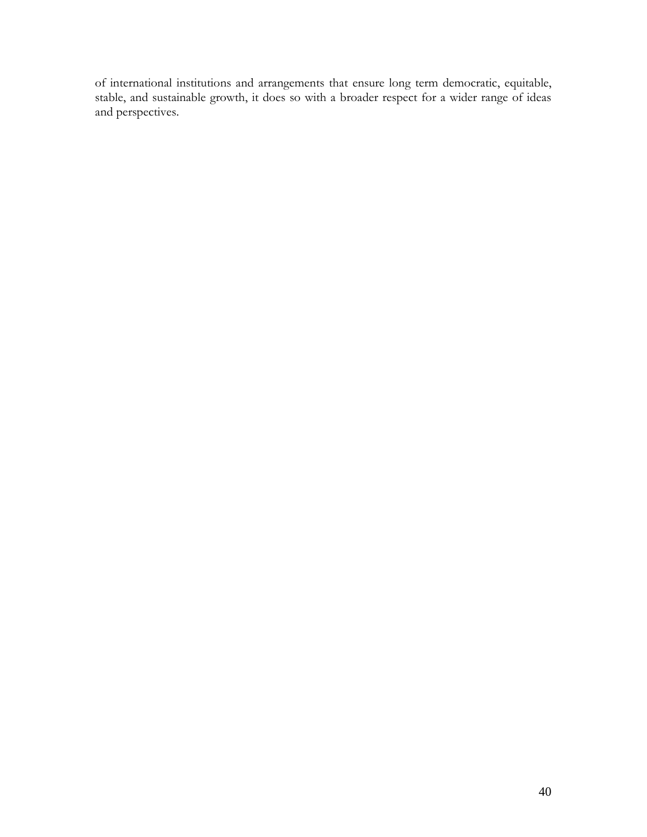of international institutions and arrangements that ensure long term democratic, equitable, stable, and sustainable growth, it does so with a broader respect for a wider range of ideas and perspectives.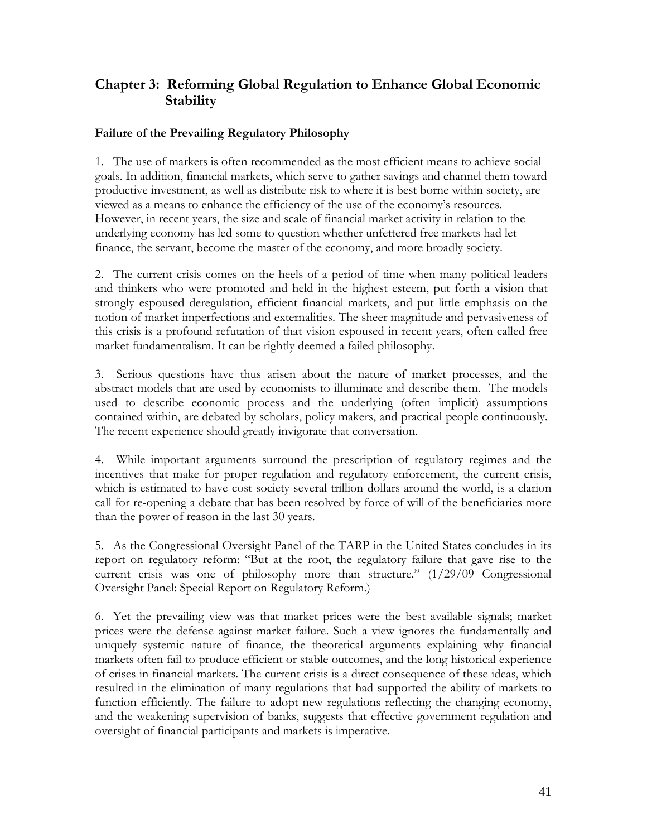# **Chapter 3: Reforming Global Regulation to Enhance Global Economic Stability**

## **Failure of the Prevailing Regulatory Philosophy**

1. The use of markets is often recommended as the most efficient means to achieve social goals. In addition, financial markets, which serve to gather savings and channel them toward productive investment, as well as distribute risk to where it is best borne within society, are viewed as a means to enhance the efficiency of the use of the economy's resources. However, in recent years, the size and scale of financial market activity in relation to the underlying economy has led some to question whether unfettered free markets had let finance, the servant, become the master of the economy, and more broadly society.

2. The current crisis comes on the heels of a period of time when many political leaders and thinkers who were promoted and held in the highest esteem, put forth a vision that strongly espoused deregulation, efficient financial markets, and put little emphasis on the notion of market imperfections and externalities. The sheer magnitude and pervasiveness of this crisis is a profound refutation of that vision espoused in recent years, often called free market fundamentalism. It can be rightly deemed a failed philosophy.

3. Serious questions have thus arisen about the nature of market processes, and the abstract models that are used by economists to illuminate and describe them. The models used to describe economic process and the underlying (often implicit) assumptions contained within, are debated by scholars, policy makers, and practical people continuously. The recent experience should greatly invigorate that conversation.

4. While important arguments surround the prescription of regulatory regimes and the incentives that make for proper regulation and regulatory enforcement, the current crisis, which is estimated to have cost society several trillion dollars around the world, is a clarion call for re-opening a debate that has been resolved by force of will of the beneficiaries more than the power of reason in the last 30 years.

5. As the Congressional Oversight Panel of the TARP in the United States concludes in its report on regulatory reform: "But at the root, the regulatory failure that gave rise to the current crisis was one of philosophy more than structure." (1/29/09 Congressional Oversight Panel: Special Report on Regulatory Reform.)

6. Yet the prevailing view was that market prices were the best available signals; market prices were the defense against market failure. Such a view ignores the fundamentally and uniquely systemic nature of finance, the theoretical arguments explaining why financial markets often fail to produce efficient or stable outcomes, and the long historical experience of crises in financial markets. The current crisis is a direct consequence of these ideas, which resulted in the elimination of many regulations that had supported the ability of markets to function efficiently. The failure to adopt new regulations reflecting the changing economy, and the weakening supervision of banks, suggests that effective government regulation and oversight of financial participants and markets is imperative.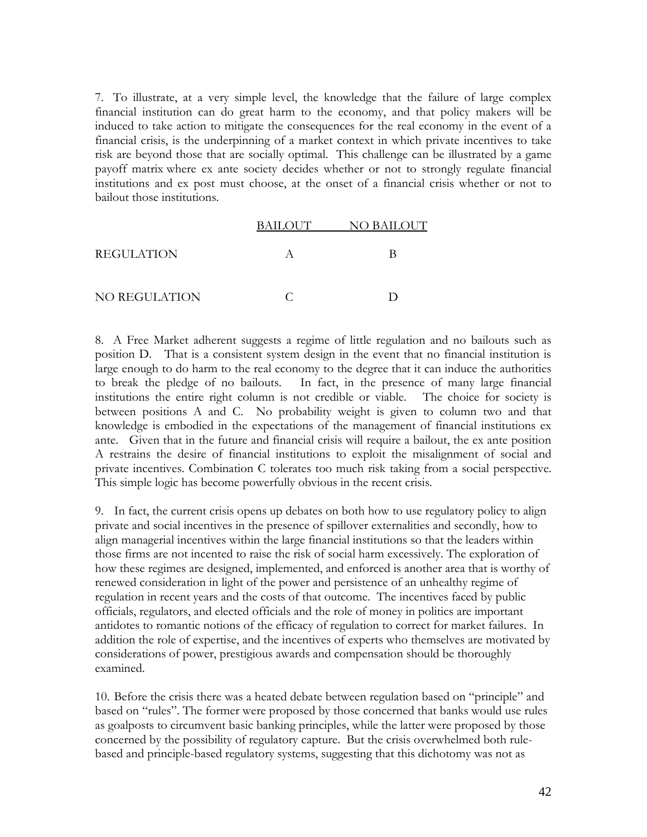7. To illustrate, at a very simple level, the knowledge that the failure of large complex financial institution can do great harm to the economy, and that policy makers will be induced to take action to mitigate the consequences for the real economy in the event of a financial crisis, is the underpinning of a market context in which private incentives to take risk are beyond those that are socially optimal. This challenge can be illustrated by a game payoff matrix where ex ante society decides whether or not to strongly regulate financial institutions and ex post must choose, at the onset of a financial crisis whether or not to bailout those institutions.

|                   | <b>BAILOUT</b> | <b>NO BAILOUT</b> |
|-------------------|----------------|-------------------|
| <b>REGULATION</b> |                |                   |
| NO REGULATION     |                |                   |

8. A Free Market adherent suggests a regime of little regulation and no bailouts such as position D. That is a consistent system design in the event that no financial institution is large enough to do harm to the real economy to the degree that it can induce the authorities to break the pledge of no bailouts. In fact, in the presence of many large financial institutions the entire right column is not credible or viable. The choice for society is between positions A and C. No probability weight is given to column two and that knowledge is embodied in the expectations of the management of financial institutions ex ante. Given that in the future and financial crisis will require a bailout, the ex ante position A restrains the desire of financial institutions to exploit the misalignment of social and private incentives. Combination C tolerates too much risk taking from a social perspective. This simple logic has become powerfully obvious in the recent crisis.

9. In fact, the current crisis opens up debates on both how to use regulatory policy to align private and social incentives in the presence of spillover externalities and secondly, how to align managerial incentives within the large financial institutions so that the leaders within those firms are not incented to raise the risk of social harm excessively. The exploration of how these regimes are designed, implemented, and enforced is another area that is worthy of renewed consideration in light of the power and persistence of an unhealthy regime of regulation in recent years and the costs of that outcome. The incentives faced by public officials, regulators, and elected officials and the role of money in politics are important antidotes to romantic notions of the efficacy of regulation to correct for market failures. In addition the role of expertise, and the incentives of experts who themselves are motivated by considerations of power, prestigious awards and compensation should be thoroughly examined.

10. Before the crisis there was a heated debate between regulation based on "principle" and based on "rules". The former were proposed by those concerned that banks would use rules as goalposts to circumvent basic banking principles, while the latter were proposed by those concerned by the possibility of regulatory capture. But the crisis overwhelmed both rulebased and principle-based regulatory systems, suggesting that this dichotomy was not as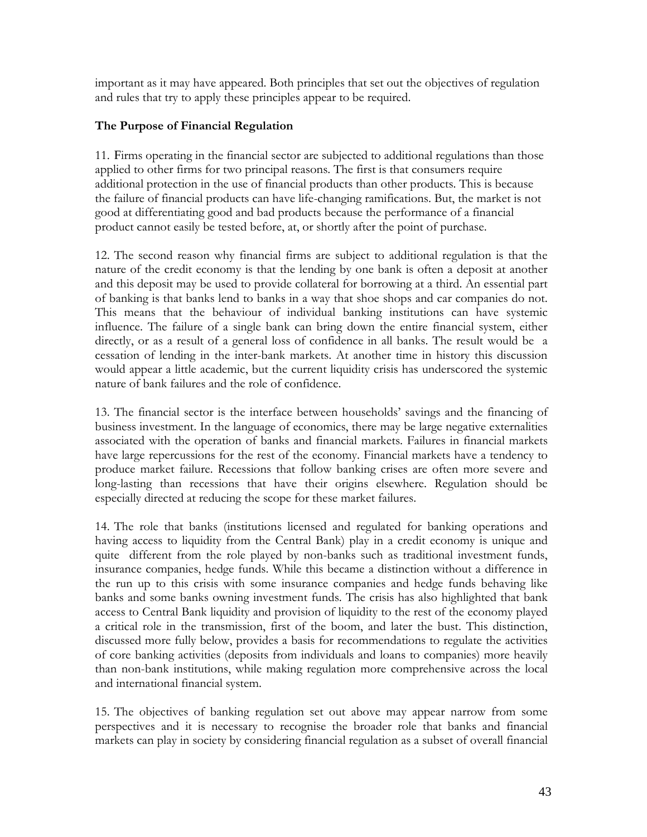important as it may have appeared. Both principles that set out the objectives of regulation and rules that try to apply these principles appear to be required.

### **The Purpose of Financial Regulation**

11. Firms operating in the financial sector are subjected to additional regulations than those applied to other firms for two principal reasons. The first is that consumers require additional protection in the use of financial products than other products. This is because the failure of financial products can have life-changing ramifications. But, the market is not good at differentiating good and bad products because the performance of a financial product cannot easily be tested before, at, or shortly after the point of purchase.

12. The second reason why financial firms are subject to additional regulation is that the nature of the credit economy is that the lending by one bank is often a deposit at another and this deposit may be used to provide collateral for borrowing at a third. An essential part of banking is that banks lend to banks in a way that shoe shops and car companies do not. This means that the behaviour of individual banking institutions can have systemic influence. The failure of a single bank can bring down the entire financial system, either directly, or as a result of a general loss of confidence in all banks. The result would be a cessation of lending in the inter-bank markets. At another time in history this discussion would appear a little academic, but the current liquidity crisis has underscored the systemic nature of bank failures and the role of confidence.

13. The financial sector is the interface between households' savings and the financing of business investment. In the language of economics, there may be large negative externalities associated with the operation of banks and financial markets. Failures in financial markets have large repercussions for the rest of the economy. Financial markets have a tendency to produce market failure. Recessions that follow banking crises are often more severe and long-lasting than recessions that have their origins elsewhere. Regulation should be especially directed at reducing the scope for these market failures.

14. The role that banks (institutions licensed and regulated for banking operations and having access to liquidity from the Central Bank) play in a credit economy is unique and quite different from the role played by non-banks such as traditional investment funds, insurance companies, hedge funds. While this became a distinction without a difference in the run up to this crisis with some insurance companies and hedge funds behaving like banks and some banks owning investment funds. The crisis has also highlighted that bank access to Central Bank liquidity and provision of liquidity to the rest of the economy played a critical role in the transmission, first of the boom, and later the bust. This distinction, discussed more fully below, provides a basis for recommendations to regulate the activities of core banking activities (deposits from individuals and loans to companies) more heavily than non-bank institutions, while making regulation more comprehensive across the local and international financial system.

15. The objectives of banking regulation set out above may appear narrow from some perspectives and it is necessary to recognise the broader role that banks and financial markets can play in society by considering financial regulation as a subset of overall financial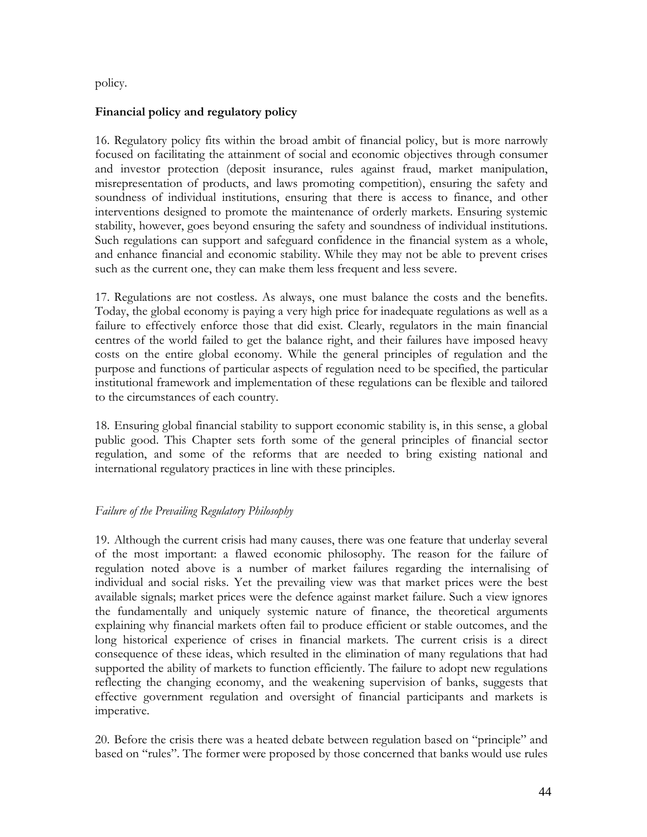policy.

### **Financial policy and regulatory policy**

16. Regulatory policy fits within the broad ambit of financial policy, but is more narrowly focused on facilitating the attainment of social and economic objectives through consumer and investor protection (deposit insurance, rules against fraud, market manipulation, misrepresentation of products, and laws promoting competition), ensuring the safety and soundness of individual institutions, ensuring that there is access to finance, and other interventions designed to promote the maintenance of orderly markets. Ensuring systemic stability, however, goes beyond ensuring the safety and soundness of individual institutions. Such regulations can support and safeguard confidence in the financial system as a whole, and enhance financial and economic stability. While they may not be able to prevent crises such as the current one, they can make them less frequent and less severe.

17. Regulations are not costless. As always, one must balance the costs and the benefits. Today, the global economy is paying a very high price for inadequate regulations as well as a failure to effectively enforce those that did exist. Clearly, regulators in the main financial centres of the world failed to get the balance right, and their failures have imposed heavy costs on the entire global economy. While the general principles of regulation and the purpose and functions of particular aspects of regulation need to be specified, the particular institutional framework and implementation of these regulations can be flexible and tailored to the circumstances of each country.

18. Ensuring global financial stability to support economic stability is, in this sense, a global public good. This Chapter sets forth some of the general principles of financial sector regulation, and some of the reforms that are needed to bring existing national and international regulatory practices in line with these principles.

#### *Failure of the Prevailing Regulatory Philosophy*

19. Although the current crisis had many causes, there was one feature that underlay several of the most important: a flawed economic philosophy. The reason for the failure of regulation noted above is a number of market failures regarding the internalising of individual and social risks. Yet the prevailing view was that market prices were the best available signals; market prices were the defence against market failure. Such a view ignores the fundamentally and uniquely systemic nature of finance, the theoretical arguments explaining why financial markets often fail to produce efficient or stable outcomes, and the long historical experience of crises in financial markets. The current crisis is a direct consequence of these ideas, which resulted in the elimination of many regulations that had supported the ability of markets to function efficiently. The failure to adopt new regulations reflecting the changing economy, and the weakening supervision of banks, suggests that effective government regulation and oversight of financial participants and markets is imperative.

20. Before the crisis there was a heated debate between regulation based on "principle" and based on "rules". The former were proposed by those concerned that banks would use rules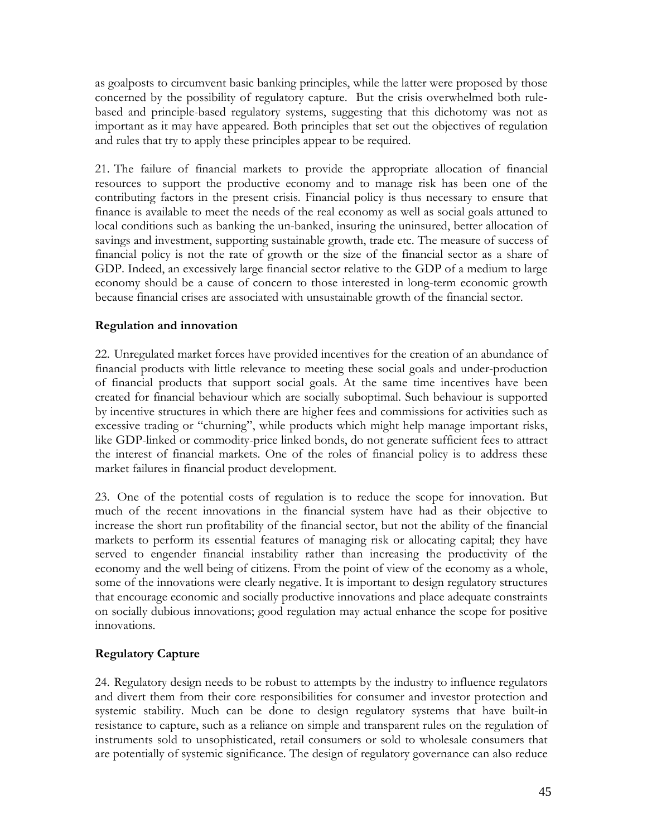as goalposts to circumvent basic banking principles, while the latter were proposed by those concerned by the possibility of regulatory capture. But the crisis overwhelmed both rulebased and principle-based regulatory systems, suggesting that this dichotomy was not as important as it may have appeared. Both principles that set out the objectives of regulation and rules that try to apply these principles appear to be required.

21. The failure of financial markets to provide the appropriate allocation of financial resources to support the productive economy and to manage risk has been one of the contributing factors in the present crisis. Financial policy is thus necessary to ensure that finance is available to meet the needs of the real economy as well as social goals attuned to local conditions such as banking the un-banked, insuring the uninsured, better allocation of savings and investment, supporting sustainable growth, trade etc. The measure of success of financial policy is not the rate of growth or the size of the financial sector as a share of GDP. Indeed, an excessively large financial sector relative to the GDP of a medium to large economy should be a cause of concern to those interested in long-term economic growth because financial crises are associated with unsustainable growth of the financial sector.

### **Regulation and innovation**

22. Unregulated market forces have provided incentives for the creation of an abundance of financial products with little relevance to meeting these social goals and under-production of financial products that support social goals. At the same time incentives have been created for financial behaviour which are socially suboptimal. Such behaviour is supported by incentive structures in which there are higher fees and commissions for activities such as excessive trading or "churning", while products which might help manage important risks, like GDP-linked or commodity-price linked bonds, do not generate sufficient fees to attract the interest of financial markets. One of the roles of financial policy is to address these market failures in financial product development.

23. One of the potential costs of regulation is to reduce the scope for innovation. But much of the recent innovations in the financial system have had as their objective to increase the short run profitability of the financial sector, but not the ability of the financial markets to perform its essential features of managing risk or allocating capital; they have served to engender financial instability rather than increasing the productivity of the economy and the well being of citizens. From the point of view of the economy as a whole, some of the innovations were clearly negative. It is important to design regulatory structures that encourage economic and socially productive innovations and place adequate constraints on socially dubious innovations; good regulation may actual enhance the scope for positive innovations.

## **Regulatory Capture**

24. Regulatory design needs to be robust to attempts by the industry to influence regulators and divert them from their core responsibilities for consumer and investor protection and systemic stability. Much can be done to design regulatory systems that have built-in resistance to capture, such as a reliance on simple and transparent rules on the regulation of instruments sold to unsophisticated, retail consumers or sold to wholesale consumers that are potentially of systemic significance. The design of regulatory governance can also reduce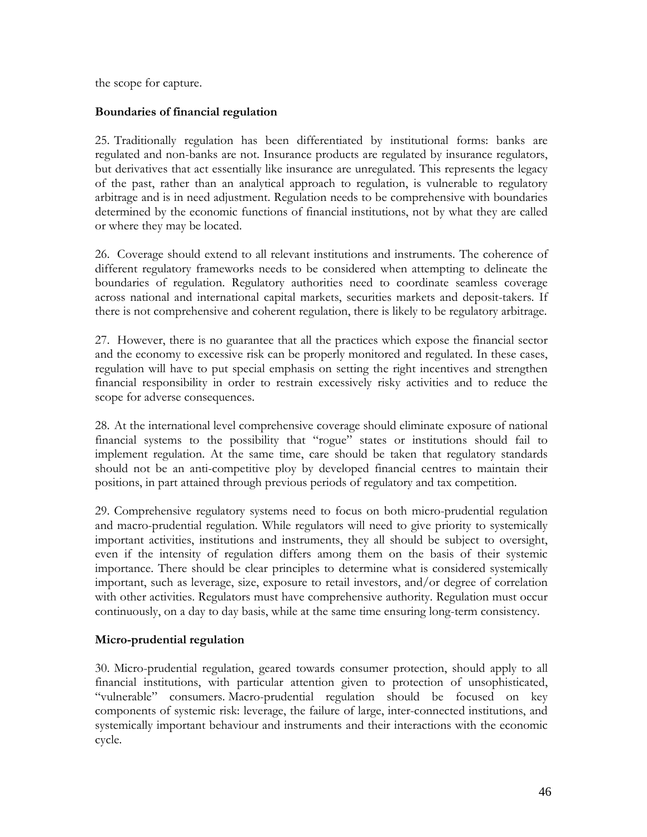the scope for capture.

#### **Boundaries of financial regulation**

25. Traditionally regulation has been differentiated by institutional forms: banks are regulated and non-banks are not. Insurance products are regulated by insurance regulators, but derivatives that act essentially like insurance are unregulated. This represents the legacy of the past, rather than an analytical approach to regulation, is vulnerable to regulatory arbitrage and is in need adjustment. Regulation needs to be comprehensive with boundaries determined by the economic functions of financial institutions, not by what they are called or where they may be located.

26. Coverage should extend to all relevant institutions and instruments. The coherence of different regulatory frameworks needs to be considered when attempting to delineate the boundaries of regulation. Regulatory authorities need to coordinate seamless coverage across national and international capital markets, securities markets and deposit-takers. If there is not comprehensive and coherent regulation, there is likely to be regulatory arbitrage.

27. However, there is no guarantee that all the practices which expose the financial sector and the economy to excessive risk can be properly monitored and regulated. In these cases, regulation will have to put special emphasis on setting the right incentives and strengthen financial responsibility in order to restrain excessively risky activities and to reduce the scope for adverse consequences.

28. At the international level comprehensive coverage should eliminate exposure of national financial systems to the possibility that "rogue" states or institutions should fail to implement regulation. At the same time, care should be taken that regulatory standards should not be an anti-competitive ploy by developed financial centres to maintain their positions, in part attained through previous periods of regulatory and tax competition.

29. Comprehensive regulatory systems need to focus on both micro-prudential regulation and macro-prudential regulation. While regulators will need to give priority to systemically important activities, institutions and instruments, they all should be subject to oversight, even if the intensity of regulation differs among them on the basis of their systemic importance. There should be clear principles to determine what is considered systemically important, such as leverage, size, exposure to retail investors, and/or degree of correlation with other activities. Regulators must have comprehensive authority. Regulation must occur continuously, on a day to day basis, while at the same time ensuring long-term consistency.

## **Micro-prudential regulation**

30. Micro-prudential regulation, geared towards consumer protection, should apply to all financial institutions, with particular attention given to protection of unsophisticated, "vulnerable" consumers. Macro-prudential regulation should be focused on key components of systemic risk: leverage, the failure of large, inter-connected institutions, and systemically important behaviour and instruments and their interactions with the economic cycle.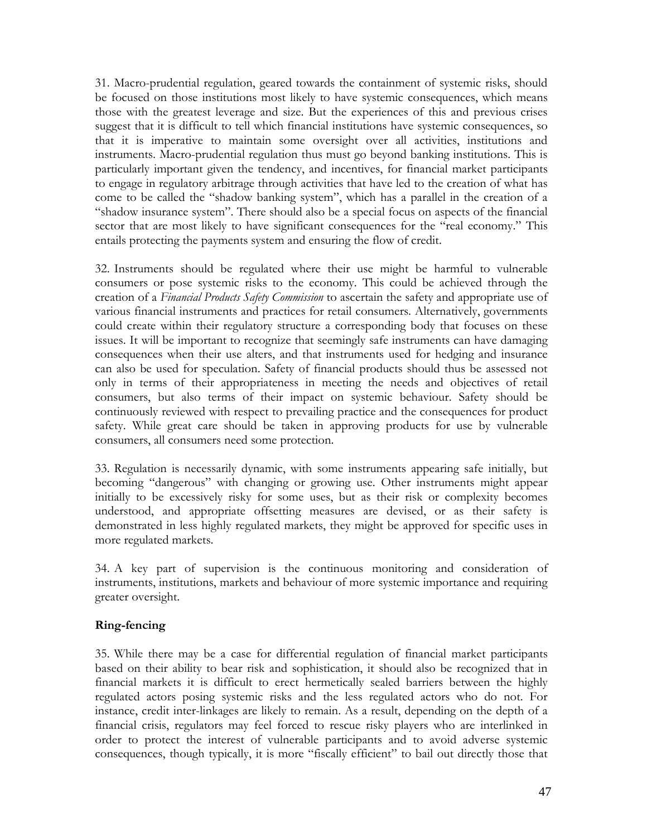31. Macro-prudential regulation, geared towards the containment of systemic risks, should be focused on those institutions most likely to have systemic consequences, which means those with the greatest leverage and size. But the experiences of this and previous crises suggest that it is difficult to tell which financial institutions have systemic consequences, so that it is imperative to maintain some oversight over all activities, institutions and instruments. Macro-prudential regulation thus must go beyond banking institutions. This is particularly important given the tendency, and incentives, for financial market participants to engage in regulatory arbitrage through activities that have led to the creation of what has come to be called the "shadow banking system", which has a parallel in the creation of a "shadow insurance system". There should also be a special focus on aspects of the financial sector that are most likely to have significant consequences for the "real economy." This entails protecting the payments system and ensuring the flow of credit.

32. Instruments should be regulated where their use might be harmful to vulnerable consumers or pose systemic risks to the economy. This could be achieved through the creation of a *Financial Products Safety Commission* to ascertain the safety and appropriate use of various financial instruments and practices for retail consumers. Alternatively, governments could create within their regulatory structure a corresponding body that focuses on these issues. It will be important to recognize that seemingly safe instruments can have damaging consequences when their use alters, and that instruments used for hedging and insurance can also be used for speculation. Safety of financial products should thus be assessed not only in terms of their appropriateness in meeting the needs and objectives of retail consumers, but also terms of their impact on systemic behaviour. Safety should be continuously reviewed with respect to prevailing practice and the consequences for product safety. While great care should be taken in approving products for use by vulnerable consumers, all consumers need some protection.

33. Regulation is necessarily dynamic, with some instruments appearing safe initially, but becoming "dangerous" with changing or growing use. Other instruments might appear initially to be excessively risky for some uses, but as their risk or complexity becomes understood, and appropriate offsetting measures are devised, or as their safety is demonstrated in less highly regulated markets, they might be approved for specific uses in more regulated markets.

34. A key part of supervision is the continuous monitoring and consideration of instruments, institutions, markets and behaviour of more systemic importance and requiring greater oversight.

#### **Ring-fencing**

35. While there may be a case for differential regulation of financial market participants based on their ability to bear risk and sophistication, it should also be recognized that in financial markets it is difficult to erect hermetically sealed barriers between the highly regulated actors posing systemic risks and the less regulated actors who do not. For instance, credit inter-linkages are likely to remain. As a result, depending on the depth of a financial crisis, regulators may feel forced to rescue risky players who are interlinked in order to protect the interest of vulnerable participants and to avoid adverse systemic consequences, though typically, it is more "fiscally efficient" to bail out directly those that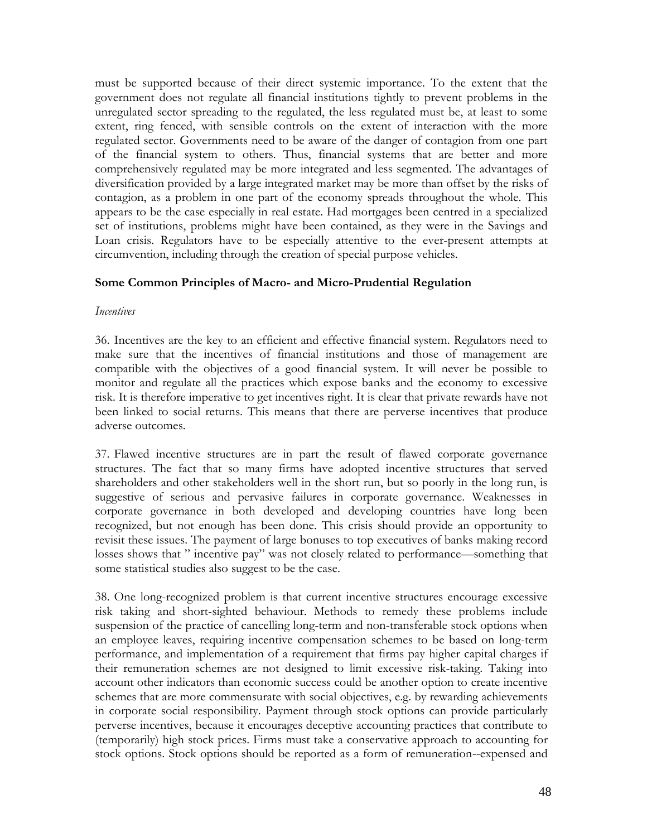must be supported because of their direct systemic importance. To the extent that the government does not regulate all financial institutions tightly to prevent problems in the unregulated sector spreading to the regulated, the less regulated must be, at least to some extent, ring fenced, with sensible controls on the extent of interaction with the more regulated sector. Governments need to be aware of the danger of contagion from one part of the financial system to others. Thus, financial systems that are better and more comprehensively regulated may be more integrated and less segmented. The advantages of diversification provided by a large integrated market may be more than offset by the risks of contagion, as a problem in one part of the economy spreads throughout the whole. This appears to be the case especially in real estate. Had mortgages been centred in a specialized set of institutions, problems might have been contained, as they were in the Savings and Loan crisis. Regulators have to be especially attentive to the ever-present attempts at circumvention, including through the creation of special purpose vehicles.

#### **Some Common Principles of Macro- and Micro-Prudential Regulation**

#### *Incentives*

36. Incentives are the key to an efficient and effective financial system. Regulators need to make sure that the incentives of financial institutions and those of management are compatible with the objectives of a good financial system. It will never be possible to monitor and regulate all the practices which expose banks and the economy to excessive risk. It is therefore imperative to get incentives right. It is clear that private rewards have not been linked to social returns. This means that there are perverse incentives that produce adverse outcomes.

37. Flawed incentive structures are in part the result of flawed corporate governance structures. The fact that so many firms have adopted incentive structures that served shareholders and other stakeholders well in the short run, but so poorly in the long run, is suggestive of serious and pervasive failures in corporate governance. Weaknesses in corporate governance in both developed and developing countries have long been recognized, but not enough has been done. This crisis should provide an opportunity to revisit these issues. The payment of large bonuses to top executives of banks making record losses shows that " incentive pay" was not closely related to performance—something that some statistical studies also suggest to be the case.

38. One long-recognized problem is that current incentive structures encourage excessive risk taking and short-sighted behaviour. Methods to remedy these problems include suspension of the practice of cancelling long-term and non-transferable stock options when an employee leaves, requiring incentive compensation schemes to be based on long-term performance, and implementation of a requirement that firms pay higher capital charges if their remuneration schemes are not designed to limit excessive risk-taking. Taking into account other indicators than economic success could be another option to create incentive schemes that are more commensurate with social objectives, e.g. by rewarding achievements in corporate social responsibility. Payment through stock options can provide particularly perverse incentives, because it encourages deceptive accounting practices that contribute to (temporarily) high stock prices. Firms must take a conservative approach to accounting for stock options. Stock options should be reported as a form of remuneration--expensed and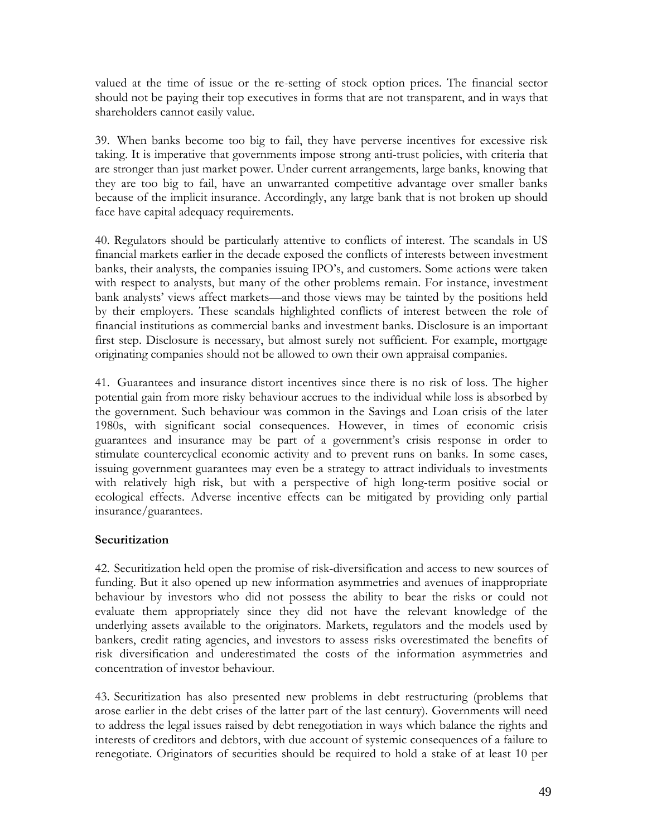valued at the time of issue or the re-setting of stock option prices. The financial sector should not be paying their top executives in forms that are not transparent, and in ways that shareholders cannot easily value.

39. When banks become too big to fail, they have perverse incentives for excessive risk taking. It is imperative that governments impose strong anti-trust policies, with criteria that are stronger than just market power. Under current arrangements, large banks, knowing that they are too big to fail, have an unwarranted competitive advantage over smaller banks because of the implicit insurance. Accordingly, any large bank that is not broken up should face have capital adequacy requirements.

40. Regulators should be particularly attentive to conflicts of interest. The scandals in US financial markets earlier in the decade exposed the conflicts of interests between investment banks, their analysts, the companies issuing IPO's, and customers. Some actions were taken with respect to analysts, but many of the other problems remain. For instance, investment bank analysts' views affect markets—and those views may be tainted by the positions held by their employers. These scandals highlighted conflicts of interest between the role of financial institutions as commercial banks and investment banks. Disclosure is an important first step. Disclosure is necessary, but almost surely not sufficient. For example, mortgage originating companies should not be allowed to own their own appraisal companies.

41. Guarantees and insurance distort incentives since there is no risk of loss. The higher potential gain from more risky behaviour accrues to the individual while loss is absorbed by the government. Such behaviour was common in the Savings and Loan crisis of the later 1980s, with significant social consequences. However, in times of economic crisis guarantees and insurance may be part of a government's crisis response in order to stimulate countercyclical economic activity and to prevent runs on banks. In some cases, issuing government guarantees may even be a strategy to attract individuals to investments with relatively high risk, but with a perspective of high long-term positive social or ecological effects. Adverse incentive effects can be mitigated by providing only partial insurance/guarantees.

#### **Securitization**

42. Securitization held open the promise of risk-diversification and access to new sources of funding. But it also opened up new information asymmetries and avenues of inappropriate behaviour by investors who did not possess the ability to bear the risks or could not evaluate them appropriately since they did not have the relevant knowledge of the underlying assets available to the originators. Markets, regulators and the models used by bankers, credit rating agencies, and investors to assess risks overestimated the benefits of risk diversification and underestimated the costs of the information asymmetries and concentration of investor behaviour.

43. Securitization has also presented new problems in debt restructuring (problems that arose earlier in the debt crises of the latter part of the last century). Governments will need to address the legal issues raised by debt renegotiation in ways which balance the rights and interests of creditors and debtors, with due account of systemic consequences of a failure to renegotiate. Originators of securities should be required to hold a stake of at least 10 per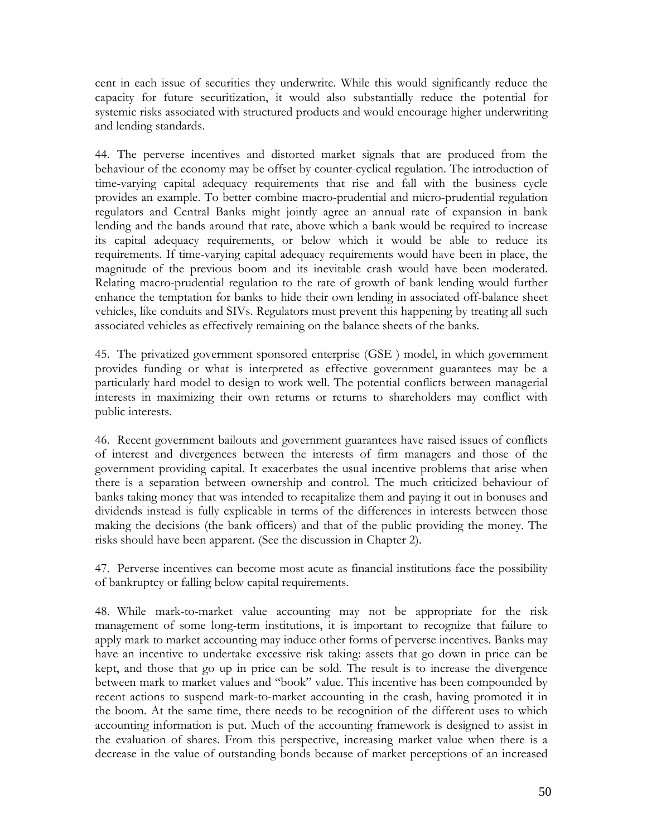cent in each issue of securities they underwrite. While this would significantly reduce the capacity for future securitization, it would also substantially reduce the potential for systemic risks associated with structured products and would encourage higher underwriting and lending standards.

44. The perverse incentives and distorted market signals that are produced from the behaviour of the economy may be offset by counter-cyclical regulation. The introduction of time-varying capital adequacy requirements that rise and fall with the business cycle provides an example. To better combine macro-prudential and micro-prudential regulation regulators and Central Banks might jointly agree an annual rate of expansion in bank lending and the bands around that rate, above which a bank would be required to increase its capital adequacy requirements, or below which it would be able to reduce its requirements. If time-varying capital adequacy requirements would have been in place, the magnitude of the previous boom and its inevitable crash would have been moderated. Relating macro-prudential regulation to the rate of growth of bank lending would further enhance the temptation for banks to hide their own lending in associated off-balance sheet vehicles, like conduits and SIVs. Regulators must prevent this happening by treating all such associated vehicles as effectively remaining on the balance sheets of the banks.

45. The privatized government sponsored enterprise (GSE ) model, in which government provides funding or what is interpreted as effective government guarantees may be a particularly hard model to design to work well. The potential conflicts between managerial interests in maximizing their own returns or returns to shareholders may conflict with public interests.

46. Recent government bailouts and government guarantees have raised issues of conflicts of interest and divergences between the interests of firm managers and those of the government providing capital. It exacerbates the usual incentive problems that arise when there is a separation between ownership and control. The much criticized behaviour of banks taking money that was intended to recapitalize them and paying it out in bonuses and dividends instead is fully explicable in terms of the differences in interests between those making the decisions (the bank officers) and that of the public providing the money. The risks should have been apparent. (See the discussion in Chapter 2).

47. Perverse incentives can become most acute as financial institutions face the possibility of bankruptcy or falling below capital requirements.

48. While mark-to-market value accounting may not be appropriate for the risk management of some long-term institutions, it is important to recognize that failure to apply mark to market accounting may induce other forms of perverse incentives. Banks may have an incentive to undertake excessive risk taking: assets that go down in price can be kept, and those that go up in price can be sold. The result is to increase the divergence between mark to market values and "book" value. This incentive has been compounded by recent actions to suspend mark-to-market accounting in the crash, having promoted it in the boom. At the same time, there needs to be recognition of the different uses to which accounting information is put. Much of the accounting framework is designed to assist in the evaluation of shares. From this perspective, increasing market value when there is a decrease in the value of outstanding bonds because of market perceptions of an increased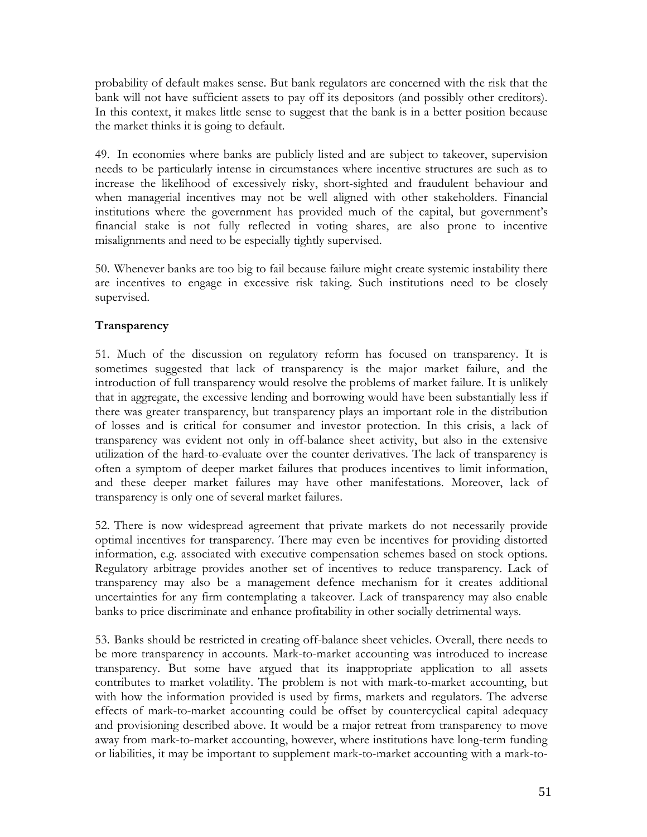probability of default makes sense. But bank regulators are concerned with the risk that the bank will not have sufficient assets to pay off its depositors (and possibly other creditors). In this context, it makes little sense to suggest that the bank is in a better position because the market thinks it is going to default.

49. In economies where banks are publicly listed and are subject to takeover, supervision needs to be particularly intense in circumstances where incentive structures are such as to increase the likelihood of excessively risky, short-sighted and fraudulent behaviour and when managerial incentives may not be well aligned with other stakeholders. Financial institutions where the government has provided much of the capital, but government's financial stake is not fully reflected in voting shares, are also prone to incentive misalignments and need to be especially tightly supervised.

50. Whenever banks are too big to fail because failure might create systemic instability there are incentives to engage in excessive risk taking. Such institutions need to be closely supervised.

## **Transparency**

51. Much of the discussion on regulatory reform has focused on transparency. It is sometimes suggested that lack of transparency is the major market failure, and the introduction of full transparency would resolve the problems of market failure. It is unlikely that in aggregate, the excessive lending and borrowing would have been substantially less if there was greater transparency, but transparency plays an important role in the distribution of losses and is critical for consumer and investor protection. In this crisis, a lack of transparency was evident not only in off-balance sheet activity, but also in the extensive utilization of the hard-to-evaluate over the counter derivatives. The lack of transparency is often a symptom of deeper market failures that produces incentives to limit information, and these deeper market failures may have other manifestations. Moreover, lack of transparency is only one of several market failures.

52. There is now widespread agreement that private markets do not necessarily provide optimal incentives for transparency. There may even be incentives for providing distorted information, e.g. associated with executive compensation schemes based on stock options. Regulatory arbitrage provides another set of incentives to reduce transparency. Lack of transparency may also be a management defence mechanism for it creates additional uncertainties for any firm contemplating a takeover. Lack of transparency may also enable banks to price discriminate and enhance profitability in other socially detrimental ways.

53. Banks should be restricted in creating off-balance sheet vehicles. Overall, there needs to be more transparency in accounts. Mark-to-market accounting was introduced to increase transparency. But some have argued that its inappropriate application to all assets contributes to market volatility. The problem is not with mark-to-market accounting, but with how the information provided is used by firms, markets and regulators. The adverse effects of mark-to-market accounting could be offset by countercyclical capital adequacy and provisioning described above. It would be a major retreat from transparency to move away from mark-to-market accounting, however, where institutions have long-term funding or liabilities, it may be important to supplement mark-to-market accounting with a mark-to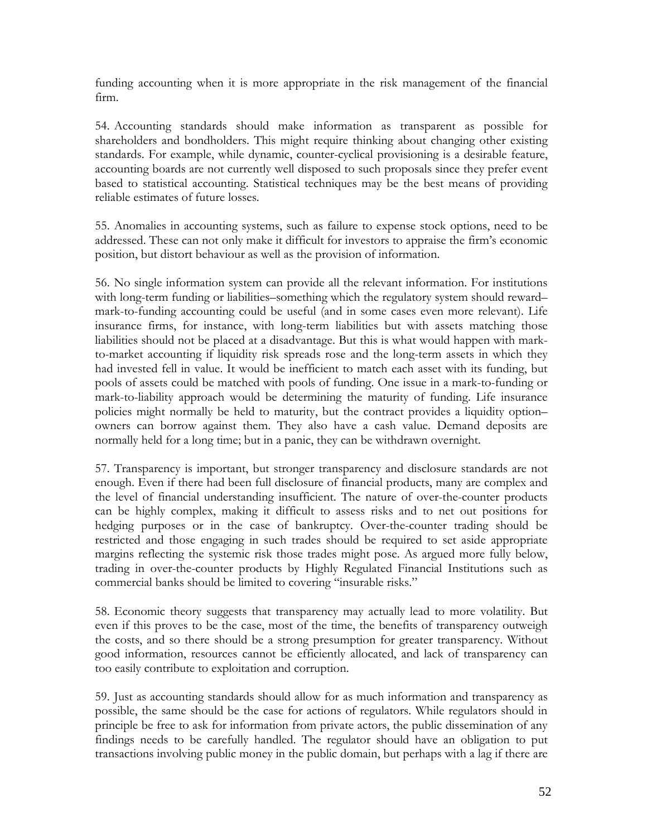funding accounting when it is more appropriate in the risk management of the financial firm.

54. Accounting standards should make information as transparent as possible for shareholders and bondholders. This might require thinking about changing other existing standards. For example, while dynamic, counter-cyclical provisioning is a desirable feature, accounting boards are not currently well disposed to such proposals since they prefer event based to statistical accounting. Statistical techniques may be the best means of providing reliable estimates of future losses.

55. Anomalies in accounting systems, such as failure to expense stock options, need to be addressed. These can not only make it difficult for investors to appraise the firm's economic position, but distort behaviour as well as the provision of information.

56. No single information system can provide all the relevant information. For institutions with long-term funding or liabilities–something which the regulatory system should reward– mark-to-funding accounting could be useful (and in some cases even more relevant). Life insurance firms, for instance, with long-term liabilities but with assets matching those liabilities should not be placed at a disadvantage. But this is what would happen with markto-market accounting if liquidity risk spreads rose and the long-term assets in which they had invested fell in value. It would be inefficient to match each asset with its funding, but pools of assets could be matched with pools of funding. One issue in a mark-to-funding or mark-to-liability approach would be determining the maturity of funding. Life insurance policies might normally be held to maturity, but the contract provides a liquidity option– owners can borrow against them. They also have a cash value. Demand deposits are normally held for a long time; but in a panic, they can be withdrawn overnight.

57. Transparency is important, but stronger transparency and disclosure standards are not enough. Even if there had been full disclosure of financial products, many are complex and the level of financial understanding insufficient. The nature of over-the-counter products can be highly complex, making it difficult to assess risks and to net out positions for hedging purposes or in the case of bankruptcy. Over-the-counter trading should be restricted and those engaging in such trades should be required to set aside appropriate margins reflecting the systemic risk those trades might pose. As argued more fully below, trading in over-the-counter products by Highly Regulated Financial Institutions such as commercial banks should be limited to covering "insurable risks."

58. Economic theory suggests that transparency may actually lead to more volatility. But even if this proves to be the case, most of the time, the benefits of transparency outweigh the costs, and so there should be a strong presumption for greater transparency. Without good information, resources cannot be efficiently allocated, and lack of transparency can too easily contribute to exploitation and corruption.

59. Just as accounting standards should allow for as much information and transparency as possible, the same should be the case for actions of regulators. While regulators should in principle be free to ask for information from private actors, the public dissemination of any findings needs to be carefully handled. The regulator should have an obligation to put transactions involving public money in the public domain, but perhaps with a lag if there are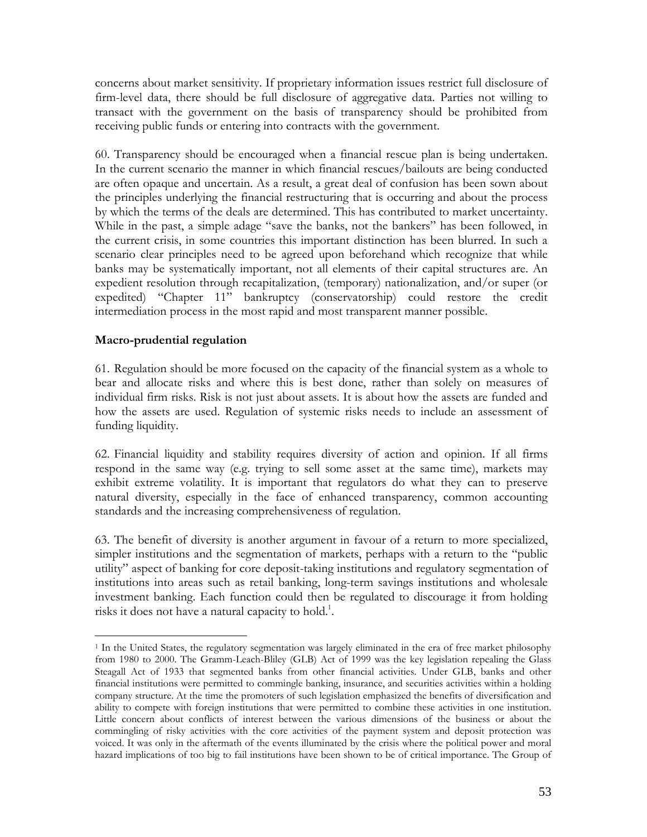concerns about market sensitivity. If proprietary information issues restrict full disclosure of firm-level data, there should be full disclosure of aggregative data. Parties not willing to transact with the government on the basis of transparency should be prohibited from receiving public funds or entering into contracts with the government.

60. Transparency should be encouraged when a financial rescue plan is being undertaken. In the current scenario the manner in which financial rescues/bailouts are being conducted are often opaque and uncertain. As a result, a great deal of confusion has been sown about the principles underlying the financial restructuring that is occurring and about the process by which the terms of the deals are determined. This has contributed to market uncertainty. While in the past, a simple adage "save the banks, not the bankers" has been followed, in the current crisis, in some countries this important distinction has been blurred. In such a scenario clear principles need to be agreed upon beforehand which recognize that while banks may be systematically important, not all elements of their capital structures are. An expedient resolution through recapitalization, (temporary) nationalization, and/or super (or expedited) "Chapter 11" bankruptcy (conservatorship) could restore the credit intermediation process in the most rapid and most transparent manner possible.

### **Macro-prudential regulation**

61. Regulation should be more focused on the capacity of the financial system as a whole to bear and allocate risks and where this is best done, rather than solely on measures of individual firm risks. Risk is not just about assets. It is about how the assets are funded and how the assets are used. Regulation of systemic risks needs to include an assessment of funding liquidity.

62. Financial liquidity and stability requires diversity of action and opinion. If all firms respond in the same way (e.g. trying to sell some asset at the same time), markets may exhibit extreme volatility. It is important that regulators do what they can to preserve natural diversity, especially in the face of enhanced transparency, common accounting standards and the increasing comprehensiveness of regulation.

63. The benefit of diversity is another argument in favour of a return to more specialized, simpler institutions and the segmentation of markets, perhaps with a return to the "public utility" aspect of banking for core deposit-taking institutions and regulatory segmentation of institutions into areas such as retail banking, long-term savings institutions and wholesale investment banking. Each function could then be regulated to discourage it from holding risks it does not have a natural capacity to hold.<sup>1</sup>.

<sup>&</sup>lt;sup>1</sup> In the United States, the regulatory segmentation was largely eliminated in the era of free market philosophy from 1980 to 2000. The Gramm-Leach-Bliley (GLB) Act of 1999 was the key legislation repealing the Glass Steagall Act of 1933 that segmented banks from other financial activities. Under GLB, banks and other financial institutions were permitted to commingle banking, insurance, and securities activities within a holding company structure. At the time the promoters of such legislation emphasized the benefits of diversification and ability to compete with foreign institutions that were permitted to combine these activities in one institution. Little concern about conflicts of interest between the various dimensions of the business or about the commingling of risky activities with the core activities of the payment system and deposit protection was voiced. It was only in the aftermath of the events illuminated by the crisis where the political power and moral hazard implications of too big to fail institutions have been shown to be of critical importance. The Group of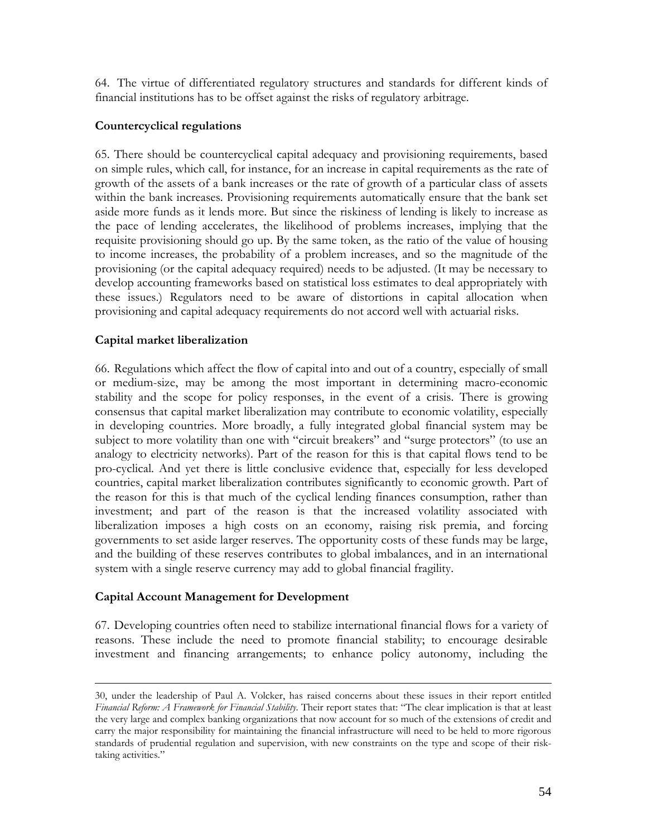64. The virtue of differentiated regulatory structures and standards for different kinds of financial institutions has to be offset against the risks of regulatory arbitrage.

### **Countercyclical regulations**

65. There should be countercyclical capital adequacy and provisioning requirements, based on simple rules, which call, for instance, for an increase in capital requirements as the rate of growth of the assets of a bank increases or the rate of growth of a particular class of assets within the bank increases. Provisioning requirements automatically ensure that the bank set aside more funds as it lends more. But since the riskiness of lending is likely to increase as the pace of lending accelerates, the likelihood of problems increases, implying that the requisite provisioning should go up. By the same token, as the ratio of the value of housing to income increases, the probability of a problem increases, and so the magnitude of the provisioning (or the capital adequacy required) needs to be adjusted. (It may be necessary to develop accounting frameworks based on statistical loss estimates to deal appropriately with these issues.) Regulators need to be aware of distortions in capital allocation when provisioning and capital adequacy requirements do not accord well with actuarial risks.

### **Capital market liberalization**

66. Regulations which affect the flow of capital into and out of a country, especially of small or medium-size, may be among the most important in determining macro-economic stability and the scope for policy responses, in the event of a crisis. There is growing consensus that capital market liberalization may contribute to economic volatility, especially in developing countries. More broadly, a fully integrated global financial system may be subject to more volatility than one with "circuit breakers" and "surge protectors" (to use an analogy to electricity networks). Part of the reason for this is that capital flows tend to be pro-cyclical. And yet there is little conclusive evidence that, especially for less developed countries, capital market liberalization contributes significantly to economic growth. Part of the reason for this is that much of the cyclical lending finances consumption, rather than investment; and part of the reason is that the increased volatility associated with liberalization imposes a high costs on an economy, raising risk premia, and forcing governments to set aside larger reserves. The opportunity costs of these funds may be large, and the building of these reserves contributes to global imbalances, and in an international system with a single reserve currency may add to global financial fragility.

#### **Capital Account Management for Development**

67. Developing countries often need to stabilize international financial flows for a variety of reasons. These include the need to promote financial stability; to encourage desirable investment and financing arrangements; to enhance policy autonomy, including the

<sup>30,</sup> under the leadership of Paul A. Volcker, has raised concerns about these issues in their report entitled *Financial Reform: A Framework for Financial Stability*. Their report states that: "The clear implication is that at least the very large and complex banking organizations that now account for so much of the extensions of credit and carry the major responsibility for maintaining the financial infrastructure will need to be held to more rigorous standards of prudential regulation and supervision, with new constraints on the type and scope of their risktaking activities."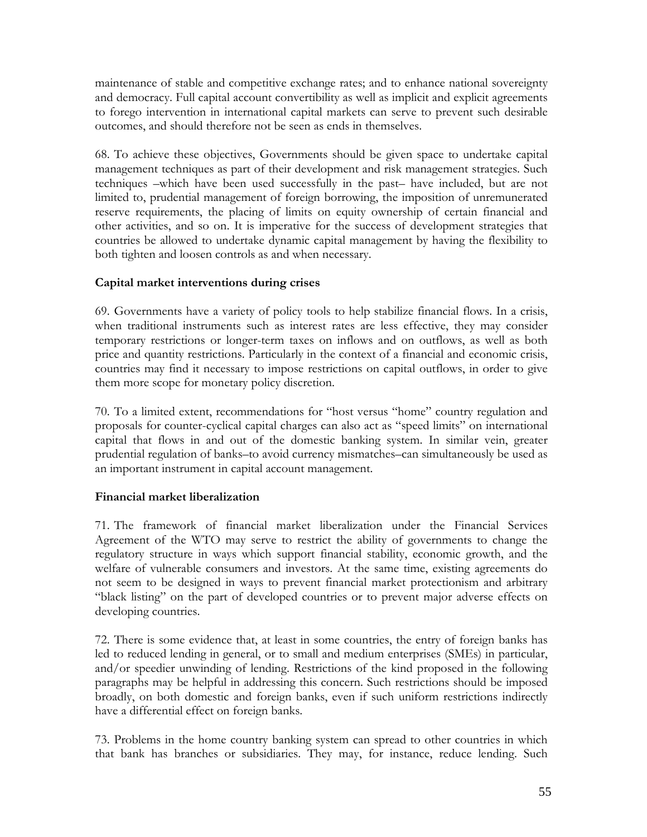maintenance of stable and competitive exchange rates; and to enhance national sovereignty and democracy. Full capital account convertibility as well as implicit and explicit agreements to forego intervention in international capital markets can serve to prevent such desirable outcomes, and should therefore not be seen as ends in themselves.

68. To achieve these objectives, Governments should be given space to undertake capital management techniques as part of their development and risk management strategies. Such techniques –which have been used successfully in the past– have included, but are not limited to, prudential management of foreign borrowing, the imposition of unremunerated reserve requirements, the placing of limits on equity ownership of certain financial and other activities, and so on. It is imperative for the success of development strategies that countries be allowed to undertake dynamic capital management by having the flexibility to both tighten and loosen controls as and when necessary.

### **Capital market interventions during crises**

69. Governments have a variety of policy tools to help stabilize financial flows. In a crisis, when traditional instruments such as interest rates are less effective, they may consider temporary restrictions or longer-term taxes on inflows and on outflows, as well as both price and quantity restrictions. Particularly in the context of a financial and economic crisis, countries may find it necessary to impose restrictions on capital outflows, in order to give them more scope for monetary policy discretion.

70. To a limited extent, recommendations for "host versus "home" country regulation and proposals for counter-cyclical capital charges can also act as "speed limits" on international capital that flows in and out of the domestic banking system. In similar vein, greater prudential regulation of banks–to avoid currency mismatches–can simultaneously be used as an important instrument in capital account management.

#### **Financial market liberalization**

71. The framework of financial market liberalization under the Financial Services Agreement of the WTO may serve to restrict the ability of governments to change the regulatory structure in ways which support financial stability, economic growth, and the welfare of vulnerable consumers and investors. At the same time, existing agreements do not seem to be designed in ways to prevent financial market protectionism and arbitrary "black listing" on the part of developed countries or to prevent major adverse effects on developing countries.

72. There is some evidence that, at least in some countries, the entry of foreign banks has led to reduced lending in general, or to small and medium enterprises (SMEs) in particular, and/or speedier unwinding of lending. Restrictions of the kind proposed in the following paragraphs may be helpful in addressing this concern. Such restrictions should be imposed broadly, on both domestic and foreign banks, even if such uniform restrictions indirectly have a differential effect on foreign banks.

73. Problems in the home country banking system can spread to other countries in which that bank has branches or subsidiaries. They may, for instance, reduce lending. Such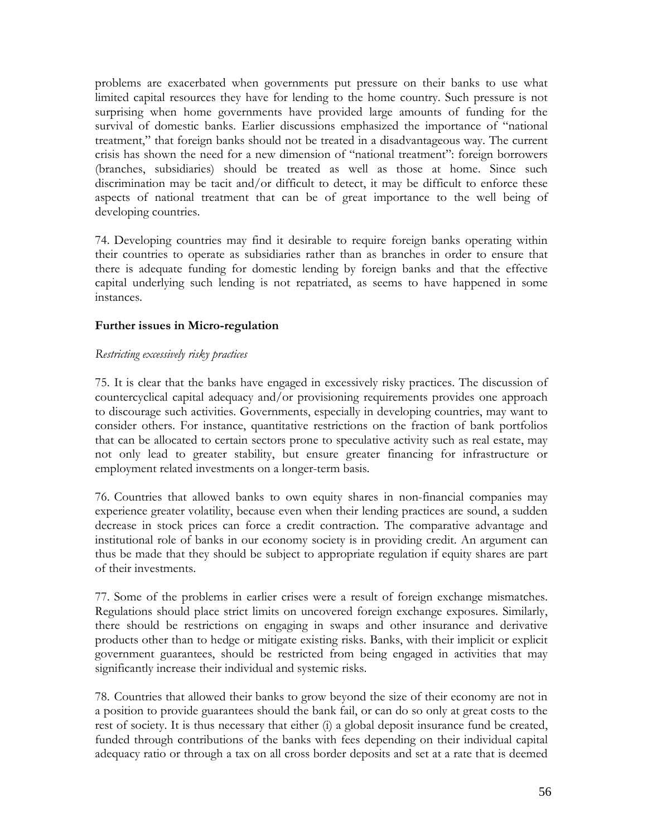problems are exacerbated when governments put pressure on their banks to use what limited capital resources they have for lending to the home country. Such pressure is not surprising when home governments have provided large amounts of funding for the survival of domestic banks. Earlier discussions emphasized the importance of "national treatment," that foreign banks should not be treated in a disadvantageous way. The current crisis has shown the need for a new dimension of "national treatment": foreign borrowers (branches, subsidiaries) should be treated as well as those at home. Since such discrimination may be tacit and/or difficult to detect, it may be difficult to enforce these aspects of national treatment that can be of great importance to the well being of developing countries.

74. Developing countries may find it desirable to require foreign banks operating within their countries to operate as subsidiaries rather than as branches in order to ensure that there is adequate funding for domestic lending by foreign banks and that the effective capital underlying such lending is not repatriated, as seems to have happened in some instances.

#### **Further issues in Micro-regulation**

#### *Restricting excessively risky practices*

75. It is clear that the banks have engaged in excessively risky practices. The discussion of countercyclical capital adequacy and/or provisioning requirements provides one approach to discourage such activities. Governments, especially in developing countries, may want to consider others. For instance, quantitative restrictions on the fraction of bank portfolios that can be allocated to certain sectors prone to speculative activity such as real estate, may not only lead to greater stability, but ensure greater financing for infrastructure or employment related investments on a longer-term basis.

76. Countries that allowed banks to own equity shares in non-financial companies may experience greater volatility, because even when their lending practices are sound, a sudden decrease in stock prices can force a credit contraction. The comparative advantage and institutional role of banks in our economy society is in providing credit. An argument can thus be made that they should be subject to appropriate regulation if equity shares are part of their investments.

77. Some of the problems in earlier crises were a result of foreign exchange mismatches. Regulations should place strict limits on uncovered foreign exchange exposures. Similarly, there should be restrictions on engaging in swaps and other insurance and derivative products other than to hedge or mitigate existing risks. Banks, with their implicit or explicit government guarantees, should be restricted from being engaged in activities that may significantly increase their individual and systemic risks.

78. Countries that allowed their banks to grow beyond the size of their economy are not in a position to provide guarantees should the bank fail, or can do so only at great costs to the rest of society. It is thus necessary that either (i) a global deposit insurance fund be created, funded through contributions of the banks with fees depending on their individual capital adequacy ratio or through a tax on all cross border deposits and set at a rate that is deemed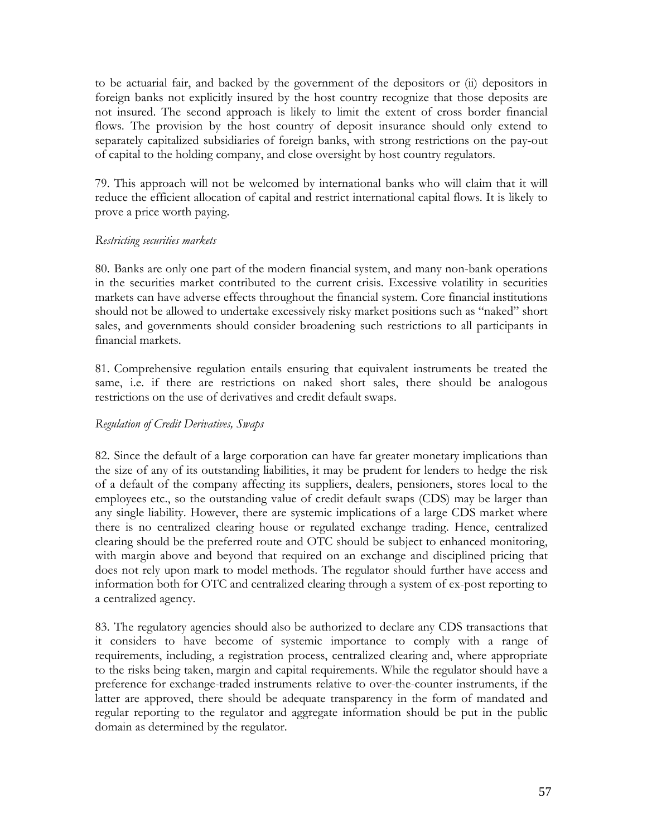to be actuarial fair, and backed by the government of the depositors or (ii) depositors in foreign banks not explicitly insured by the host country recognize that those deposits are not insured. The second approach is likely to limit the extent of cross border financial flows. The provision by the host country of deposit insurance should only extend to separately capitalized subsidiaries of foreign banks, with strong restrictions on the pay-out of capital to the holding company, and close oversight by host country regulators.

79. This approach will not be welcomed by international banks who will claim that it will reduce the efficient allocation of capital and restrict international capital flows. It is likely to prove a price worth paying.

#### *Restricting securities markets*

80. Banks are only one part of the modern financial system, and many non-bank operations in the securities market contributed to the current crisis. Excessive volatility in securities markets can have adverse effects throughout the financial system. Core financial institutions should not be allowed to undertake excessively risky market positions such as "naked" short sales, and governments should consider broadening such restrictions to all participants in financial markets.

81. Comprehensive regulation entails ensuring that equivalent instruments be treated the same, i.e. if there are restrictions on naked short sales, there should be analogous restrictions on the use of derivatives and credit default swaps.

#### *Regulation of Credit Derivatives, Swaps*

82. Since the default of a large corporation can have far greater monetary implications than the size of any of its outstanding liabilities, it may be prudent for lenders to hedge the risk of a default of the company affecting its suppliers, dealers, pensioners, stores local to the employees etc., so the outstanding value of credit default swaps (CDS) may be larger than any single liability. However, there are systemic implications of a large CDS market where there is no centralized clearing house or regulated exchange trading. Hence, centralized clearing should be the preferred route and OTC should be subject to enhanced monitoring, with margin above and beyond that required on an exchange and disciplined pricing that does not rely upon mark to model methods. The regulator should further have access and information both for OTC and centralized clearing through a system of ex-post reporting to a centralized agency.

83. The regulatory agencies should also be authorized to declare any CDS transactions that it considers to have become of systemic importance to comply with a range of requirements, including, a registration process, centralized clearing and, where appropriate to the risks being taken, margin and capital requirements. While the regulator should have a preference for exchange-traded instruments relative to over-the-counter instruments, if the latter are approved, there should be adequate transparency in the form of mandated and regular reporting to the regulator and aggregate information should be put in the public domain as determined by the regulator.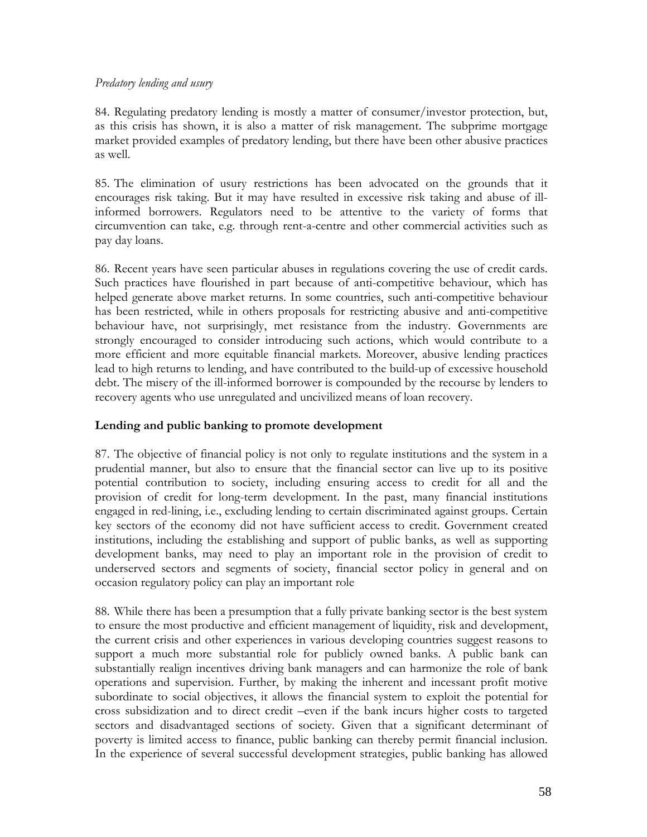#### *Predatory lending and usury*

84. Regulating predatory lending is mostly a matter of consumer/investor protection, but, as this crisis has shown, it is also a matter of risk management. The subprime mortgage market provided examples of predatory lending, but there have been other abusive practices as well.

85. The elimination of usury restrictions has been advocated on the grounds that it encourages risk taking. But it may have resulted in excessive risk taking and abuse of illinformed borrowers. Regulators need to be attentive to the variety of forms that circumvention can take, e.g. through rent-a-centre and other commercial activities such as pay day loans.

86. Recent years have seen particular abuses in regulations covering the use of credit cards. Such practices have flourished in part because of anti-competitive behaviour, which has helped generate above market returns. In some countries, such anti-competitive behaviour has been restricted, while in others proposals for restricting abusive and anti-competitive behaviour have, not surprisingly, met resistance from the industry. Governments are strongly encouraged to consider introducing such actions, which would contribute to a more efficient and more equitable financial markets. Moreover, abusive lending practices lead to high returns to lending, and have contributed to the build-up of excessive household debt. The misery of the ill-informed borrower is compounded by the recourse by lenders to recovery agents who use unregulated and uncivilized means of loan recovery.

#### **Lending and public banking to promote development**

87. The objective of financial policy is not only to regulate institutions and the system in a prudential manner, but also to ensure that the financial sector can live up to its positive potential contribution to society, including ensuring access to credit for all and the provision of credit for long-term development. In the past, many financial institutions engaged in red-lining, i.e., excluding lending to certain discriminated against groups. Certain key sectors of the economy did not have sufficient access to credit. Government created institutions, including the establishing and support of public banks, as well as supporting development banks, may need to play an important role in the provision of credit to underserved sectors and segments of society, financial sector policy in general and on occasion regulatory policy can play an important role

88. While there has been a presumption that a fully private banking sector is the best system to ensure the most productive and efficient management of liquidity, risk and development, the current crisis and other experiences in various developing countries suggest reasons to support a much more substantial role for publicly owned banks. A public bank can substantially realign incentives driving bank managers and can harmonize the role of bank operations and supervision. Further, by making the inherent and incessant profit motive subordinate to social objectives, it allows the financial system to exploit the potential for cross subsidization and to direct credit –even if the bank incurs higher costs to targeted sectors and disadvantaged sections of society. Given that a significant determinant of poverty is limited access to finance, public banking can thereby permit financial inclusion. In the experience of several successful development strategies, public banking has allowed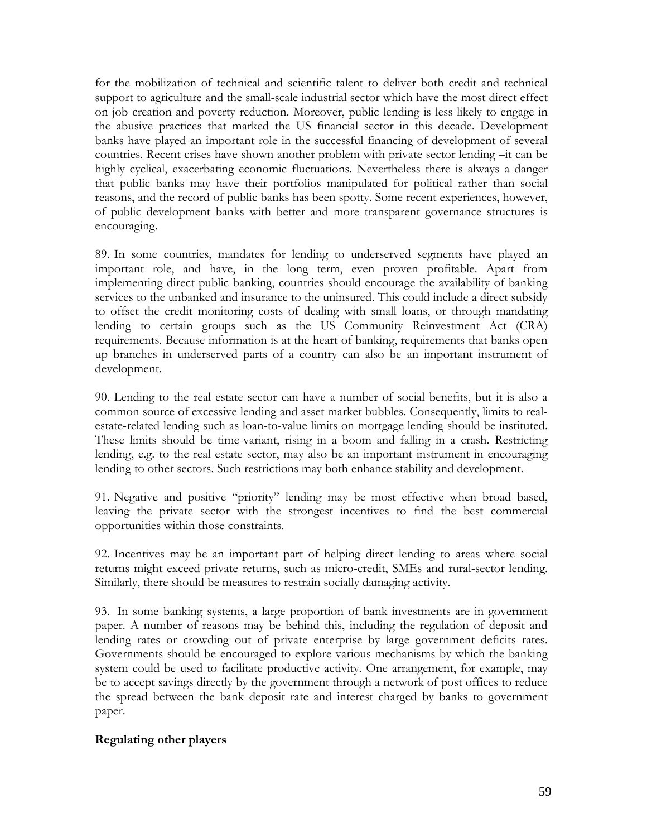for the mobilization of technical and scientific talent to deliver both credit and technical support to agriculture and the small-scale industrial sector which have the most direct effect on job creation and poverty reduction. Moreover, public lending is less likely to engage in the abusive practices that marked the US financial sector in this decade. Development banks have played an important role in the successful financing of development of several countries. Recent crises have shown another problem with private sector lending –it can be highly cyclical, exacerbating economic fluctuations. Nevertheless there is always a danger that public banks may have their portfolios manipulated for political rather than social reasons, and the record of public banks has been spotty. Some recent experiences, however, of public development banks with better and more transparent governance structures is encouraging.

89. In some countries, mandates for lending to underserved segments have played an important role, and have, in the long term, even proven profitable. Apart from implementing direct public banking, countries should encourage the availability of banking services to the unbanked and insurance to the uninsured. This could include a direct subsidy to offset the credit monitoring costs of dealing with small loans, or through mandating lending to certain groups such as the US Community Reinvestment Act (CRA) requirements. Because information is at the heart of banking, requirements that banks open up branches in underserved parts of a country can also be an important instrument of development.

90. Lending to the real estate sector can have a number of social benefits, but it is also a common source of excessive lending and asset market bubbles. Consequently, limits to realestate-related lending such as loan-to-value limits on mortgage lending should be instituted. These limits should be time-variant, rising in a boom and falling in a crash. Restricting lending, e.g. to the real estate sector, may also be an important instrument in encouraging lending to other sectors. Such restrictions may both enhance stability and development.

91. Negative and positive "priority" lending may be most effective when broad based, leaving the private sector with the strongest incentives to find the best commercial opportunities within those constraints.

92. Incentives may be an important part of helping direct lending to areas where social returns might exceed private returns, such as micro-credit, SMEs and rural-sector lending. Similarly, there should be measures to restrain socially damaging activity.

93. In some banking systems, a large proportion of bank investments are in government paper. A number of reasons may be behind this, including the regulation of deposit and lending rates or crowding out of private enterprise by large government deficits rates. Governments should be encouraged to explore various mechanisms by which the banking system could be used to facilitate productive activity. One arrangement, for example, may be to accept savings directly by the government through a network of post offices to reduce the spread between the bank deposit rate and interest charged by banks to government paper.

#### **Regulating other players**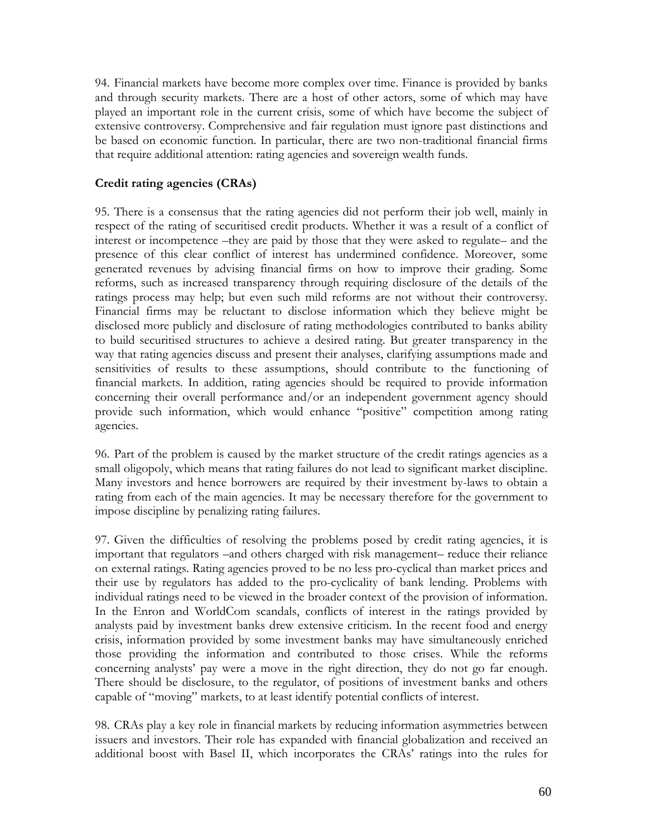94. Financial markets have become more complex over time. Finance is provided by banks and through security markets. There are a host of other actors, some of which may have played an important role in the current crisis, some of which have become the subject of extensive controversy. Comprehensive and fair regulation must ignore past distinctions and be based on economic function. In particular, there are two non-traditional financial firms that require additional attention: rating agencies and sovereign wealth funds.

#### **Credit rating agencies (CRAs)**

95. There is a consensus that the rating agencies did not perform their job well, mainly in respect of the rating of securitised credit products. Whether it was a result of a conflict of interest or incompetence –they are paid by those that they were asked to regulate– and the presence of this clear conflict of interest has undermined confidence. Moreover, some generated revenues by advising financial firms on how to improve their grading. Some reforms, such as increased transparency through requiring disclosure of the details of the ratings process may help; but even such mild reforms are not without their controversy. Financial firms may be reluctant to disclose information which they believe might be disclosed more publicly and disclosure of rating methodologies contributed to banks ability to build securitised structures to achieve a desired rating. But greater transparency in the way that rating agencies discuss and present their analyses, clarifying assumptions made and sensitivities of results to these assumptions, should contribute to the functioning of financial markets. In addition, rating agencies should be required to provide information concerning their overall performance and/or an independent government agency should provide such information, which would enhance "positive" competition among rating agencies.

96. Part of the problem is caused by the market structure of the credit ratings agencies as a small oligopoly, which means that rating failures do not lead to significant market discipline. Many investors and hence borrowers are required by their investment by-laws to obtain a rating from each of the main agencies. It may be necessary therefore for the government to impose discipline by penalizing rating failures.

97. Given the difficulties of resolving the problems posed by credit rating agencies, it is important that regulators –and others charged with risk management– reduce their reliance on external ratings. Rating agencies proved to be no less pro-cyclical than market prices and their use by regulators has added to the pro-cyclicality of bank lending. Problems with individual ratings need to be viewed in the broader context of the provision of information. In the Enron and WorldCom scandals, conflicts of interest in the ratings provided by analysts paid by investment banks drew extensive criticism. In the recent food and energy crisis, information provided by some investment banks may have simultaneously enriched those providing the information and contributed to those crises. While the reforms concerning analysts' pay were a move in the right direction, they do not go far enough. There should be disclosure, to the regulator, of positions of investment banks and others capable of "moving" markets, to at least identify potential conflicts of interest.

98. CRAs play a key role in financial markets by reducing information asymmetries between issuers and investors. Their role has expanded with financial globalization and received an additional boost with Basel II, which incorporates the CRAs' ratings into the rules for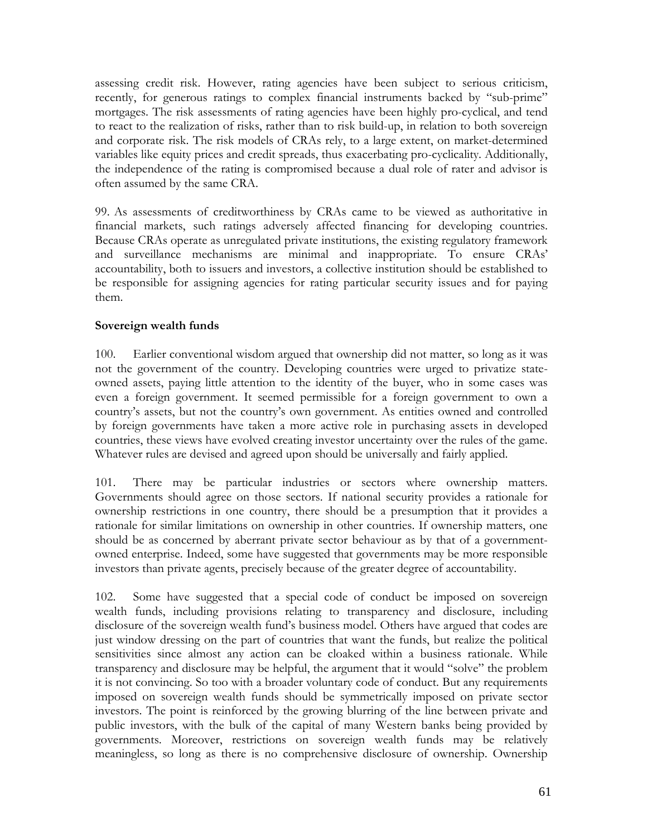assessing credit risk. However, rating agencies have been subject to serious criticism, recently, for generous ratings to complex financial instruments backed by "sub-prime" mortgages. The risk assessments of rating agencies have been highly pro-cyclical, and tend to react to the realization of risks, rather than to risk build-up, in relation to both sovereign and corporate risk. The risk models of CRAs rely, to a large extent, on market-determined variables like equity prices and credit spreads, thus exacerbating pro-cyclicality. Additionally, the independence of the rating is compromised because a dual role of rater and advisor is often assumed by the same CRA.

99. As assessments of creditworthiness by CRAs came to be viewed as authoritative in financial markets, such ratings adversely affected financing for developing countries. Because CRAs operate as unregulated private institutions, the existing regulatory framework and surveillance mechanisms are minimal and inappropriate. To ensure CRAs' accountability, both to issuers and investors, a collective institution should be established to be responsible for assigning agencies for rating particular security issues and for paying them.

### **Sovereign wealth funds**

100. Earlier conventional wisdom argued that ownership did not matter, so long as it was not the government of the country. Developing countries were urged to privatize stateowned assets, paying little attention to the identity of the buyer, who in some cases was even a foreign government. It seemed permissible for a foreign government to own a country's assets, but not the country's own government. As entities owned and controlled by foreign governments have taken a more active role in purchasing assets in developed countries, these views have evolved creating investor uncertainty over the rules of the game. Whatever rules are devised and agreed upon should be universally and fairly applied.

101. There may be particular industries or sectors where ownership matters. Governments should agree on those sectors. If national security provides a rationale for ownership restrictions in one country, there should be a presumption that it provides a rationale for similar limitations on ownership in other countries. If ownership matters, one should be as concerned by aberrant private sector behaviour as by that of a governmentowned enterprise. Indeed, some have suggested that governments may be more responsible investors than private agents, precisely because of the greater degree of accountability.

102. Some have suggested that a special code of conduct be imposed on sovereign wealth funds, including provisions relating to transparency and disclosure, including disclosure of the sovereign wealth fund's business model. Others have argued that codes are just window dressing on the part of countries that want the funds, but realize the political sensitivities since almost any action can be cloaked within a business rationale. While transparency and disclosure may be helpful, the argument that it would "solve" the problem it is not convincing. So too with a broader voluntary code of conduct. But any requirements imposed on sovereign wealth funds should be symmetrically imposed on private sector investors. The point is reinforced by the growing blurring of the line between private and public investors, with the bulk of the capital of many Western banks being provided by governments. Moreover, restrictions on sovereign wealth funds may be relatively meaningless, so long as there is no comprehensive disclosure of ownership. Ownership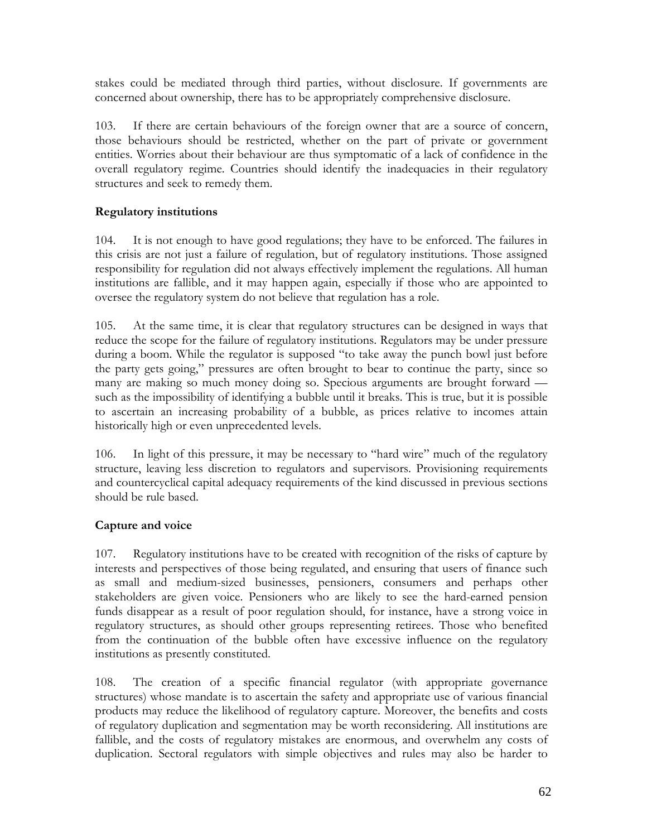stakes could be mediated through third parties, without disclosure. If governments are concerned about ownership, there has to be appropriately comprehensive disclosure.

103. If there are certain behaviours of the foreign owner that are a source of concern, those behaviours should be restricted, whether on the part of private or government entities. Worries about their behaviour are thus symptomatic of a lack of confidence in the overall regulatory regime. Countries should identify the inadequacies in their regulatory structures and seek to remedy them.

## **Regulatory institutions**

104. It is not enough to have good regulations; they have to be enforced. The failures in this crisis are not just a failure of regulation, but of regulatory institutions. Those assigned responsibility for regulation did not always effectively implement the regulations. All human institutions are fallible, and it may happen again, especially if those who are appointed to oversee the regulatory system do not believe that regulation has a role.

105. At the same time, it is clear that regulatory structures can be designed in ways that reduce the scope for the failure of regulatory institutions. Regulators may be under pressure during a boom. While the regulator is supposed "to take away the punch bowl just before the party gets going," pressures are often brought to bear to continue the party, since so many are making so much money doing so. Specious arguments are brought forward such as the impossibility of identifying a bubble until it breaks. This is true, but it is possible to ascertain an increasing probability of a bubble, as prices relative to incomes attain historically high or even unprecedented levels.

106. In light of this pressure, it may be necessary to "hard wire" much of the regulatory structure, leaving less discretion to regulators and supervisors. Provisioning requirements and countercyclical capital adequacy requirements of the kind discussed in previous sections should be rule based.

## **Capture and voice**

107. Regulatory institutions have to be created with recognition of the risks of capture by interests and perspectives of those being regulated, and ensuring that users of finance such as small and medium-sized businesses, pensioners, consumers and perhaps other stakeholders are given voice. Pensioners who are likely to see the hard-earned pension funds disappear as a result of poor regulation should, for instance, have a strong voice in regulatory structures, as should other groups representing retirees. Those who benefited from the continuation of the bubble often have excessive influence on the regulatory institutions as presently constituted.

108. The creation of a specific financial regulator (with appropriate governance structures) whose mandate is to ascertain the safety and appropriate use of various financial products may reduce the likelihood of regulatory capture. Moreover, the benefits and costs of regulatory duplication and segmentation may be worth reconsidering. All institutions are fallible, and the costs of regulatory mistakes are enormous, and overwhelm any costs of duplication. Sectoral regulators with simple objectives and rules may also be harder to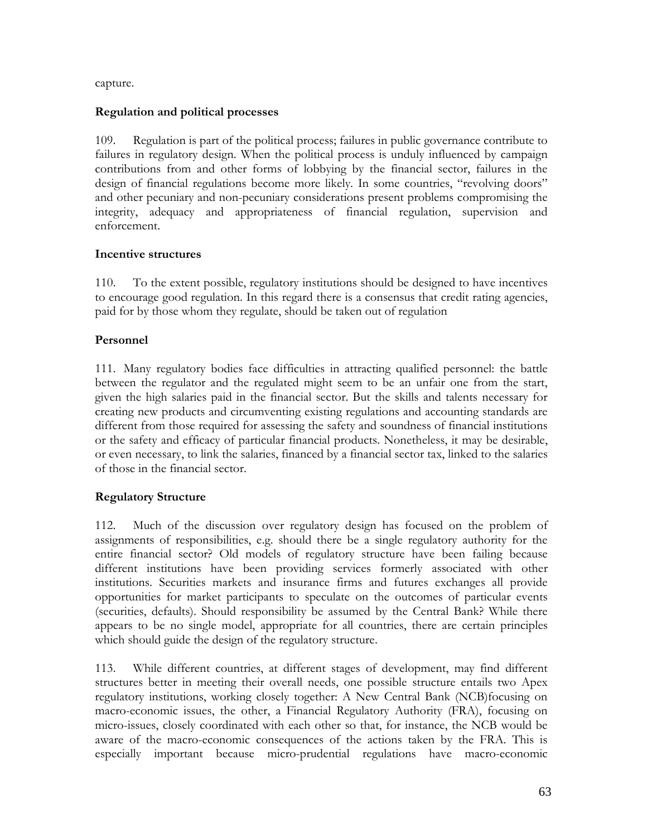capture.

#### **Regulation and political processes**

109. Regulation is part of the political process; failures in public governance contribute to failures in regulatory design. When the political process is unduly influenced by campaign contributions from and other forms of lobbying by the financial sector, failures in the design of financial regulations become more likely. In some countries, "revolving doors" and other pecuniary and non-pecuniary considerations present problems compromising the integrity, adequacy and appropriateness of financial regulation, supervision and enforcement.

### **Incentive structures**

110. To the extent possible, regulatory institutions should be designed to have incentives to encourage good regulation. In this regard there is a consensus that credit rating agencies, paid for by those whom they regulate, should be taken out of regulation

## **Personnel**

111. Many regulatory bodies face difficulties in attracting qualified personnel: the battle between the regulator and the regulated might seem to be an unfair one from the start, given the high salaries paid in the financial sector. But the skills and talents necessary for creating new products and circumventing existing regulations and accounting standards are different from those required for assessing the safety and soundness of financial institutions or the safety and efficacy of particular financial products. Nonetheless, it may be desirable, or even necessary, to link the salaries, financed by a financial sector tax, linked to the salaries of those in the financial sector.

## **Regulatory Structure**

112. Much of the discussion over regulatory design has focused on the problem of assignments of responsibilities, e.g. should there be a single regulatory authority for the entire financial sector? Old models of regulatory structure have been failing because different institutions have been providing services formerly associated with other institutions. Securities markets and insurance firms and futures exchanges all provide opportunities for market participants to speculate on the outcomes of particular events (securities, defaults). Should responsibility be assumed by the Central Bank? While there appears to be no single model, appropriate for all countries, there are certain principles which should guide the design of the regulatory structure.

113. While different countries, at different stages of development, may find different structures better in meeting their overall needs, one possible structure entails two Apex regulatory institutions, working closely together: A New Central Bank (NCB)focusing on macro-economic issues, the other, a Financial Regulatory Authority (FRA), focusing on micro-issues, closely coordinated with each other so that, for instance, the NCB would be aware of the macro-economic consequences of the actions taken by the FRA. This is especially important because micro-prudential regulations have macro-economic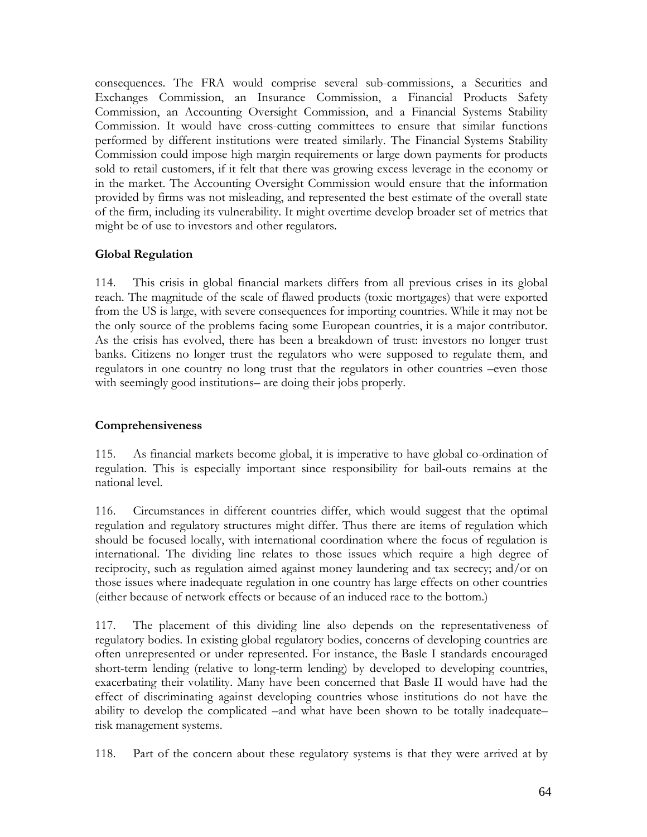consequences. The FRA would comprise several sub-commissions, a Securities and Exchanges Commission, an Insurance Commission, a Financial Products Safety Commission, an Accounting Oversight Commission, and a Financial Systems Stability Commission. It would have cross-cutting committees to ensure that similar functions performed by different institutions were treated similarly. The Financial Systems Stability Commission could impose high margin requirements or large down payments for products sold to retail customers, if it felt that there was growing excess leverage in the economy or in the market. The Accounting Oversight Commission would ensure that the information provided by firms was not misleading, and represented the best estimate of the overall state of the firm, including its vulnerability. It might overtime develop broader set of metrics that might be of use to investors and other regulators.

#### **Global Regulation**

114. This crisis in global financial markets differs from all previous crises in its global reach. The magnitude of the scale of flawed products (toxic mortgages) that were exported from the US is large, with severe consequences for importing countries. While it may not be the only source of the problems facing some European countries, it is a major contributor. As the crisis has evolved, there has been a breakdown of trust: investors no longer trust banks. Citizens no longer trust the regulators who were supposed to regulate them, and regulators in one country no long trust that the regulators in other countries –even those with seemingly good institutions– are doing their jobs properly.

### **Comprehensiveness**

115. As financial markets become global, it is imperative to have global co-ordination of regulation. This is especially important since responsibility for bail-outs remains at the national level.

116. Circumstances in different countries differ, which would suggest that the optimal regulation and regulatory structures might differ. Thus there are items of regulation which should be focused locally, with international coordination where the focus of regulation is international. The dividing line relates to those issues which require a high degree of reciprocity, such as regulation aimed against money laundering and tax secrecy; and/or on those issues where inadequate regulation in one country has large effects on other countries (either because of network effects or because of an induced race to the bottom.)

117. The placement of this dividing line also depends on the representativeness of regulatory bodies. In existing global regulatory bodies, concerns of developing countries are often unrepresented or under represented. For instance, the Basle I standards encouraged short-term lending (relative to long-term lending) by developed to developing countries, exacerbating their volatility. Many have been concerned that Basle II would have had the effect of discriminating against developing countries whose institutions do not have the ability to develop the complicated –and what have been shown to be totally inadequate– risk management systems.

118. Part of the concern about these regulatory systems is that they were arrived at by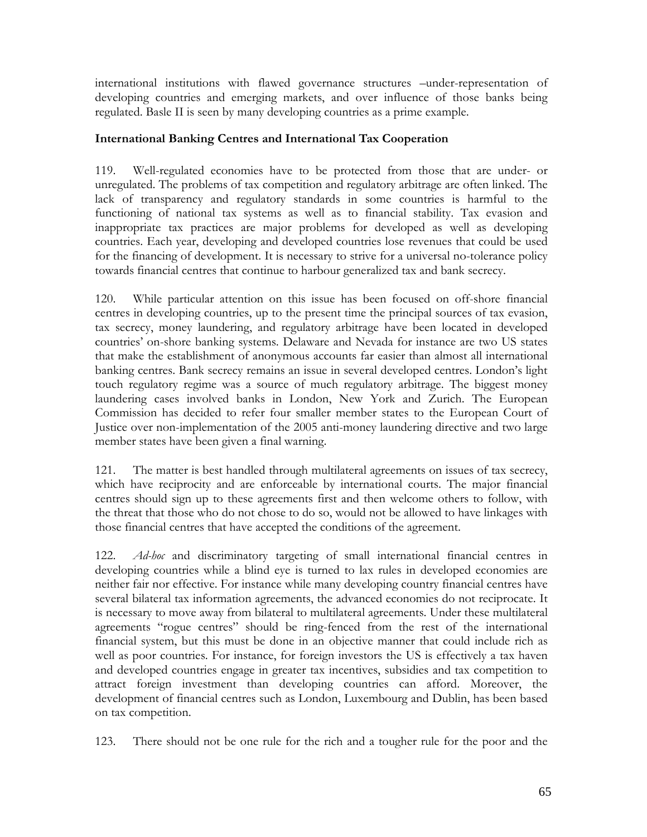international institutions with flawed governance structures –under-representation of developing countries and emerging markets, and over influence of those banks being regulated. Basle II is seen by many developing countries as a prime example.

## **International Banking Centres and International Tax Cooperation**

119. Well-regulated economies have to be protected from those that are under- or unregulated. The problems of tax competition and regulatory arbitrage are often linked. The lack of transparency and regulatory standards in some countries is harmful to the functioning of national tax systems as well as to financial stability. Tax evasion and inappropriate tax practices are major problems for developed as well as developing countries. Each year, developing and developed countries lose revenues that could be used for the financing of development. It is necessary to strive for a universal no-tolerance policy towards financial centres that continue to harbour generalized tax and bank secrecy.

120. While particular attention on this issue has been focused on off-shore financial centres in developing countries, up to the present time the principal sources of tax evasion, tax secrecy, money laundering, and regulatory arbitrage have been located in developed countries' on-shore banking systems. Delaware and Nevada for instance are two US states that make the establishment of anonymous accounts far easier than almost all international banking centres. Bank secrecy remains an issue in several developed centres. London's light touch regulatory regime was a source of much regulatory arbitrage. The biggest money laundering cases involved banks in London, New York and Zurich. The European Commission has decided to refer four smaller member states to the European Court of Justice over non-implementation of the 2005 anti-money laundering directive and two large member states have been given a final warning.

121. The matter is best handled through multilateral agreements on issues of tax secrecy, which have reciprocity and are enforceable by international courts. The major financial centres should sign up to these agreements first and then welcome others to follow, with the threat that those who do not chose to do so, would not be allowed to have linkages with those financial centres that have accepted the conditions of the agreement.

122. *Ad-hoc* and discriminatory targeting of small international financial centres in developing countries while a blind eye is turned to lax rules in developed economies are neither fair nor effective. For instance while many developing country financial centres have several bilateral tax information agreements, the advanced economies do not reciprocate. It is necessary to move away from bilateral to multilateral agreements. Under these multilateral agreements "rogue centres" should be ring-fenced from the rest of the international financial system, but this must be done in an objective manner that could include rich as well as poor countries. For instance, for foreign investors the US is effectively a tax haven and developed countries engage in greater tax incentives, subsidies and tax competition to attract foreign investment than developing countries can afford. Moreover, the development of financial centres such as London, Luxembourg and Dublin, has been based on tax competition.

123. There should not be one rule for the rich and a tougher rule for the poor and the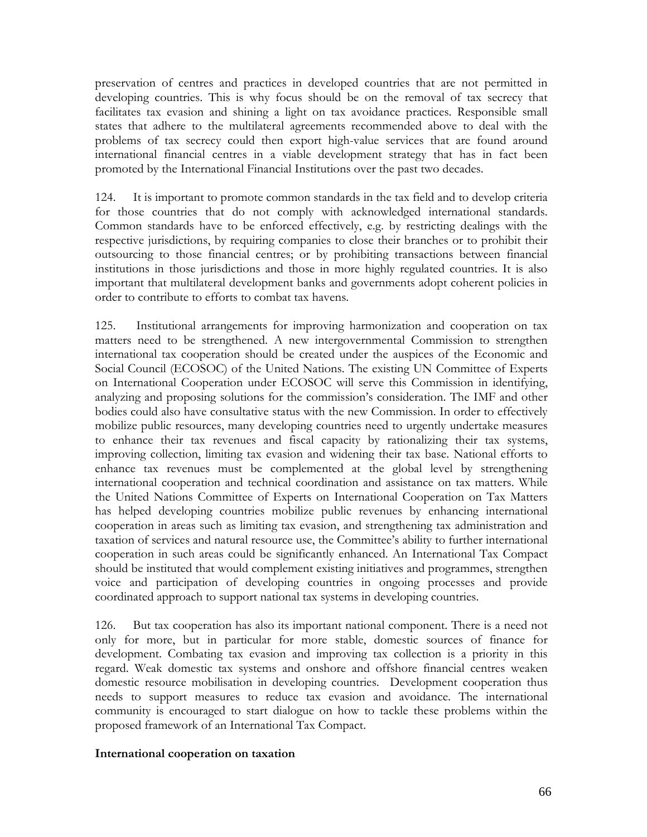preservation of centres and practices in developed countries that are not permitted in developing countries. This is why focus should be on the removal of tax secrecy that facilitates tax evasion and shining a light on tax avoidance practices. Responsible small states that adhere to the multilateral agreements recommended above to deal with the problems of tax secrecy could then export high-value services that are found around international financial centres in a viable development strategy that has in fact been promoted by the International Financial Institutions over the past two decades.

124. It is important to promote common standards in the tax field and to develop criteria for those countries that do not comply with acknowledged international standards. Common standards have to be enforced effectively, e.g. by restricting dealings with the respective jurisdictions, by requiring companies to close their branches or to prohibit their outsourcing to those financial centres; or by prohibiting transactions between financial institutions in those jurisdictions and those in more highly regulated countries. It is also important that multilateral development banks and governments adopt coherent policies in order to contribute to efforts to combat tax havens.

125. Institutional arrangements for improving harmonization and cooperation on tax matters need to be strengthened. A new intergovernmental Commission to strengthen international tax cooperation should be created under the auspices of the Economic and Social Council (ECOSOC) of the United Nations. The existing UN Committee of Experts on International Cooperation under ECOSOC will serve this Commission in identifying, analyzing and proposing solutions for the commission's consideration. The IMF and other bodies could also have consultative status with the new Commission. In order to effectively mobilize public resources, many developing countries need to urgently undertake measures to enhance their tax revenues and fiscal capacity by rationalizing their tax systems, improving collection, limiting tax evasion and widening their tax base. National efforts to enhance tax revenues must be complemented at the global level by strengthening international cooperation and technical coordination and assistance on tax matters. While the United Nations Committee of Experts on International Cooperation on Tax Matters has helped developing countries mobilize public revenues by enhancing international cooperation in areas such as limiting tax evasion, and strengthening tax administration and taxation of services and natural resource use, the Committee's ability to further international cooperation in such areas could be significantly enhanced. An International Tax Compact should be instituted that would complement existing initiatives and programmes, strengthen voice and participation of developing countries in ongoing processes and provide coordinated approach to support national tax systems in developing countries.

126. But tax cooperation has also its important national component. There is a need not only for more, but in particular for more stable, domestic sources of finance for development. Combating tax evasion and improving tax collection is a priority in this regard. Weak domestic tax systems and onshore and offshore financial centres weaken domestic resource mobilisation in developing countries. Development cooperation thus needs to support measures to reduce tax evasion and avoidance. The international community is encouraged to start dialogue on how to tackle these problems within the proposed framework of an International Tax Compact.

#### **International cooperation on taxation**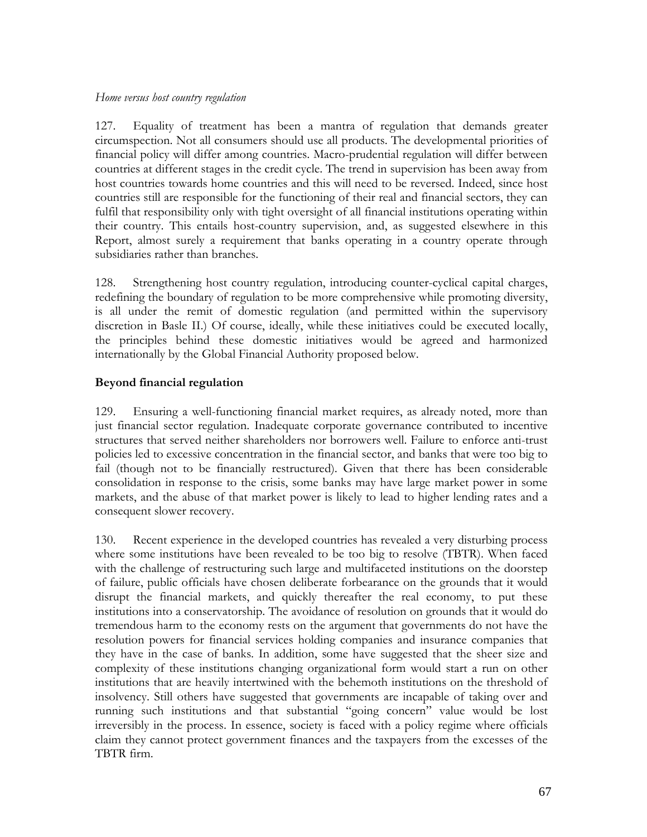#### *Home versus host country regulation*

127. Equality of treatment has been a mantra of regulation that demands greater circumspection. Not all consumers should use all products. The developmental priorities of financial policy will differ among countries. Macro-prudential regulation will differ between countries at different stages in the credit cycle. The trend in supervision has been away from host countries towards home countries and this will need to be reversed. Indeed, since host countries still are responsible for the functioning of their real and financial sectors, they can fulfil that responsibility only with tight oversight of all financial institutions operating within their country. This entails host-country supervision, and, as suggested elsewhere in this Report, almost surely a requirement that banks operating in a country operate through subsidiaries rather than branches.

128. Strengthening host country regulation, introducing counter-cyclical capital charges, redefining the boundary of regulation to be more comprehensive while promoting diversity, is all under the remit of domestic regulation (and permitted within the supervisory discretion in Basle II.) Of course, ideally, while these initiatives could be executed locally, the principles behind these domestic initiatives would be agreed and harmonized internationally by the Global Financial Authority proposed below.

## **Beyond financial regulation**

129. Ensuring a well-functioning financial market requires, as already noted, more than just financial sector regulation. Inadequate corporate governance contributed to incentive structures that served neither shareholders nor borrowers well. Failure to enforce anti-trust policies led to excessive concentration in the financial sector, and banks that were too big to fail (though not to be financially restructured). Given that there has been considerable consolidation in response to the crisis, some banks may have large market power in some markets, and the abuse of that market power is likely to lead to higher lending rates and a consequent slower recovery.

130. Recent experience in the developed countries has revealed a very disturbing process where some institutions have been revealed to be too big to resolve (TBTR). When faced with the challenge of restructuring such large and multifaceted institutions on the doorstep of failure, public officials have chosen deliberate forbearance on the grounds that it would disrupt the financial markets, and quickly thereafter the real economy, to put these institutions into a conservatorship. The avoidance of resolution on grounds that it would do tremendous harm to the economy rests on the argument that governments do not have the resolution powers for financial services holding companies and insurance companies that they have in the case of banks. In addition, some have suggested that the sheer size and complexity of these institutions changing organizational form would start a run on other institutions that are heavily intertwined with the behemoth institutions on the threshold of insolvency. Still others have suggested that governments are incapable of taking over and running such institutions and that substantial "going concern" value would be lost irreversibly in the process. In essence, society is faced with a policy regime where officials claim they cannot protect government finances and the taxpayers from the excesses of the TBTR firm.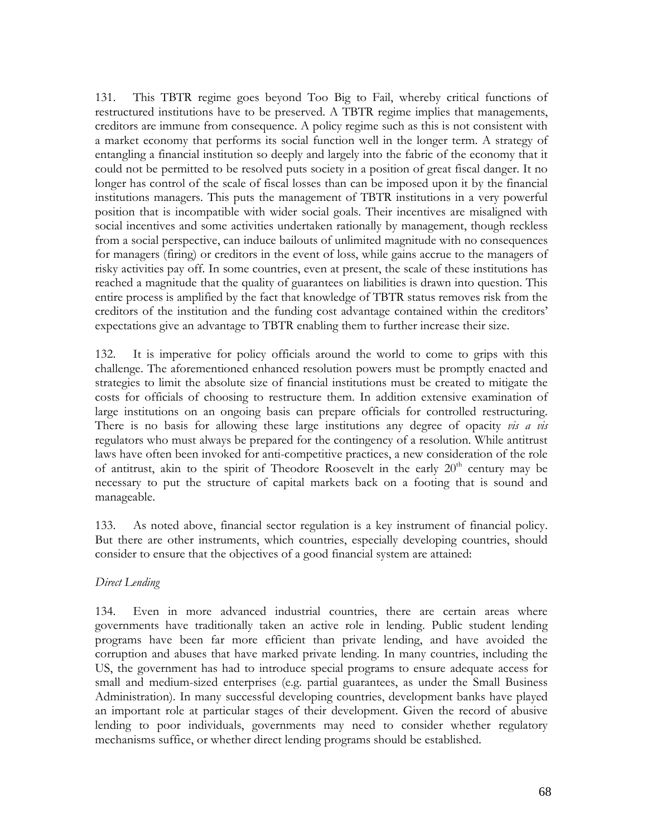131. This TBTR regime goes beyond Too Big to Fail, whereby critical functions of restructured institutions have to be preserved. A TBTR regime implies that managements, creditors are immune from consequence. A policy regime such as this is not consistent with a market economy that performs its social function well in the longer term. A strategy of entangling a financial institution so deeply and largely into the fabric of the economy that it could not be permitted to be resolved puts society in a position of great fiscal danger. It no longer has control of the scale of fiscal losses than can be imposed upon it by the financial institutions managers. This puts the management of TBTR institutions in a very powerful position that is incompatible with wider social goals. Their incentives are misaligned with social incentives and some activities undertaken rationally by management, though reckless from a social perspective, can induce bailouts of unlimited magnitude with no consequences for managers (firing) or creditors in the event of loss, while gains accrue to the managers of risky activities pay off. In some countries, even at present, the scale of these institutions has reached a magnitude that the quality of guarantees on liabilities is drawn into question. This entire process is amplified by the fact that knowledge of TBTR status removes risk from the creditors of the institution and the funding cost advantage contained within the creditors' expectations give an advantage to TBTR enabling them to further increase their size.

132. It is imperative for policy officials around the world to come to grips with this challenge. The aforementioned enhanced resolution powers must be promptly enacted and strategies to limit the absolute size of financial institutions must be created to mitigate the costs for officials of choosing to restructure them. In addition extensive examination of large institutions on an ongoing basis can prepare officials for controlled restructuring. There is no basis for allowing these large institutions any degree of opacity *vis a vis* regulators who must always be prepared for the contingency of a resolution. While antitrust laws have often been invoked for anti-competitive practices, a new consideration of the role of antitrust, akin to the spirit of Theodore Roosevelt in the early  $20<sup>th</sup>$  century may be necessary to put the structure of capital markets back on a footing that is sound and manageable.

133. As noted above, financial sector regulation is a key instrument of financial policy. But there are other instruments, which countries, especially developing countries, should consider to ensure that the objectives of a good financial system are attained:

#### *Direct Lending*

134. Even in more advanced industrial countries, there are certain areas where governments have traditionally taken an active role in lending. Public student lending programs have been far more efficient than private lending, and have avoided the corruption and abuses that have marked private lending. In many countries, including the US, the government has had to introduce special programs to ensure adequate access for small and medium-sized enterprises (e.g. partial guarantees, as under the Small Business Administration). In many successful developing countries, development banks have played an important role at particular stages of their development. Given the record of abusive lending to poor individuals, governments may need to consider whether regulatory mechanisms suffice, or whether direct lending programs should be established.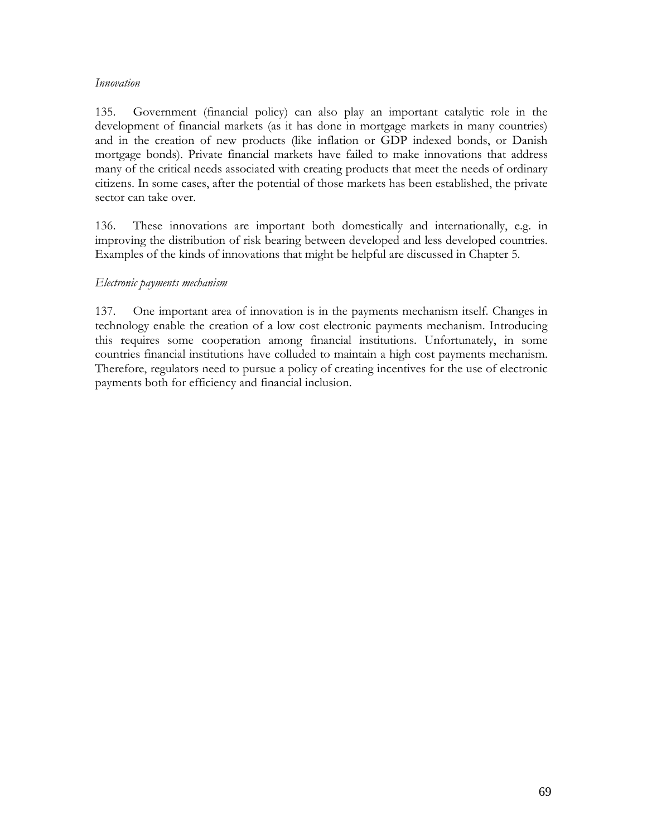#### *Innovation*

135. Government (financial policy) can also play an important catalytic role in the development of financial markets (as it has done in mortgage markets in many countries) and in the creation of new products (like inflation or GDP indexed bonds, or Danish mortgage bonds). Private financial markets have failed to make innovations that address many of the critical needs associated with creating products that meet the needs of ordinary citizens. In some cases, after the potential of those markets has been established, the private sector can take over.

136. These innovations are important both domestically and internationally, e.g. in improving the distribution of risk bearing between developed and less developed countries. Examples of the kinds of innovations that might be helpful are discussed in Chapter 5.

#### *Electronic payments mechanism*

137. One important area of innovation is in the payments mechanism itself. Changes in technology enable the creation of a low cost electronic payments mechanism. Introducing this requires some cooperation among financial institutions. Unfortunately, in some countries financial institutions have colluded to maintain a high cost payments mechanism. Therefore, regulators need to pursue a policy of creating incentives for the use of electronic payments both for efficiency and financial inclusion.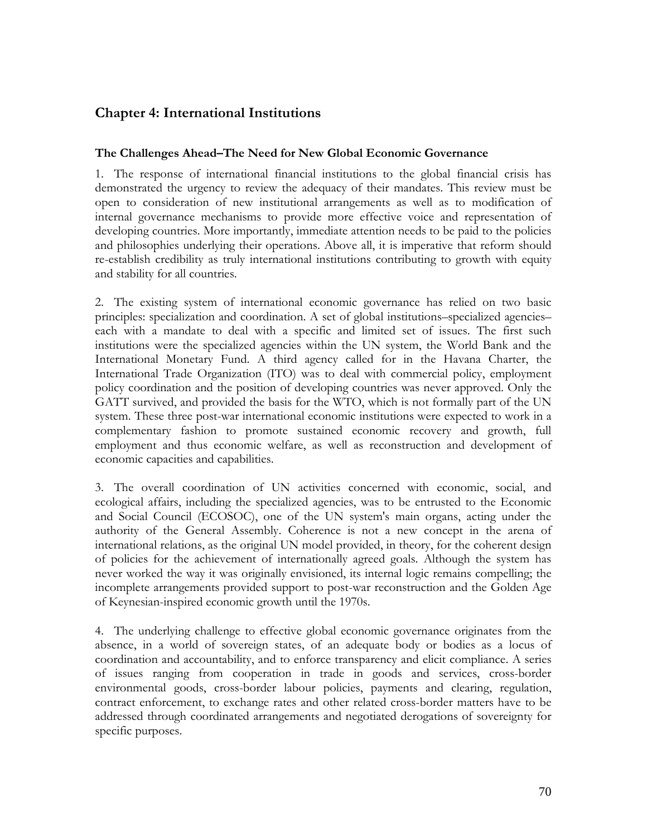# **Chapter 4: International Institutions**

#### **The Challenges Ahead–The Need for New Global Economic Governance**

1. The response of international financial institutions to the global financial crisis has demonstrated the urgency to review the adequacy of their mandates. This review must be open to consideration of new institutional arrangements as well as to modification of internal governance mechanisms to provide more effective voice and representation of developing countries. More importantly, immediate attention needs to be paid to the policies and philosophies underlying their operations. Above all, it is imperative that reform should re-establish credibility as truly international institutions contributing to growth with equity and stability for all countries.

2. The existing system of international economic governance has relied on two basic principles: specialization and coordination. A set of global institutions–specialized agencies– each with a mandate to deal with a specific and limited set of issues. The first such institutions were the specialized agencies within the UN system, the World Bank and the International Monetary Fund. A third agency called for in the Havana Charter, the International Trade Organization (ITO) was to deal with commercial policy, employment policy coordination and the position of developing countries was never approved. Only the GATT survived, and provided the basis for the WTO, which is not formally part of the UN system. These three post-war international economic institutions were expected to work in a complementary fashion to promote sustained economic recovery and growth, full employment and thus economic welfare, as well as reconstruction and development of economic capacities and capabilities.

3. The overall coordination of UN activities concerned with economic, social, and ecological affairs, including the specialized agencies, was to be entrusted to the Economic and Social Council (ECOSOC), one of the UN system's main organs, acting under the authority of the General Assembly. Coherence is not a new concept in the arena of international relations, as the original UN model provided, in theory, for the coherent design of policies for the achievement of internationally agreed goals. Although the system has never worked the way it was originally envisioned, its internal logic remains compelling; the incomplete arrangements provided support to post-war reconstruction and the Golden Age of Keynesian-inspired economic growth until the 1970s.

4. The underlying challenge to effective global economic governance originates from the absence, in a world of sovereign states, of an adequate body or bodies as a locus of coordination and accountability, and to enforce transparency and elicit compliance. A series of issues ranging from cooperation in trade in goods and services, cross-border environmental goods, cross-border labour policies, payments and clearing, regulation, contract enforcement, to exchange rates and other related cross-border matters have to be addressed through coordinated arrangements and negotiated derogations of sovereignty for specific purposes.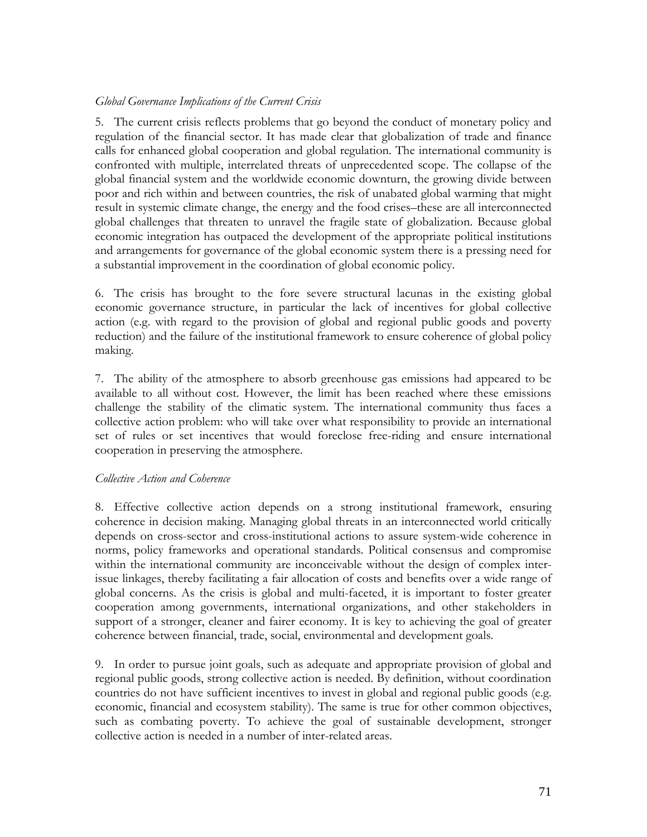#### *Global Governance Implications of the Current Crisis*

5. The current crisis reflects problems that go beyond the conduct of monetary policy and regulation of the financial sector. It has made clear that globalization of trade and finance calls for enhanced global cooperation and global regulation. The international community is confronted with multiple, interrelated threats of unprecedented scope. The collapse of the global financial system and the worldwide economic downturn, the growing divide between poor and rich within and between countries, the risk of unabated global warming that might result in systemic climate change, the energy and the food crises–these are all interconnected global challenges that threaten to unravel the fragile state of globalization. Because global economic integration has outpaced the development of the appropriate political institutions and arrangements for governance of the global economic system there is a pressing need for a substantial improvement in the coordination of global economic policy.

6. The crisis has brought to the fore severe structural lacunas in the existing global economic governance structure, in particular the lack of incentives for global collective action (e.g. with regard to the provision of global and regional public goods and poverty reduction) and the failure of the institutional framework to ensure coherence of global policy making.

7. The ability of the atmosphere to absorb greenhouse gas emissions had appeared to be available to all without cost. However, the limit has been reached where these emissions challenge the stability of the climatic system. The international community thus faces a collective action problem: who will take over what responsibility to provide an international set of rules or set incentives that would foreclose free-riding and ensure international cooperation in preserving the atmosphere.

#### *Collective Action and Coherence*

8. Effective collective action depends on a strong institutional framework, ensuring coherence in decision making. Managing global threats in an interconnected world critically depends on cross-sector and cross-institutional actions to assure system-wide coherence in norms, policy frameworks and operational standards. Political consensus and compromise within the international community are inconceivable without the design of complex interissue linkages, thereby facilitating a fair allocation of costs and benefits over a wide range of global concerns. As the crisis is global and multi-faceted, it is important to foster greater cooperation among governments, international organizations, and other stakeholders in support of a stronger, cleaner and fairer economy. It is key to achieving the goal of greater coherence between financial, trade, social, environmental and development goals.

9. In order to pursue joint goals, such as adequate and appropriate provision of global and regional public goods, strong collective action is needed. By definition, without coordination countries do not have sufficient incentives to invest in global and regional public goods (e.g. economic, financial and ecosystem stability). The same is true for other common objectives, such as combating poverty. To achieve the goal of sustainable development, stronger collective action is needed in a number of inter-related areas.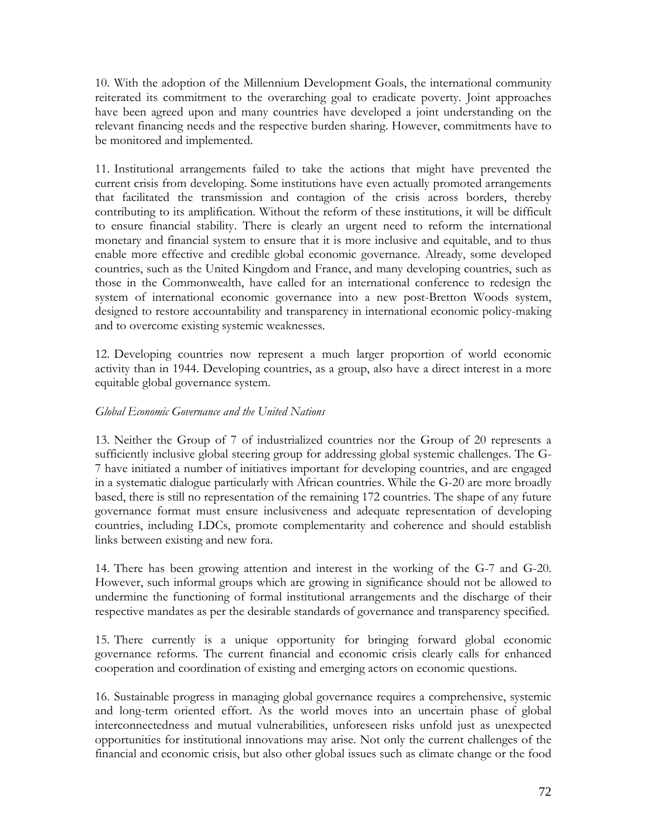10. With the adoption of the Millennium Development Goals, the international community reiterated its commitment to the overarching goal to eradicate poverty. Joint approaches have been agreed upon and many countries have developed a joint understanding on the relevant financing needs and the respective burden sharing. However, commitments have to be monitored and implemented.

11. Institutional arrangements failed to take the actions that might have prevented the current crisis from developing. Some institutions have even actually promoted arrangements that facilitated the transmission and contagion of the crisis across borders, thereby contributing to its amplification. Without the reform of these institutions, it will be difficult to ensure financial stability. There is clearly an urgent need to reform the international monetary and financial system to ensure that it is more inclusive and equitable, and to thus enable more effective and credible global economic governance. Already, some developed countries, such as the United Kingdom and France, and many developing countries, such as those in the Commonwealth, have called for an international conference to redesign the system of international economic governance into a new post-Bretton Woods system, designed to restore accountability and transparency in international economic policy-making and to overcome existing systemic weaknesses.

12. Developing countries now represent a much larger proportion of world economic activity than in 1944. Developing countries, as a group, also have a direct interest in a more equitable global governance system.

#### *Global Economic Governance and the United Nations*

13. Neither the Group of 7 of industrialized countries nor the Group of 20 represents a sufficiently inclusive global steering group for addressing global systemic challenges. The G-7 have initiated a number of initiatives important for developing countries, and are engaged in a systematic dialogue particularly with African countries. While the G-20 are more broadly based, there is still no representation of the remaining 172 countries. The shape of any future governance format must ensure inclusiveness and adequate representation of developing countries, including LDCs, promote complementarity and coherence and should establish links between existing and new fora.

14. There has been growing attention and interest in the working of the G-7 and G-20. However, such informal groups which are growing in significance should not be allowed to undermine the functioning of formal institutional arrangements and the discharge of their respective mandates as per the desirable standards of governance and transparency specified.

15. There currently is a unique opportunity for bringing forward global economic governance reforms. The current financial and economic crisis clearly calls for enhanced cooperation and coordination of existing and emerging actors on economic questions.

16. Sustainable progress in managing global governance requires a comprehensive, systemic and long-term oriented effort. As the world moves into an uncertain phase of global interconnectedness and mutual vulnerabilities, unforeseen risks unfold just as unexpected opportunities for institutional innovations may arise. Not only the current challenges of the financial and economic crisis, but also other global issues such as climate change or the food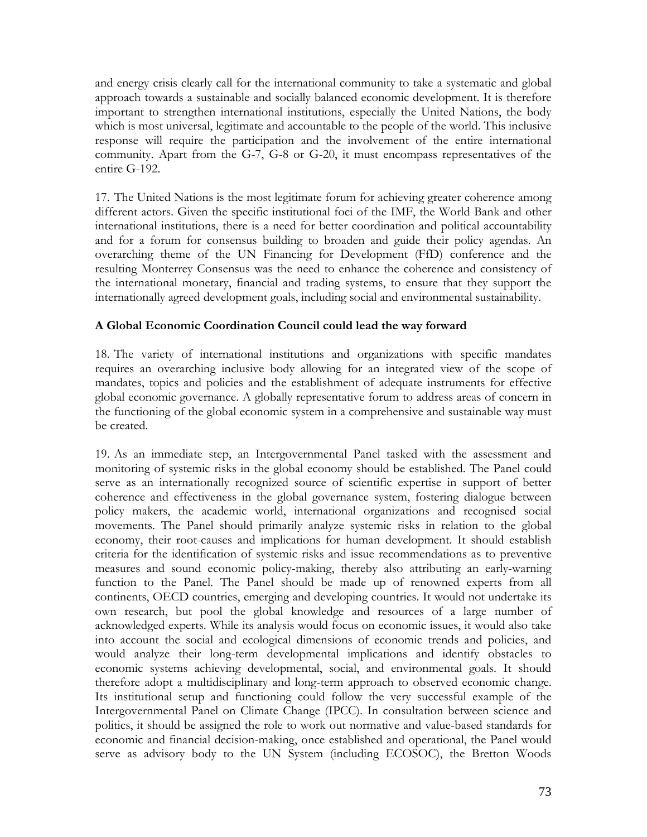and energy crisis clearly call for the international community to take a systematic and global approach towards a sustainable and socially balanced economic development. It is therefore important to strengthen international institutions, especially the United Nations, the body which is most universal, legitimate and accountable to the people of the world. This inclusive response will require the participation and the involvement of the entire international community. Apart from the G-7, G-8 or G-20, it must encompass representatives of the entire G-192.

17. The United Nations is the most legitimate forum for achieving greater coherence among different actors. Given the specific institutional foci of the IMF, the World Bank and other international institutions, there is a need for better coordination and political accountability and for a forum for consensus building to broaden and guide their policy agendas. An overarching theme of the UN Financing for Development (FfD) conference and the resulting Monterrey Consensus was the need to enhance the coherence and consistency of the international monetary, financial and trading systems, to ensure that they support the internationally agreed development goals, including social and environmental sustainability.

# **A Global Economic Coordination Council could lead the way forward**

18. The variety of international institutions and organizations with specific mandates requires an overarching inclusive body allowing for an integrated view of the scope of mandates, topics and policies and the establishment of adequate instruments for effective global economic governance. A globally representative forum to address areas of concern in the functioning of the global economic system in a comprehensive and sustainable way must be created.

19. As an immediate step, an Intergovernmental Panel tasked with the assessment and monitoring of systemic risks in the global economy should be established. The Panel could serve as an internationally recognized source of scientific expertise in support of better coherence and effectiveness in the global governance system, fostering dialogue between policy makers, the academic world, international organizations and recognised social movements. The Panel should primarily analyze systemic risks in relation to the global economy, their root-causes and implications for human development. It should establish criteria for the identification of systemic risks and issue recommendations as to preventive measures and sound economic policy-making, thereby also attributing an early-warning function to the Panel. The Panel should be made up of renowned experts from all continents, OECD countries, emerging and developing countries. It would not undertake its own research, but pool the global knowledge and resources of a large number of acknowledged experts. While its analysis would focus on economic issues, it would also take into account the social and ecological dimensions of economic trends and policies, and would analyze their long-term developmental implications and identify obstacles to economic systems achieving developmental, social, and environmental goals. It should therefore adopt a multidisciplinary and long-term approach to observed economic change. Its institutional setup and functioning could follow the very successful example of the Intergovernmental Panel on Climate Change (IPCC). In consultation between science and politics, it should be assigned the role to work out normative and value-based standards for economic and financial decision-making, once established and operational, the Panel would serve as advisory body to the UN System (including ECOSOC), the Bretton Woods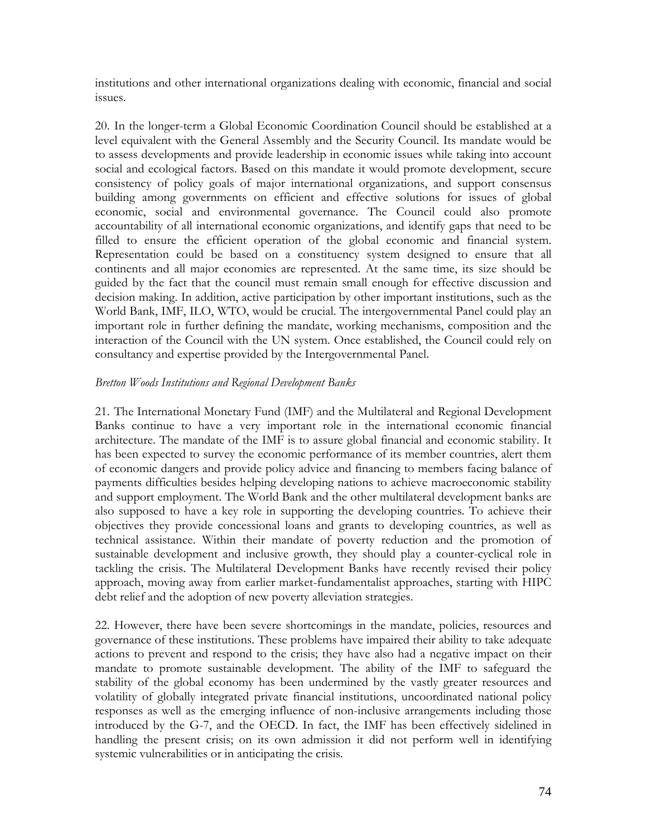institutions and other international organizations dealing with economic, financial and social issues.

20. In the longer-term a Global Economic Coordination Council should be established at a level equivalent with the General Assembly and the Security Council. Its mandate would be to assess developments and provide leadership in economic issues while taking into account social and ecological factors. Based on this mandate it would promote development, secure consistency of policy goals of major international organizations, and support consensus building among governments on efficient and effective solutions for issues of global economic, social and environmental governance. The Council could also promote accountability of all international economic organizations, and identify gaps that need to be filled to ensure the efficient operation of the global economic and financial system. Representation could be based on a constituency system designed to ensure that all continents and all major economies are represented. At the same time, its size should be guided by the fact that the council must remain small enough for effective discussion and decision making. In addition, active participation by other important institutions, such as the World Bank, IMF, ILO, WTO, would be crucial. The intergovernmental Panel could play an important role in further defining the mandate, working mechanisms, composition and the interaction of the Council with the UN system. Once established, the Council could rely on consultancy and expertise provided by the Intergovernmental Panel.

#### *Bretton Woods Institutions and Regional Development Banks*

21. The International Monetary Fund (IMF) and the Multilateral and Regional Development Banks continue to have a very important role in the international economic financial architecture. The mandate of the IMF is to assure global financial and economic stability. It has been expected to survey the economic performance of its member countries, alert them of economic dangers and provide policy advice and financing to members facing balance of payments difficulties besides helping developing nations to achieve macroeconomic stability and support employment. The World Bank and the other multilateral development banks are also supposed to have a key role in supporting the developing countries. To achieve their objectives they provide concessional loans and grants to developing countries, as well as technical assistance. Within their mandate of poverty reduction and the promotion of sustainable development and inclusive growth, they should play a counter-cyclical role in tackling the crisis. The Multilateral Development Banks have recently revised their policy approach, moving away from earlier market-fundamentalist approaches, starting with HIPC debt relief and the adoption of new poverty alleviation strategies.

22. However, there have been severe shortcomings in the mandate, policies, resources and governance of these institutions. These problems have impaired their ability to take adequate actions to prevent and respond to the crisis; they have also had a negative impact on their mandate to promote sustainable development. The ability of the IMF to safeguard the stability of the global economy has been undermined by the vastly greater resources and volatility of globally integrated private financial institutions, uncoordinated national policy responses as well as the emerging influence of non-inclusive arrangements including those introduced by the G-7, and the OECD. In fact, the IMF has been effectively sidelined in handling the present crisis; on its own admission it did not perform well in identifying systemic vulnerabilities or in anticipating the crisis.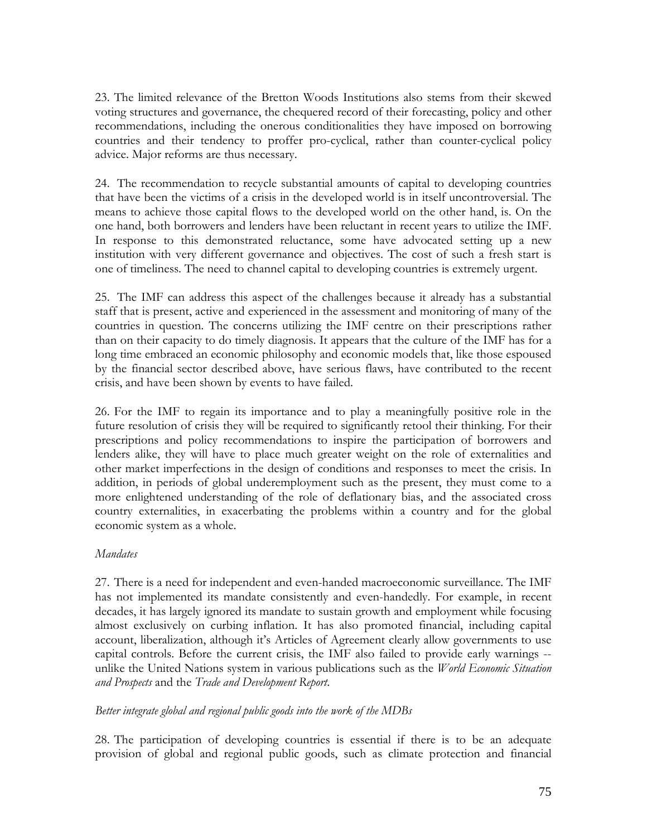23. The limited relevance of the Bretton Woods Institutions also stems from their skewed voting structures and governance, the chequered record of their forecasting, policy and other recommendations, including the onerous conditionalities they have imposed on borrowing countries and their tendency to proffer pro-cyclical, rather than counter-cyclical policy advice. Major reforms are thus necessary.

24. The recommendation to recycle substantial amounts of capital to developing countries that have been the victims of a crisis in the developed world is in itself uncontroversial. The means to achieve those capital flows to the developed world on the other hand, is. On the one hand, both borrowers and lenders have been reluctant in recent years to utilize the IMF. In response to this demonstrated reluctance, some have advocated setting up a new institution with very different governance and objectives. The cost of such a fresh start is one of timeliness. The need to channel capital to developing countries is extremely urgent.

25. The IMF can address this aspect of the challenges because it already has a substantial staff that is present, active and experienced in the assessment and monitoring of many of the countries in question. The concerns utilizing the IMF centre on their prescriptions rather than on their capacity to do timely diagnosis. It appears that the culture of the IMF has for a long time embraced an economic philosophy and economic models that, like those espoused by the financial sector described above, have serious flaws, have contributed to the recent crisis, and have been shown by events to have failed.

26. For the IMF to regain its importance and to play a meaningfully positive role in the future resolution of crisis they will be required to significantly retool their thinking. For their prescriptions and policy recommendations to inspire the participation of borrowers and lenders alike, they will have to place much greater weight on the role of externalities and other market imperfections in the design of conditions and responses to meet the crisis. In addition, in periods of global underemployment such as the present, they must come to a more enlightened understanding of the role of deflationary bias, and the associated cross country externalities, in exacerbating the problems within a country and for the global economic system as a whole.

## *Mandates*

27. There is a need for independent and even-handed macroeconomic surveillance. The IMF has not implemented its mandate consistently and even-handedly. For example, in recent decades, it has largely ignored its mandate to sustain growth and employment while focusing almost exclusively on curbing inflation. It has also promoted financial, including capital account, liberalization, although it's Articles of Agreement clearly allow governments to use capital controls. Before the current crisis, the IMF also failed to provide early warnings - unlike the United Nations system in various publications such as the *World Economic Situation and Prospects* and the *Trade and Development Report*.

## *Better integrate global and regional public goods into the work of the MDBs*

28. The participation of developing countries is essential if there is to be an adequate provision of global and regional public goods, such as climate protection and financial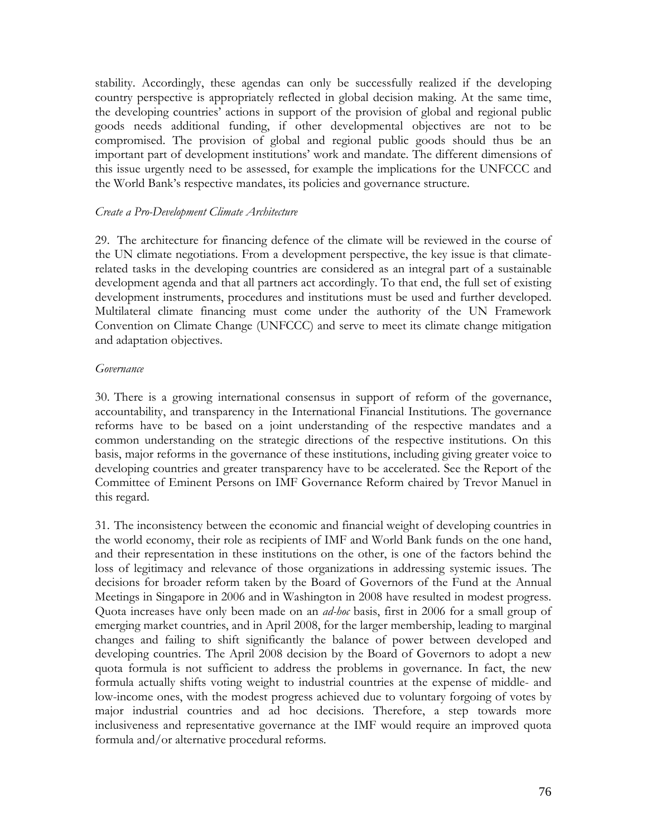stability. Accordingly, these agendas can only be successfully realized if the developing country perspective is appropriately reflected in global decision making. At the same time, the developing countries' actions in support of the provision of global and regional public goods needs additional funding, if other developmental objectives are not to be compromised. The provision of global and regional public goods should thus be an important part of development institutions' work and mandate. The different dimensions of this issue urgently need to be assessed, for example the implications for the UNFCCC and the World Bank's respective mandates, its policies and governance structure.

#### *Create a Pro-Development Climate Architecture*

29. The architecture for financing defence of the climate will be reviewed in the course of the UN climate negotiations. From a development perspective, the key issue is that climaterelated tasks in the developing countries are considered as an integral part of a sustainable development agenda and that all partners act accordingly. To that end, the full set of existing development instruments, procedures and institutions must be used and further developed. Multilateral climate financing must come under the authority of the UN Framework Convention on Climate Change (UNFCCC) and serve to meet its climate change mitigation and adaptation objectives.

#### *Governance*

30. There is a growing international consensus in support of reform of the governance, accountability, and transparency in the International Financial Institutions. The governance reforms have to be based on a joint understanding of the respective mandates and a common understanding on the strategic directions of the respective institutions. On this basis, major reforms in the governance of these institutions, including giving greater voice to developing countries and greater transparency have to be accelerated. See the Report of the Committee of Eminent Persons on IMF Governance Reform chaired by Trevor Manuel in this regard.

31. The inconsistency between the economic and financial weight of developing countries in the world economy, their role as recipients of IMF and World Bank funds on the one hand, and their representation in these institutions on the other, is one of the factors behind the loss of legitimacy and relevance of those organizations in addressing systemic issues. The decisions for broader reform taken by the Board of Governors of the Fund at the Annual Meetings in Singapore in 2006 and in Washington in 2008 have resulted in modest progress. Quota increases have only been made on an *ad-hoc* basis, first in 2006 for a small group of emerging market countries, and in April 2008, for the larger membership, leading to marginal changes and failing to shift significantly the balance of power between developed and developing countries. The April 2008 decision by the Board of Governors to adopt a new quota formula is not sufficient to address the problems in governance. In fact, the new formula actually shifts voting weight to industrial countries at the expense of middle- and low-income ones, with the modest progress achieved due to voluntary forgoing of votes by major industrial countries and ad hoc decisions. Therefore, a step towards more inclusiveness and representative governance at the IMF would require an improved quota formula and/or alternative procedural reforms.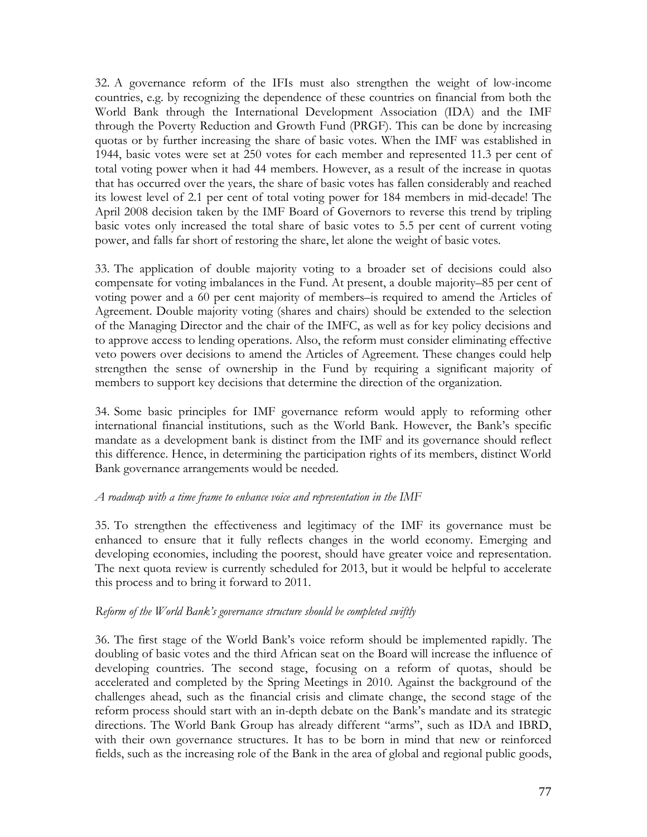32. A governance reform of the IFIs must also strengthen the weight of low-income countries, e.g. by recognizing the dependence of these countries on financial from both the World Bank through the International Development Association (IDA) and the IMF through the Poverty Reduction and Growth Fund (PRGF). This can be done by increasing quotas or by further increasing the share of basic votes. When the IMF was established in 1944, basic votes were set at 250 votes for each member and represented 11.3 per cent of total voting power when it had 44 members. However, as a result of the increase in quotas that has occurred over the years, the share of basic votes has fallen considerably and reached its lowest level of 2.1 per cent of total voting power for 184 members in mid-decade! The April 2008 decision taken by the IMF Board of Governors to reverse this trend by tripling basic votes only increased the total share of basic votes to 5.5 per cent of current voting power, and falls far short of restoring the share, let alone the weight of basic votes.

33. The application of double majority voting to a broader set of decisions could also compensate for voting imbalances in the Fund. At present, a double majority–85 per cent of voting power and a 60 per cent majority of members–is required to amend the Articles of Agreement. Double majority voting (shares and chairs) should be extended to the selection of the Managing Director and the chair of the IMFC, as well as for key policy decisions and to approve access to lending operations. Also, the reform must consider eliminating effective veto powers over decisions to amend the Articles of Agreement. These changes could help strengthen the sense of ownership in the Fund by requiring a significant majority of members to support key decisions that determine the direction of the organization.

34. Some basic principles for IMF governance reform would apply to reforming other international financial institutions, such as the World Bank. However, the Bank's specific mandate as a development bank is distinct from the IMF and its governance should reflect this difference. Hence, in determining the participation rights of its members, distinct World Bank governance arrangements would be needed.

#### *A roadmap with a time frame to enhance voice and representation in the IMF*

35. To strengthen the effectiveness and legitimacy of the IMF its governance must be enhanced to ensure that it fully reflects changes in the world economy. Emerging and developing economies, including the poorest, should have greater voice and representation. The next quota review is currently scheduled for 2013, but it would be helpful to accelerate this process and to bring it forward to 2011.

#### *Reform of the World Bank's governance structure should be completed swiftly*

36. The first stage of the World Bank's voice reform should be implemented rapidly. The doubling of basic votes and the third African seat on the Board will increase the influence of developing countries. The second stage, focusing on a reform of quotas, should be accelerated and completed by the Spring Meetings in 2010. Against the background of the challenges ahead, such as the financial crisis and climate change, the second stage of the reform process should start with an in-depth debate on the Bank's mandate and its strategic directions. The World Bank Group has already different "arms", such as IDA and IBRD, with their own governance structures. It has to be born in mind that new or reinforced fields, such as the increasing role of the Bank in the area of global and regional public goods,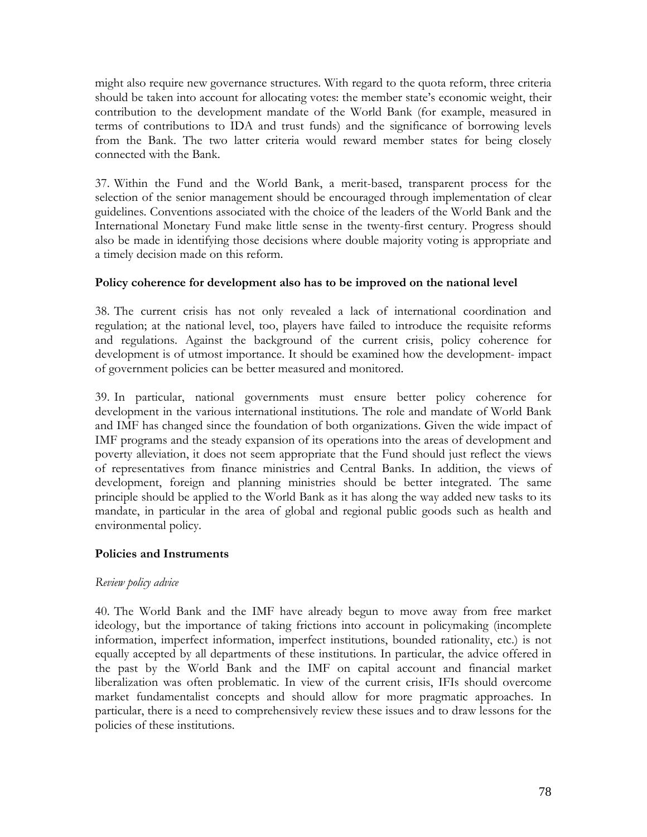might also require new governance structures. With regard to the quota reform, three criteria should be taken into account for allocating votes: the member state's economic weight, their contribution to the development mandate of the World Bank (for example, measured in terms of contributions to IDA and trust funds) and the significance of borrowing levels from the Bank. The two latter criteria would reward member states for being closely connected with the Bank.

37. Within the Fund and the World Bank, a merit-based, transparent process for the selection of the senior management should be encouraged through implementation of clear guidelines. Conventions associated with the choice of the leaders of the World Bank and the International Monetary Fund make little sense in the twenty-first century. Progress should also be made in identifying those decisions where double majority voting is appropriate and a timely decision made on this reform.

## **Policy coherence for development also has to be improved on the national level**

38. The current crisis has not only revealed a lack of international coordination and regulation; at the national level, too, players have failed to introduce the requisite reforms and regulations. Against the background of the current crisis, policy coherence for development is of utmost importance. It should be examined how the development- impact of government policies can be better measured and monitored.

39. In particular, national governments must ensure better policy coherence for development in the various international institutions. The role and mandate of World Bank and IMF has changed since the foundation of both organizations. Given the wide impact of IMF programs and the steady expansion of its operations into the areas of development and poverty alleviation, it does not seem appropriate that the Fund should just reflect the views of representatives from finance ministries and Central Banks. In addition, the views of development, foreign and planning ministries should be better integrated. The same principle should be applied to the World Bank as it has along the way added new tasks to its mandate, in particular in the area of global and regional public goods such as health and environmental policy.

# **Policies and Instruments**

## *Review policy advice*

40. The World Bank and the IMF have already begun to move away from free market ideology, but the importance of taking frictions into account in policymaking (incomplete information, imperfect information, imperfect institutions, bounded rationality, etc.) is not equally accepted by all departments of these institutions. In particular, the advice offered in the past by the World Bank and the IMF on capital account and financial market liberalization was often problematic. In view of the current crisis, IFIs should overcome market fundamentalist concepts and should allow for more pragmatic approaches. In particular, there is a need to comprehensively review these issues and to draw lessons for the policies of these institutions.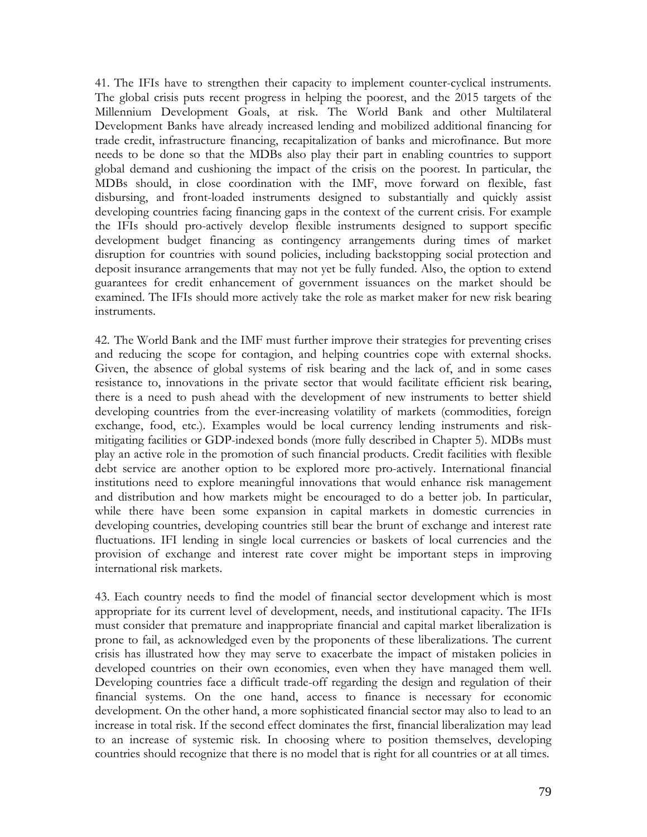41. The IFIs have to strengthen their capacity to implement counter-cyclical instruments. The global crisis puts recent progress in helping the poorest, and the 2015 targets of the Millennium Development Goals, at risk. The World Bank and other Multilateral Development Banks have already increased lending and mobilized additional financing for trade credit, infrastructure financing, recapitalization of banks and microfinance. But more needs to be done so that the MDBs also play their part in enabling countries to support global demand and cushioning the impact of the crisis on the poorest. In particular, the MDBs should, in close coordination with the IMF, move forward on flexible, fast disbursing, and front-loaded instruments designed to substantially and quickly assist developing countries facing financing gaps in the context of the current crisis. For example the IFIs should pro-actively develop flexible instruments designed to support specific development budget financing as contingency arrangements during times of market disruption for countries with sound policies, including backstopping social protection and deposit insurance arrangements that may not yet be fully funded. Also, the option to extend guarantees for credit enhancement of government issuances on the market should be examined. The IFIs should more actively take the role as market maker for new risk bearing instruments.

42. The World Bank and the IMF must further improve their strategies for preventing crises and reducing the scope for contagion, and helping countries cope with external shocks. Given, the absence of global systems of risk bearing and the lack of, and in some cases resistance to, innovations in the private sector that would facilitate efficient risk bearing, there is a need to push ahead with the development of new instruments to better shield developing countries from the ever-increasing volatility of markets (commodities, foreign exchange, food, etc.). Examples would be local currency lending instruments and riskmitigating facilities or GDP-indexed bonds (more fully described in Chapter 5). MDBs must play an active role in the promotion of such financial products. Credit facilities with flexible debt service are another option to be explored more pro-actively. International financial institutions need to explore meaningful innovations that would enhance risk management and distribution and how markets might be encouraged to do a better job. In particular, while there have been some expansion in capital markets in domestic currencies in developing countries, developing countries still bear the brunt of exchange and interest rate fluctuations. IFI lending in single local currencies or baskets of local currencies and the provision of exchange and interest rate cover might be important steps in improving international risk markets.

43. Each country needs to find the model of financial sector development which is most appropriate for its current level of development, needs, and institutional capacity. The IFIs must consider that premature and inappropriate financial and capital market liberalization is prone to fail, as acknowledged even by the proponents of these liberalizations. The current crisis has illustrated how they may serve to exacerbate the impact of mistaken policies in developed countries on their own economies, even when they have managed them well. Developing countries face a difficult trade-off regarding the design and regulation of their financial systems. On the one hand, access to finance is necessary for economic development. On the other hand, a more sophisticated financial sector may also to lead to an increase in total risk. If the second effect dominates the first, financial liberalization may lead to an increase of systemic risk. In choosing where to position themselves, developing countries should recognize that there is no model that is right for all countries or at all times.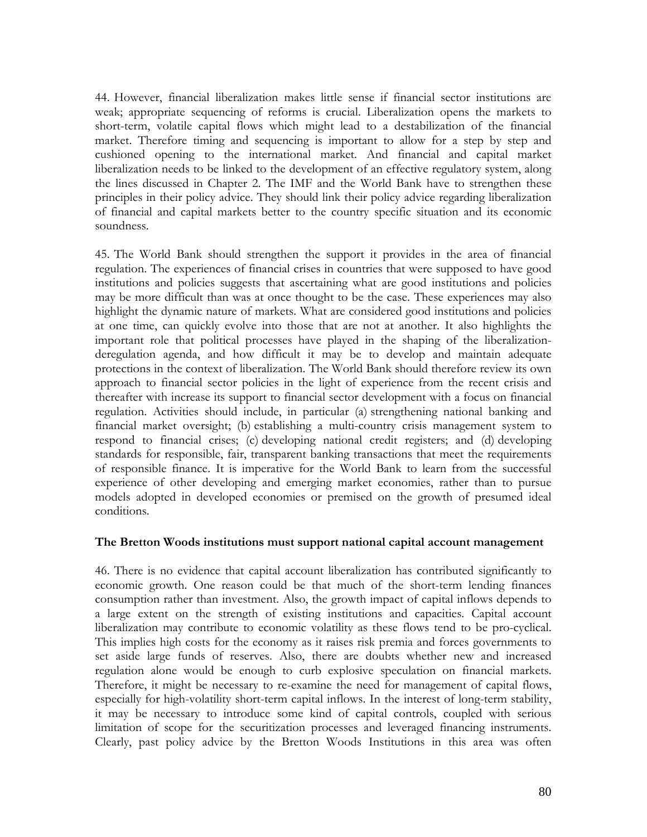44. However, financial liberalization makes little sense if financial sector institutions are weak; appropriate sequencing of reforms is crucial. Liberalization opens the markets to short-term, volatile capital flows which might lead to a destabilization of the financial market. Therefore timing and sequencing is important to allow for a step by step and cushioned opening to the international market. And financial and capital market liberalization needs to be linked to the development of an effective regulatory system, along the lines discussed in Chapter 2. The IMF and the World Bank have to strengthen these principles in their policy advice. They should link their policy advice regarding liberalization of financial and capital markets better to the country specific situation and its economic soundness.

45. The World Bank should strengthen the support it provides in the area of financial regulation. The experiences of financial crises in countries that were supposed to have good institutions and policies suggests that ascertaining what are good institutions and policies may be more difficult than was at once thought to be the case. These experiences may also highlight the dynamic nature of markets. What are considered good institutions and policies at one time, can quickly evolve into those that are not at another. It also highlights the important role that political processes have played in the shaping of the liberalizationderegulation agenda, and how difficult it may be to develop and maintain adequate protections in the context of liberalization. The World Bank should therefore review its own approach to financial sector policies in the light of experience from the recent crisis and thereafter with increase its support to financial sector development with a focus on financial regulation. Activities should include, in particular (a) strengthening national banking and financial market oversight; (b) establishing a multi-country crisis management system to respond to financial crises; (c) developing national credit registers; and (d) developing standards for responsible, fair, transparent banking transactions that meet the requirements of responsible finance. It is imperative for the World Bank to learn from the successful experience of other developing and emerging market economies, rather than to pursue models adopted in developed economies or premised on the growth of presumed ideal conditions.

#### **The Bretton Woods institutions must support national capital account management**

46. There is no evidence that capital account liberalization has contributed significantly to economic growth. One reason could be that much of the short-term lending finances consumption rather than investment. Also, the growth impact of capital inflows depends to a large extent on the strength of existing institutions and capacities. Capital account liberalization may contribute to economic volatility as these flows tend to be pro-cyclical. This implies high costs for the economy as it raises risk premia and forces governments to set aside large funds of reserves. Also, there are doubts whether new and increased regulation alone would be enough to curb explosive speculation on financial markets. Therefore, it might be necessary to re-examine the need for management of capital flows, especially for high-volatility short-term capital inflows. In the interest of long-term stability, it may be necessary to introduce some kind of capital controls, coupled with serious limitation of scope for the securitization processes and leveraged financing instruments. Clearly, past policy advice by the Bretton Woods Institutions in this area was often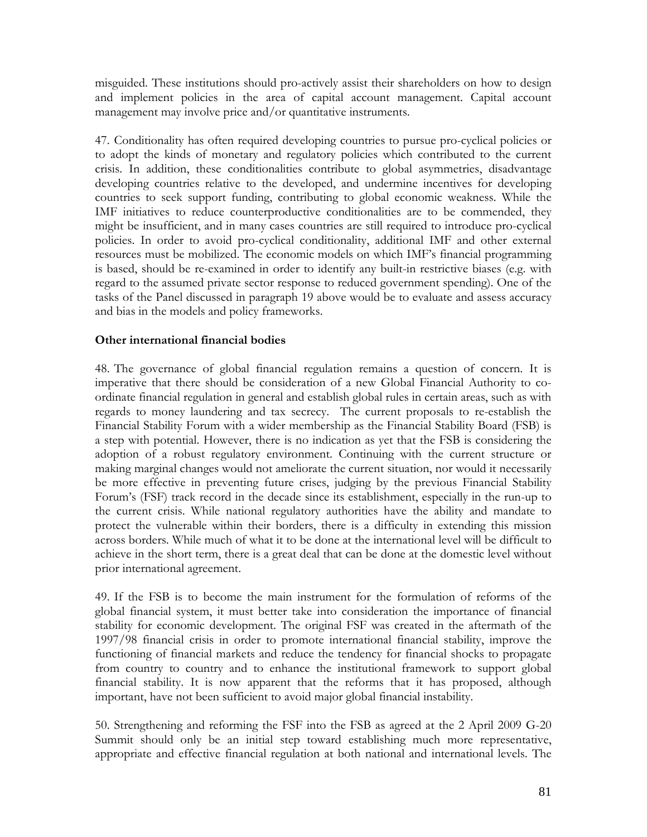misguided. These institutions should pro-actively assist their shareholders on how to design and implement policies in the area of capital account management. Capital account management may involve price and/or quantitative instruments.

47. Conditionality has often required developing countries to pursue pro-cyclical policies or to adopt the kinds of monetary and regulatory policies which contributed to the current crisis. In addition, these conditionalities contribute to global asymmetries, disadvantage developing countries relative to the developed, and undermine incentives for developing countries to seek support funding, contributing to global economic weakness. While the IMF initiatives to reduce counterproductive conditionalities are to be commended, they might be insufficient, and in many cases countries are still required to introduce pro-cyclical policies. In order to avoid pro-cyclical conditionality, additional IMF and other external resources must be mobilized. The economic models on which IMF's financial programming is based, should be re-examined in order to identify any built-in restrictive biases (e.g. with regard to the assumed private sector response to reduced government spending). One of the tasks of the Panel discussed in paragraph 19 above would be to evaluate and assess accuracy and bias in the models and policy frameworks.

# **Other international financial bodies**

48. The governance of global financial regulation remains a question of concern. It is imperative that there should be consideration of a new Global Financial Authority to coordinate financial regulation in general and establish global rules in certain areas, such as with regards to money laundering and tax secrecy. The current proposals to re-establish the Financial Stability Forum with a wider membership as the Financial Stability Board (FSB) is a step with potential. However, there is no indication as yet that the FSB is considering the adoption of a robust regulatory environment. Continuing with the current structure or making marginal changes would not ameliorate the current situation, nor would it necessarily be more effective in preventing future crises, judging by the previous Financial Stability Forum's (FSF) track record in the decade since its establishment, especially in the run-up to the current crisis. While national regulatory authorities have the ability and mandate to protect the vulnerable within their borders, there is a difficulty in extending this mission across borders. While much of what it to be done at the international level will be difficult to achieve in the short term, there is a great deal that can be done at the domestic level without prior international agreement.

49. If the FSB is to become the main instrument for the formulation of reforms of the global financial system, it must better take into consideration the importance of financial stability for economic development. The original FSF was created in the aftermath of the 1997/98 financial crisis in order to promote international financial stability, improve the functioning of financial markets and reduce the tendency for financial shocks to propagate from country to country and to enhance the institutional framework to support global financial stability. It is now apparent that the reforms that it has proposed, although important, have not been sufficient to avoid major global financial instability.

50. Strengthening and reforming the FSF into the FSB as agreed at the 2 April 2009 G-20 Summit should only be an initial step toward establishing much more representative, appropriate and effective financial regulation at both national and international levels. The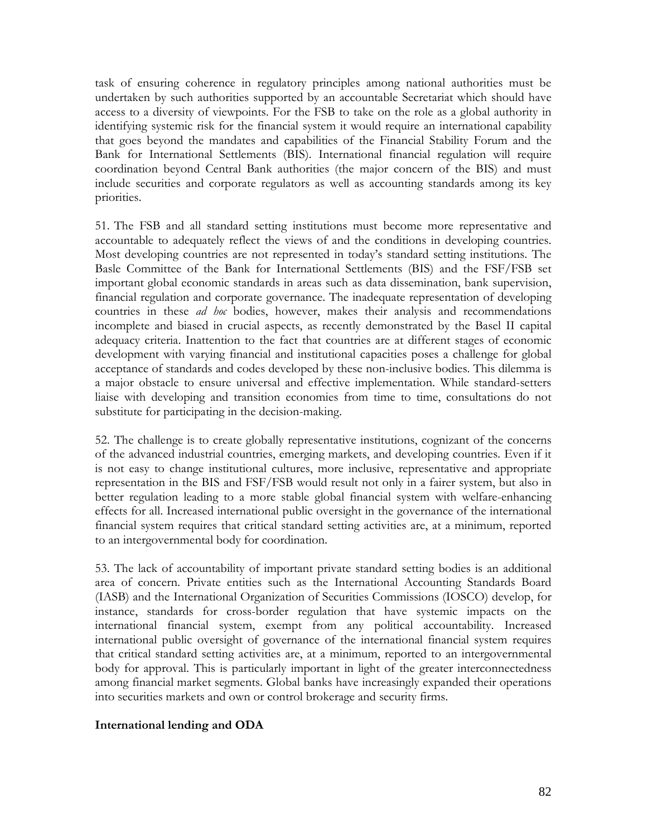task of ensuring coherence in regulatory principles among national authorities must be undertaken by such authorities supported by an accountable Secretariat which should have access to a diversity of viewpoints. For the FSB to take on the role as a global authority in identifying systemic risk for the financial system it would require an international capability that goes beyond the mandates and capabilities of the Financial Stability Forum and the Bank for International Settlements (BIS). International financial regulation will require coordination beyond Central Bank authorities (the major concern of the BIS) and must include securities and corporate regulators as well as accounting standards among its key priorities.

51. The FSB and all standard setting institutions must become more representative and accountable to adequately reflect the views of and the conditions in developing countries. Most developing countries are not represented in today's standard setting institutions. The Basle Committee of the Bank for International Settlements (BIS) and the FSF/FSB set important global economic standards in areas such as data dissemination, bank supervision, financial regulation and corporate governance. The inadequate representation of developing countries in these *ad hoc* bodies, however, makes their analysis and recommendations incomplete and biased in crucial aspects, as recently demonstrated by the Basel II capital adequacy criteria. Inattention to the fact that countries are at different stages of economic development with varying financial and institutional capacities poses a challenge for global acceptance of standards and codes developed by these non-inclusive bodies. This dilemma is a major obstacle to ensure universal and effective implementation. While standard-setters liaise with developing and transition economies from time to time, consultations do not substitute for participating in the decision-making.

52. The challenge is to create globally representative institutions, cognizant of the concerns of the advanced industrial countries, emerging markets, and developing countries. Even if it is not easy to change institutional cultures, more inclusive, representative and appropriate representation in the BIS and FSF/FSB would result not only in a fairer system, but also in better regulation leading to a more stable global financial system with welfare-enhancing effects for all. Increased international public oversight in the governance of the international financial system requires that critical standard setting activities are, at a minimum, reported to an intergovernmental body for coordination.

53. The lack of accountability of important private standard setting bodies is an additional area of concern. Private entities such as the International Accounting Standards Board (IASB) and the International Organization of Securities Commissions (IOSCO) develop, for instance, standards for cross-border regulation that have systemic impacts on the international financial system, exempt from any political accountability. Increased international public oversight of governance of the international financial system requires that critical standard setting activities are, at a minimum, reported to an intergovernmental body for approval. This is particularly important in light of the greater interconnectedness among financial market segments. Global banks have increasingly expanded their operations into securities markets and own or control brokerage and security firms.

## **International lending and ODA**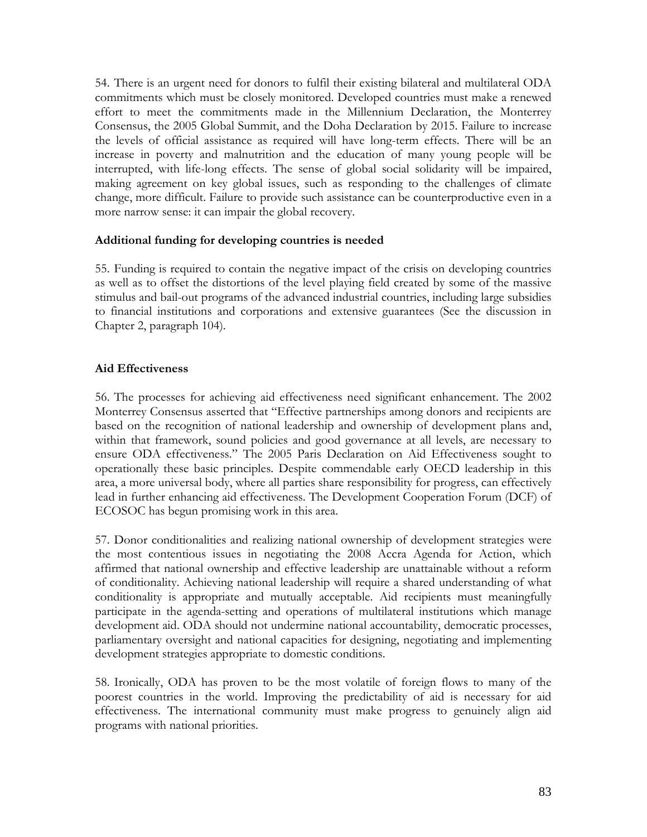54. There is an urgent need for donors to fulfil their existing bilateral and multilateral ODA commitments which must be closely monitored. Developed countries must make a renewed effort to meet the commitments made in the Millennium Declaration, the Monterrey Consensus, the 2005 Global Summit, and the Doha Declaration by 2015. Failure to increase the levels of official assistance as required will have long-term effects. There will be an increase in poverty and malnutrition and the education of many young people will be interrupted, with life-long effects. The sense of global social solidarity will be impaired, making agreement on key global issues, such as responding to the challenges of climate change, more difficult. Failure to provide such assistance can be counterproductive even in a more narrow sense: it can impair the global recovery.

#### **Additional funding for developing countries is needed**

55. Funding is required to contain the negative impact of the crisis on developing countries as well as to offset the distortions of the level playing field created by some of the massive stimulus and bail-out programs of the advanced industrial countries, including large subsidies to financial institutions and corporations and extensive guarantees (See the discussion in Chapter 2, paragraph 104).

## **Aid Effectiveness**

56. The processes for achieving aid effectiveness need significant enhancement. The 2002 Monterrey Consensus asserted that "Effective partnerships among donors and recipients are based on the recognition of national leadership and ownership of development plans and, within that framework, sound policies and good governance at all levels, are necessary to ensure ODA effectiveness." The 2005 Paris Declaration on Aid Effectiveness sought to operationally these basic principles. Despite commendable early OECD leadership in this area, a more universal body, where all parties share responsibility for progress, can effectively lead in further enhancing aid effectiveness. The Development Cooperation Forum (DCF) of ECOSOC has begun promising work in this area.

57. Donor conditionalities and realizing national ownership of development strategies were the most contentious issues in negotiating the 2008 Accra Agenda for Action, which affirmed that national ownership and effective leadership are unattainable without a reform of conditionality. Achieving national leadership will require a shared understanding of what conditionality is appropriate and mutually acceptable. Aid recipients must meaningfully participate in the agenda-setting and operations of multilateral institutions which manage development aid. ODA should not undermine national accountability, democratic processes, parliamentary oversight and national capacities for designing, negotiating and implementing development strategies appropriate to domestic conditions.

58. Ironically, ODA has proven to be the most volatile of foreign flows to many of the poorest countries in the world. Improving the predictability of aid is necessary for aid effectiveness. The international community must make progress to genuinely align aid programs with national priorities.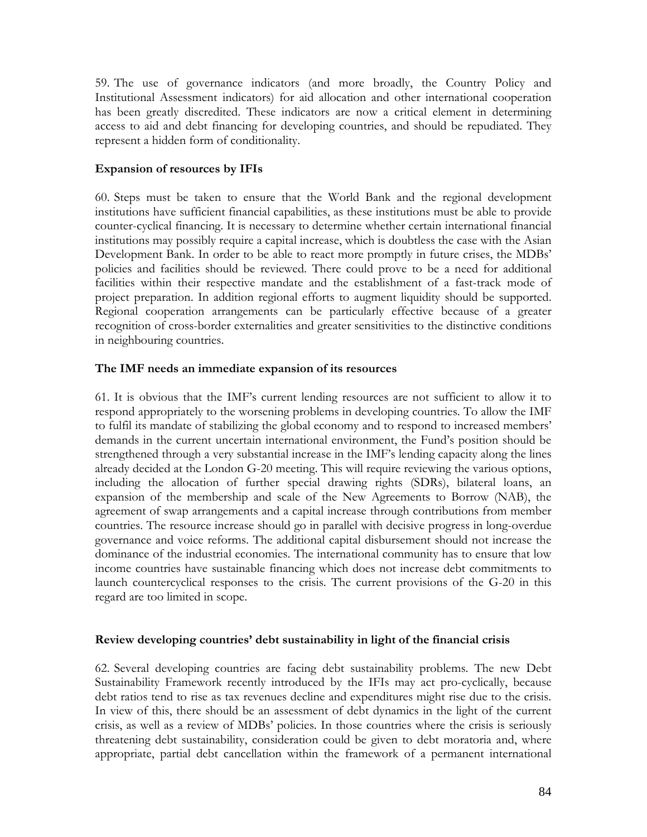59. The use of governance indicators (and more broadly, the Country Policy and Institutional Assessment indicators) for aid allocation and other international cooperation has been greatly discredited. These indicators are now a critical element in determining access to aid and debt financing for developing countries, and should be repudiated. They represent a hidden form of conditionality.

# **Expansion of resources by IFIs**

60. Steps must be taken to ensure that the World Bank and the regional development institutions have sufficient financial capabilities, as these institutions must be able to provide counter-cyclical financing. It is necessary to determine whether certain international financial institutions may possibly require a capital increase, which is doubtless the case with the Asian Development Bank. In order to be able to react more promptly in future crises, the MDBs' policies and facilities should be reviewed. There could prove to be a need for additional facilities within their respective mandate and the establishment of a fast-track mode of project preparation. In addition regional efforts to augment liquidity should be supported. Regional cooperation arrangements can be particularly effective because of a greater recognition of cross-border externalities and greater sensitivities to the distinctive conditions in neighbouring countries.

## **The IMF needs an immediate expansion of its resources**

61. It is obvious that the IMF's current lending resources are not sufficient to allow it to respond appropriately to the worsening problems in developing countries. To allow the IMF to fulfil its mandate of stabilizing the global economy and to respond to increased members' demands in the current uncertain international environment, the Fund's position should be strengthened through a very substantial increase in the IMF's lending capacity along the lines already decided at the London G-20 meeting. This will require reviewing the various options, including the allocation of further special drawing rights (SDRs), bilateral loans, an expansion of the membership and scale of the New Agreements to Borrow (NAB), the agreement of swap arrangements and a capital increase through contributions from member countries. The resource increase should go in parallel with decisive progress in long-overdue governance and voice reforms. The additional capital disbursement should not increase the dominance of the industrial economies. The international community has to ensure that low income countries have sustainable financing which does not increase debt commitments to launch countercyclical responses to the crisis. The current provisions of the G-20 in this regard are too limited in scope.

## **Review developing countries' debt sustainability in light of the financial crisis**

62. Several developing countries are facing debt sustainability problems. The new Debt Sustainability Framework recently introduced by the IFIs may act pro-cyclically, because debt ratios tend to rise as tax revenues decline and expenditures might rise due to the crisis. In view of this, there should be an assessment of debt dynamics in the light of the current crisis, as well as a review of MDBs' policies. In those countries where the crisis is seriously threatening debt sustainability, consideration could be given to debt moratoria and, where appropriate, partial debt cancellation within the framework of a permanent international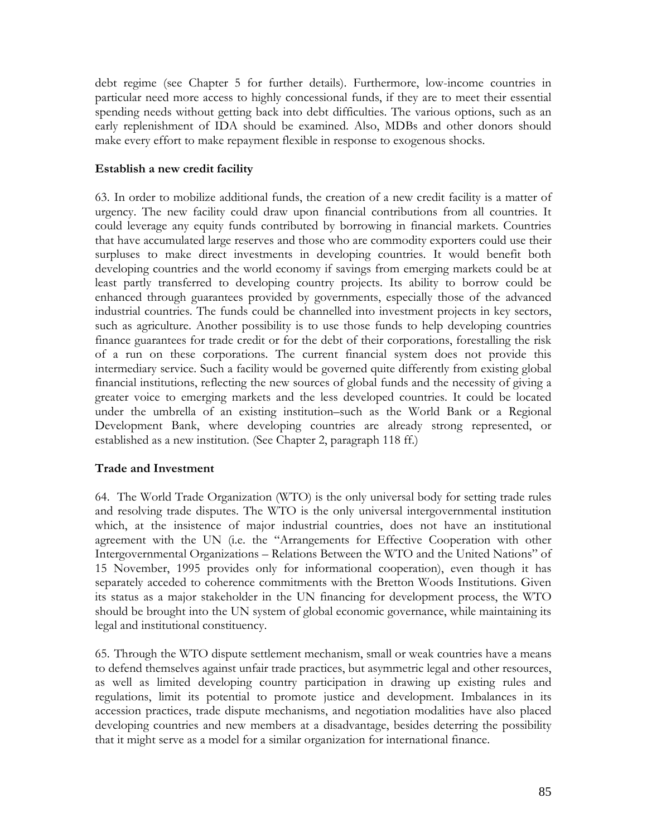debt regime (see Chapter 5 for further details). Furthermore, low-income countries in particular need more access to highly concessional funds, if they are to meet their essential spending needs without getting back into debt difficulties. The various options, such as an early replenishment of IDA should be examined. Also, MDBs and other donors should make every effort to make repayment flexible in response to exogenous shocks.

# **Establish a new credit facility**

63. In order to mobilize additional funds, the creation of a new credit facility is a matter of urgency. The new facility could draw upon financial contributions from all countries. It could leverage any equity funds contributed by borrowing in financial markets. Countries that have accumulated large reserves and those who are commodity exporters could use their surpluses to make direct investments in developing countries. It would benefit both developing countries and the world economy if savings from emerging markets could be at least partly transferred to developing country projects. Its ability to borrow could be enhanced through guarantees provided by governments, especially those of the advanced industrial countries. The funds could be channelled into investment projects in key sectors, such as agriculture. Another possibility is to use those funds to help developing countries finance guarantees for trade credit or for the debt of their corporations, forestalling the risk of a run on these corporations. The current financial system does not provide this intermediary service. Such a facility would be governed quite differently from existing global financial institutions, reflecting the new sources of global funds and the necessity of giving a greater voice to emerging markets and the less developed countries. It could be located under the umbrella of an existing institution–such as the World Bank or a Regional Development Bank, where developing countries are already strong represented, or established as a new institution. (See Chapter 2, paragraph 118 ff.)

## **Trade and Investment**

64. The World Trade Organization (WTO) is the only universal body for setting trade rules and resolving trade disputes. The WTO is the only universal intergovernmental institution which, at the insistence of major industrial countries, does not have an institutional agreement with the UN (i.e. the "Arrangements for Effective Cooperation with other Intergovernmental Organizations – Relations Between the WTO and the United Nations" of 15 November, 1995 provides only for informational cooperation), even though it has separately acceded to coherence commitments with the Bretton Woods Institutions. Given its status as a major stakeholder in the UN financing for development process, the WTO should be brought into the UN system of global economic governance, while maintaining its legal and institutional constituency.

65. Through the WTO dispute settlement mechanism, small or weak countries have a means to defend themselves against unfair trade practices, but asymmetric legal and other resources, as well as limited developing country participation in drawing up existing rules and regulations, limit its potential to promote justice and development. Imbalances in its accession practices, trade dispute mechanisms, and negotiation modalities have also placed developing countries and new members at a disadvantage, besides deterring the possibility that it might serve as a model for a similar organization for international finance.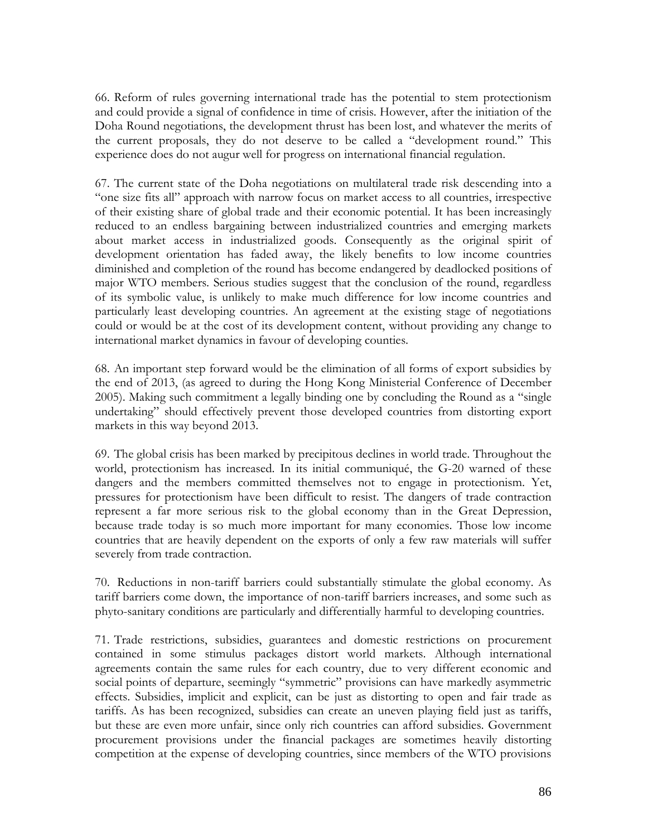66. Reform of rules governing international trade has the potential to stem protectionism and could provide a signal of confidence in time of crisis. However, after the initiation of the Doha Round negotiations, the development thrust has been lost, and whatever the merits of the current proposals, they do not deserve to be called a "development round." This experience does do not augur well for progress on international financial regulation.

67. The current state of the Doha negotiations on multilateral trade risk descending into a "one size fits all" approach with narrow focus on market access to all countries, irrespective of their existing share of global trade and their economic potential. It has been increasingly reduced to an endless bargaining between industrialized countries and emerging markets about market access in industrialized goods. Consequently as the original spirit of development orientation has faded away, the likely benefits to low income countries diminished and completion of the round has become endangered by deadlocked positions of major WTO members. Serious studies suggest that the conclusion of the round, regardless of its symbolic value, is unlikely to make much difference for low income countries and particularly least developing countries. An agreement at the existing stage of negotiations could or would be at the cost of its development content, without providing any change to international market dynamics in favour of developing counties.

68. An important step forward would be the elimination of all forms of export subsidies by the end of 2013, (as agreed to during the Hong Kong Ministerial Conference of December 2005). Making such commitment a legally binding one by concluding the Round as a "single undertaking" should effectively prevent those developed countries from distorting export markets in this way beyond 2013.

69. The global crisis has been marked by precipitous declines in world trade. Throughout the world, protectionism has increased. In its initial communiqué, the G-20 warned of these dangers and the members committed themselves not to engage in protectionism. Yet, pressures for protectionism have been difficult to resist. The dangers of trade contraction represent a far more serious risk to the global economy than in the Great Depression, because trade today is so much more important for many economies. Those low income countries that are heavily dependent on the exports of only a few raw materials will suffer severely from trade contraction.

70. Reductions in non-tariff barriers could substantially stimulate the global economy. As tariff barriers come down, the importance of non-tariff barriers increases, and some such as phyto-sanitary conditions are particularly and differentially harmful to developing countries.

71. Trade restrictions, subsidies, guarantees and domestic restrictions on procurement contained in some stimulus packages distort world markets. Although international agreements contain the same rules for each country, due to very different economic and social points of departure, seemingly "symmetric" provisions can have markedly asymmetric effects. Subsidies, implicit and explicit, can be just as distorting to open and fair trade as tariffs. As has been recognized, subsidies can create an uneven playing field just as tariffs, but these are even more unfair, since only rich countries can afford subsidies. Government procurement provisions under the financial packages are sometimes heavily distorting competition at the expense of developing countries, since members of the WTO provisions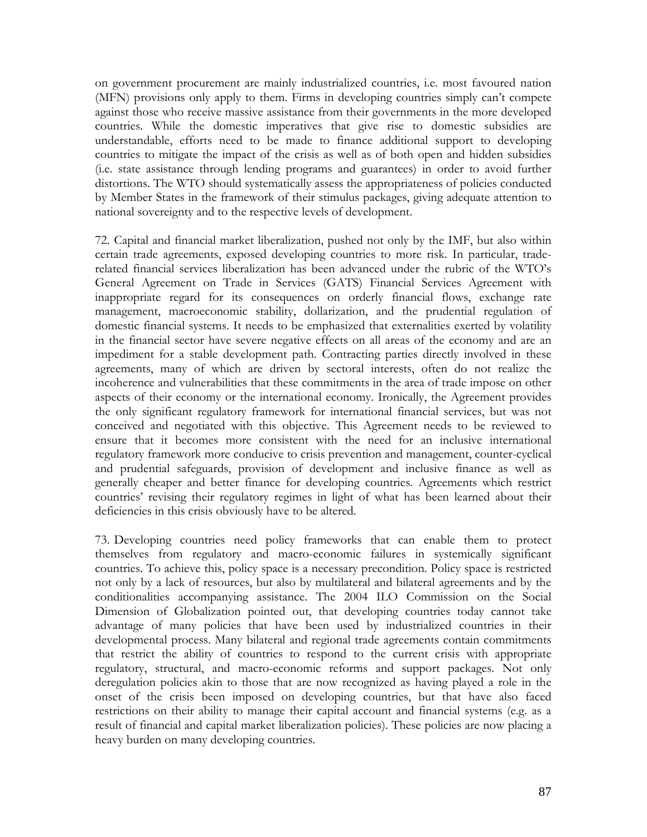on government procurement are mainly industrialized countries, i.e. most favoured nation (MFN) provisions only apply to them. Firms in developing countries simply can't compete against those who receive massive assistance from their governments in the more developed countries. While the domestic imperatives that give rise to domestic subsidies are understandable, efforts need to be made to finance additional support to developing countries to mitigate the impact of the crisis as well as of both open and hidden subsidies (i.e. state assistance through lending programs and guarantees) in order to avoid further distortions. The WTO should systematically assess the appropriateness of policies conducted by Member States in the framework of their stimulus packages, giving adequate attention to national sovereignty and to the respective levels of development.

72. Capital and financial market liberalization, pushed not only by the IMF, but also within certain trade agreements, exposed developing countries to more risk. In particular, traderelated financial services liberalization has been advanced under the rubric of the WTO's General Agreement on Trade in Services (GATS) Financial Services Agreement with inappropriate regard for its consequences on orderly financial flows, exchange rate management, macroeconomic stability, dollarization, and the prudential regulation of domestic financial systems. It needs to be emphasized that externalities exerted by volatility in the financial sector have severe negative effects on all areas of the economy and are an impediment for a stable development path. Contracting parties directly involved in these agreements, many of which are driven by sectoral interests, often do not realize the incoherence and vulnerabilities that these commitments in the area of trade impose on other aspects of their economy or the international economy. Ironically, the Agreement provides the only significant regulatory framework for international financial services, but was not conceived and negotiated with this objective. This Agreement needs to be reviewed to ensure that it becomes more consistent with the need for an inclusive international regulatory framework more conducive to crisis prevention and management, counter-cyclical and prudential safeguards, provision of development and inclusive finance as well as generally cheaper and better finance for developing countries. Agreements which restrict countries' revising their regulatory regimes in light of what has been learned about their deficiencies in this crisis obviously have to be altered.

73. Developing countries need policy frameworks that can enable them to protect themselves from regulatory and macro-economic failures in systemically significant countries. To achieve this, policy space is a necessary precondition. Policy space is restricted not only by a lack of resources, but also by multilateral and bilateral agreements and by the conditionalities accompanying assistance. The 2004 ILO Commission on the Social Dimension of Globalization pointed out, that developing countries today cannot take advantage of many policies that have been used by industrialized countries in their developmental process. Many bilateral and regional trade agreements contain commitments that restrict the ability of countries to respond to the current crisis with appropriate regulatory, structural, and macro-economic reforms and support packages. Not only deregulation policies akin to those that are now recognized as having played a role in the onset of the crisis been imposed on developing countries, but that have also faced restrictions on their ability to manage their capital account and financial systems (e.g. as a result of financial and capital market liberalization policies). These policies are now placing a heavy burden on many developing countries.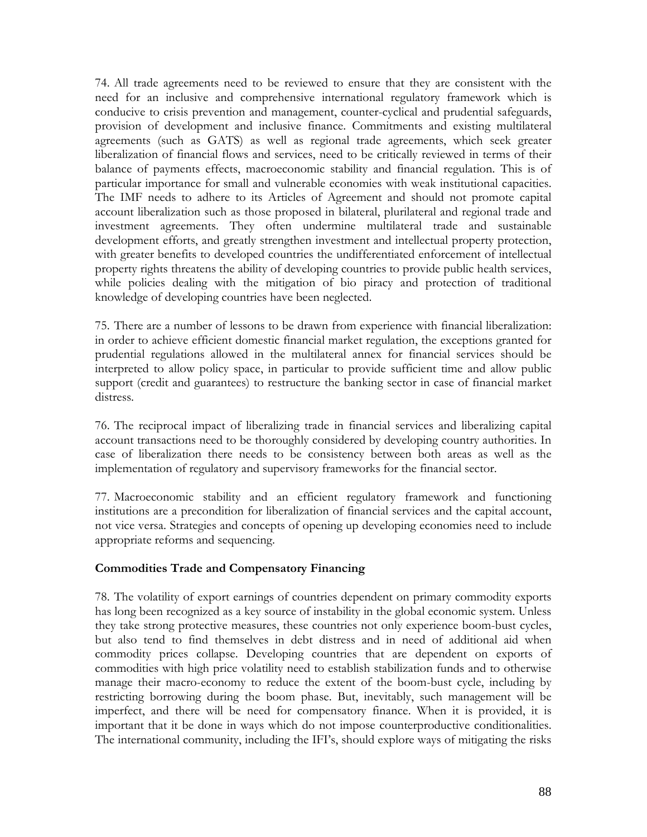74. All trade agreements need to be reviewed to ensure that they are consistent with the need for an inclusive and comprehensive international regulatory framework which is conducive to crisis prevention and management, counter-cyclical and prudential safeguards, provision of development and inclusive finance. Commitments and existing multilateral agreements (such as GATS) as well as regional trade agreements, which seek greater liberalization of financial flows and services, need to be critically reviewed in terms of their balance of payments effects, macroeconomic stability and financial regulation. This is of particular importance for small and vulnerable economies with weak institutional capacities. The IMF needs to adhere to its Articles of Agreement and should not promote capital account liberalization such as those proposed in bilateral, plurilateral and regional trade and investment agreements. They often undermine multilateral trade and sustainable development efforts, and greatly strengthen investment and intellectual property protection, with greater benefits to developed countries the undifferentiated enforcement of intellectual property rights threatens the ability of developing countries to provide public health services, while policies dealing with the mitigation of bio piracy and protection of traditional knowledge of developing countries have been neglected.

75. There are a number of lessons to be drawn from experience with financial liberalization: in order to achieve efficient domestic financial market regulation, the exceptions granted for prudential regulations allowed in the multilateral annex for financial services should be interpreted to allow policy space, in particular to provide sufficient time and allow public support (credit and guarantees) to restructure the banking sector in case of financial market distress.

76. The reciprocal impact of liberalizing trade in financial services and liberalizing capital account transactions need to be thoroughly considered by developing country authorities. In case of liberalization there needs to be consistency between both areas as well as the implementation of regulatory and supervisory frameworks for the financial sector.

77. Macroeconomic stability and an efficient regulatory framework and functioning institutions are a precondition for liberalization of financial services and the capital account, not vice versa. Strategies and concepts of opening up developing economies need to include appropriate reforms and sequencing.

## **Commodities Trade and Compensatory Financing**

78. The volatility of export earnings of countries dependent on primary commodity exports has long been recognized as a key source of instability in the global economic system. Unless they take strong protective measures, these countries not only experience boom-bust cycles, but also tend to find themselves in debt distress and in need of additional aid when commodity prices collapse. Developing countries that are dependent on exports of commodities with high price volatility need to establish stabilization funds and to otherwise manage their macro-economy to reduce the extent of the boom-bust cycle, including by restricting borrowing during the boom phase. But, inevitably, such management will be imperfect, and there will be need for compensatory finance. When it is provided, it is important that it be done in ways which do not impose counterproductive conditionalities. The international community, including the IFI's, should explore ways of mitigating the risks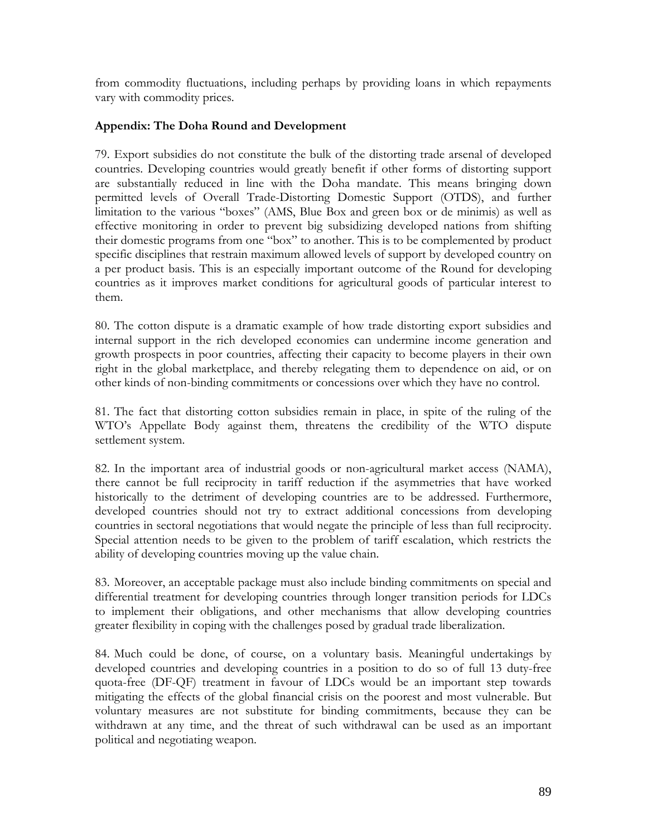from commodity fluctuations, including perhaps by providing loans in which repayments vary with commodity prices.

# **Appendix: The Doha Round and Development**

79. Export subsidies do not constitute the bulk of the distorting trade arsenal of developed countries. Developing countries would greatly benefit if other forms of distorting support are substantially reduced in line with the Doha mandate. This means bringing down permitted levels of Overall Trade-Distorting Domestic Support (OTDS), and further limitation to the various "boxes" (AMS, Blue Box and green box or de minimis) as well as effective monitoring in order to prevent big subsidizing developed nations from shifting their domestic programs from one "box" to another. This is to be complemented by product specific disciplines that restrain maximum allowed levels of support by developed country on a per product basis. This is an especially important outcome of the Round for developing countries as it improves market conditions for agricultural goods of particular interest to them.

80. The cotton dispute is a dramatic example of how trade distorting export subsidies and internal support in the rich developed economies can undermine income generation and growth prospects in poor countries, affecting their capacity to become players in their own right in the global marketplace, and thereby relegating them to dependence on aid, or on other kinds of non-binding commitments or concessions over which they have no control.

81. The fact that distorting cotton subsidies remain in place, in spite of the ruling of the WTO's Appellate Body against them, threatens the credibility of the WTO dispute settlement system.

82. In the important area of industrial goods or non-agricultural market access (NAMA), there cannot be full reciprocity in tariff reduction if the asymmetries that have worked historically to the detriment of developing countries are to be addressed. Furthermore, developed countries should not try to extract additional concessions from developing countries in sectoral negotiations that would negate the principle of less than full reciprocity. Special attention needs to be given to the problem of tariff escalation, which restricts the ability of developing countries moving up the value chain.

83. Moreover, an acceptable package must also include binding commitments on special and differential treatment for developing countries through longer transition periods for LDCs to implement their obligations, and other mechanisms that allow developing countries greater flexibility in coping with the challenges posed by gradual trade liberalization.

84. Much could be done, of course, on a voluntary basis. Meaningful undertakings by developed countries and developing countries in a position to do so of full 13 duty-free quota-free (DF-QF) treatment in favour of LDCs would be an important step towards mitigating the effects of the global financial crisis on the poorest and most vulnerable. But voluntary measures are not substitute for binding commitments, because they can be withdrawn at any time, and the threat of such withdrawal can be used as an important political and negotiating weapon.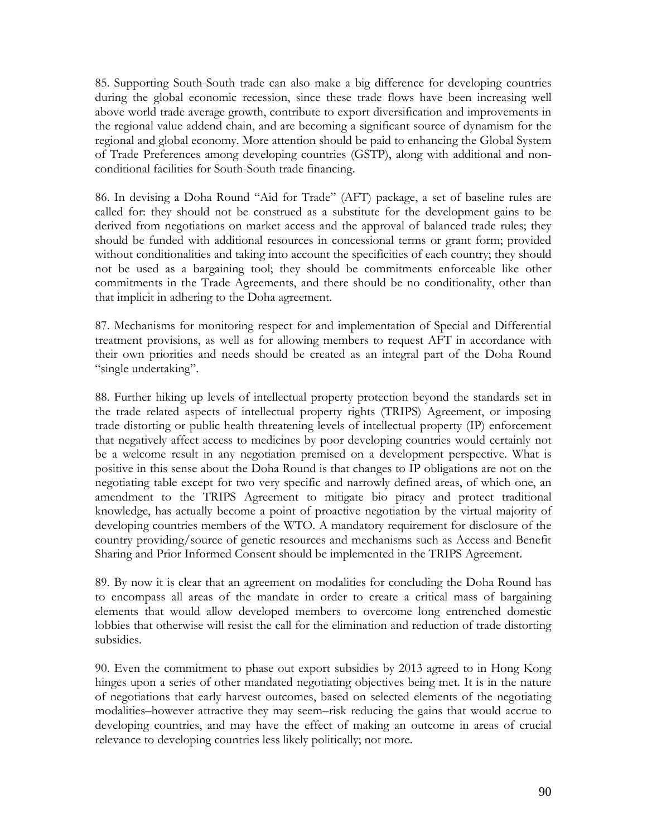85. Supporting South-South trade can also make a big difference for developing countries during the global economic recession, since these trade flows have been increasing well above world trade average growth, contribute to export diversification and improvements in the regional value addend chain, and are becoming a significant source of dynamism for the regional and global economy. More attention should be paid to enhancing the Global System of Trade Preferences among developing countries (GSTP), along with additional and nonconditional facilities for South-South trade financing.

86. In devising a Doha Round "Aid for Trade" (AFT) package, a set of baseline rules are called for: they should not be construed as a substitute for the development gains to be derived from negotiations on market access and the approval of balanced trade rules; they should be funded with additional resources in concessional terms or grant form; provided without conditionalities and taking into account the specificities of each country; they should not be used as a bargaining tool; they should be commitments enforceable like other commitments in the Trade Agreements, and there should be no conditionality, other than that implicit in adhering to the Doha agreement.

87. Mechanisms for monitoring respect for and implementation of Special and Differential treatment provisions, as well as for allowing members to request AFT in accordance with their own priorities and needs should be created as an integral part of the Doha Round "single undertaking".

88. Further hiking up levels of intellectual property protection beyond the standards set in the trade related aspects of intellectual property rights (TRIPS) Agreement, or imposing trade distorting or public health threatening levels of intellectual property (IP) enforcement that negatively affect access to medicines by poor developing countries would certainly not be a welcome result in any negotiation premised on a development perspective. What is positive in this sense about the Doha Round is that changes to IP obligations are not on the negotiating table except for two very specific and narrowly defined areas, of which one, an amendment to the TRIPS Agreement to mitigate bio piracy and protect traditional knowledge, has actually become a point of proactive negotiation by the virtual majority of developing countries members of the WTO. A mandatory requirement for disclosure of the country providing/source of genetic resources and mechanisms such as Access and Benefit Sharing and Prior Informed Consent should be implemented in the TRIPS Agreement.

89. By now it is clear that an agreement on modalities for concluding the Doha Round has to encompass all areas of the mandate in order to create a critical mass of bargaining elements that would allow developed members to overcome long entrenched domestic lobbies that otherwise will resist the call for the elimination and reduction of trade distorting subsidies.

90. Even the commitment to phase out export subsidies by 2013 agreed to in Hong Kong hinges upon a series of other mandated negotiating objectives being met. It is in the nature of negotiations that early harvest outcomes, based on selected elements of the negotiating modalities–however attractive they may seem–risk reducing the gains that would accrue to developing countries, and may have the effect of making an outcome in areas of crucial relevance to developing countries less likely politically; not more.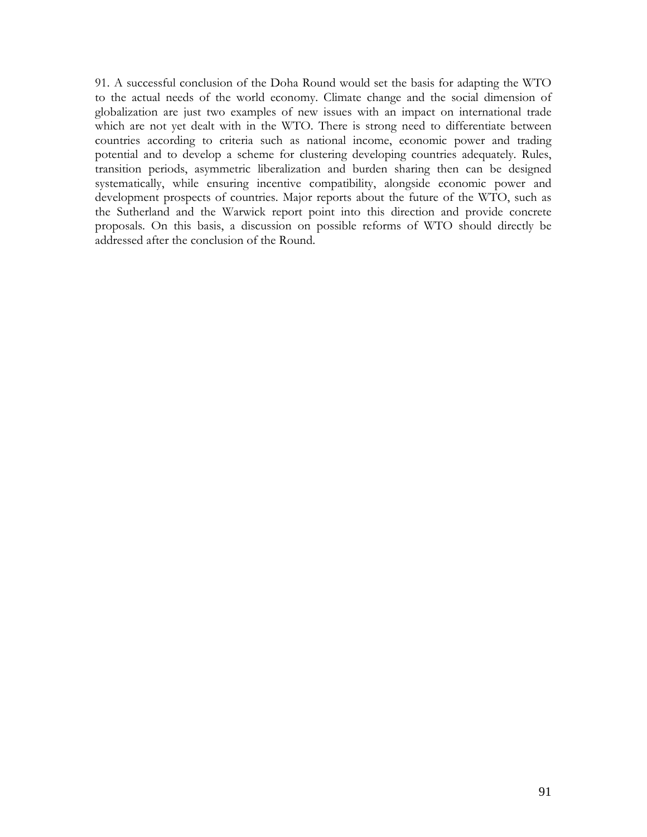91. A successful conclusion of the Doha Round would set the basis for adapting the WTO to the actual needs of the world economy. Climate change and the social dimension of globalization are just two examples of new issues with an impact on international trade which are not yet dealt with in the WTO. There is strong need to differentiate between countries according to criteria such as national income, economic power and trading potential and to develop a scheme for clustering developing countries adequately. Rules, transition periods, asymmetric liberalization and burden sharing then can be designed systematically, while ensuring incentive compatibility, alongside economic power and development prospects of countries. Major reports about the future of the WTO, such as the Sutherland and the Warwick report point into this direction and provide concrete proposals. On this basis, a discussion on possible reforms of WTO should directly be addressed after the conclusion of the Round.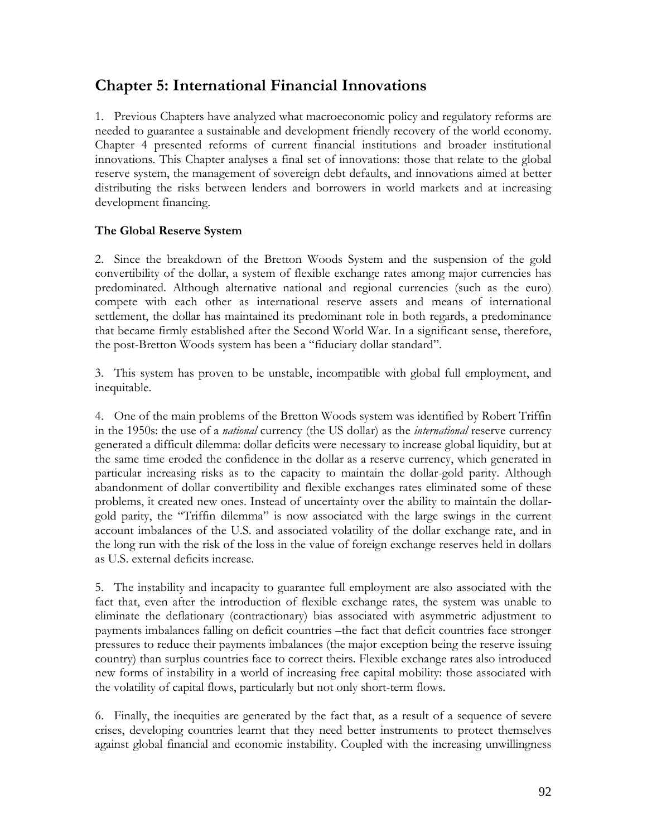# **Chapter 5: International Financial Innovations**

1. Previous Chapters have analyzed what macroeconomic policy and regulatory reforms are needed to guarantee a sustainable and development friendly recovery of the world economy. Chapter 4 presented reforms of current financial institutions and broader institutional innovations. This Chapter analyses a final set of innovations: those that relate to the global reserve system, the management of sovereign debt defaults, and innovations aimed at better distributing the risks between lenders and borrowers in world markets and at increasing development financing.

# **The Global Reserve System**

2. Since the breakdown of the Bretton Woods System and the suspension of the gold convertibility of the dollar, a system of flexible exchange rates among major currencies has predominated. Although alternative national and regional currencies (such as the euro) compete with each other as international reserve assets and means of international settlement, the dollar has maintained its predominant role in both regards, a predominance that became firmly established after the Second World War. In a significant sense, therefore, the post-Bretton Woods system has been a "fiduciary dollar standard".

3. This system has proven to be unstable, incompatible with global full employment, and inequitable.

4. One of the main problems of the Bretton Woods system was identified by Robert Triffin in the 1950s: the use of a *national* currency (the US dollar) as the *international* reserve currency generated a difficult dilemma: dollar deficits were necessary to increase global liquidity, but at the same time eroded the confidence in the dollar as a reserve currency, which generated in particular increasing risks as to the capacity to maintain the dollar-gold parity. Although abandonment of dollar convertibility and flexible exchanges rates eliminated some of these problems, it created new ones. Instead of uncertainty over the ability to maintain the dollargold parity, the "Triffin dilemma" is now associated with the large swings in the current account imbalances of the U.S. and associated volatility of the dollar exchange rate, and in the long run with the risk of the loss in the value of foreign exchange reserves held in dollars as U.S. external deficits increase.

5. The instability and incapacity to guarantee full employment are also associated with the fact that, even after the introduction of flexible exchange rates, the system was unable to eliminate the deflationary (contractionary) bias associated with asymmetric adjustment to payments imbalances falling on deficit countries –the fact that deficit countries face stronger pressures to reduce their payments imbalances (the major exception being the reserve issuing country) than surplus countries face to correct theirs. Flexible exchange rates also introduced new forms of instability in a world of increasing free capital mobility: those associated with the volatility of capital flows, particularly but not only short-term flows.

6. Finally, the inequities are generated by the fact that, as a result of a sequence of severe crises, developing countries learnt that they need better instruments to protect themselves against global financial and economic instability. Coupled with the increasing unwillingness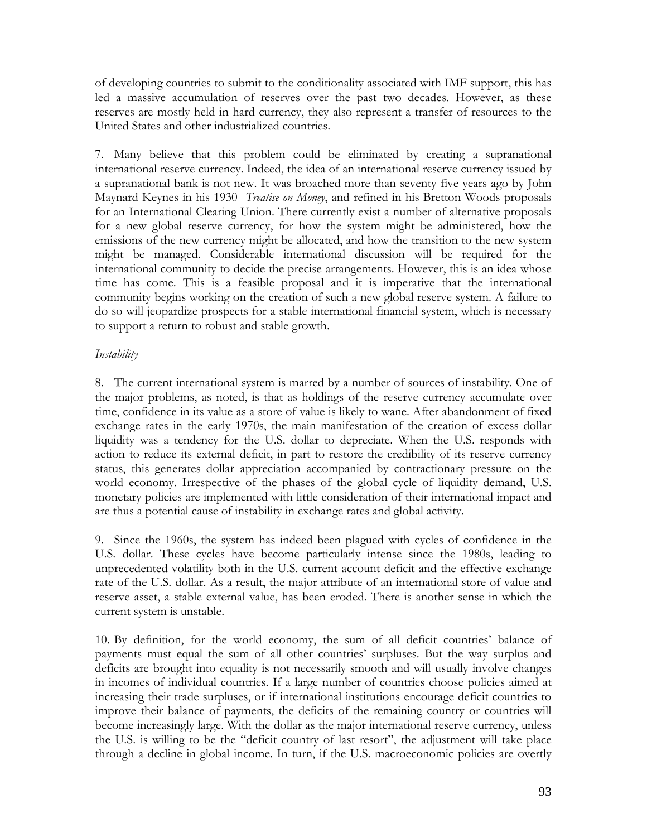of developing countries to submit to the conditionality associated with IMF support, this has led a massive accumulation of reserves over the past two decades. However, as these reserves are mostly held in hard currency, they also represent a transfer of resources to the United States and other industrialized countries.

7. Many believe that this problem could be eliminated by creating a supranational international reserve currency. Indeed, the idea of an international reserve currency issued by a supranational bank is not new. It was broached more than seventy five years ago by John Maynard Keynes in his 1930 *Treatise on Money*, and refined in his Bretton Woods proposals for an International Clearing Union. There currently exist a number of alternative proposals for a new global reserve currency, for how the system might be administered, how the emissions of the new currency might be allocated, and how the transition to the new system might be managed. Considerable international discussion will be required for the international community to decide the precise arrangements. However, this is an idea whose time has come. This is a feasible proposal and it is imperative that the international community begins working on the creation of such a new global reserve system. A failure to do so will jeopardize prospects for a stable international financial system, which is necessary to support a return to robust and stable growth.

## *Instability*

8. The current international system is marred by a number of sources of instability. One of the major problems, as noted, is that as holdings of the reserve currency accumulate over time, confidence in its value as a store of value is likely to wane. After abandonment of fixed exchange rates in the early 1970s, the main manifestation of the creation of excess dollar liquidity was a tendency for the U.S. dollar to depreciate. When the U.S. responds with action to reduce its external deficit, in part to restore the credibility of its reserve currency status, this generates dollar appreciation accompanied by contractionary pressure on the world economy. Irrespective of the phases of the global cycle of liquidity demand, U.S. monetary policies are implemented with little consideration of their international impact and are thus a potential cause of instability in exchange rates and global activity.

9. Since the 1960s, the system has indeed been plagued with cycles of confidence in the U.S. dollar. These cycles have become particularly intense since the 1980s, leading to unprecedented volatility both in the U.S. current account deficit and the effective exchange rate of the U.S. dollar. As a result, the major attribute of an international store of value and reserve asset, a stable external value, has been eroded. There is another sense in which the current system is unstable.

10. By definition, for the world economy, the sum of all deficit countries' balance of payments must equal the sum of all other countries' surpluses. But the way surplus and deficits are brought into equality is not necessarily smooth and will usually involve changes in incomes of individual countries. If a large number of countries choose policies aimed at increasing their trade surpluses, or if international institutions encourage deficit countries to improve their balance of payments, the deficits of the remaining country or countries will become increasingly large. With the dollar as the major international reserve currency, unless the U.S. is willing to be the "deficit country of last resort", the adjustment will take place through a decline in global income. In turn, if the U.S. macroeconomic policies are overtly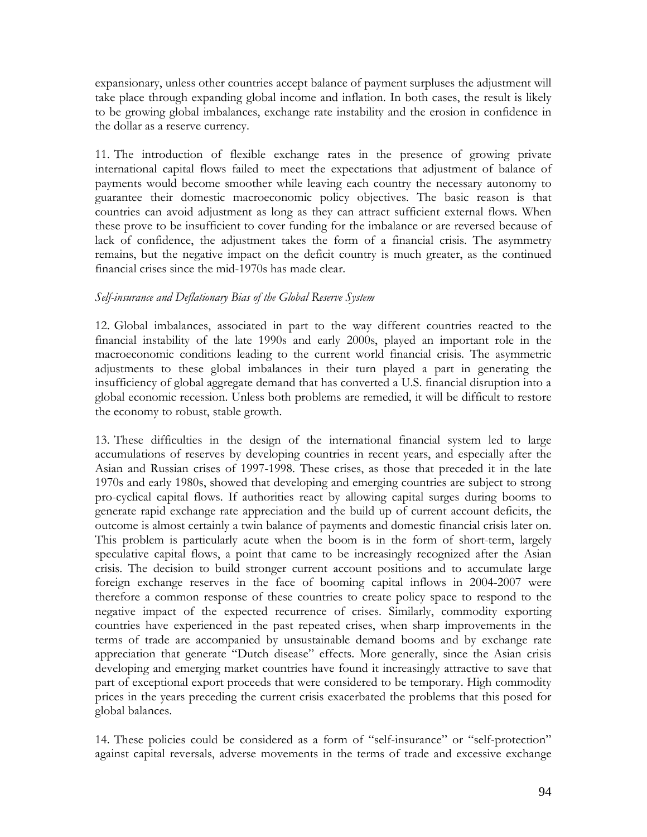expansionary, unless other countries accept balance of payment surpluses the adjustment will take place through expanding global income and inflation. In both cases, the result is likely to be growing global imbalances, exchange rate instability and the erosion in confidence in the dollar as a reserve currency.

11. The introduction of flexible exchange rates in the presence of growing private international capital flows failed to meet the expectations that adjustment of balance of payments would become smoother while leaving each country the necessary autonomy to guarantee their domestic macroeconomic policy objectives. The basic reason is that countries can avoid adjustment as long as they can attract sufficient external flows. When these prove to be insufficient to cover funding for the imbalance or are reversed because of lack of confidence, the adjustment takes the form of a financial crisis. The asymmetry remains, but the negative impact on the deficit country is much greater, as the continued financial crises since the mid-1970s has made clear.

## *Self-insurance and Deflationary Bias of the Global Reserve System*

12. Global imbalances, associated in part to the way different countries reacted to the financial instability of the late 1990s and early 2000s, played an important role in the macroeconomic conditions leading to the current world financial crisis. The asymmetric adjustments to these global imbalances in their turn played a part in generating the insufficiency of global aggregate demand that has converted a U.S. financial disruption into a global economic recession. Unless both problems are remedied, it will be difficult to restore the economy to robust, stable growth.

13. These difficulties in the design of the international financial system led to large accumulations of reserves by developing countries in recent years, and especially after the Asian and Russian crises of 1997-1998. These crises, as those that preceded it in the late 1970s and early 1980s, showed that developing and emerging countries are subject to strong pro-cyclical capital flows. If authorities react by allowing capital surges during booms to generate rapid exchange rate appreciation and the build up of current account deficits, the outcome is almost certainly a twin balance of payments and domestic financial crisis later on. This problem is particularly acute when the boom is in the form of short-term, largely speculative capital flows, a point that came to be increasingly recognized after the Asian crisis. The decision to build stronger current account positions and to accumulate large foreign exchange reserves in the face of booming capital inflows in 2004-2007 were therefore a common response of these countries to create policy space to respond to the negative impact of the expected recurrence of crises. Similarly, commodity exporting countries have experienced in the past repeated crises, when sharp improvements in the terms of trade are accompanied by unsustainable demand booms and by exchange rate appreciation that generate "Dutch disease" effects. More generally, since the Asian crisis developing and emerging market countries have found it increasingly attractive to save that part of exceptional export proceeds that were considered to be temporary. High commodity prices in the years preceding the current crisis exacerbated the problems that this posed for global balances.

14. These policies could be considered as a form of "self-insurance" or "self-protection" against capital reversals, adverse movements in the terms of trade and excessive exchange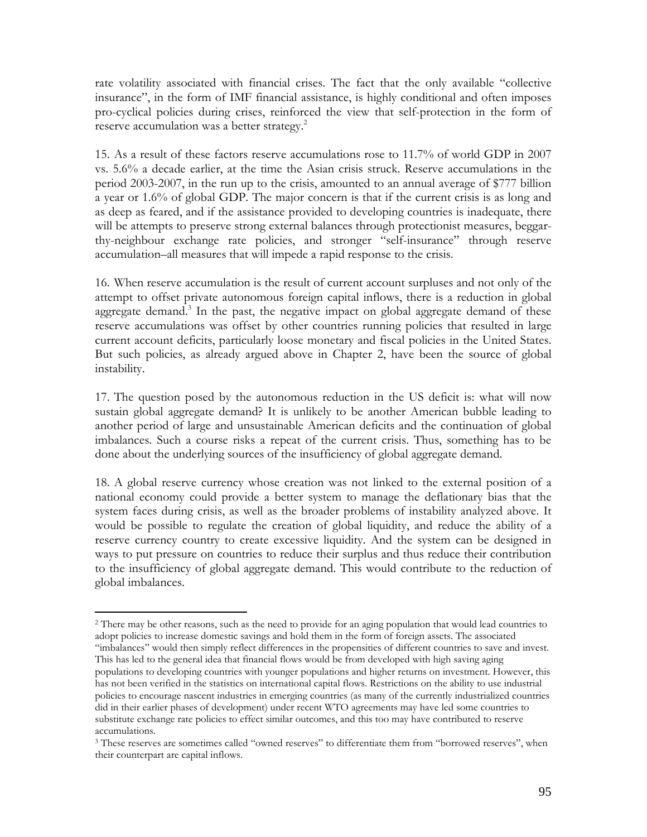rate volatility associated with financial crises. The fact that the only available "collective insurance", in the form of IMF financial assistance, is highly conditional and often imposes pro-cyclical policies during crises, reinforced the view that self-protection in the form of reserve accumulation was a better strategy.<sup>2</sup>

15. As a result of these factors reserve accumulations rose to 11.7% of world GDP in 2007 vs. 5.6% a decade earlier, at the time the Asian crisis struck. Reserve accumulations in the period 2003-2007, in the run up to the crisis, amounted to an annual average of \$777 billion a year or 1.6% of global GDP. The major concern is that if the current crisis is as long and as deep as feared, and if the assistance provided to developing countries is inadequate, there will be attempts to preserve strong external balances through protectionist measures, beggarthy-neighbour exchange rate policies, and stronger "self-insurance" through reserve accumulation–all measures that will impede a rapid response to the crisis.

16. When reserve accumulation is the result of current account surpluses and not only of the attempt to offset private autonomous foreign capital inflows, there is a reduction in global aggregate demand.<sup>3</sup> In the past, the negative impact on global aggregate demand of these reserve accumulations was offset by other countries running policies that resulted in large current account deficits, particularly loose monetary and fiscal policies in the United States. But such policies, as already argued above in Chapter 2, have been the source of global instability.

17. The question posed by the autonomous reduction in the US deficit is: what will now sustain global aggregate demand? It is unlikely to be another American bubble leading to another period of large and unsustainable American deficits and the continuation of global imbalances. Such a course risks a repeat of the current crisis. Thus, something has to be done about the underlying sources of the insufficiency of global aggregate demand.

18. A global reserve currency whose creation was not linked to the external position of a national economy could provide a better system to manage the deflationary bias that the system faces during crisis, as well as the broader problems of instability analyzed above. It would be possible to regulate the creation of global liquidity, and reduce the ability of a reserve currency country to create excessive liquidity. And the system can be designed in ways to put pressure on countries to reduce their surplus and thus reduce their contribution to the insufficiency of global aggregate demand. This would contribute to the reduction of global imbalances.

<sup>&</sup>lt;sup>2</sup> There may be other reasons, such as the need to provide for an aging population that would lead countries to adopt policies to increase domestic savings and hold them in the form of foreign assets. The associated "imbalances" would then simply reflect differences in the propensities of different countries to save and invest.

This has led to the general idea that financial flows would be from developed with high saving aging populations to developing countries with younger populations and higher returns on investment. However, this has not been verified in the statistics on international capital flows. Restrictions on the ability to use industrial policies to encourage nascent industries in emerging countries (as many of the currently industrialized countries did in their earlier phases of development) under recent WTO agreements may have led some countries to substitute exchange rate policies to effect similar outcomes, and this too may have contributed to reserve accumulations.

<sup>3</sup> These reserves are sometimes called "owned reserves" to differentiate them from "borrowed reserves", when their counterpart are capital inflows.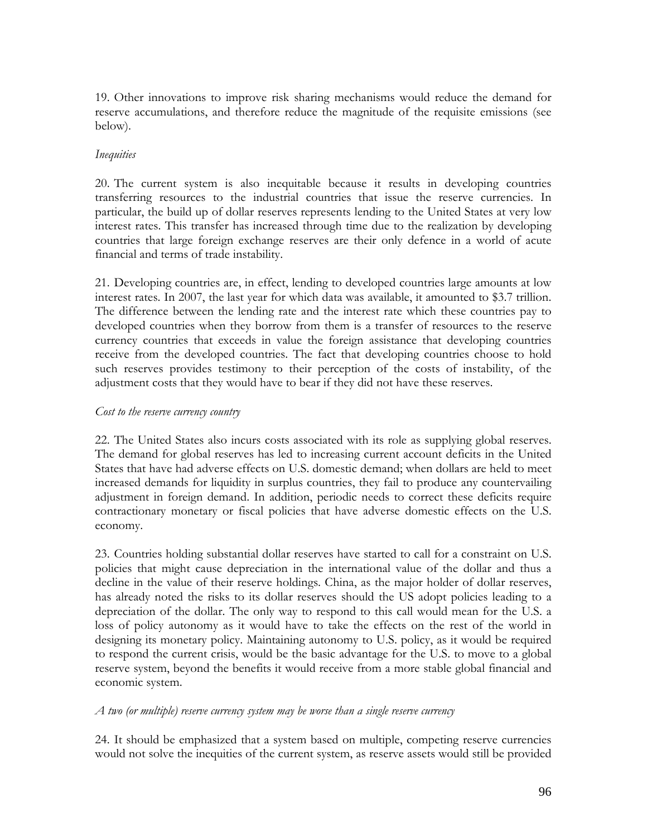19. Other innovations to improve risk sharing mechanisms would reduce the demand for reserve accumulations, and therefore reduce the magnitude of the requisite emissions (see below).

# *Inequities*

20. The current system is also inequitable because it results in developing countries transferring resources to the industrial countries that issue the reserve currencies. In particular, the build up of dollar reserves represents lending to the United States at very low interest rates. This transfer has increased through time due to the realization by developing countries that large foreign exchange reserves are their only defence in a world of acute financial and terms of trade instability.

21. Developing countries are, in effect, lending to developed countries large amounts at low interest rates. In 2007, the last year for which data was available, it amounted to \$3.7 trillion. The difference between the lending rate and the interest rate which these countries pay to developed countries when they borrow from them is a transfer of resources to the reserve currency countries that exceeds in value the foreign assistance that developing countries receive from the developed countries. The fact that developing countries choose to hold such reserves provides testimony to their perception of the costs of instability, of the adjustment costs that they would have to bear if they did not have these reserves.

#### *Cost to the reserve currency country*

22. The United States also incurs costs associated with its role as supplying global reserves. The demand for global reserves has led to increasing current account deficits in the United States that have had adverse effects on U.S. domestic demand; when dollars are held to meet increased demands for liquidity in surplus countries, they fail to produce any countervailing adjustment in foreign demand. In addition, periodic needs to correct these deficits require contractionary monetary or fiscal policies that have adverse domestic effects on the U.S. economy.

23. Countries holding substantial dollar reserves have started to call for a constraint on U.S. policies that might cause depreciation in the international value of the dollar and thus a decline in the value of their reserve holdings. China, as the major holder of dollar reserves, has already noted the risks to its dollar reserves should the US adopt policies leading to a depreciation of the dollar. The only way to respond to this call would mean for the U.S. a loss of policy autonomy as it would have to take the effects on the rest of the world in designing its monetary policy. Maintaining autonomy to U.S. policy, as it would be required to respond the current crisis, would be the basic advantage for the U.S. to move to a global reserve system, beyond the benefits it would receive from a more stable global financial and economic system.

## *A two (or multiple) reserve currency system may be worse than a single reserve currency*

24. It should be emphasized that a system based on multiple, competing reserve currencies would not solve the inequities of the current system, as reserve assets would still be provided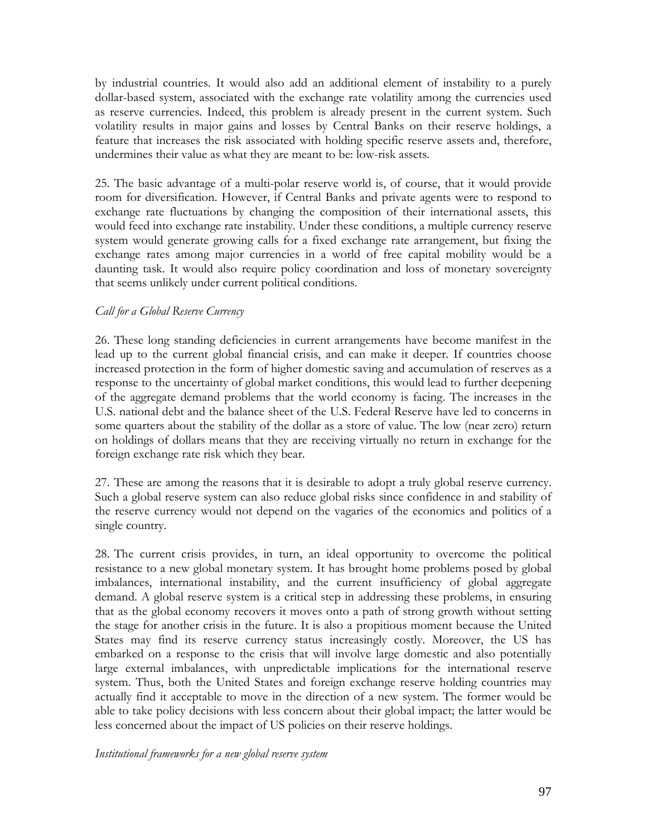by industrial countries. It would also add an additional element of instability to a purely dollar-based system, associated with the exchange rate volatility among the currencies used as reserve currencies. Indeed, this problem is already present in the current system. Such volatility results in major gains and losses by Central Banks on their reserve holdings, a feature that increases the risk associated with holding specific reserve assets and, therefore, undermines their value as what they are meant to be: low-risk assets.

25. The basic advantage of a multi-polar reserve world is, of course, that it would provide room for diversification. However, if Central Banks and private agents were to respond to exchange rate fluctuations by changing the composition of their international assets, this would feed into exchange rate instability. Under these conditions, a multiple currency reserve system would generate growing calls for a fixed exchange rate arrangement, but fixing the exchange rates among major currencies in a world of free capital mobility would be a daunting task. It would also require policy coordination and loss of monetary sovereignty that seems unlikely under current political conditions.

## *Call for a Global Reserve Currency*

26. These long standing deficiencies in current arrangements have become manifest in the lead up to the current global financial crisis, and can make it deeper. If countries choose increased protection in the form of higher domestic saving and accumulation of reserves as a response to the uncertainty of global market conditions, this would lead to further deepening of the aggregate demand problems that the world economy is facing. The increases in the U.S. national debt and the balance sheet of the U.S. Federal Reserve have led to concerns in some quarters about the stability of the dollar as a store of value. The low (near zero) return on holdings of dollars means that they are receiving virtually no return in exchange for the foreign exchange rate risk which they bear.

27. These are among the reasons that it is desirable to adopt a truly global reserve currency. Such a global reserve system can also reduce global risks since confidence in and stability of the reserve currency would not depend on the vagaries of the economics and politics of a single country.

28. The current crisis provides, in turn, an ideal opportunity to overcome the political resistance to a new global monetary system. It has brought home problems posed by global imbalances, international instability, and the current insufficiency of global aggregate demand. A global reserve system is a critical step in addressing these problems, in ensuring that as the global economy recovers it moves onto a path of strong growth without setting the stage for another crisis in the future. It is also a propitious moment because the United States may find its reserve currency status increasingly costly. Moreover, the US has embarked on a response to the crisis that will involve large domestic and also potentially large external imbalances, with unpredictable implications for the international reserve system. Thus, both the United States and foreign exchange reserve holding countries may actually find it acceptable to move in the direction of a new system. The former would be able to take policy decisions with less concern about their global impact; the latter would be less concerned about the impact of US policies on their reserve holdings.

*Institutional frameworks for a new global reserve system*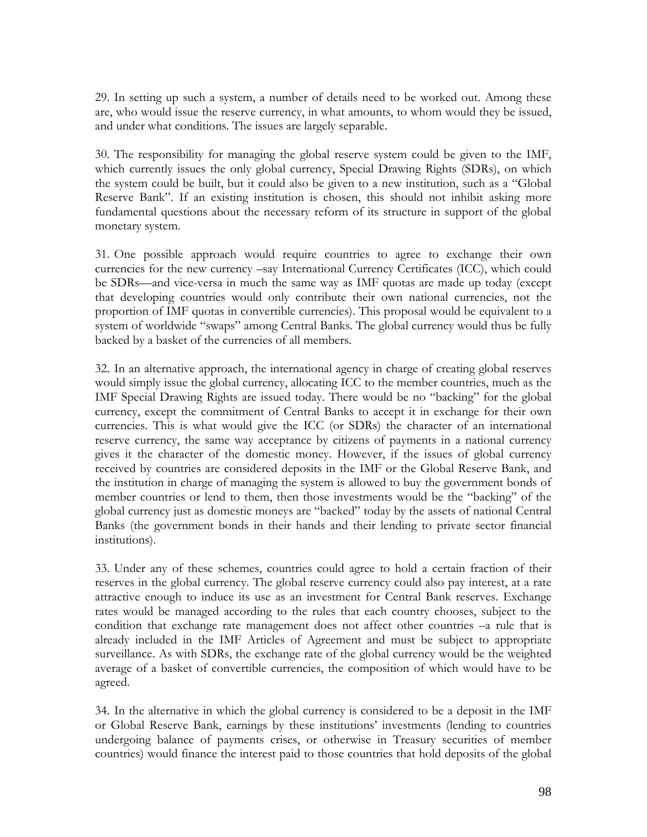29. In setting up such a system, a number of details need to be worked out. Among these are, who would issue the reserve currency, in what amounts, to whom would they be issued, and under what conditions. The issues are largely separable.

30. The responsibility for managing the global reserve system could be given to the IMF, which currently issues the only global currency, Special Drawing Rights (SDRs), on which the system could be built, but it could also be given to a new institution, such as a "Global Reserve Bank". If an existing institution is chosen, this should not inhibit asking more fundamental questions about the necessary reform of its structure in support of the global monetary system.

31. One possible approach would require countries to agree to exchange their own currencies for the new currency –say International Currency Certificates (ICC), which could be SDRs—and vice-versa in much the same way as IMF quotas are made up today (except that developing countries would only contribute their own national currencies, not the proportion of IMF quotas in convertible currencies). This proposal would be equivalent to a system of worldwide "swaps" among Central Banks. The global currency would thus be fully backed by a basket of the currencies of all members.

32. In an alternative approach, the international agency in charge of creating global reserves would simply issue the global currency, allocating ICC to the member countries, much as the IMF Special Drawing Rights are issued today. There would be no "backing" for the global currency, except the commitment of Central Banks to accept it in exchange for their own currencies. This is what would give the ICC (or SDRs) the character of an international reserve currency, the same way acceptance by citizens of payments in a national currency gives it the character of the domestic money. However, if the issues of global currency received by countries are considered deposits in the IMF or the Global Reserve Bank, and the institution in charge of managing the system is allowed to buy the government bonds of member countries or lend to them, then those investments would be the "backing" of the global currency just as domestic moneys are "backed" today by the assets of national Central Banks (the government bonds in their hands and their lending to private sector financial institutions).

33. Under any of these schemes, countries could agree to hold a certain fraction of their reserves in the global currency. The global reserve currency could also pay interest, at a rate attractive enough to induce its use as an investment for Central Bank reserves. Exchange rates would be managed according to the rules that each country chooses, subject to the condition that exchange rate management does not affect other countries –a rule that is already included in the IMF Articles of Agreement and must be subject to appropriate surveillance. As with SDRs, the exchange rate of the global currency would be the weighted average of a basket of convertible currencies, the composition of which would have to be agreed.

34. In the alternative in which the global currency is considered to be a deposit in the IMF or Global Reserve Bank, earnings by these institutions' investments (lending to countries undergoing balance of payments crises, or otherwise in Treasury securities of member countries) would finance the interest paid to those countries that hold deposits of the global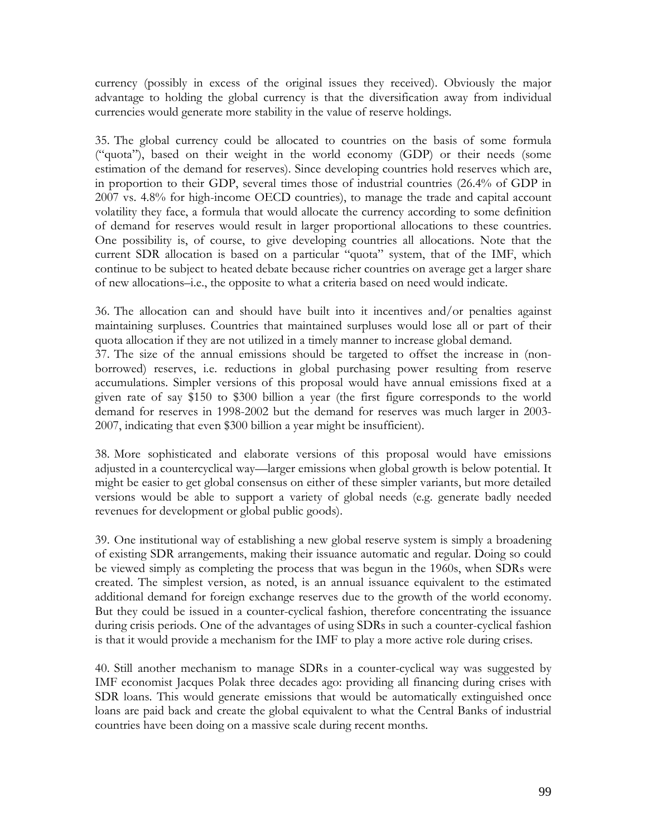currency (possibly in excess of the original issues they received). Obviously the major advantage to holding the global currency is that the diversification away from individual currencies would generate more stability in the value of reserve holdings.

35. The global currency could be allocated to countries on the basis of some formula ("quota"), based on their weight in the world economy (GDP) or their needs (some estimation of the demand for reserves). Since developing countries hold reserves which are, in proportion to their GDP, several times those of industrial countries (26.4% of GDP in 2007 vs. 4.8% for high-income OECD countries), to manage the trade and capital account volatility they face, a formula that would allocate the currency according to some definition of demand for reserves would result in larger proportional allocations to these countries. One possibility is, of course, to give developing countries all allocations. Note that the current SDR allocation is based on a particular "quota" system, that of the IMF, which continue to be subject to heated debate because richer countries on average get a larger share of new allocations–i.e., the opposite to what a criteria based on need would indicate.

36. The allocation can and should have built into it incentives and/or penalties against maintaining surpluses. Countries that maintained surpluses would lose all or part of their quota allocation if they are not utilized in a timely manner to increase global demand.

37. The size of the annual emissions should be targeted to offset the increase in (nonborrowed) reserves, i.e. reductions in global purchasing power resulting from reserve accumulations. Simpler versions of this proposal would have annual emissions fixed at a given rate of say \$150 to \$300 billion a year (the first figure corresponds to the world demand for reserves in 1998-2002 but the demand for reserves was much larger in 2003- 2007, indicating that even \$300 billion a year might be insufficient).

38. More sophisticated and elaborate versions of this proposal would have emissions adjusted in a countercyclical way—larger emissions when global growth is below potential. It might be easier to get global consensus on either of these simpler variants, but more detailed versions would be able to support a variety of global needs (e.g. generate badly needed revenues for development or global public goods).

39. One institutional way of establishing a new global reserve system is simply a broadening of existing SDR arrangements, making their issuance automatic and regular. Doing so could be viewed simply as completing the process that was begun in the 1960s, when SDRs were created. The simplest version, as noted, is an annual issuance equivalent to the estimated additional demand for foreign exchange reserves due to the growth of the world economy. But they could be issued in a counter-cyclical fashion, therefore concentrating the issuance during crisis periods. One of the advantages of using SDRs in such a counter-cyclical fashion is that it would provide a mechanism for the IMF to play a more active role during crises.

40. Still another mechanism to manage SDRs in a counter-cyclical way was suggested by IMF economist Jacques Polak three decades ago: providing all financing during crises with SDR loans. This would generate emissions that would be automatically extinguished once loans are paid back and create the global equivalent to what the Central Banks of industrial countries have been doing on a massive scale during recent months.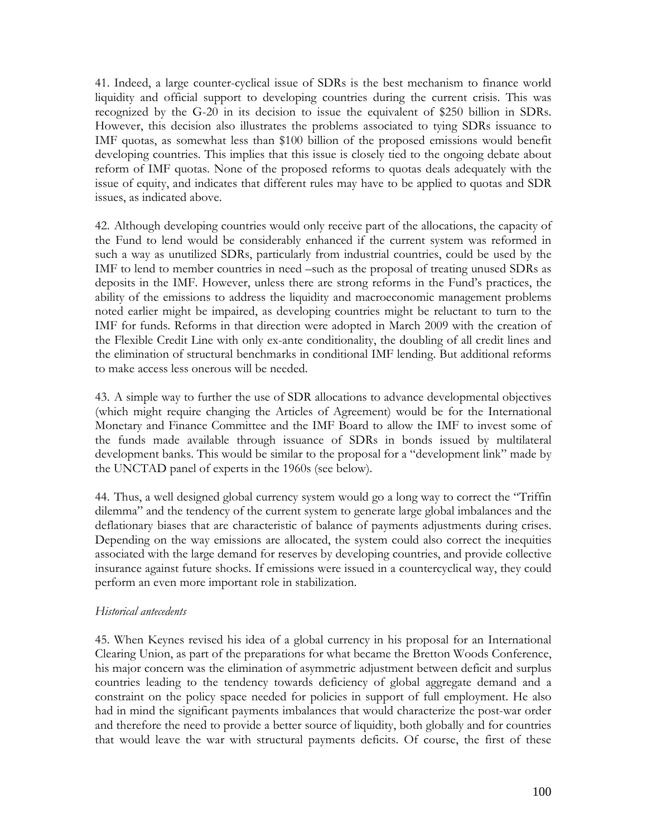41. Indeed, a large counter-cyclical issue of SDRs is the best mechanism to finance world liquidity and official support to developing countries during the current crisis. This was recognized by the G-20 in its decision to issue the equivalent of \$250 billion in SDRs. However, this decision also illustrates the problems associated to tying SDRs issuance to IMF quotas, as somewhat less than \$100 billion of the proposed emissions would benefit developing countries. This implies that this issue is closely tied to the ongoing debate about reform of IMF quotas. None of the proposed reforms to quotas deals adequately with the issue of equity, and indicates that different rules may have to be applied to quotas and SDR issues, as indicated above.

42. Although developing countries would only receive part of the allocations, the capacity of the Fund to lend would be considerably enhanced if the current system was reformed in such a way as unutilized SDRs, particularly from industrial countries, could be used by the IMF to lend to member countries in need –such as the proposal of treating unused SDRs as deposits in the IMF. However, unless there are strong reforms in the Fund's practices, the ability of the emissions to address the liquidity and macroeconomic management problems noted earlier might be impaired, as developing countries might be reluctant to turn to the IMF for funds. Reforms in that direction were adopted in March 2009 with the creation of the Flexible Credit Line with only ex-ante conditionality, the doubling of all credit lines and the elimination of structural benchmarks in conditional IMF lending. But additional reforms to make access less onerous will be needed.

43. A simple way to further the use of SDR allocations to advance developmental objectives (which might require changing the Articles of Agreement) would be for the International Monetary and Finance Committee and the IMF Board to allow the IMF to invest some of the funds made available through issuance of SDRs in bonds issued by multilateral development banks. This would be similar to the proposal for a "development link" made by the UNCTAD panel of experts in the 1960s (see below).

44. Thus, a well designed global currency system would go a long way to correct the "Triffin dilemma" and the tendency of the current system to generate large global imbalances and the deflationary biases that are characteristic of balance of payments adjustments during crises. Depending on the way emissions are allocated, the system could also correct the inequities associated with the large demand for reserves by developing countries, and provide collective insurance against future shocks. If emissions were issued in a countercyclical way, they could perform an even more important role in stabilization.

## *Historical antecedents*

45. When Keynes revised his idea of a global currency in his proposal for an International Clearing Union, as part of the preparations for what became the Bretton Woods Conference, his major concern was the elimination of asymmetric adjustment between deficit and surplus countries leading to the tendency towards deficiency of global aggregate demand and a constraint on the policy space needed for policies in support of full employment. He also had in mind the significant payments imbalances that would characterize the post-war order and therefore the need to provide a better source of liquidity, both globally and for countries that would leave the war with structural payments deficits. Of course, the first of these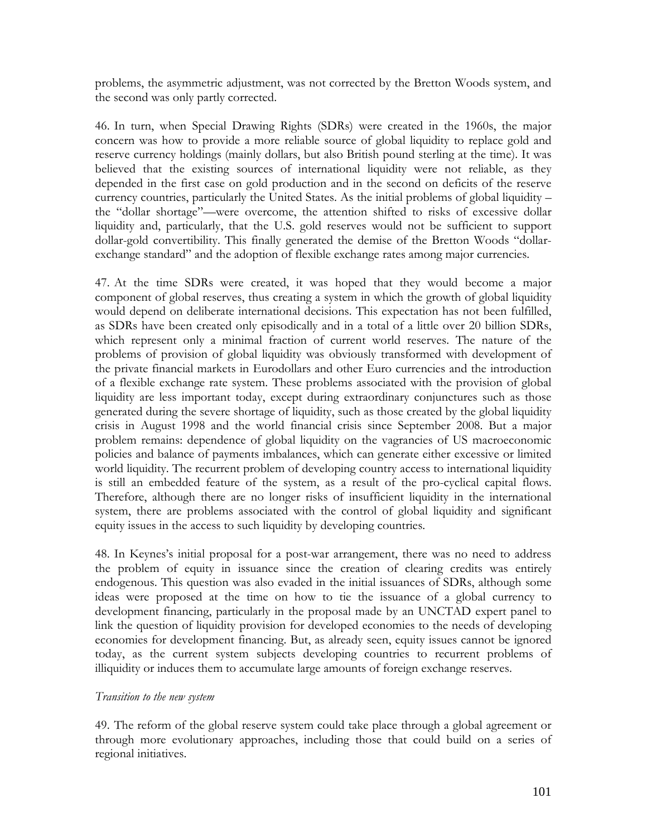problems, the asymmetric adjustment, was not corrected by the Bretton Woods system, and the second was only partly corrected.

46. In turn, when Special Drawing Rights (SDRs) were created in the 1960s, the major concern was how to provide a more reliable source of global liquidity to replace gold and reserve currency holdings (mainly dollars, but also British pound sterling at the time). It was believed that the existing sources of international liquidity were not reliable, as they depended in the first case on gold production and in the second on deficits of the reserve currency countries, particularly the United States. As the initial problems of global liquidity – the "dollar shortage"—were overcome, the attention shifted to risks of excessive dollar liquidity and, particularly, that the U.S. gold reserves would not be sufficient to support dollar-gold convertibility. This finally generated the demise of the Bretton Woods "dollarexchange standard" and the adoption of flexible exchange rates among major currencies.

47. At the time SDRs were created, it was hoped that they would become a major component of global reserves, thus creating a system in which the growth of global liquidity would depend on deliberate international decisions. This expectation has not been fulfilled, as SDRs have been created only episodically and in a total of a little over 20 billion SDRs, which represent only a minimal fraction of current world reserves. The nature of the problems of provision of global liquidity was obviously transformed with development of the private financial markets in Eurodollars and other Euro currencies and the introduction of a flexible exchange rate system. These problems associated with the provision of global liquidity are less important today, except during extraordinary conjunctures such as those generated during the severe shortage of liquidity, such as those created by the global liquidity crisis in August 1998 and the world financial crisis since September 2008. But a major problem remains: dependence of global liquidity on the vagrancies of US macroeconomic policies and balance of payments imbalances, which can generate either excessive or limited world liquidity. The recurrent problem of developing country access to international liquidity is still an embedded feature of the system, as a result of the pro-cyclical capital flows. Therefore, although there are no longer risks of insufficient liquidity in the international system, there are problems associated with the control of global liquidity and significant equity issues in the access to such liquidity by developing countries.

48. In Keynes's initial proposal for a post-war arrangement, there was no need to address the problem of equity in issuance since the creation of clearing credits was entirely endogenous. This question was also evaded in the initial issuances of SDRs, although some ideas were proposed at the time on how to tie the issuance of a global currency to development financing, particularly in the proposal made by an UNCTAD expert panel to link the question of liquidity provision for developed economies to the needs of developing economies for development financing. But, as already seen, equity issues cannot be ignored today, as the current system subjects developing countries to recurrent problems of illiquidity or induces them to accumulate large amounts of foreign exchange reserves.

## *Transition to the new system*

49. The reform of the global reserve system could take place through a global agreement or through more evolutionary approaches, including those that could build on a series of regional initiatives.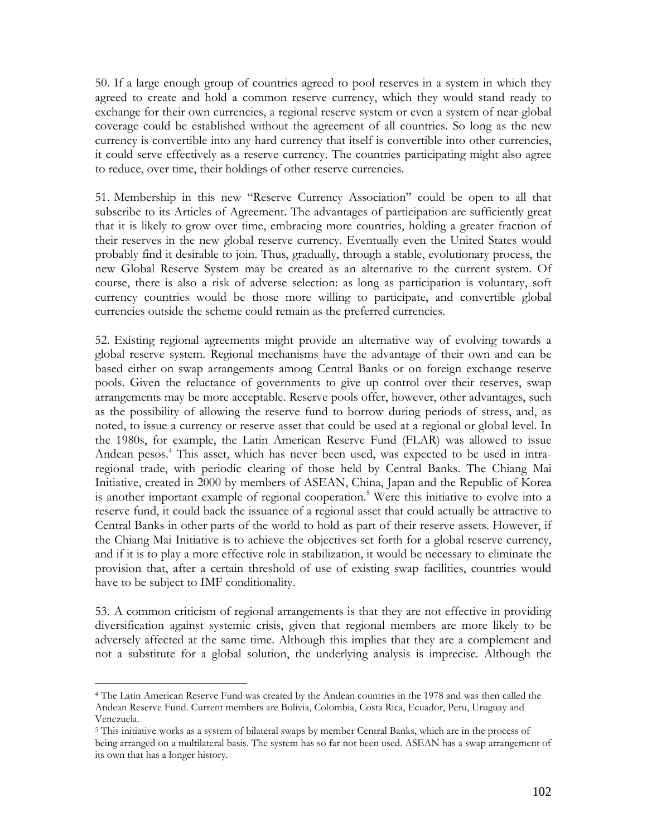50. If a large enough group of countries agreed to pool reserves in a system in which they agreed to create and hold a common reserve currency, which they would stand ready to exchange for their own currencies, a regional reserve system or even a system of near-global coverage could be established without the agreement of all countries. So long as the new currency is convertible into any hard currency that itself is convertible into other currencies, it could serve effectively as a reserve currency. The countries participating might also agree to reduce, over time, their holdings of other reserve currencies.

51. Membership in this new "Reserve Currency Association" could be open to all that subscribe to its Articles of Agreement. The advantages of participation are sufficiently great that it is likely to grow over time, embracing more countries, holding a greater fraction of their reserves in the new global reserve currency. Eventually even the United States would probably find it desirable to join. Thus, gradually, through a stable, evolutionary process, the new Global Reserve System may be created as an alternative to the current system. Of course, there is also a risk of adverse selection: as long as participation is voluntary, soft currency countries would be those more willing to participate, and convertible global currencies outside the scheme could remain as the preferred currencies.

52. Existing regional agreements might provide an alternative way of evolving towards a global reserve system. Regional mechanisms have the advantage of their own and can be based either on swap arrangements among Central Banks or on foreign exchange reserve pools. Given the reluctance of governments to give up control over their reserves, swap arrangements may be more acceptable. Reserve pools offer, however, other advantages, such as the possibility of allowing the reserve fund to borrow during periods of stress, and, as noted, to issue a currency or reserve asset that could be used at a regional or global level. In the 1980s, for example, the Latin American Reserve Fund (FLAR) was allowed to issue Andean pesos.<sup>4</sup> This asset, which has never been used, was expected to be used in intraregional trade, with periodic clearing of those held by Central Banks. The Chiang Mai Initiative, created in 2000 by members of ASEAN, China, Japan and the Republic of Korea is another important example of regional cooperation.<sup>5</sup> Were this initiative to evolve into a reserve fund, it could back the issuance of a regional asset that could actually be attractive to Central Banks in other parts of the world to hold as part of their reserve assets. However, if the Chiang Mai Initiative is to achieve the objectives set forth for a global reserve currency, and if it is to play a more effective role in stabilization, it would be necessary to eliminate the provision that, after a certain threshold of use of existing swap facilities, countries would have to be subject to IMF conditionality.

53. A common criticism of regional arrangements is that they are not effective in providing diversification against systemic crisis, given that regional members are more likely to be adversely affected at the same time. Although this implies that they are a complement and not a substitute for a global solution, the underlying analysis is imprecise. Although the

<sup>4</sup> The Latin American Reserve Fund was created by the Andean countries in the 1978 and was then called the Andean Reserve Fund. Current members are Bolivia, Colombia, Costa Rica, Ecuador, Peru, Uruguay and Venezuela.

<sup>5</sup> This initiative works as a system of bilateral swaps by member Central Banks, which are in the process of being arranged on a multilateral basis. The system has so far not been used. ASEAN has a swap arrangement of its own that has a longer history.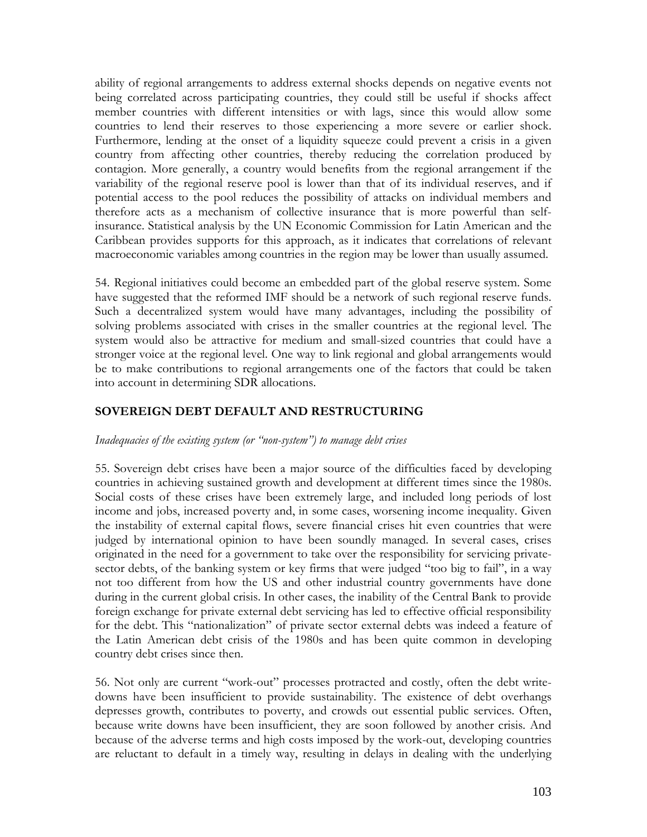ability of regional arrangements to address external shocks depends on negative events not being correlated across participating countries, they could still be useful if shocks affect member countries with different intensities or with lags, since this would allow some countries to lend their reserves to those experiencing a more severe or earlier shock. Furthermore, lending at the onset of a liquidity squeeze could prevent a crisis in a given country from affecting other countries, thereby reducing the correlation produced by contagion. More generally, a country would benefits from the regional arrangement if the variability of the regional reserve pool is lower than that of its individual reserves, and if potential access to the pool reduces the possibility of attacks on individual members and therefore acts as a mechanism of collective insurance that is more powerful than selfinsurance. Statistical analysis by the UN Economic Commission for Latin American and the Caribbean provides supports for this approach, as it indicates that correlations of relevant macroeconomic variables among countries in the region may be lower than usually assumed.

54. Regional initiatives could become an embedded part of the global reserve system. Some have suggested that the reformed IMF should be a network of such regional reserve funds. Such a decentralized system would have many advantages, including the possibility of solving problems associated with crises in the smaller countries at the regional level. The system would also be attractive for medium and small-sized countries that could have a stronger voice at the regional level. One way to link regional and global arrangements would be to make contributions to regional arrangements one of the factors that could be taken into account in determining SDR allocations.

# **SOVEREIGN DEBT DEFAULT AND RESTRUCTURING**

#### *Inadequacies of the existing system (or "non-system") to manage debt crises*

55. Sovereign debt crises have been a major source of the difficulties faced by developing countries in achieving sustained growth and development at different times since the 1980s. Social costs of these crises have been extremely large, and included long periods of lost income and jobs, increased poverty and, in some cases, worsening income inequality. Given the instability of external capital flows, severe financial crises hit even countries that were judged by international opinion to have been soundly managed. In several cases, crises originated in the need for a government to take over the responsibility for servicing privatesector debts, of the banking system or key firms that were judged "too big to fail", in a way not too different from how the US and other industrial country governments have done during in the current global crisis. In other cases, the inability of the Central Bank to provide foreign exchange for private external debt servicing has led to effective official responsibility for the debt. This "nationalization" of private sector external debts was indeed a feature of the Latin American debt crisis of the 1980s and has been quite common in developing country debt crises since then.

56. Not only are current "work-out" processes protracted and costly, often the debt writedowns have been insufficient to provide sustainability. The existence of debt overhangs depresses growth, contributes to poverty, and crowds out essential public services. Often, because write downs have been insufficient, they are soon followed by another crisis. And because of the adverse terms and high costs imposed by the work-out, developing countries are reluctant to default in a timely way, resulting in delays in dealing with the underlying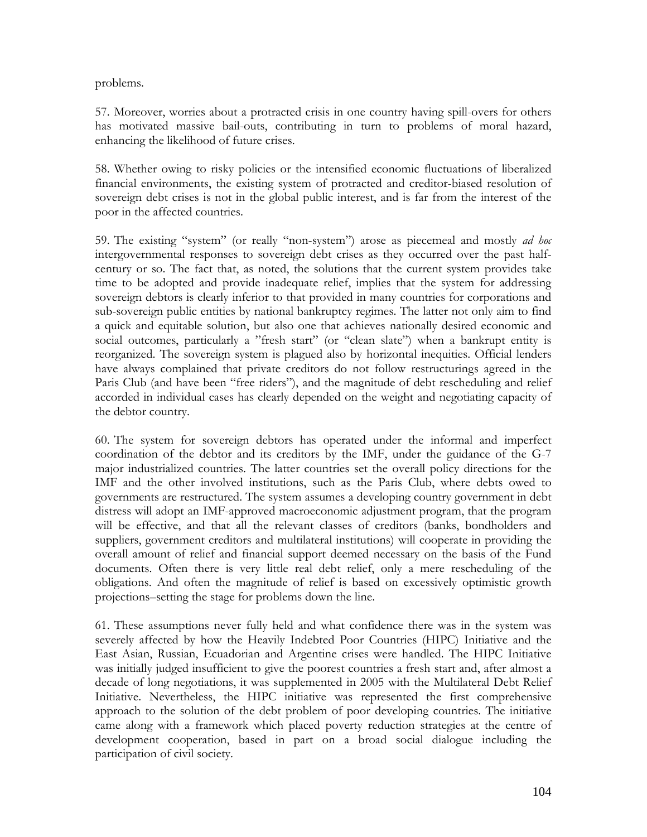problems.

57. Moreover, worries about a protracted crisis in one country having spill-overs for others has motivated massive bail-outs, contributing in turn to problems of moral hazard, enhancing the likelihood of future crises.

58. Whether owing to risky policies or the intensified economic fluctuations of liberalized financial environments, the existing system of protracted and creditor-biased resolution of sovereign debt crises is not in the global public interest, and is far from the interest of the poor in the affected countries.

59. The existing "system" (or really "non-system") arose as piecemeal and mostly *ad hoc* intergovernmental responses to sovereign debt crises as they occurred over the past halfcentury or so. The fact that, as noted, the solutions that the current system provides take time to be adopted and provide inadequate relief, implies that the system for addressing sovereign debtors is clearly inferior to that provided in many countries for corporations and sub-sovereign public entities by national bankruptcy regimes. The latter not only aim to find a quick and equitable solution, but also one that achieves nationally desired economic and social outcomes, particularly a "fresh start" (or "clean slate") when a bankrupt entity is reorganized. The sovereign system is plagued also by horizontal inequities. Official lenders have always complained that private creditors do not follow restructurings agreed in the Paris Club (and have been "free riders"), and the magnitude of debt rescheduling and relief accorded in individual cases has clearly depended on the weight and negotiating capacity of the debtor country.

60. The system for sovereign debtors has operated under the informal and imperfect coordination of the debtor and its creditors by the IMF, under the guidance of the G-7 major industrialized countries. The latter countries set the overall policy directions for the IMF and the other involved institutions, such as the Paris Club, where debts owed to governments are restructured. The system assumes a developing country government in debt distress will adopt an IMF-approved macroeconomic adjustment program, that the program will be effective, and that all the relevant classes of creditors (banks, bondholders and suppliers, government creditors and multilateral institutions) will cooperate in providing the overall amount of relief and financial support deemed necessary on the basis of the Fund documents. Often there is very little real debt relief, only a mere rescheduling of the obligations. And often the magnitude of relief is based on excessively optimistic growth projections–setting the stage for problems down the line.

61. These assumptions never fully held and what confidence there was in the system was severely affected by how the Heavily Indebted Poor Countries (HIPC) Initiative and the East Asian, Russian, Ecuadorian and Argentine crises were handled. The HIPC Initiative was initially judged insufficient to give the poorest countries a fresh start and, after almost a decade of long negotiations, it was supplemented in 2005 with the Multilateral Debt Relief Initiative. Nevertheless, the HIPC initiative was represented the first comprehensive approach to the solution of the debt problem of poor developing countries. The initiative came along with a framework which placed poverty reduction strategies at the centre of development cooperation, based in part on a broad social dialogue including the participation of civil society.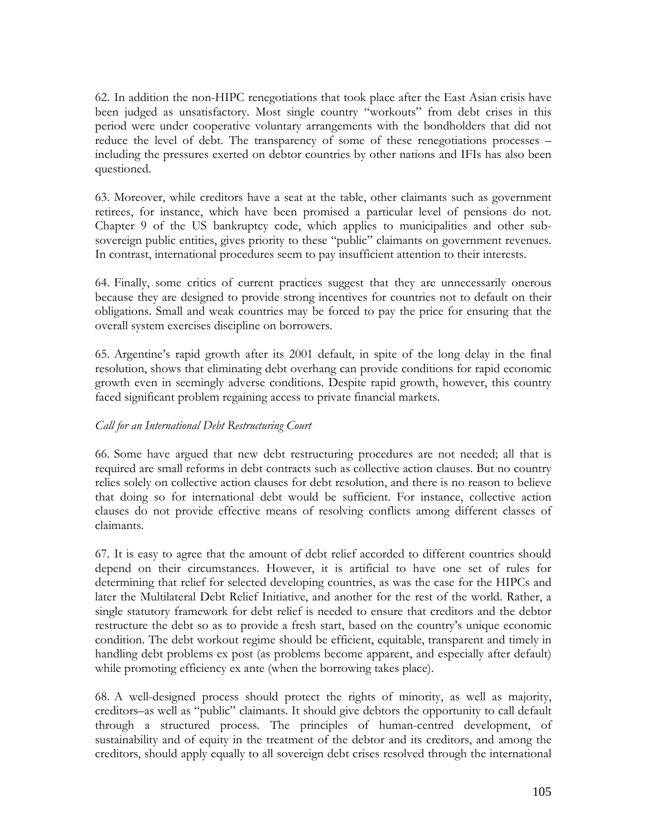62. In addition the non-HIPC renegotiations that took place after the East Asian crisis have been judged as unsatisfactory. Most single country "workouts" from debt crises in this period were under cooperative voluntary arrangements with the bondholders that did not reduce the level of debt. The transparency of some of these renegotiations processes – including the pressures exerted on debtor countries by other nations and IFIs has also been questioned.

63. Moreover, while creditors have a seat at the table, other claimants such as government retirees, for instance, which have been promised a particular level of pensions do not. Chapter 9 of the US bankruptcy code, which applies to municipalities and other subsovereign public entities, gives priority to these "public" claimants on government revenues. In contrast, international procedures seem to pay insufficient attention to their interests.

64. Finally, some critics of current practices suggest that they are unnecessarily onerous because they are designed to provide strong incentives for countries not to default on their obligations. Small and weak countries may be forced to pay the price for ensuring that the overall system exercises discipline on borrowers.

65. Argentine's rapid growth after its 2001 default, in spite of the long delay in the final resolution, shows that eliminating debt overhang can provide conditions for rapid economic growth even in seemingly adverse conditions. Despite rapid growth, however, this country faced significant problem regaining access to private financial markets.

## *Call for an International Debt Restructuring Court*

66. Some have argued that new debt restructuring procedures are not needed; all that is required are small reforms in debt contracts such as collective action clauses. But no country relies solely on collective action clauses for debt resolution, and there is no reason to believe that doing so for international debt would be sufficient. For instance, collective action clauses do not provide effective means of resolving conflicts among different classes of claimants.

67. It is easy to agree that the amount of debt relief accorded to different countries should depend on their circumstances. However, it is artificial to have one set of rules for determining that relief for selected developing countries, as was the case for the HIPCs and later the Multilateral Debt Relief Initiative, and another for the rest of the world. Rather, a single statutory framework for debt relief is needed to ensure that creditors and the debtor restructure the debt so as to provide a fresh start, based on the country's unique economic condition. The debt workout regime should be efficient, equitable, transparent and timely in handling debt problems ex post (as problems become apparent, and especially after default) while promoting efficiency ex ante (when the borrowing takes place).

68. A well-designed process should protect the rights of minority, as well as majority, creditors–as well as "public" claimants. It should give debtors the opportunity to call default through a structured process. The principles of human-centred development, of sustainability and of equity in the treatment of the debtor and its creditors, and among the creditors, should apply equally to all sovereign debt crises resolved through the international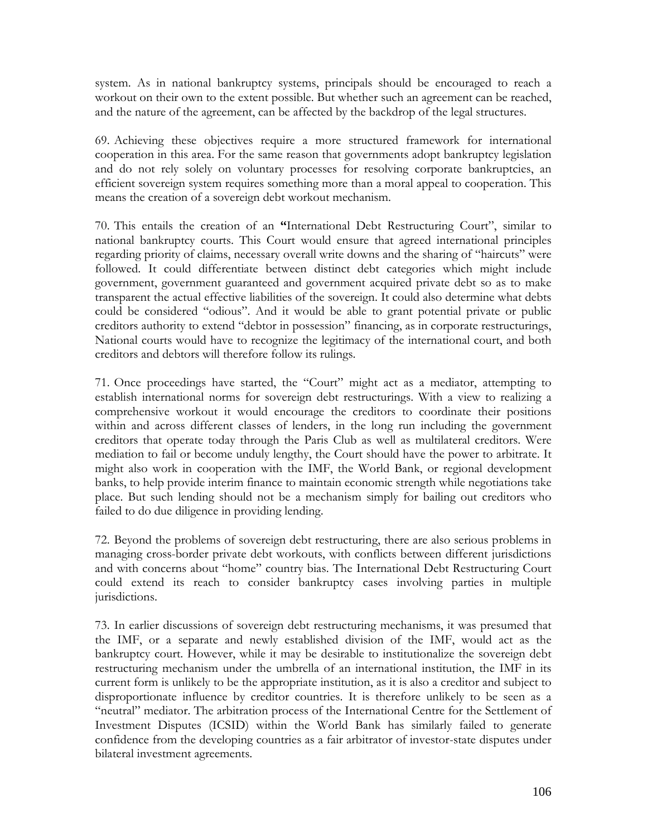system. As in national bankruptcy systems, principals should be encouraged to reach a workout on their own to the extent possible. But whether such an agreement can be reached, and the nature of the agreement, can be affected by the backdrop of the legal structures.

69. Achieving these objectives require a more structured framework for international cooperation in this area. For the same reason that governments adopt bankruptcy legislation and do not rely solely on voluntary processes for resolving corporate bankruptcies, an efficient sovereign system requires something more than a moral appeal to cooperation. This means the creation of a sovereign debt workout mechanism.

70. This entails the creation of an **"**International Debt Restructuring Court", similar to national bankruptcy courts. This Court would ensure that agreed international principles regarding priority of claims, necessary overall write downs and the sharing of "haircuts" were followed. It could differentiate between distinct debt categories which might include government, government guaranteed and government acquired private debt so as to make transparent the actual effective liabilities of the sovereign. It could also determine what debts could be considered "odious". And it would be able to grant potential private or public creditors authority to extend "debtor in possession" financing, as in corporate restructurings, National courts would have to recognize the legitimacy of the international court, and both creditors and debtors will therefore follow its rulings.

71. Once proceedings have started, the "Court" might act as a mediator, attempting to establish international norms for sovereign debt restructurings. With a view to realizing a comprehensive workout it would encourage the creditors to coordinate their positions within and across different classes of lenders, in the long run including the government creditors that operate today through the Paris Club as well as multilateral creditors. Were mediation to fail or become unduly lengthy, the Court should have the power to arbitrate. It might also work in cooperation with the IMF, the World Bank, or regional development banks, to help provide interim finance to maintain economic strength while negotiations take place. But such lending should not be a mechanism simply for bailing out creditors who failed to do due diligence in providing lending.

72. Beyond the problems of sovereign debt restructuring, there are also serious problems in managing cross-border private debt workouts, with conflicts between different jurisdictions and with concerns about "home" country bias. The International Debt Restructuring Court could extend its reach to consider bankruptcy cases involving parties in multiple jurisdictions.

73. In earlier discussions of sovereign debt restructuring mechanisms, it was presumed that the IMF, or a separate and newly established division of the IMF, would act as the bankruptcy court. However, while it may be desirable to institutionalize the sovereign debt restructuring mechanism under the umbrella of an international institution, the IMF in its current form is unlikely to be the appropriate institution, as it is also a creditor and subject to disproportionate influence by creditor countries. It is therefore unlikely to be seen as a "neutral" mediator. The arbitration process of the International Centre for the Settlement of Investment Disputes (ICSID) within the World Bank has similarly failed to generate confidence from the developing countries as a fair arbitrator of investor-state disputes under bilateral investment agreements.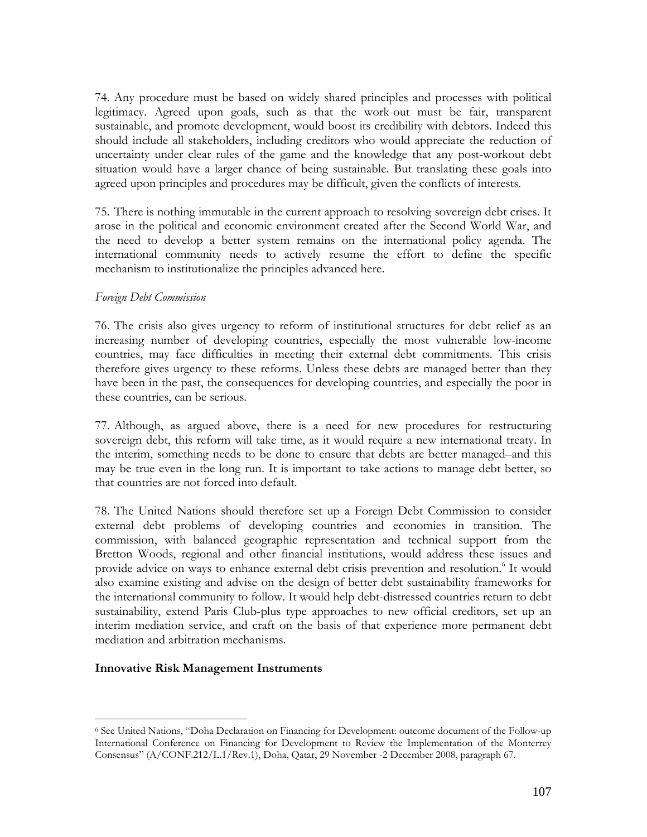74. Any procedure must be based on widely shared principles and processes with political legitimacy. Agreed upon goals, such as that the work-out must be fair, transparent sustainable, and promote development, would boost its credibility with debtors. Indeed this should include all stakeholders, including creditors who would appreciate the reduction of uncertainty under clear rules of the game and the knowledge that any post-workout debt situation would have a larger chance of being sustainable. But translating these goals into agreed upon principles and procedures may be difficult, given the conflicts of interests.

75. There is nothing immutable in the current approach to resolving sovereign debt crises. It arose in the political and economic environment created after the Second World War, and the need to develop a better system remains on the international policy agenda. The international community needs to actively resume the effort to define the specific mechanism to institutionalize the principles advanced here.

#### *Foreign Debt Commission*

76. The crisis also gives urgency to reform of institutional structures for debt relief as an increasing number of developing countries, especially the most vulnerable low-income countries, may face difficulties in meeting their external debt commitments. This crisis therefore gives urgency to these reforms. Unless these debts are managed better than they have been in the past, the consequences for developing countries, and especially the poor in these countries, can be serious.

77. Although, as argued above, there is a need for new procedures for restructuring sovereign debt, this reform will take time, as it would require a new international treaty. In the interim, something needs to be done to ensure that debts are better managed–and this may be true even in the long run. It is important to take actions to manage debt better, so that countries are not forced into default.

78. The United Nations should therefore set up a Foreign Debt Commission to consider external debt problems of developing countries and economies in transition. The commission, with balanced geographic representation and technical support from the Bretton Woods, regional and other financial institutions, would address these issues and provide advice on ways to enhance external debt crisis prevention and resolution.<sup>6</sup> It would also examine existing and advise on the design of better debt sustainability frameworks for the international community to follow. It would help debt-distressed countries return to debt sustainability, extend Paris Club-plus type approaches to new official creditors, set up an interim mediation service, and craft on the basis of that experience more permanent debt mediation and arbitration mechanisms.

## **Innovative Risk Management Instruments**

<sup>6</sup> See United Nations, "Doha Declaration on Financing for Development: outcome document of the Follow-up International Conference on Financing for Development to Review the Implementation of the Monterrey Consensus" (A/CONF.212/L.1/Rev.1), Doha, Qatar, 29 November -2 December 2008, paragraph 67.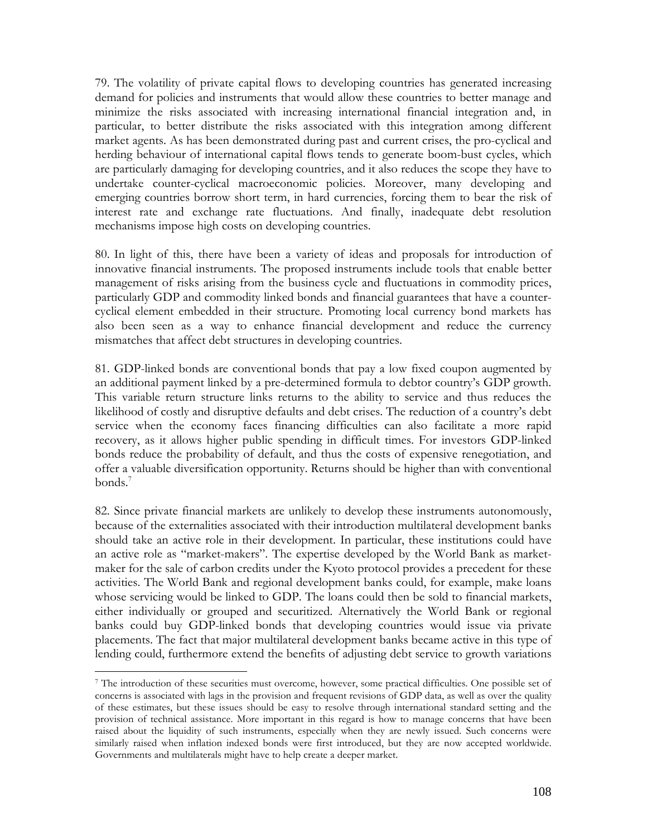79. The volatility of private capital flows to developing countries has generated increasing demand for policies and instruments that would allow these countries to better manage and minimize the risks associated with increasing international financial integration and, in particular, to better distribute the risks associated with this integration among different market agents. As has been demonstrated during past and current crises, the pro-cyclical and herding behaviour of international capital flows tends to generate boom-bust cycles, which are particularly damaging for developing countries, and it also reduces the scope they have to undertake counter-cyclical macroeconomic policies. Moreover, many developing and emerging countries borrow short term, in hard currencies, forcing them to bear the risk of interest rate and exchange rate fluctuations. And finally, inadequate debt resolution mechanisms impose high costs on developing countries.

80. In light of this, there have been a variety of ideas and proposals for introduction of innovative financial instruments. The proposed instruments include tools that enable better management of risks arising from the business cycle and fluctuations in commodity prices, particularly GDP and commodity linked bonds and financial guarantees that have a countercyclical element embedded in their structure. Promoting local currency bond markets has also been seen as a way to enhance financial development and reduce the currency mismatches that affect debt structures in developing countries.

81. GDP-linked bonds are conventional bonds that pay a low fixed coupon augmented by an additional payment linked by a pre-determined formula to debtor country's GDP growth. This variable return structure links returns to the ability to service and thus reduces the likelihood of costly and disruptive defaults and debt crises. The reduction of a country's debt service when the economy faces financing difficulties can also facilitate a more rapid recovery, as it allows higher public spending in difficult times. For investors GDP-linked bonds reduce the probability of default, and thus the costs of expensive renegotiation, and offer a valuable diversification opportunity. Returns should be higher than with conventional bonds. $<sup>7</sup>$ </sup>

82. Since private financial markets are unlikely to develop these instruments autonomously, because of the externalities associated with their introduction multilateral development banks should take an active role in their development. In particular, these institutions could have an active role as "market-makers". The expertise developed by the World Bank as marketmaker for the sale of carbon credits under the Kyoto protocol provides a precedent for these activities. The World Bank and regional development banks could, for example, make loans whose servicing would be linked to GDP. The loans could then be sold to financial markets, either individually or grouped and securitized. Alternatively the World Bank or regional banks could buy GDP-linked bonds that developing countries would issue via private placements. The fact that major multilateral development banks became active in this type of lending could, furthermore extend the benefits of adjusting debt service to growth variations

<sup>7</sup> The introduction of these securities must overcome, however, some practical difficulties. One possible set of concerns is associated with lags in the provision and frequent revisions of GDP data, as well as over the quality of these estimates, but these issues should be easy to resolve through international standard setting and the provision of technical assistance. More important in this regard is how to manage concerns that have been raised about the liquidity of such instruments, especially when they are newly issued. Such concerns were similarly raised when inflation indexed bonds were first introduced, but they are now accepted worldwide. Governments and multilaterals might have to help create a deeper market.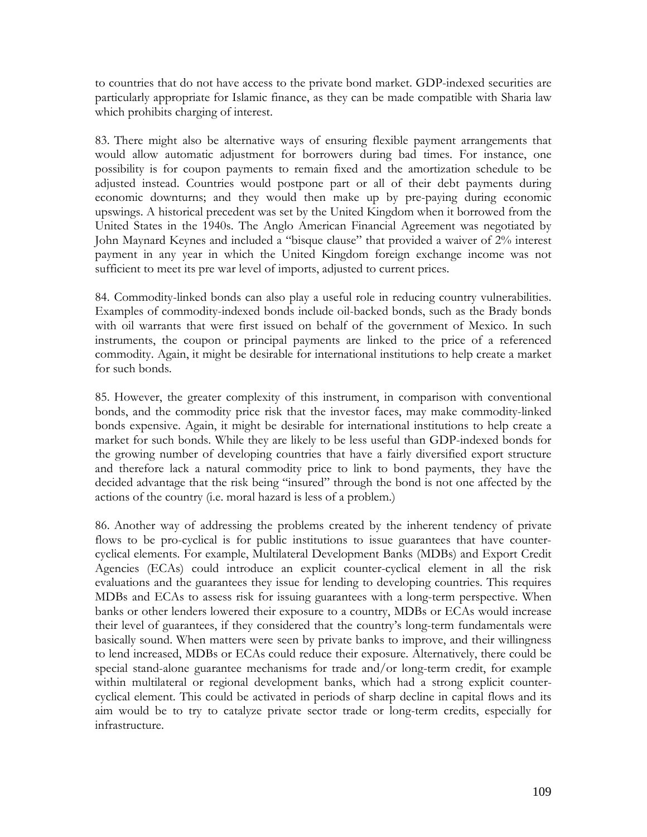to countries that do not have access to the private bond market. GDP-indexed securities are particularly appropriate for Islamic finance, as they can be made compatible with Sharia law which prohibits charging of interest.

83. There might also be alternative ways of ensuring flexible payment arrangements that would allow automatic adjustment for borrowers during bad times. For instance, one possibility is for coupon payments to remain fixed and the amortization schedule to be adjusted instead. Countries would postpone part or all of their debt payments during economic downturns; and they would then make up by pre-paying during economic upswings. A historical precedent was set by the United Kingdom when it borrowed from the United States in the 1940s. The Anglo American Financial Agreement was negotiated by John Maynard Keynes and included a "bisque clause" that provided a waiver of 2% interest payment in any year in which the United Kingdom foreign exchange income was not sufficient to meet its pre war level of imports, adjusted to current prices.

84. Commodity-linked bonds can also play a useful role in reducing country vulnerabilities. Examples of commodity-indexed bonds include oil-backed bonds, such as the Brady bonds with oil warrants that were first issued on behalf of the government of Mexico. In such instruments, the coupon or principal payments are linked to the price of a referenced commodity. Again, it might be desirable for international institutions to help create a market for such bonds.

85. However, the greater complexity of this instrument, in comparison with conventional bonds, and the commodity price risk that the investor faces, may make commodity-linked bonds expensive. Again, it might be desirable for international institutions to help create a market for such bonds. While they are likely to be less useful than GDP-indexed bonds for the growing number of developing countries that have a fairly diversified export structure and therefore lack a natural commodity price to link to bond payments, they have the decided advantage that the risk being "insured" through the bond is not one affected by the actions of the country (i.e. moral hazard is less of a problem.)

86. Another way of addressing the problems created by the inherent tendency of private flows to be pro-cyclical is for public institutions to issue guarantees that have countercyclical elements. For example, Multilateral Development Banks (MDBs) and Export Credit Agencies (ECAs) could introduce an explicit counter-cyclical element in all the risk evaluations and the guarantees they issue for lending to developing countries. This requires MDBs and ECAs to assess risk for issuing guarantees with a long-term perspective. When banks or other lenders lowered their exposure to a country, MDBs or ECAs would increase their level of guarantees, if they considered that the country's long-term fundamentals were basically sound. When matters were seen by private banks to improve, and their willingness to lend increased, MDBs or ECAs could reduce their exposure. Alternatively, there could be special stand-alone guarantee mechanisms for trade and/or long-term credit, for example within multilateral or regional development banks, which had a strong explicit countercyclical element. This could be activated in periods of sharp decline in capital flows and its aim would be to try to catalyze private sector trade or long-term credits, especially for infrastructure.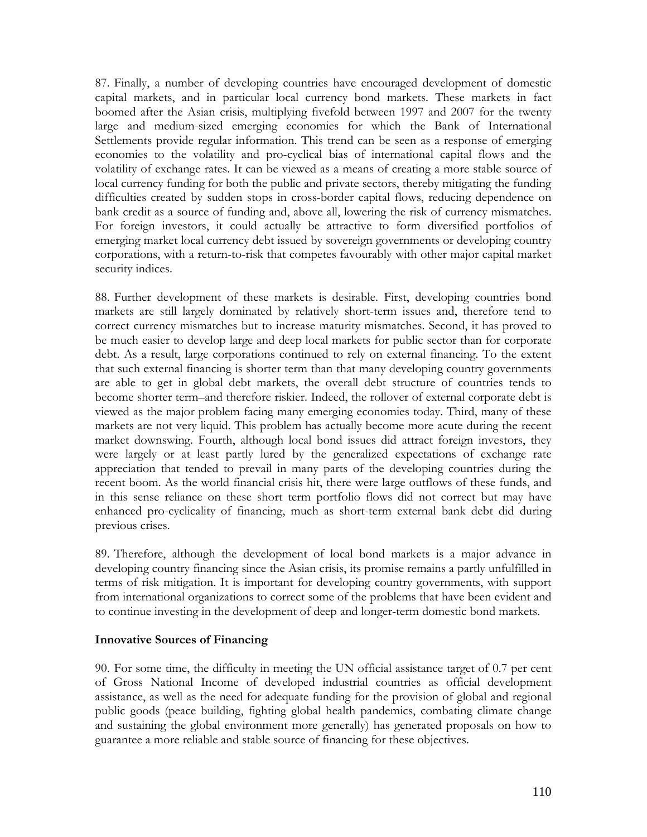87. Finally, a number of developing countries have encouraged development of domestic capital markets, and in particular local currency bond markets. These markets in fact boomed after the Asian crisis, multiplying fivefold between 1997 and 2007 for the twenty large and medium-sized emerging economies for which the Bank of International Settlements provide regular information. This trend can be seen as a response of emerging economies to the volatility and pro-cyclical bias of international capital flows and the volatility of exchange rates. It can be viewed as a means of creating a more stable source of local currency funding for both the public and private sectors, thereby mitigating the funding difficulties created by sudden stops in cross-border capital flows, reducing dependence on bank credit as a source of funding and, above all, lowering the risk of currency mismatches. For foreign investors, it could actually be attractive to form diversified portfolios of emerging market local currency debt issued by sovereign governments or developing country corporations, with a return-to-risk that competes favourably with other major capital market security indices.

88. Further development of these markets is desirable. First, developing countries bond markets are still largely dominated by relatively short-term issues and, therefore tend to correct currency mismatches but to increase maturity mismatches. Second, it has proved to be much easier to develop large and deep local markets for public sector than for corporate debt. As a result, large corporations continued to rely on external financing. To the extent that such external financing is shorter term than that many developing country governments are able to get in global debt markets, the overall debt structure of countries tends to become shorter term–and therefore riskier. Indeed, the rollover of external corporate debt is viewed as the major problem facing many emerging economies today. Third, many of these markets are not very liquid. This problem has actually become more acute during the recent market downswing. Fourth, although local bond issues did attract foreign investors, they were largely or at least partly lured by the generalized expectations of exchange rate appreciation that tended to prevail in many parts of the developing countries during the recent boom. As the world financial crisis hit, there were large outflows of these funds, and in this sense reliance on these short term portfolio flows did not correct but may have enhanced pro-cyclicality of financing, much as short-term external bank debt did during previous crises.

89. Therefore, although the development of local bond markets is a major advance in developing country financing since the Asian crisis, its promise remains a partly unfulfilled in terms of risk mitigation. It is important for developing country governments, with support from international organizations to correct some of the problems that have been evident and to continue investing in the development of deep and longer-term domestic bond markets.

## **Innovative Sources of Financing**

90. For some time, the difficulty in meeting the UN official assistance target of 0.7 per cent of Gross National Income of developed industrial countries as official development assistance, as well as the need for adequate funding for the provision of global and regional public goods (peace building, fighting global health pandemics, combating climate change and sustaining the global environment more generally) has generated proposals on how to guarantee a more reliable and stable source of financing for these objectives.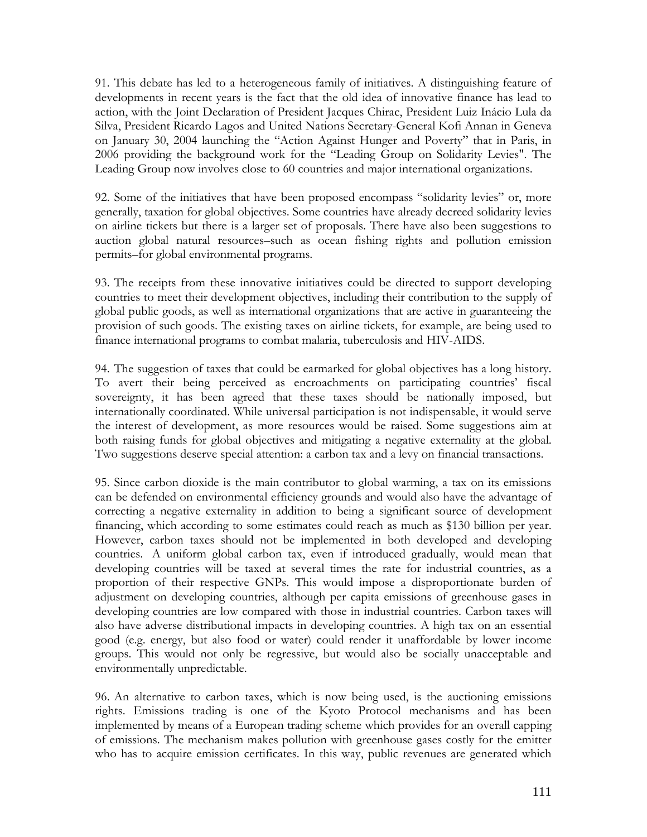91. This debate has led to a heterogeneous family of initiatives. A distinguishing feature of developments in recent years is the fact that the old idea of innovative finance has lead to action, with the Joint Declaration of President Jacques Chirac, President Luiz Inácio Lula da Silva, President Ricardo Lagos and United Nations Secretary-General Kofi Annan in Geneva on January 30, 2004 launching the "Action Against Hunger and Poverty" that in Paris, in 2006 providing the background work for the "Leading Group on Solidarity Levies". The Leading Group now involves close to 60 countries and major international organizations.

92. Some of the initiatives that have been proposed encompass "solidarity levies" or, more generally, taxation for global objectives. Some countries have already decreed solidarity levies on airline tickets but there is a larger set of proposals. There have also been suggestions to auction global natural resources–such as ocean fishing rights and pollution emission permits–for global environmental programs.

93. The receipts from these innovative initiatives could be directed to support developing countries to meet their development objectives, including their contribution to the supply of global public goods, as well as international organizations that are active in guaranteeing the provision of such goods. The existing taxes on airline tickets, for example, are being used to finance international programs to combat malaria, tuberculosis and HIV-AIDS.

94. The suggestion of taxes that could be earmarked for global objectives has a long history. To avert their being perceived as encroachments on participating countries' fiscal sovereignty, it has been agreed that these taxes should be nationally imposed, but internationally coordinated. While universal participation is not indispensable, it would serve the interest of development, as more resources would be raised. Some suggestions aim at both raising funds for global objectives and mitigating a negative externality at the global. Two suggestions deserve special attention: a carbon tax and a levy on financial transactions.

95. Since carbon dioxide is the main contributor to global warming, a tax on its emissions can be defended on environmental efficiency grounds and would also have the advantage of correcting a negative externality in addition to being a significant source of development financing, which according to some estimates could reach as much as \$130 billion per year. However, carbon taxes should not be implemented in both developed and developing countries. A uniform global carbon tax, even if introduced gradually, would mean that developing countries will be taxed at several times the rate for industrial countries, as a proportion of their respective GNPs. This would impose a disproportionate burden of adjustment on developing countries, although per capita emissions of greenhouse gases in developing countries are low compared with those in industrial countries. Carbon taxes will also have adverse distributional impacts in developing countries. A high tax on an essential good (e.g. energy, but also food or water) could render it unaffordable by lower income groups. This would not only be regressive, but would also be socially unacceptable and environmentally unpredictable.

96. An alternative to carbon taxes, which is now being used, is the auctioning emissions rights. Emissions trading is one of the Kyoto Protocol mechanisms and has been implemented by means of a European trading scheme which provides for an overall capping of emissions. The mechanism makes pollution with greenhouse gases costly for the emitter who has to acquire emission certificates. In this way, public revenues are generated which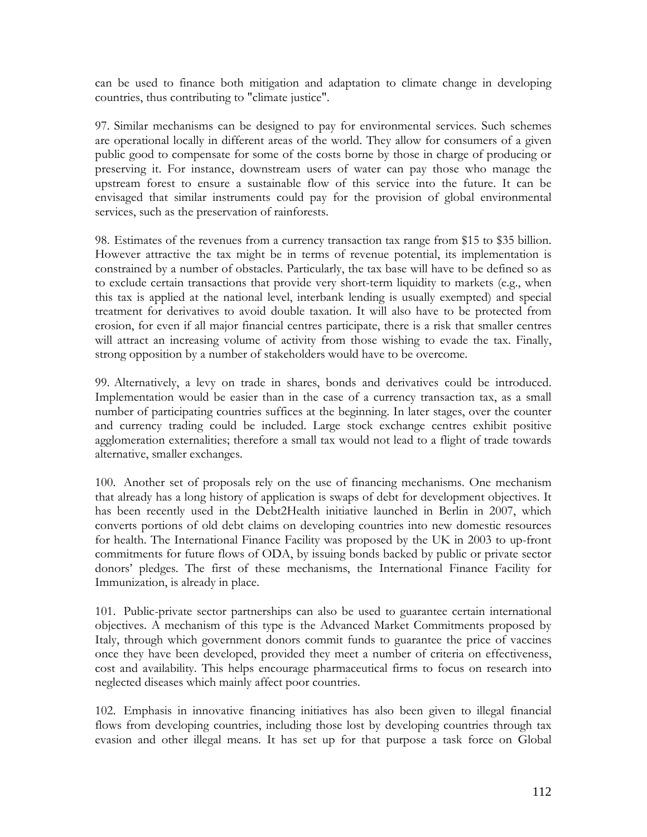can be used to finance both mitigation and adaptation to climate change in developing countries, thus contributing to "climate justice".

97. Similar mechanisms can be designed to pay for environmental services. Such schemes are operational locally in different areas of the world. They allow for consumers of a given public good to compensate for some of the costs borne by those in charge of producing or preserving it. For instance, downstream users of water can pay those who manage the upstream forest to ensure a sustainable flow of this service into the future. It can be envisaged that similar instruments could pay for the provision of global environmental services, such as the preservation of rainforests.

98. Estimates of the revenues from a currency transaction tax range from \$15 to \$35 billion. However attractive the tax might be in terms of revenue potential, its implementation is constrained by a number of obstacles. Particularly, the tax base will have to be defined so as to exclude certain transactions that provide very short-term liquidity to markets (e.g., when this tax is applied at the national level, interbank lending is usually exempted) and special treatment for derivatives to avoid double taxation. It will also have to be protected from erosion, for even if all major financial centres participate, there is a risk that smaller centres will attract an increasing volume of activity from those wishing to evade the tax. Finally, strong opposition by a number of stakeholders would have to be overcome.

99. Alternatively, a levy on trade in shares, bonds and derivatives could be introduced. Implementation would be easier than in the case of a currency transaction tax, as a small number of participating countries suffices at the beginning. In later stages, over the counter and currency trading could be included. Large stock exchange centres exhibit positive agglomeration externalities; therefore a small tax would not lead to a flight of trade towards alternative, smaller exchanges.

100. Another set of proposals rely on the use of financing mechanisms. One mechanism that already has a long history of application is swaps of debt for development objectives. It has been recently used in the Debt2Health initiative launched in Berlin in 2007, which converts portions of old debt claims on developing countries into new domestic resources for health. The International Finance Facility was proposed by the UK in 2003 to up-front commitments for future flows of ODA, by issuing bonds backed by public or private sector donors' pledges. The first of these mechanisms, the International Finance Facility for Immunization, is already in place.

101. Public-private sector partnerships can also be used to guarantee certain international objectives. A mechanism of this type is the Advanced Market Commitments proposed by Italy, through which government donors commit funds to guarantee the price of vaccines once they have been developed, provided they meet a number of criteria on effectiveness, cost and availability. This helps encourage pharmaceutical firms to focus on research into neglected diseases which mainly affect poor countries.

102. Emphasis in innovative financing initiatives has also been given to illegal financial flows from developing countries, including those lost by developing countries through tax evasion and other illegal means. It has set up for that purpose a task force on Global